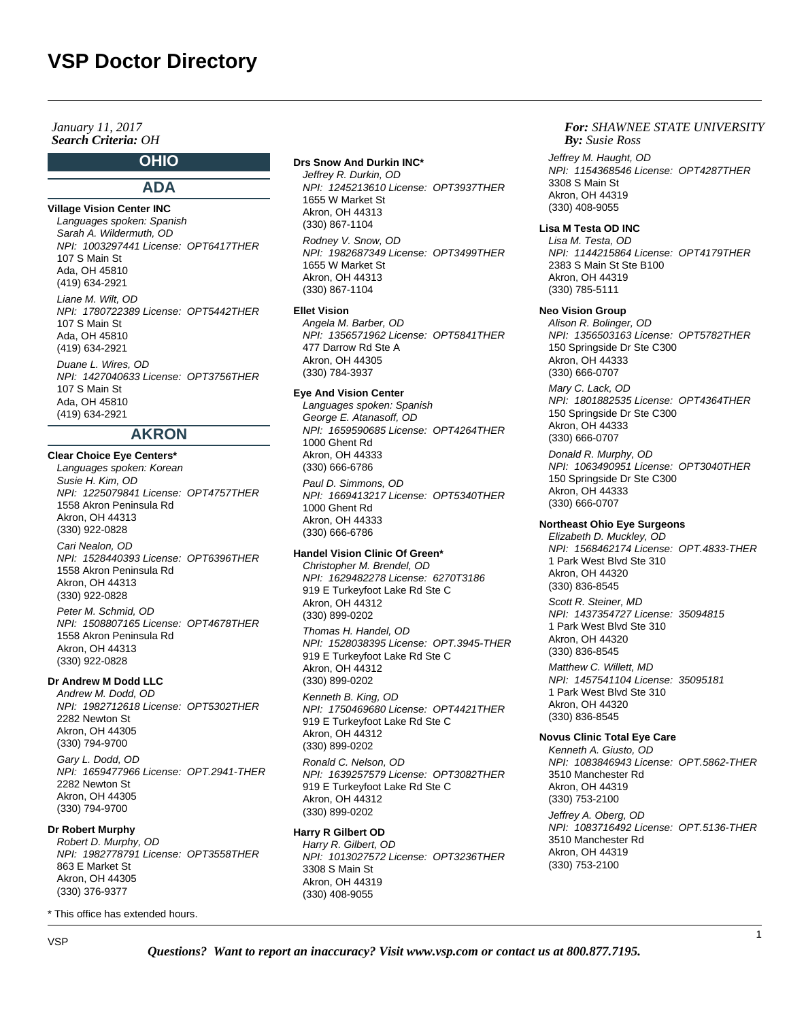# **OHIO**

# **ADA**

# **Village Vision Center INC**

Languages spoken: Spanish Sarah A. Wildermuth, OD NPI: 1003297441 License: OPT6417THER 107 S Main St Ada, OH 45810 (419) 634-2921 Liane M. Wilt, OD NPI: 1780722389 License: OPT5442THER 107 S Main St Ada, OH 45810 (419) 634-2921 Duane L. Wires, OD NPI: 1427040633 License: OPT3756THER 107 S Main St Ada, OH 45810 (419) 634-2921

# **AKRON**

#### **Clear Choice Eye Centers\***

Languages spoken: Korean Susie H. Kim, OD NPI: 1225079841 License: OPT4757THER 1558 Akron Peninsula Rd Akron, OH 44313 (330) 922-0828

Cari Nealon, OD NPI: 1528440393 License: OPT6396THER 1558 Akron Peninsula Rd Akron, OH 44313 (330) 922-0828

Peter M. Schmid, OD NPI: 1508807165 License: OPT4678THER 1558 Akron Peninsula Rd Akron, OH 44313 (330) 922-0828

# **Dr Andrew M Dodd LLC**

Andrew M. Dodd, OD NPI: 1982712618 License: OPT5302THER 2282 Newton St Akron, OH 44305 (330) 794-9700 Gary L. Dodd, OD

NPI: 1659477966 License: OPT.2941-THER 2282 Newton St Akron, OH 44305 (330) 794-9700

#### **Dr Robert Murphy**

Robert D. Murphy, OD NPI: 1982778791 License: OPT3558THER 863 E Market St Akron, OH 44305 (330) 376-9377

\* This office has extended hours.

# **Drs Snow And Durkin INC\***

Jeffrey R. Durkin, OD NPI: 1245213610 License: OPT3937THER 1655 W Market St Akron, OH 44313 (330) 867-1104 Rodney V. Snow, OD NPI: 1982687349 License: OPT3499THER 1655 W Market St Akron, OH 44313 (330) 867-1104

### **Ellet Vision**

Angela M. Barber, OD NPI: 1356571962 License: OPT5841THER 477 Darrow Rd Ste A Akron, OH 44305 (330) 784-3937

#### **Eye And Vision Center**

Languages spoken: Spanish George E. Atanasoff, OD NPI: 1659590685 License: OPT4264THER 1000 Ghent Rd Akron, OH 44333 (330) 666-6786 Paul D. Simmons, OD NPI: 1669413217 License: OPT5340THER 1000 Ghent Rd Akron, OH 44333 (330) 666-6786

#### **Handel Vision Clinic Of Green\***

Christopher M. Brendel, OD NPI: 1629482278 License: 6270T3186 919 E Turkeyfoot Lake Rd Ste C Akron, OH 44312 (330) 899-0202

Thomas H. Handel, OD NPI: 1528038395 License: OPT.3945-THER 919 E Turkeyfoot Lake Rd Ste C Akron, OH 44312 (330) 899-0202

Kenneth B. King, OD NPI: 1750469680 License: OPT4421THER 919 E Turkeyfoot Lake Rd Ste C Akron, OH 44312 (330) 899-0202

Ronald C. Nelson, OD NPI: 1639257579 License: OPT3082THER 919 E Turkeyfoot Lake Rd Ste C Akron, OH 44312 (330) 899-0202

#### **Harry R Gilbert OD**

Harry R. Gilbert, OD NPI: 1013027572 License: OPT3236THER 3308 S Main St Akron, OH 44319 (330) 408-9055

#### *For: SHAWNEE STATE UNIVERSITY Susie Ross*

Jeffrey M. Haught, OD NPI: 1154368546 License: OPT4287THER 3308 S Main St Akron, OH 44319 (330) 408-9055

# **Lisa M Testa OD INC**

Lisa M. Testa, OD NPI: 1144215864 License: OPT4179THER 2383 S Main St Ste B100 Akron, OH 44319 (330) 785-5111

## **Neo Vision Group**

Alison R. Bolinger, OD NPI: 1356503163 License: OPT5782THER 150 Springside Dr Ste C300 Akron, OH 44333 (330) 666-0707

Mary C. Lack, OD NPI: 1801882535 License: OPT4364THER 150 Springside Dr Ste C300 Akron, OH 44333 (330) 666-0707

Donald R. Murphy, OD NPI: 1063490951 License: OPT3040THER 150 Springside Dr Ste C300 Akron, OH 44333 (330) 666-0707

# **Northeast Ohio Eye Surgeons**

Elizabeth D. Muckley, OD NPI: 1568462174 License: OPT.4833-THER 1 Park West Blvd Ste 310 Akron, OH 44320 (330) 836-8545

Scott R. Steiner, MD NPI: 1437354727 License: 35094815 1 Park West Blvd Ste 310 Akron, OH 44320 (330) 836-8545

Matthew C. Willett, MD NPI: 1457541104 License: 35095181 1 Park West Blvd Ste 310 Akron, OH 44320 (330) 836-8545

#### **Novus Clinic Total Eye Care**

Kenneth A. Giusto, OD NPI: 1083846943 License: OPT.5862-THER 3510 Manchester Rd Akron, OH 44319 (330) 753-2100

Jeffrey A. Oberg, OD NPI: 1083716492 License: OPT.5136-THER 3510 Manchester Rd Akron, OH 44319 (330) 753-2100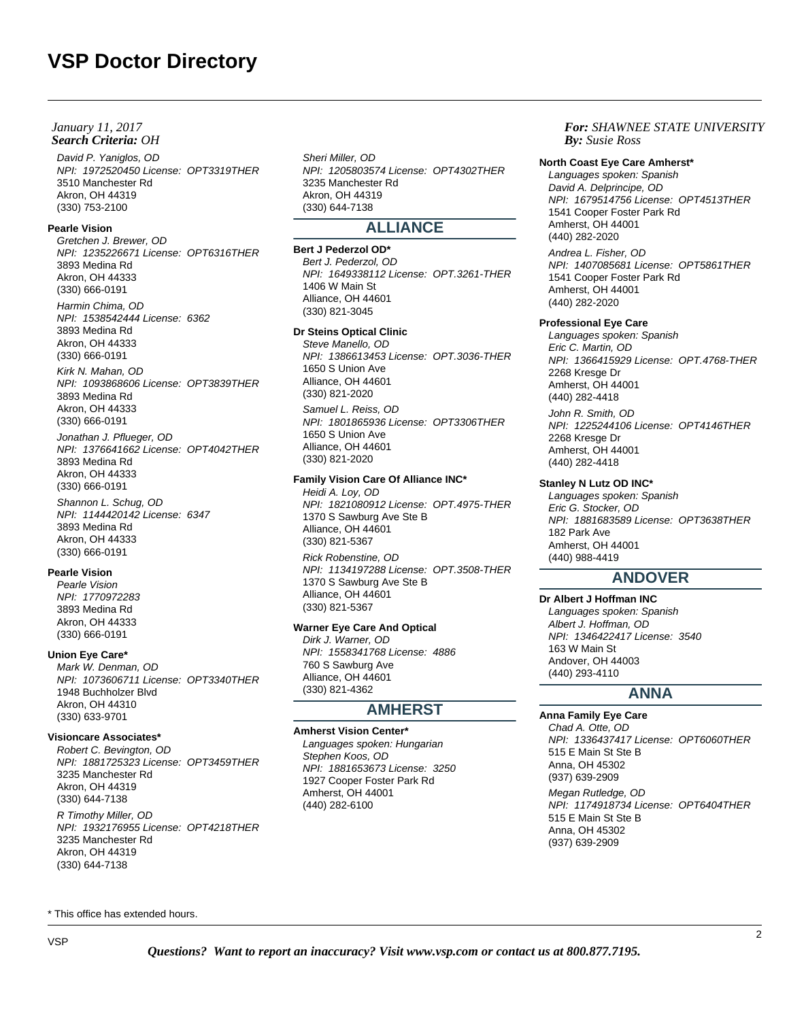David P. Yaniglos, OD NPI: 1972520450 License: OPT3319THER 3510 Manchester Rd Akron, OH 44319 (330) 753-2100

## **Pearle Vision**

Gretchen J. Brewer, OD NPI: 1235226671 License: OPT6316THER 3893 Medina Rd Akron, OH 44333 (330) 666-0191 Harmin Chima, OD

NPI: 1538542444 License: 6362 3893 Medina Rd Akron, OH 44333 (330) 666-0191

Kirk N. Mahan, OD NPI: 1093868606 License: OPT3839THER 3893 Medina Rd Akron, OH 44333 (330) 666-0191

Jonathan J. Pflueger, OD NPI: 1376641662 License: OPT4042THER 3893 Medina Rd Akron, OH 44333 (330) 666-0191

Shannon L. Schug, OD NPI: 1144420142 License: 6347 3893 Medina Rd Akron, OH 44333 (330) 666-0191

# **Pearle Vision**

Pearle Vision NPI: 1770972283 3893 Medina Rd Akron, OH 44333 (330) 666-0191

#### **Union Eye Care\***

Mark W. Denman, OD NPI: 1073606711 License: OPT3340THER 1948 Buchholzer Blvd Akron, OH 44310 (330) 633-9701

## **Visioncare Associates\***

Robert C. Bevington, OD NPI: 1881725323 License: OPT3459THER 3235 Manchester Rd Akron, OH 44319 (330) 644-7138

R Timothy Miller, OD NPI: 1932176955 License: OPT4218THER 3235 Manchester Rd Akron, OH 44319 (330) 644-7138

Sheri Miller, OD NPI: 1205803574 License: OPT4302THER 3235 Manchester Rd Akron, OH 44319 (330) 644-7138

# **ALLIANCE**

# **Bert J Pederzol OD\***

Bert J. Pederzol, OD NPI: 1649338112 License: OPT.3261-THER 1406 W Main St Alliance, OH 44601 (330) 821-3045

#### **Dr Steins Optical Clinic**

Steve Manello, OD NPI: 1386613453 License: OPT.3036-THER 1650 S Union Ave Alliance, OH 44601 (330) 821-2020 Samuel L. Reiss, OD NPI: 1801865936 License: OPT3306THER 1650 S Union Ave Alliance, OH 44601 (330) 821-2020

## **Family Vision Care Of Alliance INC\***

Heidi A. Loy, OD NPI: 1821080912 License: OPT.4975-THER 1370 S Sawburg Ave Ste B Alliance, OH 44601 (330) 821-5367 Rick Robenstine, OD NPI: 1134197288 License: OPT.3508-THER 1370 S Sawburg Ave Ste B Alliance, OH 44601 (330) 821-5367

### **Warner Eye Care And Optical**

Dirk J. Warner, OD NPI: 1558341768 License: 4886 760 S Sawburg Ave Alliance, OH 44601 (330) 821-4362

# **AMHERST**

### **Amherst Vision Center\***

Languages spoken: Hungarian Stephen Koos, OD NPI: 1881653673 License: 3250 1927 Cooper Foster Park Rd Amherst, OH 44001 (440) 282-6100

*For: SHAWNEE STATE UNIVERSITY Susie Ross*

#### **North Coast Eye Care Amherst\***

Languages spoken: Spanish David A. Delprincipe, OD NPI: 1679514756 License: OPT4513THER 1541 Cooper Foster Park Rd Amherst, OH 44001 (440) 282-2020

Andrea L. Fisher, OD NPI: 1407085681 License: OPT5861THER 1541 Cooper Foster Park Rd Amherst, OH 44001 (440) 282-2020

#### **Professional Eye Care**

Languages spoken: Spanish Eric C. Martin, OD NPI: 1366415929 License: OPT.4768-THER 2268 Kresge Dr Amherst, OH 44001 (440) 282-4418

John R. Smith, OD NPI: 1225244106 License: OPT4146THER 2268 Kresge Dr Amherst, OH 44001 (440) 282-4418

#### **Stanley N Lutz OD INC\***

Languages spoken: Spanish Eric G. Stocker, OD NPI: 1881683589 License: OPT3638THER 182 Park Ave Amherst, OH 44001 (440) 988-4419

# **ANDOVER**

### **Dr Albert J Hoffman INC**

Languages spoken: Spanish Albert J. Hoffman, OD NPI: 1346422417 License: 3540 163 W Main St Andover, OH 44003 (440) 293-4110

# **ANNA**

**Anna Family Eye Care** Chad A. Otte, OD NPI: 1336437417 License: OPT6060THER 515 E Main St Ste B Anna, OH 45302 (937) 639-2909 Megan Rutledge, OD

NPI: 1174918734 License: OPT6404THER 515 E Main St Ste B Anna, OH 45302 (937) 639-2909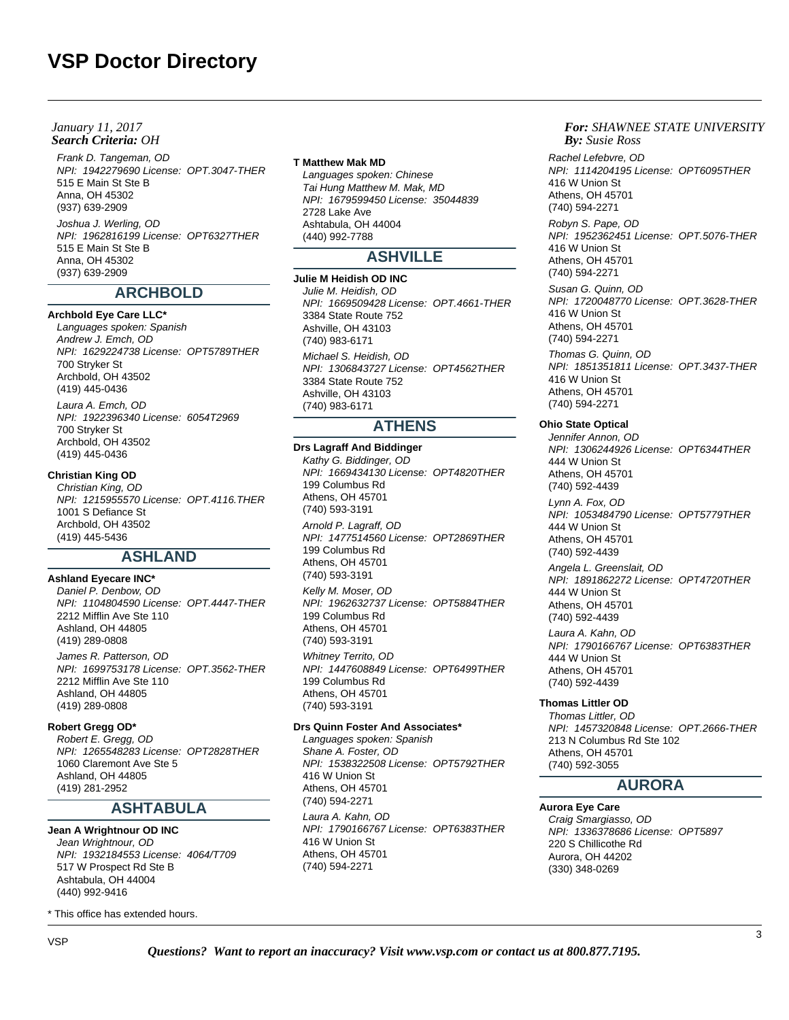Frank D. Tangeman, OD NPI: 1942279690 License: OPT.3047-THER 515 E Main St Ste B Anna, OH 45302 (937) 639-2909 Joshua J. Werling, OD NPI: 1962816199 License: OPT6327THER 515 E Main St Ste B Anna, OH 45302 (937) 639-2909

# **ARCHBOLD**

#### **Archbold Eye Care LLC\***

Languages spoken: Spanish Andrew J. Emch, OD NPI: 1629224738 License: OPT5789THER 700 Stryker St Archbold, OH 43502 (419) 445-0436 Laura A. Emch, OD NPI: 1922396340 License: 6054T2969 700 Stryker St Archbold, OH 43502

(419) 445-0436

# **Christian King OD**

Christian King, OD NPI: 1215955570 License: OPT.4116.THER 1001 S Defiance St Archbold, OH 43502 (419) 445-5436

# **ASHLAND**

#### **Ashland Eyecare INC\***

Daniel P. Denbow, OD NPI: 1104804590 License: OPT.4447-THER 2212 Mifflin Ave Ste 110 Ashland, OH 44805 (419) 289-0808 James R. Patterson, OD

NPI: 1699753178 License: OPT.3562-THER 2212 Mifflin Ave Ste 110 Ashland, OH 44805 (419) 289-0808

## **Robert Gregg OD\***

Robert E. Gregg, OD NPI: 1265548283 License: OPT2828THER 1060 Claremont Ave Ste 5 Ashland, OH 44805 (419) 281-2952

# **ASHTABULA**

# **Jean A Wrightnour OD INC**

Jean Wrightnour, OD NPI: 1932184553 License: 4064/T709 517 W Prospect Rd Ste B Ashtabula, OH 44004 (440) 992-9416

\* This office has extended hours.

#### **T Matthew Mak MD**

Languages spoken: Chinese Tai Hung Matthew M. Mak, MD NPI: 1679599450 License: 35044839 2728 Lake Ave Ashtabula, OH 44004 (440) 992-7788

# **ASHVILLE**

#### **Julie M Heidish OD INC**

Julie M. Heidish, OD NPI: 1669509428 License: OPT.4661-THER 3384 State Route 752 Ashville, OH 43103 (740) 983-6171 Michael S. Heidish, OD NPI: 1306843727 License: OPT4562THER 3384 State Route 752 Ashville, OH 43103 (740) 983-6171

# **ATHENS**

**Drs Lagraff And Biddinger** Kathy G. Biddinger, OD NPI: 1669434130 License: OPT4820THER 199 Columbus Rd Athens, OH 45701 (740) 593-3191

Arnold P. Lagraff, OD NPI: 1477514560 License: OPT2869THER 199 Columbus Rd Athens, OH 45701 (740) 593-3191

Kelly M. Moser, OD NPI: 1962632737 License: OPT5884THER 199 Columbus Rd Athens, OH 45701 (740) 593-3191

Whitney Territo, OD NPI: 1447608849 License: OPT6499THER 199 Columbus Rd Athens, OH 45701 (740) 593-3191

#### **Drs Quinn Foster And Associates\***

Languages spoken: Spanish Shane A. Foster, OD NPI: 1538322508 License: OPT5792THER 416 W Union St Athens, OH 45701 (740) 594-2271 Laura A. Kahn, OD NPI: 1790166767 License: OPT6383THER 416 W Union St Athens, OH 45701 (740) 594-2271

## *For: SHAWNEE STATE UNIVERSITY Susie Ross*

Rachel Lefebvre, OD NPI: 1114204195 License: OPT6095THER 416 W Union St Athens, OH 45701 (740) 594-2271

Robyn S. Pape, OD NPI: 1952362451 License: OPT.5076-THER 416 W Union St Athens, OH 45701 (740) 594-2271

Susan G. Quinn, OD NPI: 1720048770 License: OPT.3628-THER 416 W Union St Athens, OH 45701 (740) 594-2271

Thomas G. Quinn, OD NPI: 1851351811 License: OPT.3437-THER 416 W Union St Athens, OH 45701 (740) 594-2271

## **Ohio State Optical**

Jennifer Annon, OD NPI: 1306244926 License: OPT6344THER 444 W Union St Athens, OH 45701 (740) 592-4439

Lynn A. Fox, OD NPI: 1053484790 License: OPT5779THER 444 W Union St Athens, OH 45701 (740) 592-4439

Angela L. Greenslait, OD NPI: 1891862272 License: OPT4720THER 444 W Union St Athens, OH 45701 (740) 592-4439

Laura A. Kahn, OD NPI: 1790166767 License: OPT6383THER 444 W Union St Athens, OH 45701 (740) 592-4439

#### **Thomas Littler OD**

Thomas Littler, OD NPI: 1457320848 License: OPT.2666-THER 213 N Columbus Rd Ste 102 Athens, OH 45701 (740) 592-3055

# **AURORA**

# **Aurora Eye Care**

Craig Smargiasso, OD NPI: 1336378686 License: OPT5897 220 S Chillicothe Rd Aurora, OH 44202 (330) 348-0269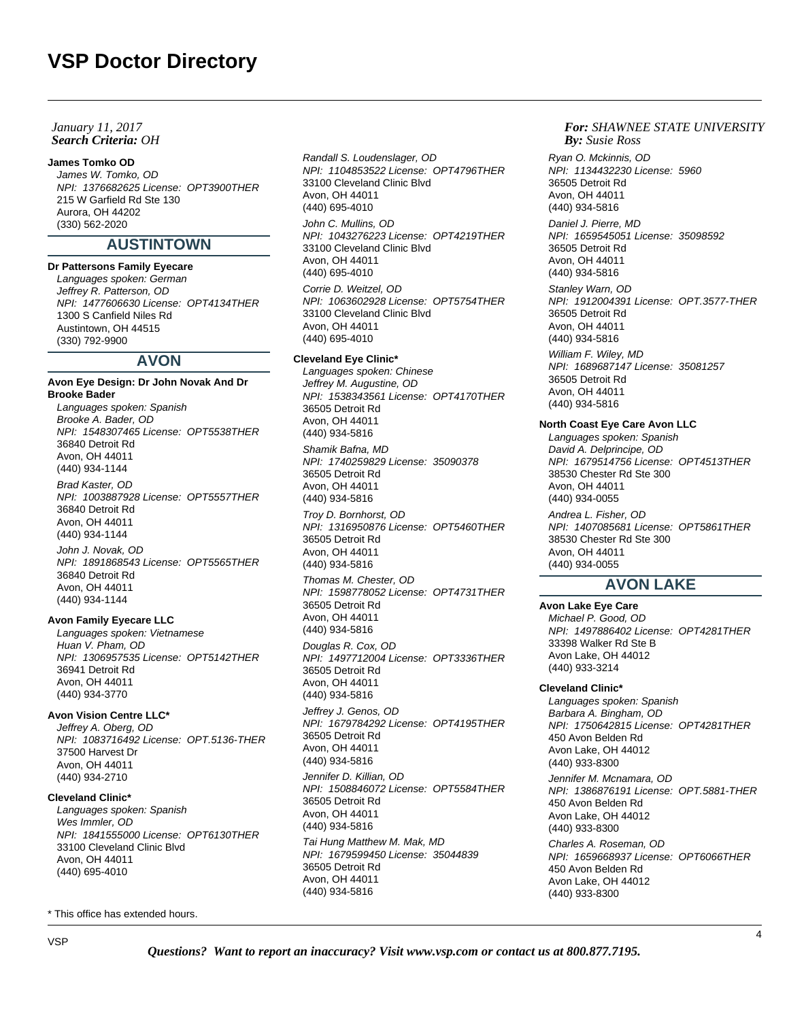# *Search Criteria: By: OHJanuary 11, 2017*

# **James Tomko OD**

James W. Tomko, OD NPI: 1376682625 License: OPT3900THER 215 W Garfield Rd Ste 130 Aurora, OH 44202 (330) 562-2020

# **AUSTINTOWN**

#### **Dr Pattersons Family Eyecare**

Languages spoken: German Jeffrey R. Patterson, OD NPI: 1477606630 License: OPT4134THER 1300 S Canfield Niles Rd Austintown, OH 44515 (330) 792-9900

# **AVON**

**Avon Eye Design: Dr John Novak And Dr Brooke Bader** Languages spoken: Spanish Brooke A. Bader, OD NPI: 1548307465 License: OPT5538THER 36840 Detroit Rd Avon, OH 44011 (440) 934-1144 Brad Kaster, OD NPI: 1003887928 License: OPT5557THER 36840 Detroit Rd

(440) 934-1144 John J. Novak, OD NPI: 1891868543 License: OPT5565THER 36840 Detroit Rd Avon, OH 44011 (440) 934-1144

#### **Avon Family Eyecare LLC**

Avon, OH 44011

Languages spoken: Vietnamese Huan V. Pham, OD NPI: 1306957535 License: OPT5142THER 36941 Detroit Rd Avon, OH 44011 (440) 934-3770

# **Avon Vision Centre LLC\***

Jeffrey A. Oberg, OD NPI: 1083716492 License: OPT.5136-THER 37500 Harvest Dr Avon, OH 44011 (440) 934-2710

### **Cleveland Clinic\***

Languages spoken: Spanish Wes Immler, OD NPI: 1841555000 License: OPT6130THER 33100 Cleveland Clinic Blvd Avon, OH 44011 (440) 695-4010

\* This office has extended hours.

Randall S. Loudenslager, OD NPI: 1104853522 License: OPT4796THER 33100 Cleveland Clinic Blvd Avon, OH 44011 (440) 695-4010 John C. Mullins, OD NPI: 1043276223 License: OPT4219THER 33100 Cleveland Clinic Blvd

Avon, OH 44011 (440) 695-4010 Corrie D. Weitzel, OD NPI: 1063602928 License: OPT5754THER 33100 Cleveland Clinic Blvd Avon, OH 44011 (440) 695-4010

### **Cleveland Eye Clinic\***

Languages spoken: Chinese Jeffrey M. Augustine, OD NPI: 1538343561 License: OPT4170THER 36505 Detroit Rd Avon, OH 44011 (440) 934-5816 Shamik Bafna, MD

NPI: 1740259829 License: 35090378 36505 Detroit Rd Avon, OH 44011 (440) 934-5816 Troy D. Bornhorst, OD NPI: 1316950876 License: OPT5460THER 36505 Detroit Rd Avon, OH 44011 (440) 934-5816 Thomas M. Chester, OD NPI: 1598778052 License: OPT4731THER 36505 Detroit Rd Avon, OH 44011

(440) 934-5816 Douglas R. Cox, OD NPI: 1497712004 License: OPT3336THER 36505 Detroit Rd Avon, OH 44011 (440) 934-5816

Jeffrey J. Genos, OD NPI: 1679784292 License: OPT4195THER 36505 Detroit Rd Avon, OH 44011 (440) 934-5816 Jennifer D. Killian, OD NPI: 1508846072 License: OPT5584THER 36505 Detroit Rd Avon, OH 44011 (440) 934-5816 Tai Hung Matthew M. Mak, MD NPI: 1679599450 License: 35044839 36505 Detroit Rd Avon, OH 44011

# *For: SHAWNEE STATE UNIVERSITY Susie Ross*

Ryan O. Mckinnis, OD NPI: 1134432230 License: 5960 36505 Detroit Rd Avon, OH 44011 (440) 934-5816

Daniel J. Pierre, MD NPI: 1659545051 License: 35098592 36505 Detroit Rd Avon, OH 44011 (440) 934-5816

Stanley Warn, OD NPI: 1912004391 License: OPT.3577-THER 36505 Detroit Rd Avon, OH 44011 (440) 934-5816

William F. Wiley, MD NPI: 1689687147 License: 35081257 36505 Detroit Rd Avon, OH 44011 (440) 934-5816

## **North Coast Eye Care Avon LLC**

Languages spoken: Spanish David A. Delprincipe, OD NPI: 1679514756 License: OPT4513THER 38530 Chester Rd Ste 300 Avon, OH 44011 (440) 934-0055

Andrea L. Fisher, OD NPI: 1407085681 License: OPT5861THER 38530 Chester Rd Ste 300 Avon, OH 44011 (440) 934-0055

# **AVON LAKE**

**Avon Lake Eye Care** Michael P. Good, OD NPI: 1497886402 License: OPT4281THER 33398 Walker Rd Ste B Avon Lake, OH 44012 (440) 933-3214

### **Cleveland Clinic\***

Languages spoken: Spanish Barbara A. Bingham, OD NPI: 1750642815 License: OPT4281THER 450 Avon Belden Rd Avon Lake, OH 44012 (440) 933-8300

Jennifer M. Mcnamara, OD NPI: 1386876191 License: OPT.5881-THER 450 Avon Belden Rd Avon Lake, OH 44012 (440) 933-8300

Charles A. Roseman, OD NPI: 1659668937 License: OPT6066THER 450 Avon Belden Rd Avon Lake, OH 44012 (440) 933-8300

(440) 934-5816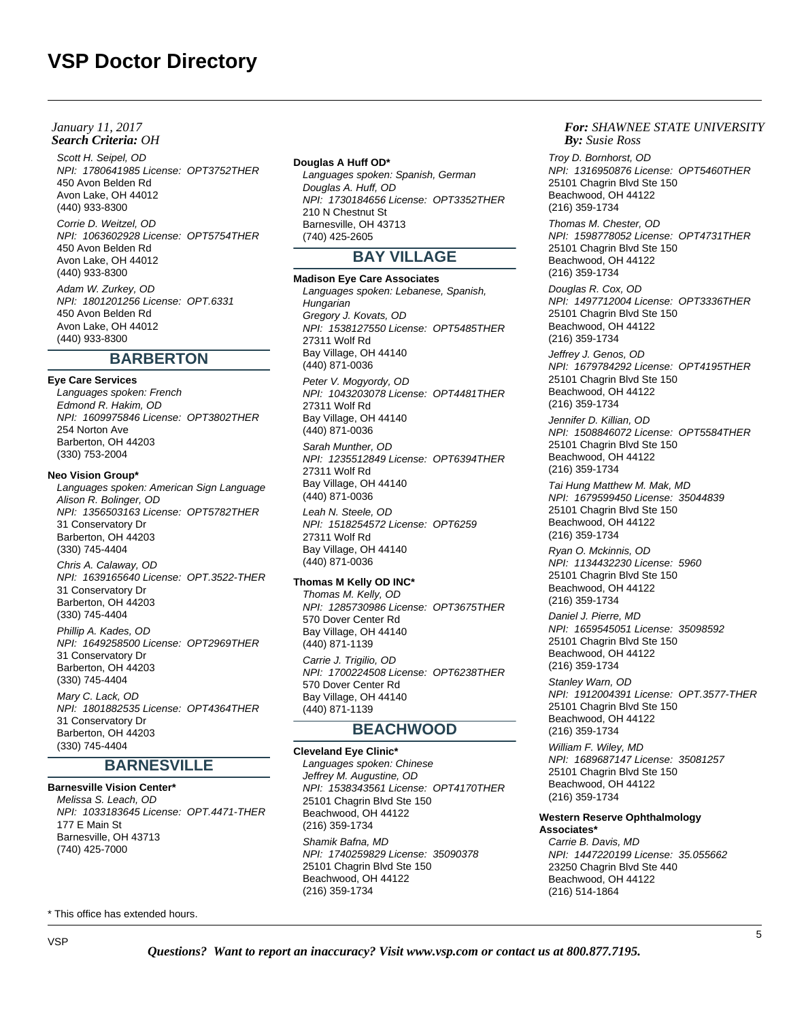Scott H. Seipel, OD NPI: 1780641985 License: OPT3752THER 450 Avon Belden Rd Avon Lake, OH 44012 (440) 933-8300

Corrie D. Weitzel, OD NPI: 1063602928 License: OPT5754THER 450 Avon Belden Rd Avon Lake, OH 44012 (440) 933-8300 Adam W. Zurkey, OD

NPI: 1801201256 License: OPT.6331 450 Avon Belden Rd Avon Lake, OH 44012 (440) 933-8300

# **BARBERTON**

# **Eye Care Services**

Languages spoken: French Edmond R. Hakim, OD NPI: 1609975846 License: OPT3802THER 254 Norton Ave Barberton, OH 44203 (330) 753-2004

### **Neo Vision Group\***

Languages spoken: American Sign Language Alison R. Bolinger, OD NPI: 1356503163 License: OPT5782THER 31 Conservatory Dr Barberton, OH 44203 (330) 745-4404 Chris A. Calaway, OD NPI: 1639165640 License: OPT.3522-THER

31 Conservatory Dr Barberton, OH 44203 (330) 745-4404

Phillip A. Kades, OD NPI: 1649258500 License: OPT2969THER 31 Conservatory Dr Barberton, OH 44203 (330) 745-4404

Mary C. Lack, OD NPI: 1801882535 License: OPT4364THER 31 Conservatory Dr Barberton, OH 44203 (330) 745-4404

# **BARNESVILLE**

# **Barnesville Vision Center\***

Melissa S. Leach, OD NPI: 1033183645 License: OPT.4471-THER 177 E Main St Barnesville, OH 43713 (740) 425-7000

\* This office has extended hours.

#### **Douglas A Huff OD\***

Languages spoken: Spanish, German Douglas A. Huff, OD NPI: 1730184656 License: OPT3352THER 210 N Chestnut St Barnesville, OH 43713 (740) 425-2605

# **BAY VILLAGE**

#### **Madison Eye Care Associates** Languages spoken: Lebanese, Spanish, **Hungarian** Gregory J. Kovats, OD NPI: 1538127550 License: OPT5485THER 27311 Wolf Rd Bay Village, OH 44140 (440) 871-0036

Peter V. Mogyordy, OD NPI: 1043203078 License: OPT4481THER 27311 Wolf Rd Bay Village, OH 44140 (440) 871-0036 Sarah Munther, OD NPI: 1235512849 License: OPT6394THER 27311 Wolf Rd Bay Village, OH 44140

(440) 871-0036 Leah N. Steele, OD NPI: 1518254572 License: OPT6259 27311 Wolf Rd Bay Village, OH 44140 (440) 871-0036

# **Thomas M Kelly OD INC\***

Thomas M. Kelly, OD NPI: 1285730986 License: OPT3675THER 570 Dover Center Rd Bay Village, OH 44140 (440) 871-1139 Carrie J. Trigilio, OD NPI: 1700224508 License: OPT6238THER 570 Dover Center Rd Bay Village, OH 44140 (440) 871-1139

# **BEACHWOOD**

**Cleveland Eye Clinic\***

Languages spoken: Chinese Jeffrey M. Augustine, OD NPI: 1538343561 License: OPT4170THER 25101 Chagrin Blvd Ste 150 Beachwood, OH 44122 (216) 359-1734 Shamik Bafna, MD NPI: 1740259829 License: 35090378 25101 Chagrin Blvd Ste 150 Beachwood, OH 44122 (216) 359-1734

# *For: SHAWNEE STATE UNIVERSITY Susie Ross*

Troy D. Bornhorst, OD NPI: 1316950876 License: OPT5460THER 25101 Chagrin Blvd Ste 150 Beachwood, OH 44122 (216) 359-1734

Thomas M. Chester, OD NPI: 1598778052 License: OPT4731THER 25101 Chagrin Blvd Ste 150 Beachwood, OH 44122 (216) 359-1734

Douglas R. Cox, OD NPI: 1497712004 License: OPT3336THER 25101 Chagrin Blvd Ste 150 Beachwood, OH 44122 (216) 359-1734

Jeffrey J. Genos, OD NPI: 1679784292 License: OPT4195THER 25101 Chagrin Blvd Ste 150 Beachwood, OH 44122 (216) 359-1734

Jennifer D. Killian, OD NPI: 1508846072 License: OPT5584THER 25101 Chagrin Blvd Ste 150 Beachwood, OH 44122 (216) 359-1734

Tai Hung Matthew M. Mak, MD NPI: 1679599450 License: 35044839 25101 Chagrin Blvd Ste 150 Beachwood, OH 44122 (216) 359-1734

Ryan O. Mckinnis, OD NPI: 1134432230 License: 5960 25101 Chagrin Blvd Ste 150 Beachwood, OH 44122 (216) 359-1734

Daniel J. Pierre, MD NPI: 1659545051 License: 35098592 25101 Chagrin Blvd Ste 150 Beachwood, OH 44122 (216) 359-1734

Stanley Warn, OD NPI: 1912004391 License: OPT.3577-THER 25101 Chagrin Blvd Ste 150 Beachwood, OH 44122 (216) 359-1734

William F. Wiley, MD NPI: 1689687147 License: 35081257 25101 Chagrin Blvd Ste 150 Beachwood, OH 44122 (216) 359-1734

## **Western Reserve Ophthalmology Associates\***

Carrie B. Davis, MD NPI: 1447220199 License: 35.055662 23250 Chagrin Blvd Ste 440 Beachwood, OH 44122 (216) 514-1864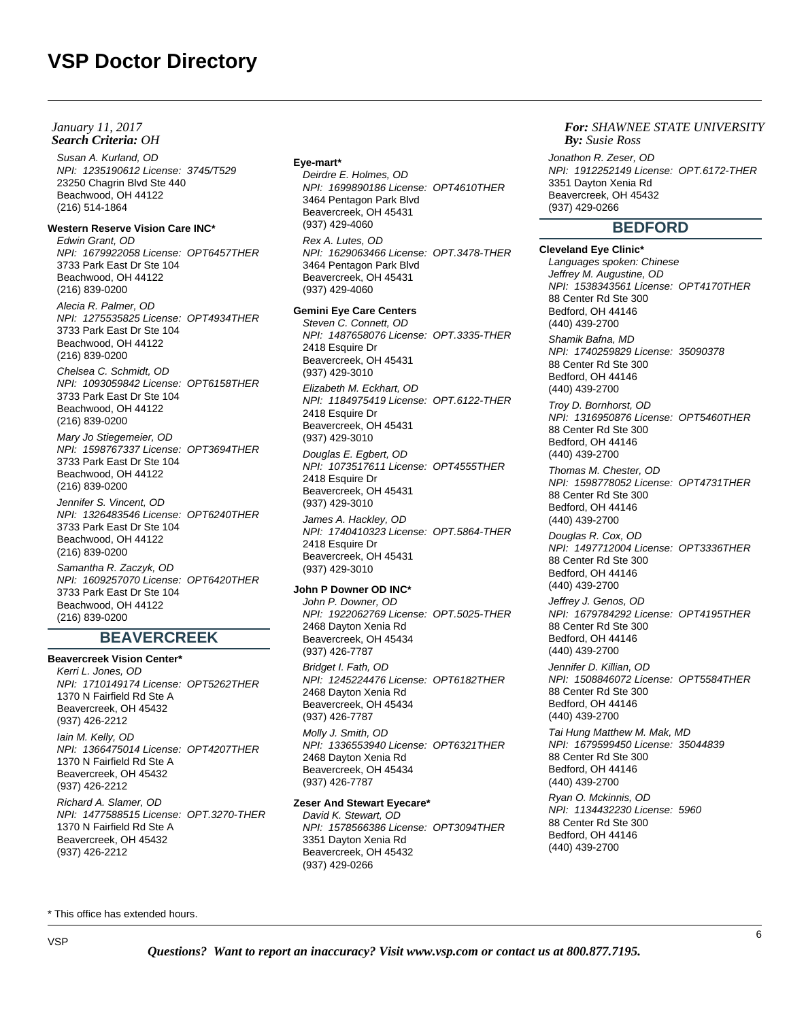## *Search Criteria: By: OHJanuary 11, 2017*

Susan A. Kurland, OD NPI: 1235190612 License: 3745/T529 23250 Chagrin Blvd Ste 440 Beachwood, OH 44122 (216) 514-1864

# **Western Reserve Vision Care INC\***

Edwin Grant, OD NPI: 1679922058 License: OPT6457THER 3733 Park East Dr Ste 104 Beachwood, OH 44122 (216) 839-0200

Alecia R. Palmer, OD NPI: 1275535825 License: OPT4934THER 3733 Park East Dr Ste 104 Beachwood, OH 44122 (216) 839-0200

Chelsea C. Schmidt, OD NPI: 1093059842 License: OPT6158THER 3733 Park East Dr Ste 104 Beachwood, OH 44122 (216) 839-0200

Mary Jo Stiegemeier, OD NPI: 1598767337 License: OPT3694THER 3733 Park East Dr Ste 104 Beachwood, OH 44122 (216) 839-0200

Jennifer S. Vincent, OD NPI: 1326483546 License: OPT6240THER 3733 Park East Dr Ste 104 Beachwood, OH 44122 (216) 839-0200

Samantha R. Zaczyk, OD NPI: 1609257070 License: OPT6420THER 3733 Park East Dr Ste 104 Beachwood, OH 44122 (216) 839-0200

# **BEAVERCREEK**

# **Beavercreek Vision Center\***

Kerri L. Jones, OD NPI: 1710149174 License: OPT5262THER 1370 N Fairfield Rd Ste A Beavercreek, OH 45432 (937) 426-2212

Iain M. Kelly, OD NPI: 1366475014 License: OPT4207THER 1370 N Fairfield Rd Ste A Beavercreek, OH 45432 (937) 426-2212

Richard A. Slamer, OD NPI: 1477588515 License: OPT.3270-THER 1370 N Fairfield Rd Ste A Beavercreek, OH 45432 (937) 426-2212

#### **Eye-mart\***

Deirdre E. Holmes, OD NPI: 1699890186 License: OPT4610THER 3464 Pentagon Park Blvd Beavercreek, OH 45431 (937) 429-4060 Rex A. Lutes, OD

NPI: 1629063466 License: OPT.3478-THER 3464 Pentagon Park Blvd Beavercreek, OH 45431 (937) 429-4060

# **Gemini Eye Care Centers**

Steven C. Connett, OD NPI: 1487658076 License: OPT.3335-THER 2418 Esquire Dr Beavercreek, OH 45431 (937) 429-3010 Elizabeth M. Eckhart, OD NPI: 1184975419 License: OPT.6122-THER 2418 Esquire Dr Beavercreek, OH 45431 (937) 429-3010

Douglas E. Egbert, OD NPI: 1073517611 License: OPT4555THER 2418 Esquire Dr Beavercreek, OH 45431 (937) 429-3010 James A. Hackley, OD

NPI: 1740410323 License: OPT.5864-THER 2418 Esquire Dr Beavercreek, OH 45431 (937) 429-3010

# **John P Downer OD INC\***

John P. Downer, OD NPI: 1922062769 License: OPT.5025-THER 2468 Dayton Xenia Rd Beavercreek, OH 45434 (937) 426-7787

Bridget I. Fath, OD NPI: 1245224476 License: OPT6182THER 2468 Dayton Xenia Rd Beavercreek, OH 45434 (937) 426-7787

Molly J. Smith, OD NPI: 1336553940 License: OPT6321THER 2468 Dayton Xenia Rd Beavercreek, OH 45434 (937) 426-7787

# **Zeser And Stewart Eyecare\***

David K. Stewart, OD NPI: 1578566386 License: OPT3094THER 3351 Dayton Xenia Rd Beavercreek, OH 45432 (937) 429-0266

*For: SHAWNEE STATE UNIVERSITY Susie Ross*

Jonathon R. Zeser, OD NPI: 1912252149 License: OPT.6172-THER 3351 Dayton Xenia Rd Beavercreek, OH 45432 (937) 429-0266

# **BEDFORD**

**Cleveland Eye Clinic\*** Languages spoken: Chinese Jeffrey M. Augustine, OD NPI: 1538343561 License: OPT4170THER 88 Center Rd Ste 300 Bedford, OH 44146 (440) 439-2700 Shamik Bafna, MD NPI: 1740259829 License: 35090378 88 Center Rd Ste 300 Bedford, OH 44146 (440) 439-2700 Troy D. Bornhorst, OD NPI: 1316950876 License: OPT5460THER 88 Center Rd Ste 300 Bedford, OH 44146 (440) 439-2700 Thomas M. Chester, OD NPI: 1598778052 License: OPT4731THER 88 Center Rd Ste 300 Bedford, OH 44146 (440) 439-2700 Douglas R. Cox, OD NPI: 1497712004 License: OPT3336THER 88 Center Rd Ste 300 Bedford, OH 44146 (440) 439-2700 Jeffrey J. Genos, OD NPI: 1679784292 License: OPT4195THER 88 Center Rd Ste 300 Bedford, OH 44146 (440) 439-2700

Jennifer D. Killian, OD NPI: 1508846072 License: OPT5584THER 88 Center Rd Ste 300 Bedford, OH 44146 (440) 439-2700

Tai Hung Matthew M. Mak, MD NPI: 1679599450 License: 35044839 88 Center Rd Ste 300 Bedford, OH 44146 (440) 439-2700

Ryan O. Mckinnis, OD NPI: 1134432230 License: 5960 88 Center Rd Ste 300 Bedford, OH 44146 (440) 439-2700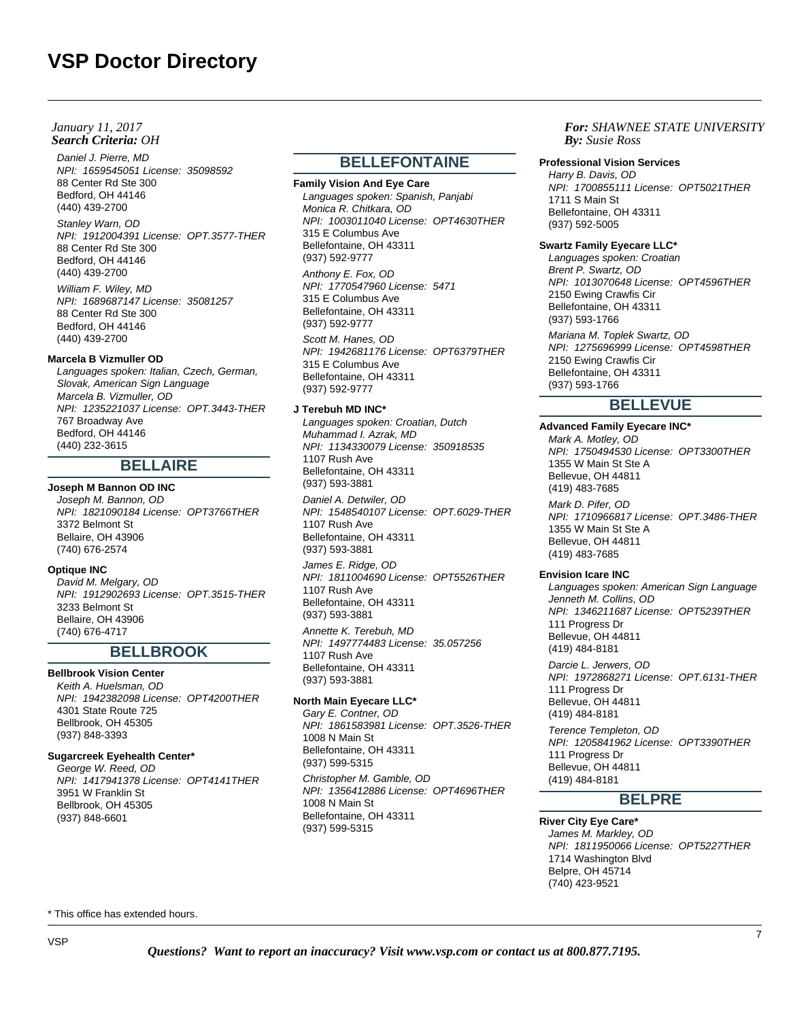## *Search Criteria: By: OHJanuary 11, 2017*

Daniel J. Pierre, MD NPI: 1659545051 License: 35098592 88 Center Rd Ste 300 Bedford, OH 44146 (440) 439-2700 Stanley Warn, OD NPI: 1912004391 License: OPT.3577-THER

88 Center Rd Ste 300 Bedford, OH 44146 (440) 439-2700 William F. Wiley, MD NPI: 1689687147 License: 35081257 88 Center Rd Ste 300 Bedford, OH 44146 (440) 439-2700

#### **Marcela B Vizmuller OD**

Languages spoken: Italian, Czech, German, Slovak, American Sign Language Marcela B. Vizmuller, OD NPI: 1235221037 License: OPT.3443-THER 767 Broadway Ave Bedford, OH 44146 (440) 232-3615

# **BELLAIRE**

# **Joseph M Bannon OD INC**

Joseph M. Bannon, OD NPI: 1821090184 License: OPT3766THER 3372 Belmont St Bellaire, OH 43906 (740) 676-2574

#### **Optique INC**

David M. Melgary, OD NPI: 1912902693 License: OPT.3515-THER 3233 Belmont St Bellaire, OH 43906 (740) 676-4717

# **BELLBROOK**

#### **Bellbrook Vision Center**

Keith A. Huelsman, OD NPI: 1942382098 License: OPT4200THER 4301 State Route 725 Bellbrook, OH 45305 (937) 848-3393

#### **Sugarcreek Eyehealth Center\***

George W. Reed, OD NPI: 1417941378 License: OPT4141THER 3951 W Franklin St Bellbrook, OH 45305 (937) 848-6601

# **BELLEFONTAINE**

**Family Vision And Eye Care** Languages spoken: Spanish, Panjabi Monica R. Chitkara, OD NPI: 1003011040 License: OPT4630THER 315 E Columbus Ave Bellefontaine, OH 43311 (937) 592-9777 Anthony E. Fox, OD NPI: 1770547960 License: 5471

315 E Columbus Ave Bellefontaine, OH 43311 (937) 592-9777 Scott M. Hanes, OD NPI: 1942681176 License: OPT6379THER 315 E Columbus Ave Bellefontaine, OH 43311 (937) 592-9777

# **J Terebuh MD INC\***

Languages spoken: Croatian, Dutch Muhammad I. Azrak, MD NPI: 1134330079 License: 350918535 1107 Rush Ave Bellefontaine, OH 43311 (937) 593-3881 Daniel A. Detwiler, OD NPI: 1548540107 License: OPT.6029-THER 1107 Rush Ave Bellefontaine, OH 43311 (937) 593-3881 James E. Ridge, OD NPI: 1811004690 License: OPT5526THER 1107 Rush Ave Bellefontaine, OH 43311 (937) 593-3881 Annette K. Terebuh, MD

NPI: 1497774483 License: 35.057256 1107 Rush Ave Bellefontaine, OH 43311 (937) 593-3881

# **North Main Eyecare LLC\***

Gary E. Contner, OD NPI: 1861583981 License: OPT.3526-THER 1008 N Main St Bellefontaine, OH 43311 (937) 599-5315

Christopher M. Gamble, OD NPI: 1356412886 License: OPT4696THER 1008 N Main St Bellefontaine, OH 43311 (937) 599-5315

## *For: SHAWNEE STATE UNIVERSITY Susie Ross*

#### **Professional Vision Services**

Harry B. Davis, OD NPI: 1700855111 License: OPT5021THER 1711 S Main St Bellefontaine, OH 43311 (937) 592-5005

#### **Swartz Family Eyecare LLC\***

Languages spoken: Croatian Brent P. Swartz, OD NPI: 1013070648 License: OPT4596THER 2150 Ewing Crawfis Cir Bellefontaine, OH 43311 (937) 593-1766 Mariana M. Toplek Swartz, OD NPI: 1275696999 License: OPT4598THER 2150 Ewing Crawfis Cir Bellefontaine, OH 43311 (937) 593-1766

# **BELLEVUE**

**Advanced Family Eyecare INC\*** Mark A. Motley, OD NPI: 1750494530 License: OPT3300THER 1355 W Main St Ste A Bellevue, OH 44811 (419) 483-7685 Mark D. Pifer, OD NPI: 1710966817 License: OPT.3486-THER 1355 W Main St Ste A Bellevue, OH 44811 (419) 483-7685

#### **Envision Icare INC**

Languages spoken: American Sign Language Jenneth M. Collins, OD NPI: 1346211687 License: OPT5239THER 111 Progress Dr Bellevue, OH 44811 (419) 484-8181

Darcie L. Jerwers, OD NPI: 1972868271 License: OPT.6131-THER 111 Progress Dr Bellevue, OH 44811 (419) 484-8181 Terence Templeton, OD NPI: 1205841962 License: OPT3390THER 111 Progress Dr Bellevue, OH 44811

(419) 484-8181 **BELPRE**

**River City Eye Care\*** James M. Markley, OD NPI: 1811950066 License: OPT5227THER 1714 Washington Blvd Belpre, OH 45714 (740) 423-9521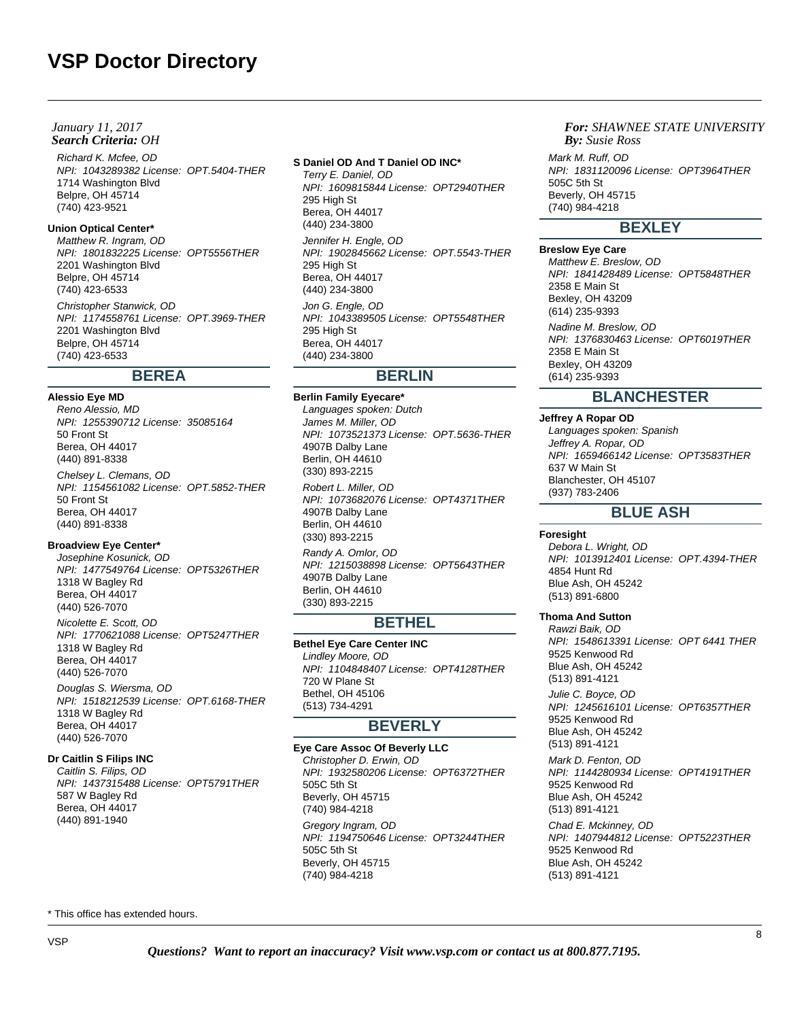## *Search Criteria: By: OHJanuary 11, 2017*

Richard K. Mcfee, OD NPI: 1043289382 License: OPT.5404-THER 1714 Washington Blvd Belpre, OH 45714 (740) 423-9521

# **Union Optical Center\***

Matthew R. Ingram, OD NPI: 1801832225 License: OPT5556THER 2201 Washington Blvd Belpre, OH 45714 (740) 423-6533 Christopher Stanwick, OD NPI: 1174558761 License: OPT.3969-THER 2201 Washington Blvd Belpre, OH 45714 (740) 423-6533

# **BEREA**

# **Alessio Eye MD**

Reno Alessio, MD NPI: 1255390712 License: 35085164 50 Front St Berea, OH 44017 (440) 891-8338 Chelsey L. Clemans, OD NPI: 1154561082 License: OPT.5852-THER 50 Front St Berea, OH 44017

### **Broadview Eye Center\***

(440) 891-8338

Josephine Kosunick, OD NPI: 1477549764 License: OPT5326THER 1318 W Bagley Rd Berea, OH 44017 (440) 526-7070

Nicolette E. Scott, OD NPI: 1770621088 License: OPT5247THER 1318 W Bagley Rd Berea, OH 44017 (440) 526-7070

Douglas S. Wiersma, OD NPI: 1518212539 License: OPT.6168-THER 1318 W Bagley Rd Berea, OH 44017 (440) 526-7070

# **Dr Caitlin S Filips INC**

Caitlin S. Filips, OD NPI: 1437315488 License: OPT5791THER 587 W Bagley Rd Berea, OH 44017 (440) 891-1940

## **S Daniel OD And T Daniel OD INC\***

Terry E. Daniel, OD NPI: 1609815844 License: OPT2940THER 295 High St Berea, OH 44017 (440) 234-3800 Jennifer H. Engle, OD NPI: 1902845662 License: OPT.5543-THER 295 High St Berea, OH 44017 (440) 234-3800 Jon G. Engle, OD NPI: 1043389505 License: OPT5548THER 295 High St Berea, OH 44017 (440) 234-3800

# **BERLIN**

#### **Berlin Family Eyecare\***

Languages spoken: Dutch James M. Miller, OD NPI: 1073521373 License: OPT.5636-THER 4907B Dalby Lane Berlin, OH 44610 (330) 893-2215

Robert L. Miller, OD NPI: 1073682076 License: OPT4371THER 4907B Dalby Lane Berlin, OH 44610 (330) 893-2215

Randy A. Omlor, OD NPI: 1215038898 License: OPT5643THER 4907B Dalby Lane Berlin, OH 44610 (330) 893-2215

# **BETHEL**

# **Bethel Eye Care Center INC**

Lindley Moore, OD NPI: 1104848407 License: OPT4128THER 720 W Plane St Bethel, OH 45106 (513) 734-4291

# **BEVERLY**

# **Eye Care Assoc Of Beverly LLC**

Christopher D. Erwin, OD NPI: 1932580206 License: OPT6372THER 505C 5th St Beverly, OH 45715 (740) 984-4218 Gregory Ingram, OD NPI: 1194750646 License: OPT3244THER 505C 5th St Beverly, OH 45715 (740) 984-4218

*For: SHAWNEE STATE UNIVERSITY Susie Ross*

Mark M. Ruff, OD NPI: 1831120096 License: OPT3964THER 505C 5th St Beverly, OH 45715 (740) 984-4218

# **BEXLEY**

**Breslow Eye Care** Matthew E. Breslow, OD NPI: 1841428489 License: OPT5848THER 2358 E Main St Bexley, OH 43209 (614) 235-9393 Nadine M. Breslow, OD NPI: 1376830463 License: OPT6019THER 2358 E Main St Bexley, OH 43209 (614) 235-9393

# **BLANCHESTER**

**Jeffrey A Ropar OD** Languages spoken: Spanish Jeffrey A. Ropar, OD NPI: 1659466142 License: OPT3583THER 637 W Main St Blanchester, OH 45107 (937) 783-2406

# **BLUE ASH**

### **Foresight**

Debora L. Wright, OD NPI: 1013912401 License: OPT.4394-THER 4854 Hunt Rd Blue Ash, OH 45242 (513) 891-6800

## **Thoma And Sutton**

Rawzi Baik, OD NPI: 1548613391 License: OPT 6441 THER 9525 Kenwood Rd Blue Ash, OH 45242 (513) 891-4121

Julie C. Boyce, OD NPI: 1245616101 License: OPT6357THER 9525 Kenwood Rd Blue Ash, OH 45242 (513) 891-4121

Mark D. Fenton, OD NPI: 1144280934 License: OPT4191THER 9525 Kenwood Rd Blue Ash, OH 45242 (513) 891-4121

Chad E. Mckinney, OD NPI: 1407944812 License: OPT5223THER 9525 Kenwood Rd Blue Ash, OH 45242 (513) 891-4121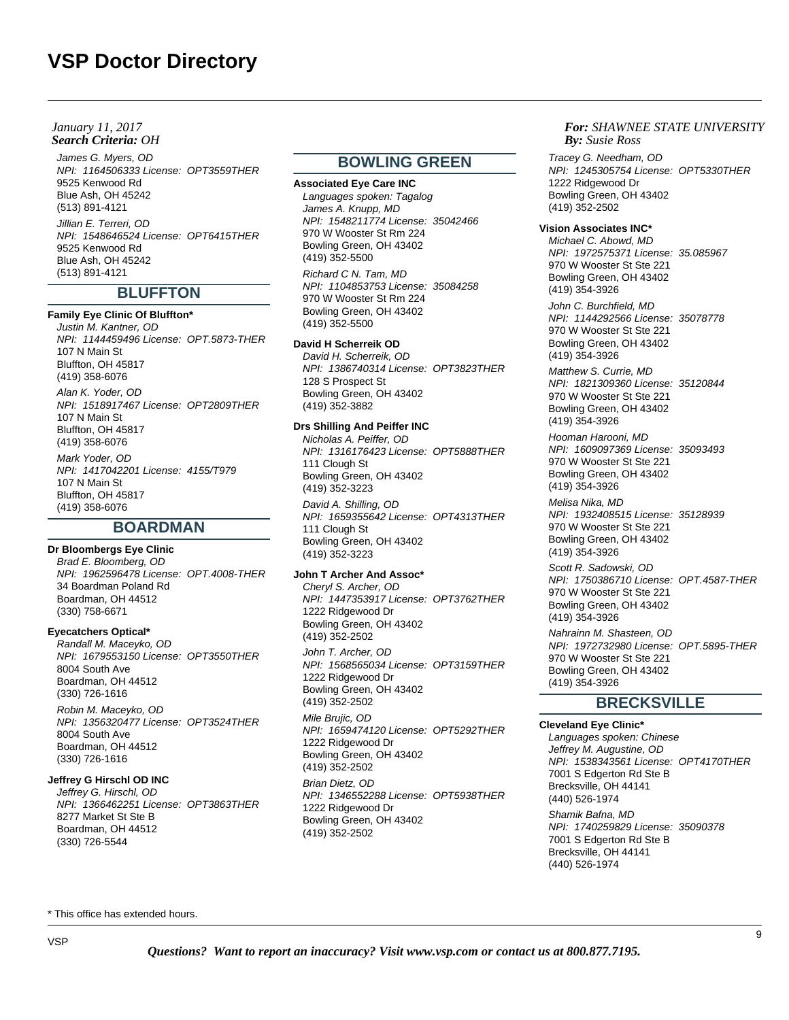## *Search Criteria: By: OHJanuary 11, 2017*

James G. Myers, OD NPI: 1164506333 License: OPT3559THER 9525 Kenwood Rd Blue Ash, OH 45242 (513) 891-4121 Jillian E. Terreri, OD NPI: 1548646524 License: OPT6415THER 9525 Kenwood Rd Blue Ash, OH 45242 (513) 891-4121

# **BLUFFTON**

#### **Family Eye Clinic Of Bluffton\***

Justin M. Kantner, OD NPI: 1144459496 License: OPT.5873-THER 107 N Main St Bluffton, OH 45817 (419) 358-6076 Alan K. Yoder, OD NPI: 1518917467 License: OPT2809THER 107 N Main St Bluffton, OH 45817 (419) 358-6076 Mark Yoder, OD NPI: 1417042201 License: 4155/T979 107 N Main St Bluffton, OH 45817 (419) 358-6076

# **BOARDMAN**

# **Dr Bloombergs Eye Clinic**

Brad E. Bloomberg, OD NPI: 1962596478 License: OPT.4008-THER 34 Boardman Poland Rd Boardman, OH 44512 (330) 758-6671

## **Eyecatchers Optical\***

Randall M. Maceyko, OD NPI: 1679553150 License: OPT3550THER 8004 South Ave Boardman, OH 44512 (330) 726-1616

Robin M. Maceyko, OD NPI: 1356320477 License: OPT3524THER 8004 South Ave Boardman, OH 44512 (330) 726-1616

# **Jeffrey G Hirschl OD INC**

Jeffrey G. Hirschl, OD NPI: 1366462251 License: OPT3863THER 8277 Market St Ste B Boardman, OH 44512 (330) 726-5544

# **BOWLING GREEN**

**Associated Eye Care INC** Languages spoken: Tagalog James A. Knupp, MD NPI: 1548211774 License: 35042466 970 W Wooster St Rm 224 Bowling Green, OH 43402 (419) 352-5500

Richard C N. Tam, MD NPI: 1104853753 License: 35084258 970 W Wooster St Rm 224 Bowling Green, OH 43402 (419) 352-5500

## **David H Scherreik OD**

David H. Scherreik, OD NPI: 1386740314 License: OPT3823THER 128 S Prospect St Bowling Green, OH 43402 (419) 352-3882

## **Drs Shilling And Peiffer INC**

Nicholas A. Peiffer, OD NPI: 1316176423 License: OPT5888THER 111 Clough St Bowling Green, OH 43402 (419) 352-3223 David A. Shilling, OD NPI: 1659355642 License: OPT4313THER

111 Clough St Bowling Green, OH 43402 (419) 352-3223

# **John T Archer And Assoc\***

Cheryl S. Archer, OD NPI: 1447353917 License: OPT3762THER 1222 Ridgewood Dr Bowling Green, OH 43402 (419) 352-2502

John T. Archer, OD NPI: 1568565034 License: OPT3159THER 1222 Ridgewood Dr Bowling Green, OH 43402 (419) 352-2502

Mile Brujic, OD NPI: 1659474120 License: OPT5292THER 1222 Ridgewood Dr Bowling Green, OH 43402 (419) 352-2502

Brian Dietz, OD NPI: 1346552288 License: OPT5938THER 1222 Ridgewood Dr Bowling Green, OH 43402 (419) 352-2502

#### *For: SHAWNEE STATE UNIVERSITY Susie Ross*

Tracey G. Needham, OD NPI: 1245305754 License: OPT5330THER 1222 Ridgewood Dr Bowling Green, OH 43402 (419) 352-2502

## **Vision Associates INC\***

Michael C. Abowd, MD NPI: 1972575371 License: 35.085967 970 W Wooster St Ste 221 Bowling Green, OH 43402 (419) 354-3926

John C. Burchfield, MD NPI: 1144292566 License: 35078778 970 W Wooster St Ste 221 Bowling Green, OH 43402 (419) 354-3926

Matthew S. Currie, MD NPI: 1821309360 License: 35120844 970 W Wooster St Ste 221 Bowling Green, OH 43402 (419) 354-3926

Hooman Harooni, MD NPI: 1609097369 License: 35093493 970 W Wooster St Ste 221 Bowling Green, OH 43402 (419) 354-3926

Melisa Nika, MD NPI: 1932408515 License: 35128939 970 W Wooster St Ste 221 Bowling Green, OH 43402 (419) 354-3926

Scott R. Sadowski, OD NPI: 1750386710 License: OPT.4587-THER 970 W Wooster St Ste 221 Bowling Green, OH 43402 (419) 354-3926

Nahrainn M. Shasteen, OD NPI: 1972732980 License: OPT.5895-THER 970 W Wooster St Ste 221 Bowling Green, OH 43402 (419) 354-3926

# **BRECKSVILLE**

**Cleveland Eye Clinic\*** Languages spoken: Chinese Jeffrey M. Augustine, OD NPI: 1538343561 License: OPT4170THER 7001 S Edgerton Rd Ste B Brecksville, OH 44141 (440) 526-1974 Shamik Bafna, MD NPI: 1740259829 License: 35090378 7001 S Edgerton Rd Ste B Brecksville, OH 44141 (440) 526-1974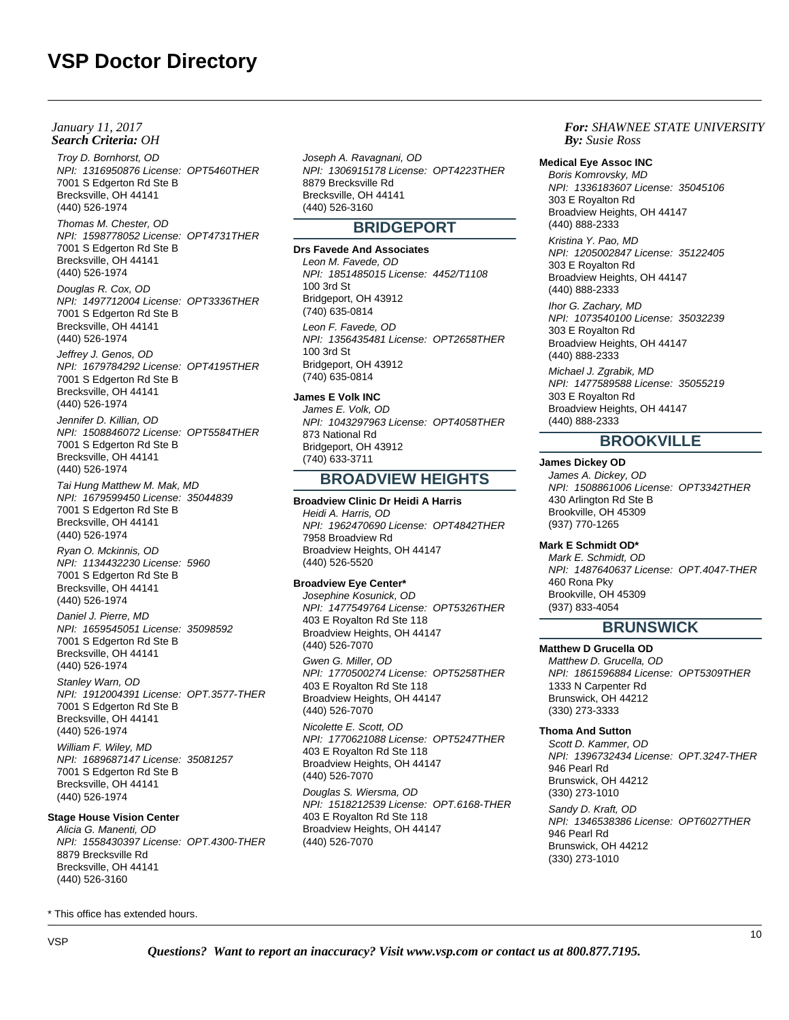Troy D. Bornhorst, OD NPI: 1316950876 License: OPT5460THER 7001 S Edgerton Rd Ste B Brecksville, OH 44141 (440) 526-1974

Thomas M. Chester, OD NPI: 1598778052 License: OPT4731THER 7001 S Edgerton Rd Ste B Brecksville, OH 44141 (440) 526-1974

Douglas R. Cox, OD NPI: 1497712004 License: OPT3336THER 7001 S Edgerton Rd Ste B Brecksville, OH 44141 (440) 526-1974

Jeffrey J. Genos, OD NPI: 1679784292 License: OPT4195THER 7001 S Edgerton Rd Ste B Brecksville, OH 44141 (440) 526-1974

Jennifer D. Killian, OD NPI: 1508846072 License: OPT5584THER 7001 S Edgerton Rd Ste B Brecksville, OH 44141 (440) 526-1974

Tai Hung Matthew M. Mak, MD NPI: 1679599450 License: 35044839 7001 S Edgerton Rd Ste B Brecksville, OH 44141 (440) 526-1974

Ryan O. Mckinnis, OD NPI: 1134432230 License: 5960 7001 S Edgerton Rd Ste B Brecksville, OH 44141 (440) 526-1974

Daniel J. Pierre, MD NPI: 1659545051 License: 35098592 7001 S Edgerton Rd Ste B Brecksville, OH 44141 (440) 526-1974

Stanley Warn, OD NPI: 1912004391 License: OPT.3577-THER 7001 S Edgerton Rd Ste B Brecksville, OH 44141 (440) 526-1974

William F. Wiley, MD NPI: 1689687147 License: 35081257 7001 S Edgerton Rd Ste B Brecksville, OH 44141 (440) 526-1974

## **Stage House Vision Center**

Alicia G. Manenti, OD NPI: 1558430397 License: OPT.4300-THER 8879 Brecksville Rd Brecksville, OH 44141 (440) 526-3160

\* This office has extended hours.

Joseph A. Ravagnani, OD NPI: 1306915178 License: OPT4223THER 8879 Brecksville Rd Brecksville, OH 44141 (440) 526-3160

# **BRIDGEPORT**

**Drs Favede And Associates** Leon M. Favede, OD NPI: 1851485015 License: 4452/T1108 100 3rd St Bridgeport, OH 43912 (740) 635-0814 Leon F. Favede, OD NPI: 1356435481 License: OPT2658THER 100 3rd St Bridgeport, OH 43912 (740) 635-0814

**James E Volk INC** James E. Volk, OD NPI: 1043297963 License: OPT4058THER 873 National Rd Bridgeport, OH 43912 (740) 633-3711

# **BROADVIEW HEIGHTS**

**Broadview Clinic Dr Heidi A Harris** Heidi A. Harris, OD NPI: 1962470690 License: OPT4842THER 7958 Broadview Rd Broadview Heights, OH 44147 (440) 526-5520

### **Broadview Eye Center\***

Josephine Kosunick, OD NPI: 1477549764 License: OPT5326THER 403 E Royalton Rd Ste 118 Broadview Heights, OH 44147 (440) 526-7070 Gwen G. Miller, OD NPI: 1770500274 License: OPT5258THER 403 E Royalton Rd Ste 118 Broadview Heights, OH 44147 (440) 526-7070 Nicolette E. Scott, OD

NPI: 1770621088 License: OPT5247THER 403 E Royalton Rd Ste 118 Broadview Heights, OH 44147 (440) 526-7070

Douglas S. Wiersma, OD NPI: 1518212539 License: OPT.6168-THER 403 E Royalton Rd Ste 118 Broadview Heights, OH 44147 (440) 526-7070

# *For: SHAWNEE STATE UNIVERSITY Susie Ross*

#### **Medical Eye Assoc INC**

Boris Komrovsky, MD NPI: 1336183607 License: 35045106 303 E Royalton Rd Broadview Heights, OH 44147 (440) 888-2333

Kristina Y. Pao, MD NPI: 1205002847 License: 35122405 303 E Royalton Rd Broadview Heights, OH 44147 (440) 888-2333

Ihor G. Zachary, MD NPI: 1073540100 License: 35032239 303 E Royalton Rd Broadview Heights, OH 44147 (440) 888-2333 Michael J. Zgrabik, MD

NPI: 1477589588 License: 35055219 303 E Royalton Rd Broadview Heights, OH 44147 (440) 888-2333

# **BROOKVILLE**

# **James Dickey OD**

James A. Dickey, OD NPI: 1508861006 License: OPT3342THER 430 Arlington Rd Ste B Brookville, OH 45309 (937) 770-1265

## **Mark E Schmidt OD\***

Mark E. Schmidt, OD NPI: 1487640637 License: OPT.4047-THER 460 Rona Pky Brookville, OH 45309 (937) 833-4054

# **BRUNSWICK**

# **Matthew D Grucella OD**

Matthew D. Grucella, OD NPI: 1861596884 License: OPT5309THER 1333 N Carpenter Rd Brunswick, OH 44212 (330) 273-3333

# **Thoma And Sutton**

Scott D. Kammer, OD NPI: 1396732434 License: OPT.3247-THER 946 Pearl Rd Brunswick, OH 44212 (330) 273-1010 Sandy D. Kraft, OD NPI: 1346538386 License: OPT6027THER 946 Pearl Rd Brunswick, OH 44212 (330) 273-1010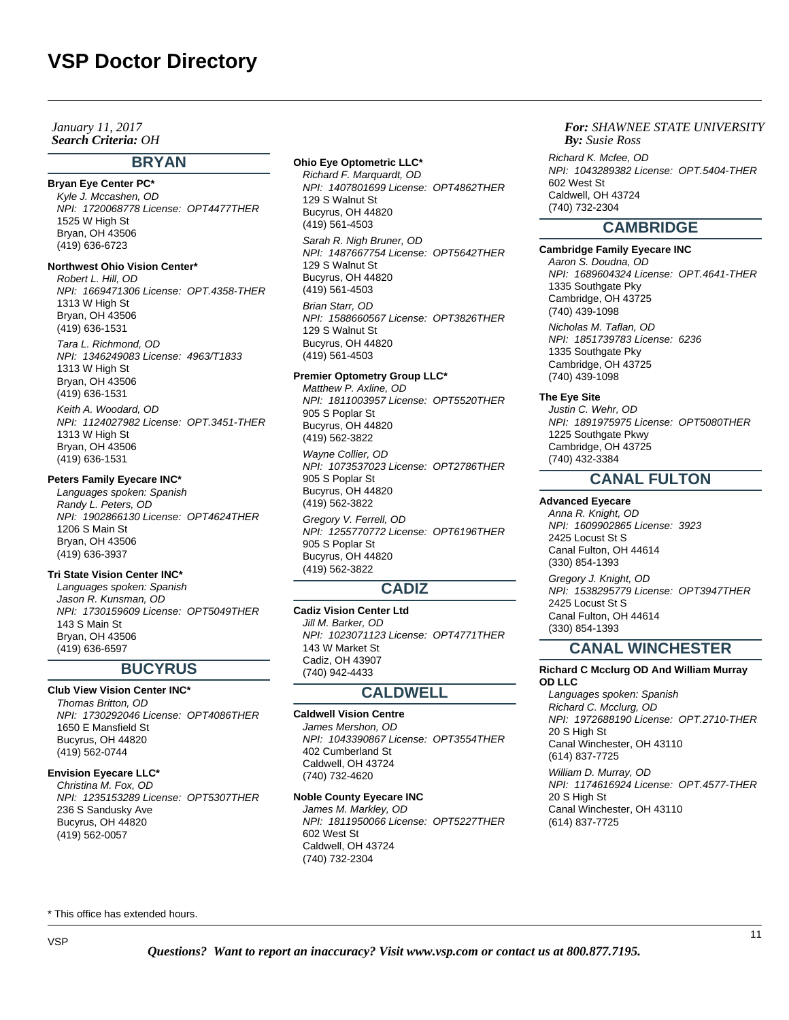# *Search Criteria: By: OHJanuary 11, 2017*

# **BRYAN**

**Bryan Eye Center PC\*** Kyle J. Mccashen, OD NPI: 1720068778 License: OPT4477THER 1525 W High St Bryan, OH 43506 (419) 636-6723

#### **Northwest Ohio Vision Center\***

Robert L. Hill, OD NPI: 1669471306 License: OPT.4358-THER 1313 W High St Bryan, OH 43506 (419) 636-1531 Tara L. Richmond, OD NPI: 1346249083 License: 4963/T1833 1313 W High St Bryan, OH 43506 (419) 636-1531 Keith A. Woodard, OD NPI: 1124027982 License: OPT.3451-THER

1313 W High St Bryan, OH 43506 (419) 636-1531

# **Peters Family Eyecare INC\***

Languages spoken: Spanish Randy L. Peters, OD NPI: 1902866130 License: OPT4624THER 1206 S Main St Bryan, OH 43506 (419) 636-3937

#### **Tri State Vision Center INC\***

Languages spoken: Spanish Jason R. Kunsman, OD NPI: 1730159609 License: OPT5049THER 143 S Main St Bryan, OH 43506 (419) 636-6597

# **BUCYRUS**

# **Club View Vision Center INC\***

Thomas Britton, OD NPI: 1730292046 License: OPT4086THER 1650 E Mansfield St Bucyrus, OH 44820 (419) 562-0744

# **Envision Eyecare LLC\***

Christina M. Fox, OD NPI: 1235153289 License: OPT5307THER 236 S Sandusky Ave Bucyrus, OH 44820 (419) 562-0057

#### **Ohio Eye Optometric LLC\***

Richard F. Marquardt, OD NPI: 1407801699 License: OPT4862THER 129 S Walnut St Bucyrus, OH 44820 (419) 561-4503 Sarah R. Nigh Bruner, OD NPI: 1487667754 License: OPT5642THER 129 S Walnut St Bucyrus, OH 44820 (419) 561-4503 Brian Starr, OD NPI: 1588660567 License: OPT3826THER 129 S Walnut St Bucyrus, OH 44820 (419) 561-4503

#### **Premier Optometry Group LLC\***

Matthew P. Axline, OD NPI: 1811003957 License: OPT5520THER 905 S Poplar St Bucyrus, OH 44820 (419) 562-3822 Wayne Collier, OD

NPI: 1073537023 License: OPT2786THER 905 S Poplar St Bucyrus, OH 44820 (419) 562-3822 Gregory V. Ferrell, OD

NPI: 1255770772 License: OPT6196THER 905 S Poplar St Bucyrus, OH 44820 (419) 562-3822

# **CADIZ**

**Cadiz Vision Center Ltd** Jill M. Barker, OD NPI: 1023071123 License: OPT4771THER 143 W Market St Cadiz, OH 43907 (740) 942-4433

# **CALDWELL**

**Caldwell Vision Centre** James Mershon, OD NPI: 1043390867 License: OPT3554THER 402 Cumberland St Caldwell, OH 43724 (740) 732-4620

#### **Noble County Eyecare INC**

James M. Markley, OD NPI: 1811950066 License: OPT5227THER 602 West St Caldwell, OH 43724 (740) 732-2304

*For: SHAWNEE STATE UNIVERSITY Susie Ross*

Richard K. Mcfee, OD NPI: 1043289382 License: OPT.5404-THER 602 West St Caldwell, OH 43724 (740) 732-2304

# **CAMBRIDGE**

# **Cambridge Family Eyecare INC**

Aaron S. Doudna, OD NPI: 1689604324 License: OPT.4641-THER 1335 Southgate Pky Cambridge, OH 43725 (740) 439-1098

Nicholas M. Taflan, OD NPI: 1851739783 License: 6236 1335 Southgate Pky Cambridge, OH 43725 (740) 439-1098

#### **The Eye Site**

Justin C. Wehr, OD NPI: 1891975975 License: OPT5080THER 1225 Southgate Pkwy Cambridge, OH 43725 (740) 432-3384

# **CANAL FULTON**

## **Advanced Eyecare**

Anna R. Knight, OD NPI: 1609902865 License: 3923 2425 Locust St S Canal Fulton, OH 44614 (330) 854-1393 Gregory J. Knight, OD NPI: 1538295779 License: OPT3947THER 2425 Locust St S Canal Fulton, OH 44614 (330) 854-1393

# **CANAL WINCHESTER**

#### **Richard C Mcclurg OD And William Murray OD LLC**

Languages spoken: Spanish Richard C. Mcclurg, OD NPI: 1972688190 License: OPT.2710-THER 20 S High St Canal Winchester, OH 43110 (614) 837-7725 William D. Murray, OD NPI: 1174616924 License: OPT.4577-THER 20 S High St Canal Winchester, OH 43110 (614) 837-7725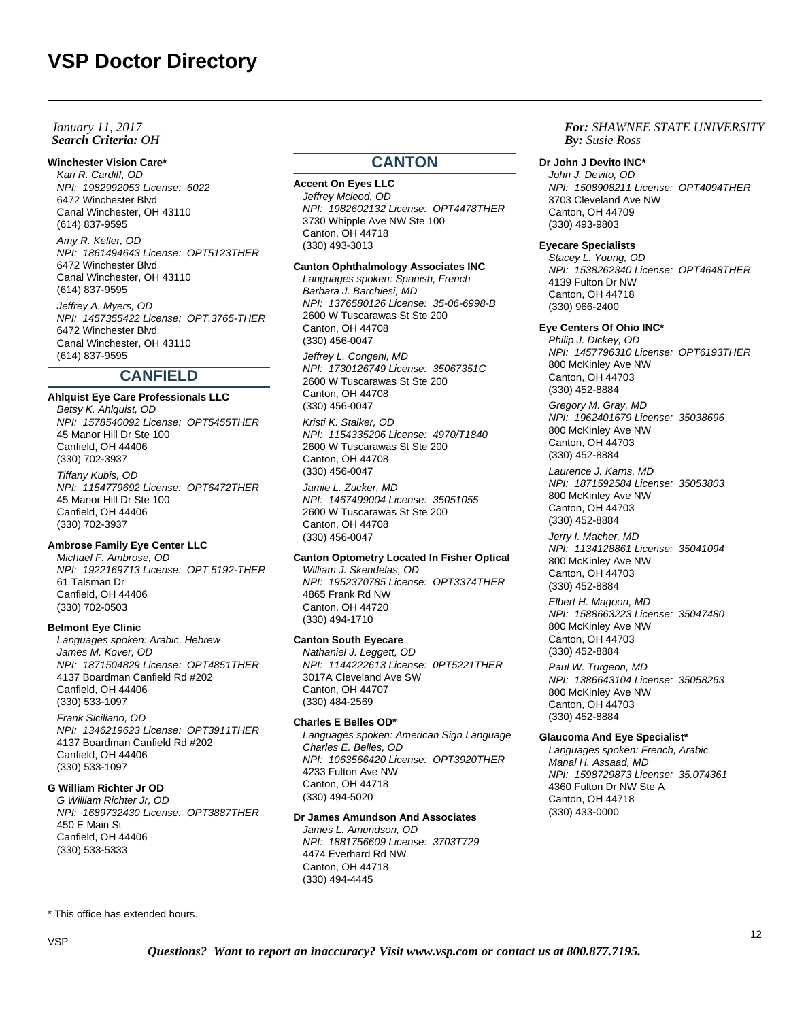# **Winchester Vision Care\***

Kari R. Cardiff, OD NPI: 1982992053 License: 6022 6472 Winchester Blvd Canal Winchester, OH 43110 (614) 837-9595

## Amy R. Keller, OD

NPI: 1861494643 License: OPT5123THER 6472 Winchester Blvd Canal Winchester, OH 43110 (614) 837-9595

Jeffrey A. Myers, OD NPI: 1457355422 License: OPT.3765-THER 6472 Winchester Blvd Canal Winchester, OH 43110 (614) 837-9595

# **CANFIELD**

**Ahlquist Eye Care Professionals LLC** Betsy K. Ahlquist, OD NPI: 1578540092 License: OPT5455THER 45 Manor Hill Dr Ste 100 Canfield, OH 44406 (330) 702-3937

Tiffany Kubis, OD NPI: 1154779692 License: OPT6472THER 45 Manor Hill Dr Ste 100 Canfield, OH 44406 (330) 702-3937

# **Ambrose Family Eye Center LLC**

Michael F. Ambrose, OD NPI: 1922169713 License: OPT.5192-THER 61 Talsman Dr Canfield, OH 44406 (330) 702-0503

### **Belmont Eye Clinic**

Languages spoken: Arabic, Hebrew James M. Kover, OD NPI: 1871504829 License: OPT4851THER 4137 Boardman Canfield Rd #202 Canfield, OH 44406 (330) 533-1097

Frank Siciliano, OD NPI: 1346219623 License: OPT3911THER 4137 Boardman Canfield Rd #202 Canfield, OH 44406 (330) 533-1097

# **G William Richter Jr OD**

G William Richter Jr, OD NPI: 1689732430 License: OPT3887THER 450 E Main St Canfield, OH 44406 (330) 533-5333

# **CANTON**

# **Accent On Eyes LLC**

Jeffrey Mcleod, OD NPI: 1982602132 License: OPT4478THER 3730 Whipple Ave NW Ste 100 Canton, OH 44718 (330) 493-3013

#### **Canton Ophthalmology Associates INC**

Languages spoken: Spanish, French Barbara J. Barchiesi, MD NPI: 1376580126 License: 35-06-6998-B 2600 W Tuscarawas St Ste 200 Canton, OH 44708 (330) 456-0047

Jeffrey L. Congeni, MD NPI: 1730126749 License: 35067351C 2600 W Tuscarawas St Ste 200 Canton, OH 44708 (330) 456-0047

Kristi K. Stalker, OD NPI: 1154335206 License: 4970/T1840 2600 W Tuscarawas St Ste 200 Canton, OH 44708 (330) 456-0047

Jamie L. Zucker, MD NPI: 1467499004 License: 35051055 2600 W Tuscarawas St Ste 200 Canton, OH 44708 (330) 456-0047

# **Canton Optometry Located In Fisher Optical**

William J. Skendelas, OD NPI: 1952370785 License: OPT3374THER 4865 Frank Rd NW Canton, OH 44720 (330) 494-1710

# **Canton South Eyecare**

Nathaniel J. Leggett, OD NPI: 1144222613 License: 0PT5221THER 3017A Cleveland Ave SW Canton, OH 44707 (330) 484-2569

#### **Charles E Belles OD\***

Languages spoken: American Sign Language Charles E. Belles, OD NPI: 1063566420 License: OPT3920THER 4233 Fulton Ave NW Canton, OH 44718 (330) 494-5020

### **Dr James Amundson And Associates**

James L. Amundson, OD NPI: 1881756609 License: 3703T729 4474 Everhard Rd NW Canton, OH 44718 (330) 494-4445

*For: SHAWNEE STATE UNIVERSITY Susie Ross*

#### **Dr John J Devito INC\***

John J. Devito, OD NPI: 1508908211 License: OPT4094THER 3703 Cleveland Ave NW Canton, OH 44709 (330) 493-9803

## **Eyecare Specialists**

Stacey L. Young, OD NPI: 1538262340 License: OPT4648THER 4139 Fulton Dr NW Canton, OH 44718 (330) 966-2400

#### **Eye Centers Of Ohio INC\***

Philip J. Dickey, OD NPI: 1457796310 License: OPT6193THER 800 McKinley Ave NW Canton, OH 44703 (330) 452-8884

Gregory M. Gray, MD NPI: 1962401679 License: 35038696 800 McKinley Ave NW Canton, OH 44703 (330) 452-8884

Laurence J. Karns, MD NPI: 1871592584 License: 35053803 800 McKinley Ave NW Canton, OH 44703 (330) 452-8884

Jerry I. Macher, MD NPI: 1134128861 License: 35041094 800 McKinley Ave NW Canton, OH 44703 (330) 452-8884

Elbert H. Magoon, MD NPI: 1588663223 License: 35047480 800 McKinley Ave NW Canton, OH 44703 (330) 452-8884

Paul W. Turgeon, MD NPI: 1386643104 License: 35058263 800 McKinley Ave NW Canton, OH 44703 (330) 452-8884

## **Glaucoma And Eye Specialist\***

Languages spoken: French, Arabic Manal H. Assaad, MD NPI: 1598729873 License: 35.074361 4360 Fulton Dr NW Ste A Canton, OH 44718 (330) 433-0000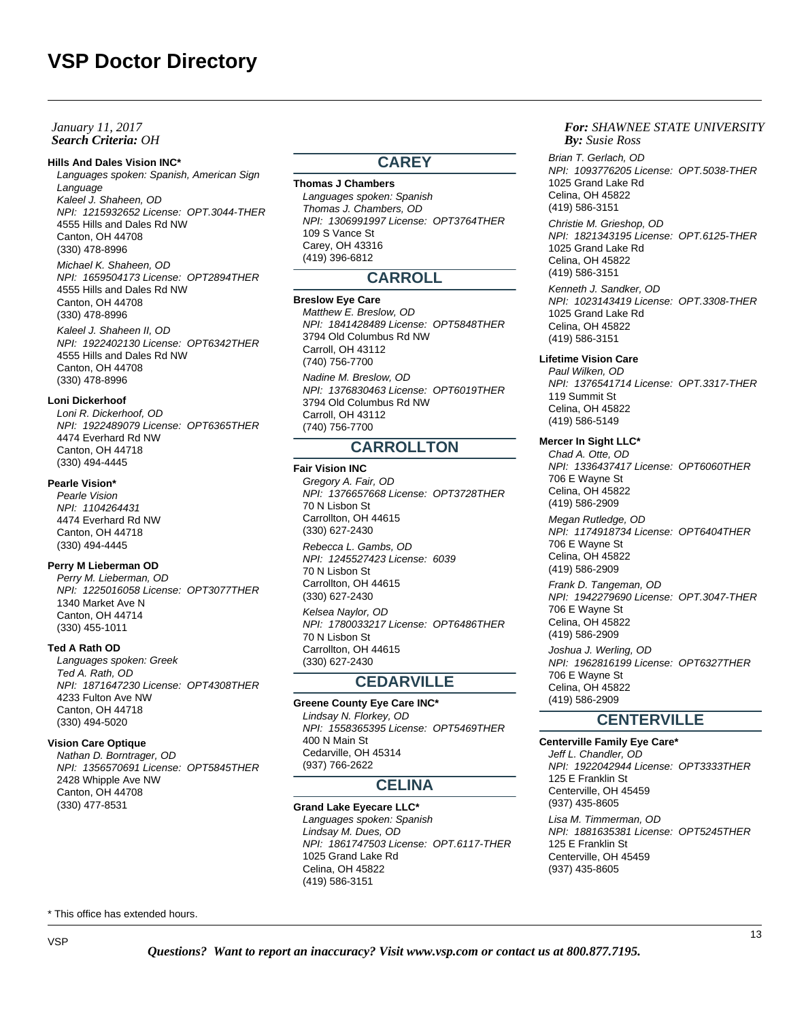#### **Hills And Dales Vision INC\***

Languages spoken: Spanish, American Sign Language Kaleel J. Shaheen, OD NPI: 1215932652 License: OPT.3044-THER 4555 Hills and Dales Rd NW Canton, OH 44708 (330) 478-8996

Michael K. Shaheen, OD NPI: 1659504173 License: OPT2894THER 4555 Hills and Dales Rd NW Canton, OH 44708 (330) 478-8996

Kaleel J. Shaheen II, OD NPI: 1922402130 License: OPT6342THER 4555 Hills and Dales Rd NW Canton, OH 44708 (330) 478-8996

#### **Loni Dickerhoof**

Loni R. Dickerhoof, OD NPI: 1922489079 License: OPT6365THER 4474 Everhard Rd NW Canton, OH 44718 (330) 494-4445

# **Pearle Vision\***

Pearle Vision NPI: 1104264431 4474 Everhard Rd NW Canton, OH 44718 (330) 494-4445

#### **Perry M Lieberman OD**

Perry M. Lieberman, OD NPI: 1225016058 License: OPT3077THER 1340 Market Ave N Canton, OH 44714 (330) 455-1011

#### **Ted A Rath OD**

Languages spoken: Greek Ted A. Rath, OD NPI: 1871647230 License: OPT4308THER 4233 Fulton Ave NW Canton, OH 44718 (330) 494-5020

# **Vision Care Optique**

Nathan D. Borntrager, OD NPI: 1356570691 License: OPT5845THER 2428 Whipple Ave NW Canton, OH 44708 (330) 477-8531

# **CAREY**

# **Thomas J Chambers**

Languages spoken: Spanish Thomas J. Chambers, OD NPI: 1306991997 License: OPT3764THER 109 S Vance St Carey, OH 43316 (419) 396-6812

# **CARROLL**

## **Breslow Eye Care**

Matthew E. Breslow, OD NPI: 1841428489 License: OPT5848THER 3794 Old Columbus Rd NW Carroll, OH 43112 (740) 756-7700

Nadine M. Breslow, OD NPI: 1376830463 License: OPT6019THER 3794 Old Columbus Rd NW Carroll, OH 43112 (740) 756-7700

# **CARROLLTON**

#### **Fair Vision INC**

Gregory A. Fair, OD NPI: 1376657668 License: OPT3728THER 70 N Lisbon St Carrollton, OH 44615 (330) 627-2430

Rebecca L. Gambs, OD NPI: 1245527423 License: 6039 70 N Lisbon St Carrollton, OH 44615 (330) 627-2430

Kelsea Naylor, OD NPI: 1780033217 License: OPT6486THER 70 N Lisbon St Carrollton, OH 44615 (330) 627-2430

# **CEDARVILLE**

**Greene County Eye Care INC\*** Lindsay N. Florkey, OD NPI: 1558365395 License: OPT5469THER 400 N Main St Cedarville, OH 45314 (937) 766-2622

# **CELINA**

**Grand Lake Eyecare LLC\*** Languages spoken: Spanish Lindsay M. Dues, OD NPI: 1861747503 License: OPT.6117-THER 1025 Grand Lake Rd Celina, OH 45822 (419) 586-3151

## *For: SHAWNEE STATE UNIVERSITY Susie Ross*

Brian T. Gerlach, OD NPI: 1093776205 License: OPT.5038-THER 1025 Grand Lake Rd Celina, OH 45822 (419) 586-3151

Christie M. Grieshop, OD NPI: 1821343195 License: OPT.6125-THER 1025 Grand Lake Rd Celina, OH 45822 (419) 586-3151

Kenneth J. Sandker, OD NPI: 1023143419 License: OPT.3308-THER 1025 Grand Lake Rd Celina, OH 45822 (419) 586-3151

# **Lifetime Vision Care**

Paul Wilken, OD NPI: 1376541714 License: OPT.3317-THER 119 Summit St Celina, OH 45822 (419) 586-5149

# **Mercer In Sight LLC\***

Chad A. Otte, OD NPI: 1336437417 License: OPT6060THER 706 E Wayne St Celina, OH 45822 (419) 586-2909

Megan Rutledge, OD NPI: 1174918734 License: OPT6404THER 706 E Wayne St Celina, OH 45822 (419) 586-2909 Frank D. Tangeman, OD NPI: 1942279690 License: OPT.3047-THER

706 E Wayne St Celina, OH 45822 (419) 586-2909 Joshua J. Werling, OD NPI: 1962816199 License: OPT6327THER 706 E Wayne St Celina, OH 45822 (419) 586-2909

# **CENTERVILLE**

**Centerville Family Eye Care\*** Jeff L. Chandler, OD NPI: 1922042944 License: OPT3333THER 125 E Franklin St Centerville, OH 45459 (937) 435-8605 Lisa M. Timmerman, OD NPI: 1881635381 License: OPT5245THER 125 E Franklin St Centerville, OH 45459 (937) 435-8605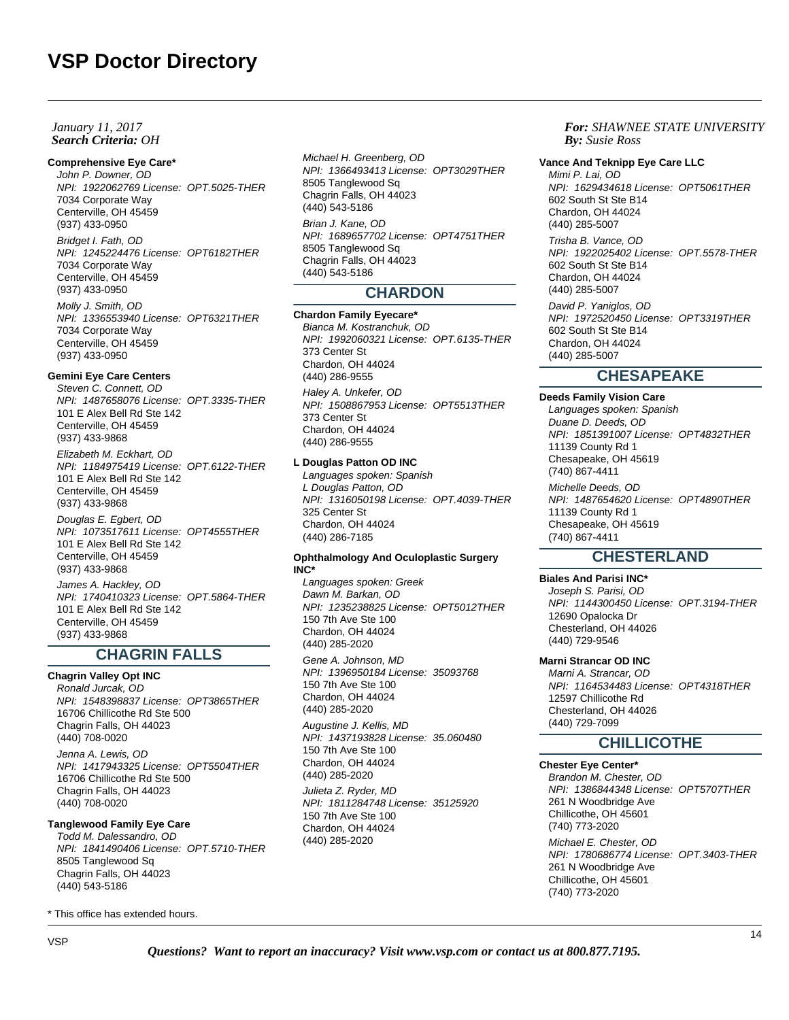#### **Comprehensive Eye Care\***

John P. Downer, OD NPI: 1922062769 License: OPT.5025-THER 7034 Corporate Way Centerville, OH 45459 (937) 433-0950

# Bridget I. Fath, OD

NPI: 1245224476 License: OPT6182THER 7034 Corporate Way Centerville, OH 45459 (937) 433-0950

Molly J. Smith, OD NPI: 1336553940 License: OPT6321THER 7034 Corporate Way Centerville, OH 45459 (937) 433-0950

# **Gemini Eye Care Centers**

Steven C. Connett, OD NPI: 1487658076 License: OPT.3335-THER 101 E Alex Bell Rd Ste 142 Centerville, OH 45459 (937) 433-9868

Elizabeth M. Eckhart, OD NPI: 1184975419 License: OPT.6122-THER 101 E Alex Bell Rd Ste 142 Centerville, OH 45459 (937) 433-9868

Douglas E. Egbert, OD NPI: 1073517611 License: OPT4555THER 101 E Alex Bell Rd Ste 142 Centerville, OH 45459 (937) 433-9868

James A. Hackley, OD NPI: 1740410323 License: OPT.5864-THER 101 E Alex Bell Rd Ste 142 Centerville, OH 45459 (937) 433-9868

# **CHAGRIN FALLS**

# **Chagrin Valley Opt INC**

Ronald Jurcak, OD NPI: 1548398837 License: OPT3865THER 16706 Chillicothe Rd Ste 500 Chagrin Falls, OH 44023 (440) 708-0020

Jenna A. Lewis, OD NPI: 1417943325 License: OPT5504THER 16706 Chillicothe Rd Ste 500 Chagrin Falls, OH 44023 (440) 708-0020

# **Tanglewood Family Eye Care**

Todd M. Dalessandro, OD NPI: 1841490406 License: OPT.5710-THER 8505 Tanglewood Sq Chagrin Falls, OH 44023 (440) 543-5186

\* This office has extended hours.

Michael H. Greenberg, OD NPI: 1366493413 License: OPT3029THER 8505 Tanglewood Sq Chagrin Falls, OH 44023 (440) 543-5186 Brian J. Kane, OD NPI: 1689657702 License: OPT4751THER 8505 Tanglewood Sq Chagrin Falls, OH 44023 (440) 543-5186

# **CHARDON**

# **Chardon Family Eyecare\***

Bianca M. Kostranchuk, OD NPI: 1992060321 License: OPT.6135-THER 373 Center St Chardon, OH 44024 (440) 286-9555 Haley A. Unkefer, OD NPI: 1508867953 License: OPT5513THER

373 Center St Chardon, OH 44024 (440) 286-9555

# **L Douglas Patton OD INC**

Languages spoken: Spanish L Douglas Patton, OD NPI: 1316050198 License: OPT.4039-THER 325 Center St Chardon, OH 44024 (440) 286-7185

#### **Ophthalmology And Oculoplastic Surgery INC\***

Languages spoken: Greek Dawn M. Barkan, OD NPI: 1235238825 License: OPT5012THER 150 7th Ave Ste 100 Chardon, OH 44024 (440) 285-2020 Gene A. Johnson, MD

NPI: 1396950184 License: 35093768 150 7th Ave Ste 100 Chardon, OH 44024 (440) 285-2020

Augustine J. Kellis, MD NPI: 1437193828 License: 35.060480 150 7th Ave Ste 100 Chardon, OH 44024 (440) 285-2020

Julieta Z. Ryder, MD NPI: 1811284748 License: 35125920 150 7th Ave Ste 100 Chardon, OH 44024 (440) 285-2020

# *For: SHAWNEE STATE UNIVERSITY Susie Ross*

#### **Vance And Teknipp Eye Care LLC**

Mimi P. Lai, OD NPI: 1629434618 License: OPT5061THER 602 South St Ste B14 Chardon, OH 44024 (440) 285-5007

Trisha B. Vance, OD NPI: 1922025402 License: OPT.5578-THER 602 South St Ste B14 Chardon, OH 44024 (440) 285-5007

David P. Yaniglos, OD NPI: 1972520450 License: OPT3319THER 602 South St Ste B14 Chardon, OH 44024 (440) 285-5007

# **CHESAPEAKE**

**Deeds Family Vision Care** Languages spoken: Spanish Duane D. Deeds, OD NPI: 1851391007 License: OPT4832THER 11139 County Rd 1 Chesapeake, OH 45619 (740) 867-4411 Michelle Deeds, OD

NPI: 1487654620 License: OPT4890THER 11139 County Rd 1 Chesapeake, OH 45619 (740) 867-4411

# **CHESTERLAND**

# **Biales And Parisi INC\***

Joseph S. Parisi, OD NPI: 1144300450 License: OPT.3194-THER 12690 Opalocka Dr Chesterland, OH 44026 (440) 729-9546

# **Marni Strancar OD INC**

Marni A. Strancar, OD NPI: 1164534483 License: OPT4318THER 12597 Chillicothe Rd Chesterland, OH 44026 (440) 729-7099

# **CHILLICOTHE**

# **Chester Eye Center\***

Brandon M. Chester, OD NPI: 1386844348 License: OPT5707THER 261 N Woodbridge Ave Chillicothe, OH 45601 (740) 773-2020 Michael E. Chester, OD NPI: 1780686774 License: OPT.3403-THER 261 N Woodbridge Ave Chillicothe, OH 45601 (740) 773-2020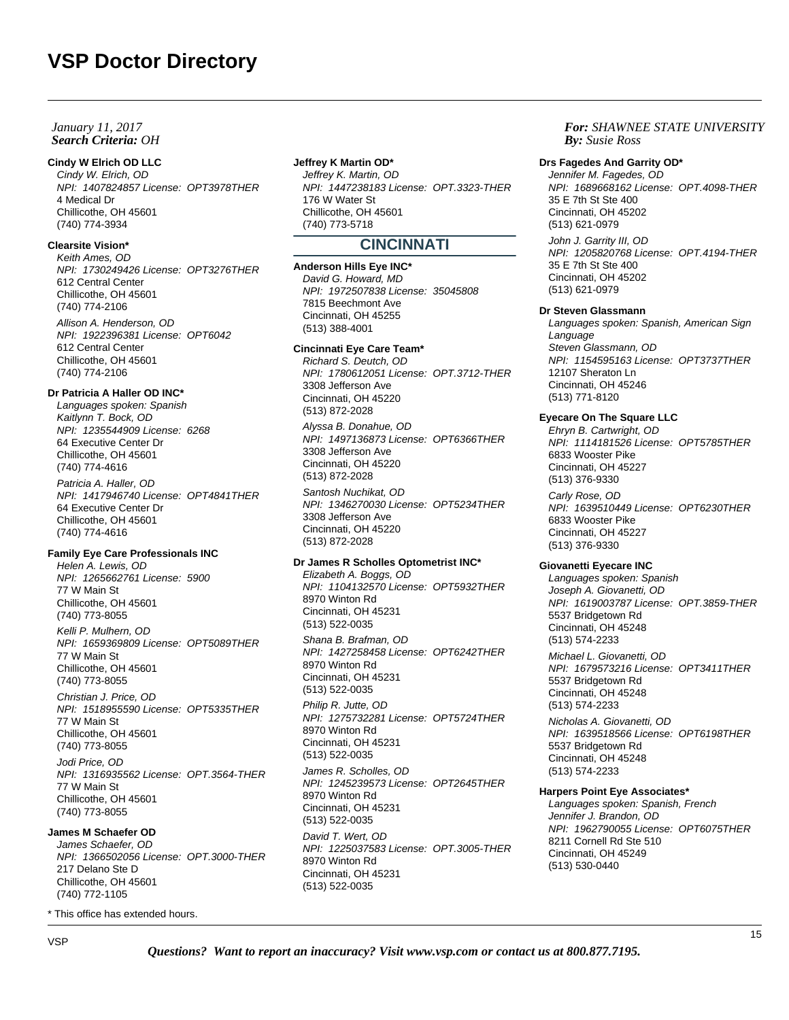## *Search Criteria: By: OHJanuary 11, 2017*

#### **Cindy W Elrich OD LLC**

Cindy W. Elrich, OD NPI: 1407824857 License: OPT3978THER 4 Medical Dr Chillicothe, OH 45601 (740) 774-3934

### **Clearsite Vision\***

Keith Ames, OD NPI: 1730249426 License: OPT3276THER 612 Central Center Chillicothe, OH 45601 (740) 774-2106

Allison A. Henderson, OD NPI: 1922396381 License: OPT6042 612 Central Center Chillicothe, OH 45601 (740) 774-2106

### **Dr Patricia A Haller OD INC\***

Languages spoken: Spanish Kaitlynn T. Bock, OD NPI: 1235544909 License: 6268 64 Executive Center Dr Chillicothe, OH 45601 (740) 774-4616 Patricia A. Haller, OD NPI: 1417946740 License: OPT4841THER

64 Executive Center Dr Chillicothe, OH 45601 (740) 774-4616

# **Family Eye Care Professionals INC**

Helen A. Lewis, OD NPI: 1265662761 License: 5900 77 W Main St Chillicothe, OH 45601 (740) 773-8055 Kelli P. Mulhern, OD NPI: 1659369809 License: OPT5089THER 77 W Main St

Chillicothe, OH 45601 (740) 773-8055 Christian J. Price, OD NPI: 1518955590 License: OPT5335THER 77 W Main St Chillicothe, OH 45601

(740) 773-8055 Jodi Price, OD NPI: 1316935562 License: OPT.3564-THER 77 W Main St Chillicothe, OH 45601 (740) 773-8055

## **James M Schaefer OD**

James Schaefer, OD NPI: 1366502056 License: OPT.3000-THER 217 Delano Ste D Chillicothe, OH 45601 (740) 772-1105

\* This office has extended hours.

#### **Jeffrey K Martin OD\***

Jeffrey K. Martin, OD NPI: 1447238183 License: OPT.3323-THER 176 W Water St Chillicothe, OH 45601 (740) 773-5718

# **CINCINNATI**

**Anderson Hills Eye INC\***

David G. Howard, MD NPI: 1972507838 License: 35045808 7815 Beechmont Ave Cincinnati, OH 45255 (513) 388-4001

### **Cincinnati Eye Care Team\***

Richard S. Deutch, OD NPI: 1780612051 License: OPT.3712-THER 3308 Jefferson Ave Cincinnati, OH 45220 (513) 872-2028

Alyssa B. Donahue, OD NPI: 1497136873 License: OPT6366THER 3308 Jefferson Ave Cincinnati, OH 45220 (513) 872-2028 Santosh Nuchikat, OD NPI: 1346270030 License: OPT5234THER 3308 Jefferson Ave Cincinnati, OH 45220 (513) 872-2028

### **Dr James R Scholles Optometrist INC\***

Elizabeth A. Boggs, OD NPI: 1104132570 License: OPT5932THER 8970 Winton Rd Cincinnati, OH 45231 (513) 522-0035 Shana B. Brafman, OD NPI: 1427258458 License: OPT6242THER 8970 Winton Rd Cincinnati, OH 45231 (513) 522-0035 Philip R. Jutte, OD NPI: 1275732281 License: OPT5724THER 8970 Winton Rd Cincinnati, OH 45231 (513) 522-0035 James R. Scholles, OD NPI: 1245239573 License: OPT2645THER 8970 Winton Rd Cincinnati, OH 45231 (513) 522-0035 David T. Wert, OD NPI: 1225037583 License: OPT.3005-THER 8970 Winton Rd Cincinnati, OH 45231

*For: SHAWNEE STATE UNIVERSITY Susie Ross*

#### **Drs Fagedes And Garrity OD\***

Jennifer M. Fagedes, OD NPI: 1689668162 License: OPT.4098-THER 35 E 7th St Ste 400 Cincinnati, OH 45202 (513) 621-0979

John J. Garrity III, OD NPI: 1205820768 License: OPT.4194-THER 35 E 7th St Ste 400 Cincinnati, OH 45202 (513) 621-0979

# **Dr Steven Glassmann**

Languages spoken: Spanish, American Sign Language Steven Glassmann, OD NPI: 1154595163 License: OPT3737THER 12107 Sheraton Ln Cincinnati, OH 45246 (513) 771-8120

#### **Eyecare On The Square LLC**

Ehryn B. Cartwright, OD NPI: 1114181526 License: OPT5785THER 6833 Wooster Pike Cincinnati, OH 45227 (513) 376-9330

Carly Rose, OD NPI: 1639510449 License: OPT6230THER 6833 Wooster Pike Cincinnati, OH 45227 (513) 376-9330

### **Giovanetti Eyecare INC**

Languages spoken: Spanish Joseph A. Giovanetti, OD NPI: 1619003787 License: OPT.3859-THER 5537 Bridgetown Rd Cincinnati, OH 45248 (513) 574-2233

Michael L. Giovanetti, OD NPI: 1679573216 License: OPT3411THER 5537 Bridgetown Rd Cincinnati, OH 45248 (513) 574-2233

Nicholas A. Giovanetti, OD NPI: 1639518566 License: OPT6198THER 5537 Bridgetown Rd Cincinnati, OH 45248 (513) 574-2233

#### **Harpers Point Eye Associates\***

Languages spoken: Spanish, French Jennifer J. Brandon, OD NPI: 1962790055 License: OPT6075THER 8211 Cornell Rd Ste 510 Cincinnati, OH 45249 (513) 530-0440

(513) 522-0035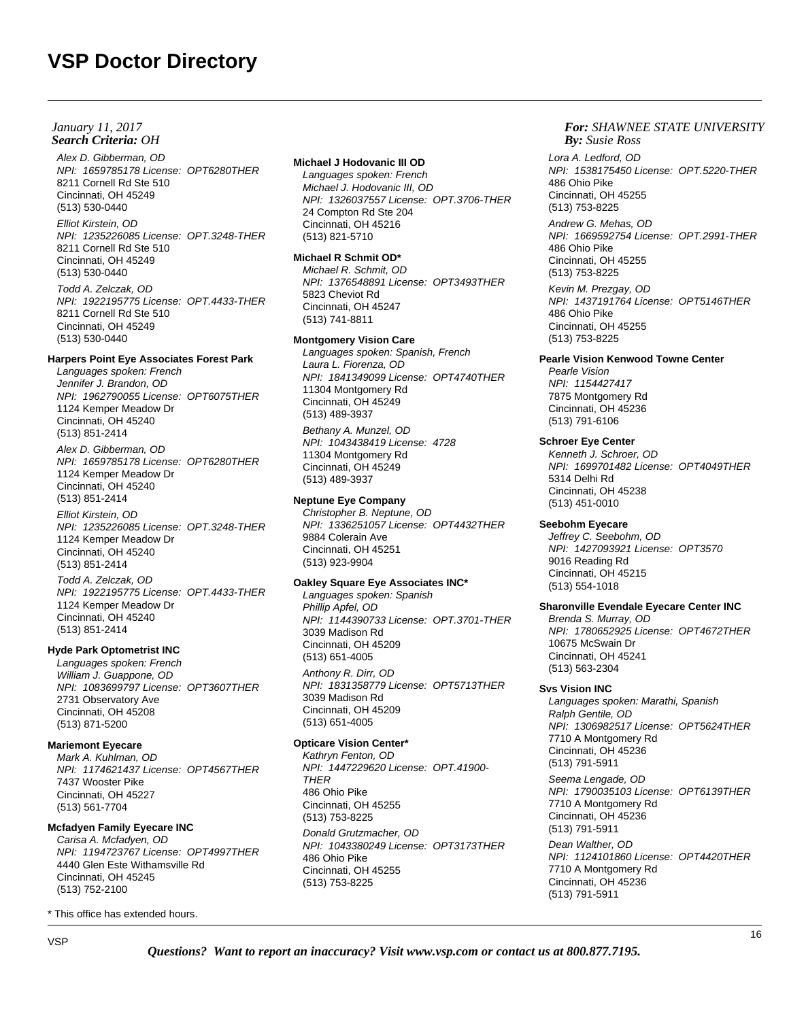Alex D. Gibberman, OD NPI: 1659785178 License: OPT6280THER 8211 Cornell Rd Ste 510 Cincinnati, OH 45249 (513) 530-0440 Elliot Kirstein, OD

NPI: 1235226085 License: OPT.3248-THER 8211 Cornell Rd Ste 510 Cincinnati, OH 45249 (513) 530-0440 Todd A. Zelczak, OD

NPI: 1922195775 License: OPT.4433-THER 8211 Cornell Rd Ste 510 Cincinnati, OH 45249 (513) 530-0440

# **Harpers Point Eye Associates Forest Park**

Languages spoken: French Jennifer J. Brandon, OD NPI: 1962790055 License: OPT6075THER 1124 Kemper Meadow Dr Cincinnati, OH 45240 (513) 851-2414 Alex D. Gibberman, OD

NPI: 1659785178 License: OPT6280THER 1124 Kemper Meadow Dr Cincinnati, OH 45240 (513) 851-2414

Elliot Kirstein, OD NPI: 1235226085 License: OPT.3248-THER 1124 Kemper Meadow Dr Cincinnati, OH 45240 (513) 851-2414

Todd A. Zelczak, OD NPI: 1922195775 License: OPT.4433-THER 1124 Kemper Meadow Dr Cincinnati, OH 45240 (513) 851-2414

# **Hyde Park Optometrist INC**

Languages spoken: French William J. Guappone, OD NPI: 1083699797 License: OPT3607THER 2731 Observatory Ave Cincinnati, OH 45208 (513) 871-5200

# **Mariemont Eyecare**

Mark A. Kuhlman, OD NPI: 1174621437 License: OPT4567THER 7437 Wooster Pike Cincinnati, OH 45227 (513) 561-7704

## **Mcfadyen Family Eyecare INC**

Carisa A. Mcfadyen, OD NPI: 1194723767 License: OPT4997THER 4440 Glen Este Withamsville Rd Cincinnati, OH 45245 (513) 752-2100

\* This office has extended hours.

#### **Michael J Hodovanic III OD**

Languages spoken: French Michael J. Hodovanic III, OD NPI: 1326037557 License: OPT.3706-THER 24 Compton Rd Ste 204 Cincinnati, OH 45216 (513) 821-5710

#### **Michael R Schmit OD\***

Michael R. Schmit, OD NPI: 1376548891 License: OPT3493THER 5823 Cheviot Rd Cincinnati, OH 45247 (513) 741-8811

#### **Montgomery Vision Care**

Languages spoken: Spanish, French Laura L. Fiorenza, OD NPI: 1841349099 License: OPT4740THER 11304 Montgomery Rd Cincinnati, OH 45249 (513) 489-3937 Bethany A. Munzel, OD NPI: 1043438419 License: 4728 11304 Montgomery Rd Cincinnati, OH 45249 (513) 489-3937

# **Neptune Eye Company**

Christopher B. Neptune, OD NPI: 1336251057 License: OPT4432THER 9884 Colerain Ave Cincinnati, OH 45251 (513) 923-9904

## **Oakley Square Eye Associates INC\***

Languages spoken: Spanish Phillip Apfel, OD NPI: 1144390733 License: OPT.3701-THER 3039 Madison Rd Cincinnati, OH 45209 (513) 651-4005 Anthony R. Dirr, OD

NPI: 1831358779 License: OPT5713THER 3039 Madison Rd Cincinnati, OH 45209 (513) 651-4005

# **Opticare Vision Center\***

Kathryn Fenton, OD NPI: 1447229620 License: OPT.41900- **THER** 486 Ohio Pike Cincinnati, OH 45255 (513) 753-8225

Donald Grutzmacher, OD NPI: 1043380249 License: OPT3173THER 486 Ohio Pike Cincinnati, OH 45255 (513) 753-8225

## *For: SHAWNEE STATE UNIVERSITY Susie Ross*

Lora A. Ledford, OD NPI: 1538175450 License: OPT.5220-THER 486 Ohio Pike Cincinnati, OH 45255 (513) 753-8225

Andrew G. Mehas, OD NPI: 1669592754 License: OPT.2991-THER 486 Ohio Pike Cincinnati, OH 45255 (513) 753-8225 Kevin M. Prezgay, OD

NPI: 1437191764 License: OPT5146THER 486 Ohio Pike Cincinnati, OH 45255 (513) 753-8225

#### **Pearle Vision Kenwood Towne Center**

Pearle Vision NPI: 1154427417 7875 Montgomery Rd Cincinnati, OH 45236 (513) 791-6106

# **Schroer Eye Center**

Kenneth J. Schroer, OD NPI: 1699701482 License: OPT4049THER 5314 Delhi Rd Cincinnati, OH 45238 (513) 451-0010

#### **Seebohm Eyecare**

Jeffrey C. Seebohm, OD NPI: 1427093921 License: OPT3570 9016 Reading Rd Cincinnati, OH 45215 (513) 554-1018

#### **Sharonville Evendale Eyecare Center INC**

Brenda S. Murray, OD NPI: 1780652925 License: OPT4672THER 10675 McSwain Dr Cincinnati, OH 45241 (513) 563-2304

#### **Svs Vision INC**

Languages spoken: Marathi, Spanish Ralph Gentile, OD NPI: 1306982517 License: OPT5624THER 7710 A Montgomery Rd Cincinnati, OH 45236 (513) 791-5911

Seema Lengade, OD NPI: 1790035103 License: OPT6139THER 7710 A Montgomery Rd Cincinnati, OH 45236 (513) 791-5911

Dean Walther, OD NPI: 1124101860 License: OPT4420THER 7710 A Montgomery Rd Cincinnati, OH 45236 (513) 791-5911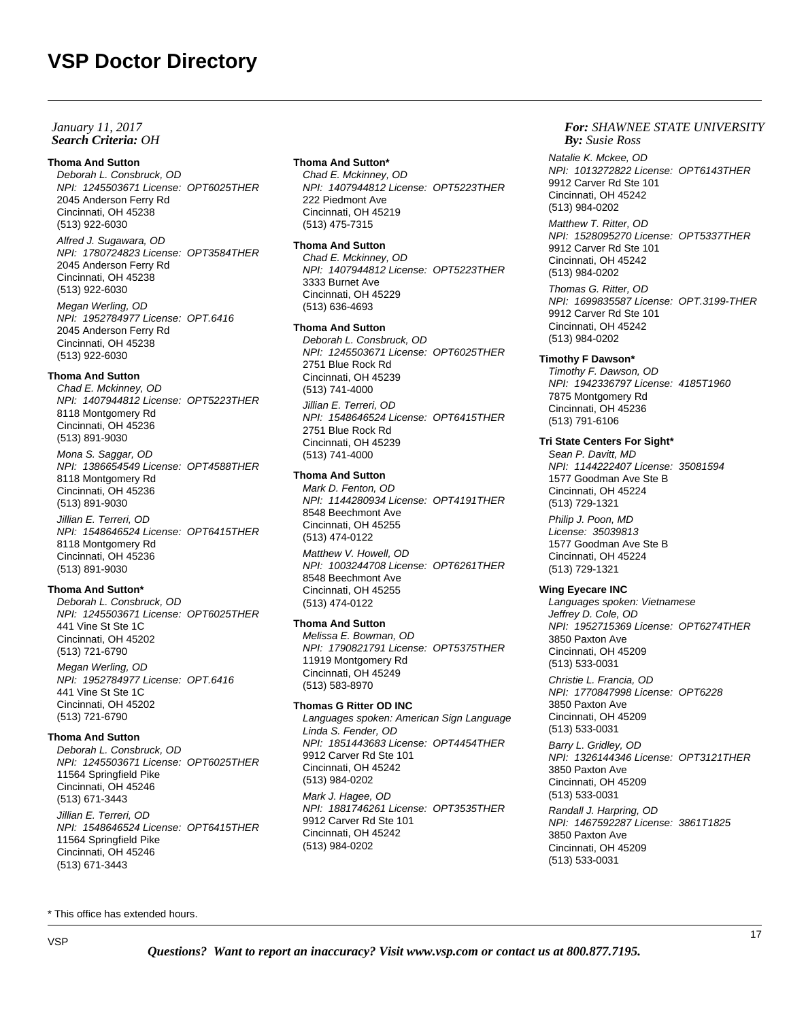# *Search Criteria: By: OHJanuary 11, 2017*

# **Thoma And Sutton**

Deborah L. Consbruck, OD NPI: 1245503671 License: OPT6025THER 2045 Anderson Ferry Rd Cincinnati, OH 45238 (513) 922-6030

Alfred J. Sugawara, OD NPI: 1780724823 License: OPT3584THER 2045 Anderson Ferry Rd Cincinnati, OH 45238 (513) 922-6030

Megan Werling, OD NPI: 1952784977 License: OPT.6416 2045 Anderson Ferry Rd Cincinnati, OH 45238 (513) 922-6030

# **Thoma And Sutton**

Chad E. Mckinney, OD NPI: 1407944812 License: OPT5223THER 8118 Montgomery Rd Cincinnati, OH 45236 (513) 891-9030

Mona S. Saggar, OD NPI: 1386654549 License: OPT4588THER 8118 Montgomery Rd Cincinnati, OH 45236 (513) 891-9030

Jillian E. Terreri, OD NPI: 1548646524 License: OPT6415THER 8118 Montgomery Rd Cincinnati, OH 45236 (513) 891-9030

# **Thoma And Sutton\***

Deborah L. Consbruck, OD NPI: 1245503671 License: OPT6025THER 441 Vine St Ste 1C Cincinnati, OH 45202 (513) 721-6790

Megan Werling, OD NPI: 1952784977 License: OPT.6416 441 Vine St Ste 1C Cincinnati, OH 45202 (513) 721-6790

# **Thoma And Sutton**

Deborah L. Consbruck, OD NPI: 1245503671 License: OPT6025THER 11564 Springfield Pike Cincinnati, OH 45246 (513) 671-3443

Jillian E. Terreri, OD NPI: 1548646524 License: OPT6415THER 11564 Springfield Pike Cincinnati, OH 45246 (513) 671-3443

#### **Thoma And Sutton\***

Chad E. Mckinney, OD NPI: 1407944812 License: OPT5223THER 222 Piedmont Ave Cincinnati, OH 45219 (513) 475-7315

## **Thoma And Sutton**

Chad E. Mckinney, OD NPI: 1407944812 License: OPT5223THER 3333 Burnet Ave Cincinnati, OH 45229 (513) 636-4693

#### **Thoma And Sutton**

Deborah L. Consbruck, OD NPI: 1245503671 License: OPT6025THER 2751 Blue Rock Rd Cincinnati, OH 45239 (513) 741-4000

Jillian E. Terreri, OD NPI: 1548646524 License: OPT6415THER 2751 Blue Rock Rd Cincinnati, OH 45239 (513) 741-4000

#### **Thoma And Sutton**

Mark D. Fenton, OD NPI: 1144280934 License: OPT4191THER 8548 Beechmont Ave Cincinnati, OH 45255 (513) 474-0122 Matthew V. Howell, OD

NPI: 1003244708 License: OPT6261THER 8548 Beechmont Ave Cincinnati, OH 45255 (513) 474-0122

#### **Thoma And Sutton**

Melissa E. Bowman, OD NPI: 1790821791 License: OPT5375THER 11919 Montgomery Rd Cincinnati, OH 45249 (513) 583-8970

#### **Thomas G Ritter OD INC**

Languages spoken: American Sign Language Linda S. Fender, OD NPI: 1851443683 License: OPT4454THER 9912 Carver Rd Ste 101 Cincinnati, OH 45242 (513) 984-0202 Mark J. Hagee, OD NPI: 1881746261 License: OPT3535THER 9912 Carver Rd Ste 101 Cincinnati, OH 45242 (513) 984-0202

#### *For: SHAWNEE STATE UNIVERSITY Susie Ross*

Natalie K. Mckee, OD NPI: 1013272822 License: OPT6143THER 9912 Carver Rd Ste 101 Cincinnati, OH 45242 (513) 984-0202

Matthew T. Ritter, OD NPI: 1528095270 License: OPT5337THER 9912 Carver Rd Ste 101 Cincinnati, OH 45242 (513) 984-0202 Thomas G. Ritter, OD

NPI: 1699835587 License: OPT.3199-THER 9912 Carver Rd Ste 101 Cincinnati, OH 45242 (513) 984-0202

# **Timothy F Dawson\***

Timothy F. Dawson, OD NPI: 1942336797 License: 4185T1960 7875 Montgomery Rd Cincinnati, OH 45236 (513) 791-6106

## **Tri State Centers For Sight\***

Sean P. Davitt, MD NPI: 1144222407 License: 35081594 1577 Goodman Ave Ste B Cincinnati, OH 45224 (513) 729-1321

Philip J. Poon, MD License: 35039813 1577 Goodman Ave Ste B Cincinnati, OH 45224 (513) 729-1321

## **Wing Eyecare INC**

Languages spoken: Vietnamese Jeffrey D. Cole, OD NPI: 1952715369 License: OPT6274THER 3850 Paxton Ave Cincinnati, OH 45209 (513) 533-0031 Christie L. Francia, OD NPI: 1770847998 License: OPT6228 3850 Paxton Ave Cincinnati, OH 45209 (513) 533-0031 Barry L. Gridley, OD NPI: 1326144346 License: OPT3121THER 3850 Paxton Ave Cincinnati, OH 45209 (513) 533-0031 Randall J. Harpring, OD NPI: 1467592287 License: 3861T1825

3850 Paxton Ave Cincinnati, OH 45209 (513) 533-0031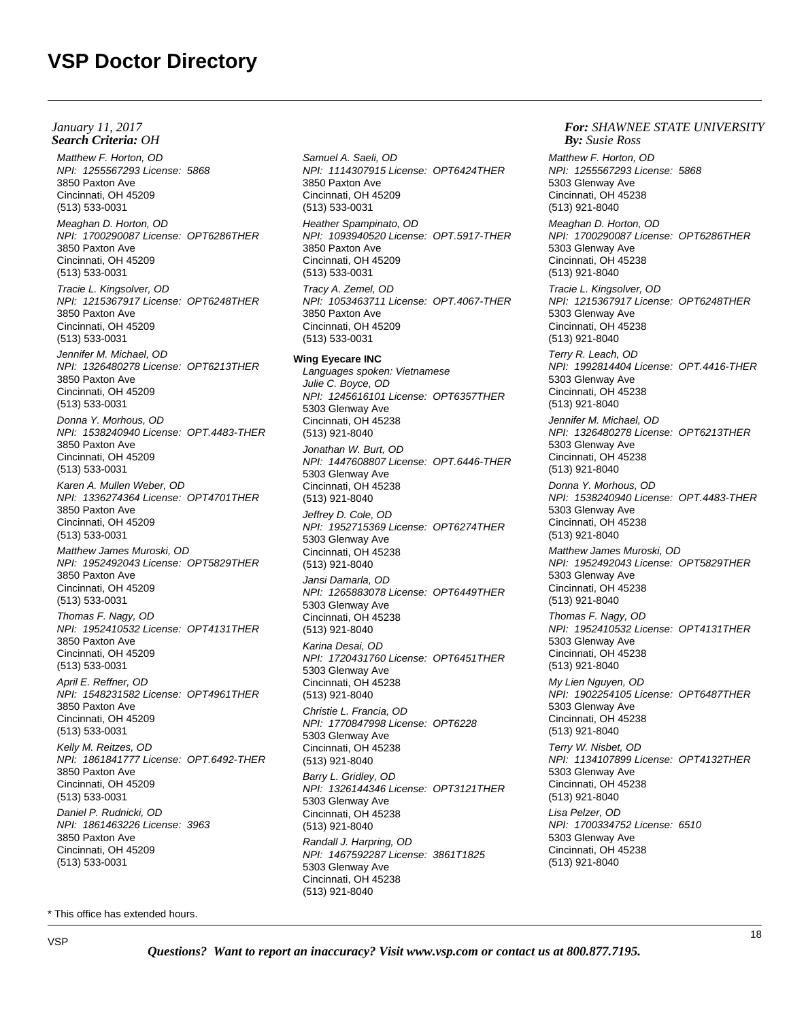Matthew F. Horton, OD NPI: 1255567293 License: 5868 3850 Paxton Ave Cincinnati, OH 45209 (513) 533-0031 Meaghan D. Horton, OD NPI: 1700290087 License: OPT6286THER 3850 Paxton Ave Cincinnati, OH 45209 (513) 533-0031 Tracie L. Kingsolver, OD NPI: 1215367917 License: OPT6248THER 3850 Paxton Ave Cincinnati, OH 45209 (513) 533-0031 Jennifer M. Michael, OD NPI: 1326480278 License: OPT6213THER 3850 Paxton Ave Cincinnati, OH 45209 (513) 533-0031 Donna Y. Morhous, OD NPI: 1538240940 License: OPT.4483-THER 3850 Paxton Ave Cincinnati, OH 45209 (513) 533-0031 Karen A. Mullen Weber, OD NPI: 1336274364 License: OPT4701THER 3850 Paxton Ave Cincinnati, OH 45209 (513) 533-0031 Matthew James Muroski, OD NPI: 1952492043 License: OPT5829THER 3850 Paxton Ave Cincinnati, OH 45209 (513) 533-0031 Thomas F. Nagy, OD NPI: 1952410532 License: OPT4131THER 3850 Paxton Ave Cincinnati, OH 45209 (513) 533-0031 April E. Reffner, OD NPI: 1548231582 License: OPT4961THER 3850 Paxton Ave Cincinnati, OH 45209 (513) 533-0031 Kelly M. Reitzes, OD NPI: 1861841777 License: OPT.6492-THER 3850 Paxton Ave Cincinnati, OH 45209 (513) 533-0031 Daniel P. Rudnicki, OD NPI: 1861463226 License: 3963 3850 Paxton Ave Cincinnati, OH 45209 (513) 533-0031

Samuel A. Saeli, OD NPI: 1114307915 License: OPT6424THER 3850 Paxton Ave Cincinnati, OH 45209 (513) 533-0031 Heather Spampinato, OD NPI: 1093940520 License: OPT.5917-THER 3850 Paxton Ave Cincinnati, OH 45209 (513) 533-0031 Tracy A. Zemel, OD NPI: 1053463711 License: OPT.4067-THER 3850 Paxton Ave Cincinnati, OH 45209 (513) 533-0031 **Wing Eyecare INC** Languages spoken: Vietnamese Julie C. Boyce, OD NPI: 1245616101 License: OPT6357THER 5303 Glenway Ave Cincinnati, OH 45238 (513) 921-8040 Jonathan W. Burt, OD NPI: 1447608807 License: OPT.6446-THER 5303 Glenway Ave Cincinnati, OH 45238 (513) 921-8040 Jeffrey D. Cole, OD NPI: 1952715369 License: OPT6274THER 5303 Glenway Ave Cincinnati, OH 45238 (513) 921-8040 Jansi Damarla, OD NPI: 1265883078 License: OPT6449THER 5303 Glenway Ave Cincinnati, OH 45238 (513) 921-8040 Karina Desai, OD NPI: 1720431760 License: OPT6451THER 5303 Glenway Ave Cincinnati, OH 45238 (513) 921-8040 Christie L. Francia, OD NPI: 1770847998 License: OPT6228 5303 Glenway Ave Cincinnati, OH 45238 (513) 921-8040 Barry L. Gridley, OD NPI: 1326144346 License: OPT3121THER 5303 Glenway Ave Cincinnati, OH 45238 (513) 921-8040 Randall J. Harpring, OD NPI: 1467592287 License: 3861T1825 5303 Glenway Ave Cincinnati, OH 45238 (513) 921-8040

Matthew F. Horton, OD NPI: 1255567293 License: 5868 5303 Glenway Ave Cincinnati, OH 45238 (513) 921-8040 Meaghan D. Horton, OD NPI: 1700290087 License: OPT6286THER 5303 Glenway Ave Cincinnati, OH 45238 (513) 921-8040 Tracie L. Kingsolver, OD NPI: 1215367917 License: OPT6248THER 5303 Glenway Ave Cincinnati, OH 45238 (513) 921-8040 Terry R. Leach, OD NPI: 1992814404 License: OPT.4416-THER 5303 Glenway Ave Cincinnati, OH 45238 (513) 921-8040 Jennifer M. Michael, OD NPI: 1326480278 License: OPT6213THER 5303 Glenway Ave Cincinnati, OH 45238 (513) 921-8040 Donna Y. Morhous, OD NPI: 1538240940 License: OPT.4483-THER 5303 Glenway Ave Cincinnati, OH 45238 (513) 921-8040 Matthew James Muroski, OD NPI: 1952492043 License: OPT5829THER 5303 Glenway Ave Cincinnati, OH 45238 (513) 921-8040 Thomas F. Nagy, OD NPI: 1952410532 License: OPT4131THER 5303 Glenway Ave Cincinnati, OH 45238 (513) 921-8040 My Lien Nguyen, OD NPI: 1902254105 License: OPT6487THER 5303 Glenway Ave Cincinnati, OH 45238 (513) 921-8040 Terry W. Nisbet, OD NPI: 1134107899 License: OPT4132THER 5303 Glenway Ave Cincinnati, OH 45238 (513) 921-8040 Lisa Pelzer, OD NPI: 1700334752 License: 6510 5303 Glenway Ave Cincinnati, OH 45238 (513) 921-8040 *Susie Ross*

*For: SHAWNEE STATE UNIVERSITY*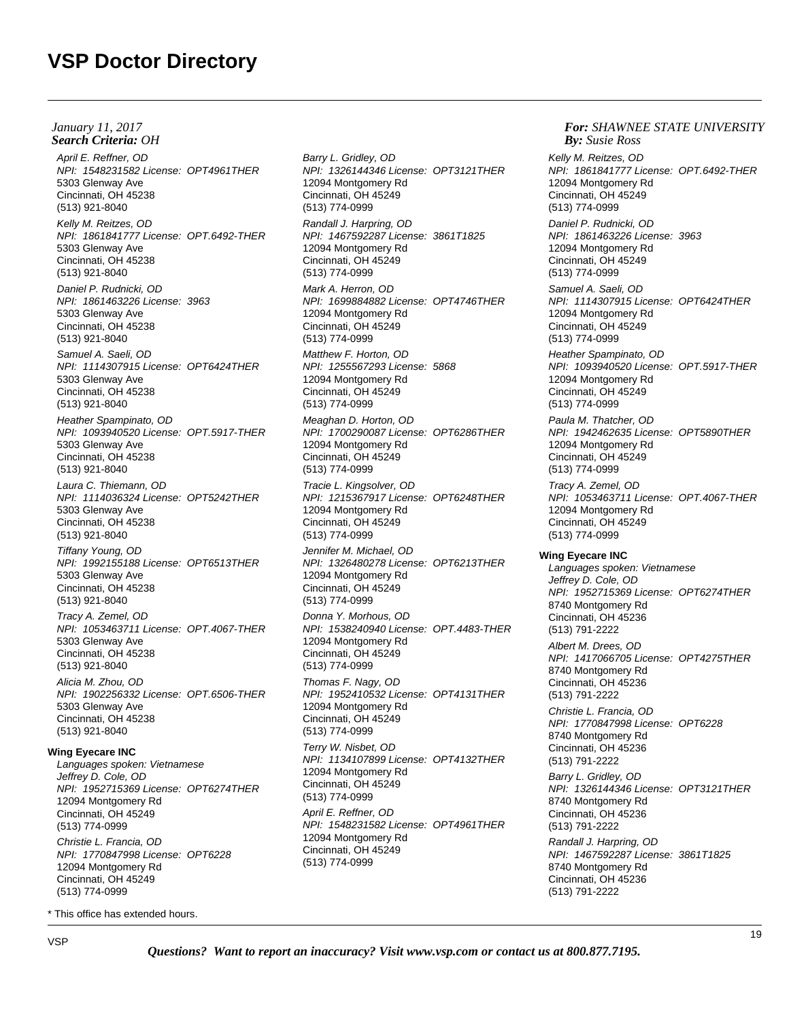April E. Reffner, OD NPI: 1548231582 License: OPT4961THER 5303 Glenway Ave Cincinnati, OH 45238 (513) 921-8040 Kelly M. Reitzes, OD NPI: 1861841777 License: OPT.6492-THER 5303 Glenway Ave Cincinnati, OH 45238 (513) 921-8040 Daniel P. Rudnicki, OD NPI: 1861463226 License: 3963 5303 Glenway Ave Cincinnati, OH 45238 (513) 921-8040 Samuel A. Saeli, OD NPI: 1114307915 License: OPT6424THER 5303 Glenway Ave Cincinnati, OH 45238 (513) 921-8040 Heather Spampinato, OD NPI: 1093940520 License: OPT.5917-THER 5303 Glenway Ave Cincinnati, OH 45238 (513) 921-8040 Laura C. Thiemann, OD NPI: 1114036324 License: OPT5242THER 5303 Glenway Ave Cincinnati, OH 45238 (513) 921-8040 Tiffany Young, OD NPI: 1992155188 License: OPT6513THER 5303 Glenway Ave Cincinnati, OH 45238 (513) 921-8040 Tracy A. Zemel, OD NPI: 1053463711 License: OPT.4067-THER 5303 Glenway Ave Cincinnati, OH 45238 (513) 921-8040 Alicia M. Zhou, OD NPI: 1902256332 License: OPT.6506-THER 5303 Glenway Ave Cincinnati, OH 45238 (513) 921-8040 **Wing Eyecare INC** Languages spoken: Vietnamese Jeffrey D. Cole, OD NPI: 1952715369 License: OPT6274THER 12094 Montgomery Rd

(513) 774-0999 Christie L. Francia, OD NPI: 1770847998 License: OPT6228 12094 Montgomery Rd Cincinnati, OH 45249 (513) 774-0999

\* This office has extended hours.

Cincinnati, OH 45249

Barry L. Gridley, OD NPI: 1326144346 License: OPT3121THER 12094 Montgomery Rd Cincinnati, OH 45249 (513) 774-0999 Randall J. Harpring, OD NPI: 1467592287 License: 3861T1825 12094 Montgomery Rd Cincinnati, OH 45249 (513) 774-0999 Mark A. Herron, OD NPI: 1699884882 License: OPT4746THER 12094 Montgomery Rd Cincinnati, OH 45249 (513) 774-0999 Matthew F. Horton, OD NPI: 1255567293 License: 5868 12094 Montgomery Rd Cincinnati, OH 45249 (513) 774-0999 Meaghan D. Horton, OD NPI: 1700290087 License: OPT6286THER 12094 Montgomery Rd Cincinnati, OH 45249 (513) 774-0999 Tracie L. Kingsolver, OD NPI: 1215367917 License: OPT6248THER 12094 Montgomery Rd Cincinnati, OH 45249 (513) 774-0999 Jennifer M. Michael, OD NPI: 1326480278 License: OPT6213THER 12094 Montgomery Rd Cincinnati, OH 45249 (513) 774-0999 Donna Y. Morhous, OD NPI: 1538240940 License: OPT.4483-THER 12094 Montgomery Rd Cincinnati, OH 45249 (513) 774-0999 Thomas F. Nagy, OD NPI: 1952410532 License: OPT4131THER 12094 Montgomery Rd Cincinnati, OH 45249 (513) 774-0999 Terry W. Nisbet, OD NPI: 1134107899 License: OPT4132THER 12094 Montgomery Rd Cincinnati, OH 45249 (513) 774-0999 April E. Reffner, OD NPI: 1548231582 License: OPT4961THER 12094 Montgomery Rd

*For: SHAWNEE STATE UNIVERSITY Susie Ross*

Kelly M. Reitzes, OD NPI: 1861841777 License: OPT.6492-THER 12094 Montgomery Rd Cincinnati, OH 45249 (513) 774-0999

Daniel P. Rudnicki, OD NPI: 1861463226 License: 3963 12094 Montgomery Rd Cincinnati, OH 45249 (513) 774-0999

Samuel A. Saeli, OD NPI: 1114307915 License: OPT6424THER 12094 Montgomery Rd Cincinnati, OH 45249 (513) 774-0999

Heather Spampinato, OD NPI: 1093940520 License: OPT.5917-THER 12094 Montgomery Rd Cincinnati, OH 45249 (513) 774-0999

Paula M. Thatcher, OD NPI: 1942462635 License: OPT5890THER 12094 Montgomery Rd Cincinnati, OH 45249 (513) 774-0999

Tracy A. Zemel, OD NPI: 1053463711 License: OPT.4067-THER 12094 Montgomery Rd Cincinnati, OH 45249 (513) 774-0999

**Wing Eyecare INC**

Languages spoken: Vietnamese Jeffrey D. Cole, OD NPI: 1952715369 License: OPT6274THER 8740 Montgomery Rd Cincinnati, OH 45236 (513) 791-2222

Albert M. Drees, OD NPI: 1417066705 License: OPT4275THER 8740 Montgomery Rd Cincinnati, OH 45236 (513) 791-2222

Christie L. Francia, OD NPI: 1770847998 License: OPT6228 8740 Montgomery Rd Cincinnati, OH 45236 (513) 791-2222

Barry L. Gridley, OD NPI: 1326144346 License: OPT3121THER 8740 Montgomery Rd Cincinnati, OH 45236 (513) 791-2222

Randall J. Harpring, OD NPI: 1467592287 License: 3861T1825 8740 Montgomery Rd Cincinnati, OH 45236 (513) 791-2222

Cincinnati, OH 45249 (513) 774-0999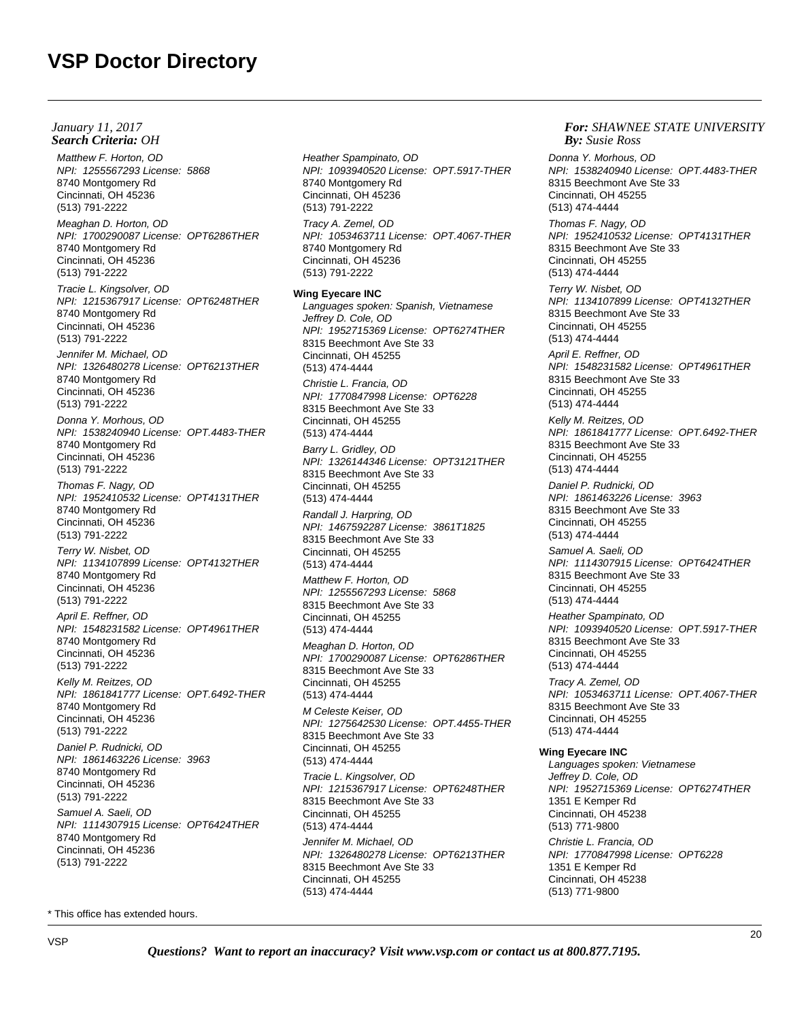Matthew F. Horton, OD NPI: 1255567293 License: 5868 8740 Montgomery Rd Cincinnati, OH 45236 (513) 791-2222 Meaghan D. Horton, OD NPI: 1700290087 License: OPT6286THER 8740 Montgomery Rd Cincinnati, OH 45236 (513) 791-2222 Tracie L. Kingsolver, OD NPI: 1215367917 License: OPT6248THER 8740 Montgomery Rd Cincinnati, OH 45236 (513) 791-2222 Jennifer M. Michael, OD NPI: 1326480278 License: OPT6213THER 8740 Montgomery Rd Cincinnati, OH 45236 (513) 791-2222 Donna Y. Morhous, OD NPI: 1538240940 License: OPT.4483-THER 8740 Montgomery Rd Cincinnati, OH 45236 (513) 791-2222 Thomas F. Nagy, OD NPI: 1952410532 License: OPT4131THER 8740 Montgomery Rd Cincinnati, OH 45236 (513) 791-2222 Terry W. Nisbet, OD NPI: 1134107899 License: OPT4132THER 8740 Montgomery Rd Cincinnati, OH 45236 (513) 791-2222 April E. Reffner, OD NPI: 1548231582 License: OPT4961THER 8740 Montgomery Rd Cincinnati, OH 45236 (513) 791-2222 Kelly M. Reitzes, OD NPI: 1861841777 License: OPT.6492-THER 8740 Montgomery Rd Cincinnati, OH 45236 (513) 791-2222 Daniel P. Rudnicki, OD NPI: 1861463226 License: 3963 8740 Montgomery Rd Cincinnati, OH 45236 (513) 791-2222 Samuel A. Saeli, OD NPI: 1114307915 License: OPT6424THER 8740 Montgomery Rd Cincinnati, OH 45236 (513) 791-2222

Heather Spampinato, OD NPI: 1093940520 License: OPT.5917-THER 8740 Montgomery Rd Cincinnati, OH 45236 (513) 791-2222 Tracy A. Zemel, OD NPI: 1053463711 License: OPT.4067-THER 8740 Montgomery Rd Cincinnati, OH 45236 (513) 791-2222 **Wing Eyecare INC** Languages spoken: Spanish, Vietnamese Jeffrey D. Cole, OD NPI: 1952715369 License: OPT6274THER 8315 Beechmont Ave Ste 33 Cincinnati, OH 45255 (513) 474-4444 Christie L. Francia, OD NPI: 1770847998 License: OPT6228 8315 Beechmont Ave Ste 33 Cincinnati, OH 45255 (513) 474-4444 Barry L. Gridley, OD NPI: 1326144346 License: OPT3121THER 8315 Beechmont Ave Ste 33 Cincinnati, OH 45255 (513) 474-4444 Randall J. Harpring, OD NPI: 1467592287 License: 3861T1825 8315 Beechmont Ave Ste 33 Cincinnati, OH 45255 (513) 474-4444 Matthew F. Horton, OD NPI: 1255567293 License: 5868 8315 Beechmont Ave Ste 33 Cincinnati, OH 45255 (513) 474-4444 Meaghan D. Horton, OD NPI: 1700290087 License: OPT6286THER 8315 Beechmont Ave Ste 33 Cincinnati, OH 45255 (513) 474-4444 M Celeste Keiser, OD NPI: 1275642530 License: OPT.4455-THER 8315 Beechmont Ave Ste 33 Cincinnati, OH 45255 (513) 474-4444 Tracie L. Kingsolver, OD NPI: 1215367917 License: OPT6248THER 8315 Beechmont Ave Ste 33 Cincinnati, OH 45255 (513) 474-4444

Jennifer M. Michael, OD NPI: 1326480278 License: OPT6213THER 8315 Beechmont Ave Ste 33 Cincinnati, OH 45255 (513) 474-4444

*For: SHAWNEE STATE UNIVERSITY Susie Ross*

Donna Y. Morhous, OD NPI: 1538240940 License: OPT.4483-THER 8315 Beechmont Ave Ste 33 Cincinnati, OH 45255 (513) 474-4444 Thomas F. Nagy, OD NPI: 1952410532 License: OPT4131THER 8315 Beechmont Ave Ste 33 Cincinnati, OH 45255 (513) 474-4444 Terry W. Nisbet, OD NPI: 1134107899 License: OPT4132THER 8315 Beechmont Ave Ste 33 Cincinnati, OH 45255 (513) 474-4444 April E. Reffner, OD NPI: 1548231582 License: OPT4961THER 8315 Beechmont Ave Ste 33 Cincinnati, OH 45255 (513) 474-4444 Kelly M. Reitzes, OD NPI: 1861841777 License: OPT.6492-THER 8315 Beechmont Ave Ste 33 Cincinnati, OH 45255 (513) 474-4444 Daniel P. Rudnicki, OD NPI: 1861463226 License: 3963 8315 Beechmont Ave Ste 33 Cincinnati, OH 45255 (513) 474-4444 Samuel A. Saeli, OD NPI: 1114307915 License: OPT6424THER 8315 Beechmont Ave Ste 33 Cincinnati, OH 45255 (513) 474-4444 Heather Spampinato, OD NPI: 1093940520 License: OPT.5917-THER 8315 Beechmont Ave Ste 33 Cincinnati, OH 45255 (513) 474-4444 Tracy A. Zemel, OD

NPI: 1053463711 License: OPT.4067-THER 8315 Beechmont Ave Ste 33 Cincinnati, OH 45255 (513) 474-4444

#### **Wing Eyecare INC**

Languages spoken: Vietnamese Jeffrey D. Cole, OD NPI: 1952715369 License: OPT6274THER 1351 E Kemper Rd Cincinnati, OH 45238 (513) 771-9800

Christie L. Francia, OD NPI: 1770847998 License: OPT6228 1351 E Kemper Rd Cincinnati, OH 45238 (513) 771-9800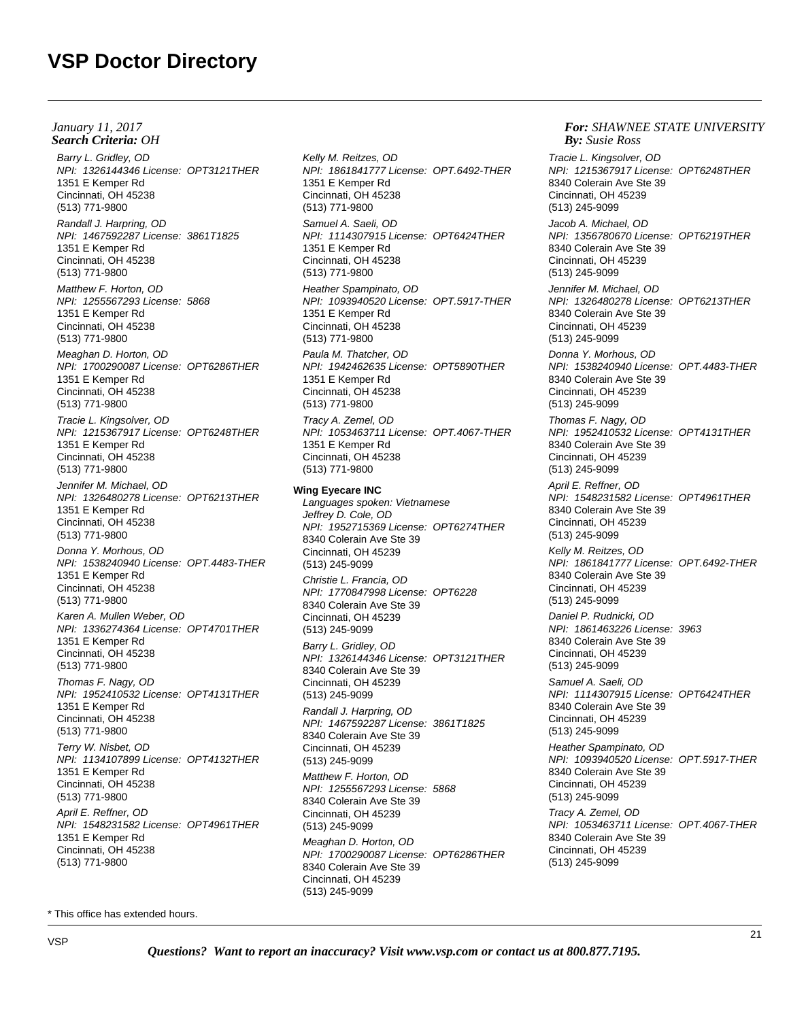Barry L. Gridley, OD NPI: 1326144346 License: OPT3121THER 1351 E Kemper Rd Cincinnati, OH 45238 (513) 771-9800 Randall J. Harpring, OD NPI: 1467592287 License: 3861T1825 1351 E Kemper Rd Cincinnati, OH 45238 (513) 771-9800 Matthew F. Horton, OD NPI: 1255567293 License: 5868 1351 E Kemper Rd Cincinnati, OH 45238 (513) 771-9800 Meaghan D. Horton, OD NPI: 1700290087 License: OPT6286THER 1351 E Kemper Rd Cincinnati, OH 45238 (513) 771-9800 Tracie L. Kingsolver, OD NPI: 1215367917 License: OPT6248THER 1351 E Kemper Rd Cincinnati, OH 45238 (513) 771-9800 Jennifer M. Michael, OD NPI: 1326480278 License: OPT6213THER 1351 E Kemper Rd Cincinnati, OH 45238 (513) 771-9800 Donna Y. Morhous, OD NPI: 1538240940 License: OPT.4483-THER 1351 E Kemper Rd Cincinnati, OH 45238 (513) 771-9800 Karen A. Mullen Weber, OD NPI: 1336274364 License: OPT4701THER 1351 E Kemper Rd Cincinnati, OH 45238 (513) 771-9800 Thomas F. Nagy, OD NPI: 1952410532 License: OPT4131THER 1351 E Kemper Rd Cincinnati, OH 45238 (513) 771-9800 Terry W. Nisbet, OD NPI: 1134107899 License: OPT4132THER 1351 E Kemper Rd Cincinnati, OH 45238 (513) 771-9800 April E. Reffner, OD NPI: 1548231582 License: OPT4961THER 1351 E Kemper Rd Cincinnati, OH 45238 (513) 771-9800 *Search Criteria: By: OHJanuary 11, 2017*

Kelly M. Reitzes, OD NPI: 1861841777 License: OPT.6492-THER 1351 E Kemper Rd Cincinnati, OH 45238 (513) 771-9800 Samuel A. Saeli, OD NPI: 1114307915 License: OPT6424THER 1351 E Kemper Rd Cincinnati, OH 45238 (513) 771-9800 Heather Spampinato, OD NPI: 1093940520 License: OPT.5917-THER 1351 E Kemper Rd Cincinnati, OH 45238 (513) 771-9800 Paula M. Thatcher, OD NPI: 1942462635 License: OPT5890THER 1351 E Kemper Rd Cincinnati, OH 45238 (513) 771-9800 Tracy A. Zemel, OD NPI: 1053463711 License: OPT.4067-THER 1351 E Kemper Rd Cincinnati, OH 45238 (513) 771-9800 **Wing Eyecare INC** Languages spoken: Vietnamese Jeffrey D. Cole, OD NPI: 1952715369 License: OPT6274THER 8340 Colerain Ave Ste 39 Cincinnati, OH 45239 (513) 245-9099 Christie L. Francia, OD NPI: 1770847998 License: OPT6228 8340 Colerain Ave Ste 39 Cincinnati, OH 45239 (513) 245-9099 Barry L. Gridley, OD NPI: 1326144346 License: OPT3121THER 8340 Colerain Ave Ste 39 Cincinnati, OH 45239 (513) 245-9099 Randall J. Harpring, OD NPI: 1467592287 License: 3861T1825 8340 Colerain Ave Ste 39 Cincinnati, OH 45239 (513) 245-9099 Matthew F. Horton, OD

NPI: 1255567293 License: 5868 8340 Colerain Ave Ste 39 Cincinnati, OH 45239 (513) 245-9099 Meaghan D. Horton, OD

NPI: 1700290087 License: OPT6286THER 8340 Colerain Ave Ste 39 Cincinnati, OH 45239 (513) 245-9099

#### *For: SHAWNEE STATE UNIVERSITY Susie Ross*

Tracie L. Kingsolver, OD NPI: 1215367917 License: OPT6248THER 8340 Colerain Ave Ste 39 Cincinnati, OH 45239 (513) 245-9099

Jacob A. Michael, OD NPI: 1356780670 License: OPT6219THER 8340 Colerain Ave Ste 39 Cincinnati, OH 45239 (513) 245-9099

Jennifer M. Michael, OD NPI: 1326480278 License: OPT6213THER 8340 Colerain Ave Ste 39 Cincinnati, OH 45239 (513) 245-9099

Donna Y. Morhous, OD NPI: 1538240940 License: OPT.4483-THER 8340 Colerain Ave Ste 39 Cincinnati, OH 45239 (513) 245-9099

Thomas F. Nagy, OD NPI: 1952410532 License: OPT4131THER 8340 Colerain Ave Ste 39 Cincinnati, OH 45239 (513) 245-9099

April E. Reffner, OD NPI: 1548231582 License: OPT4961THER 8340 Colerain Ave Ste 39 Cincinnati, OH 45239 (513) 245-9099

Kelly M. Reitzes, OD NPI: 1861841777 License: OPT.6492-THER 8340 Colerain Ave Ste 39 Cincinnati, OH 45239 (513) 245-9099

Daniel P. Rudnicki, OD NPI: 1861463226 License: 3963 8340 Colerain Ave Ste 39 Cincinnati, OH 45239 (513) 245-9099

Samuel A. Saeli, OD NPI: 1114307915 License: OPT6424THER 8340 Colerain Ave Ste 39 Cincinnati, OH 45239 (513) 245-9099

Heather Spampinato, OD NPI: 1093940520 License: OPT.5917-THER 8340 Colerain Ave Ste 39 Cincinnati, OH 45239 (513) 245-9099

Tracy A. Zemel, OD NPI: 1053463711 License: OPT.4067-THER 8340 Colerain Ave Ste 39 Cincinnati, OH 45239 (513) 245-9099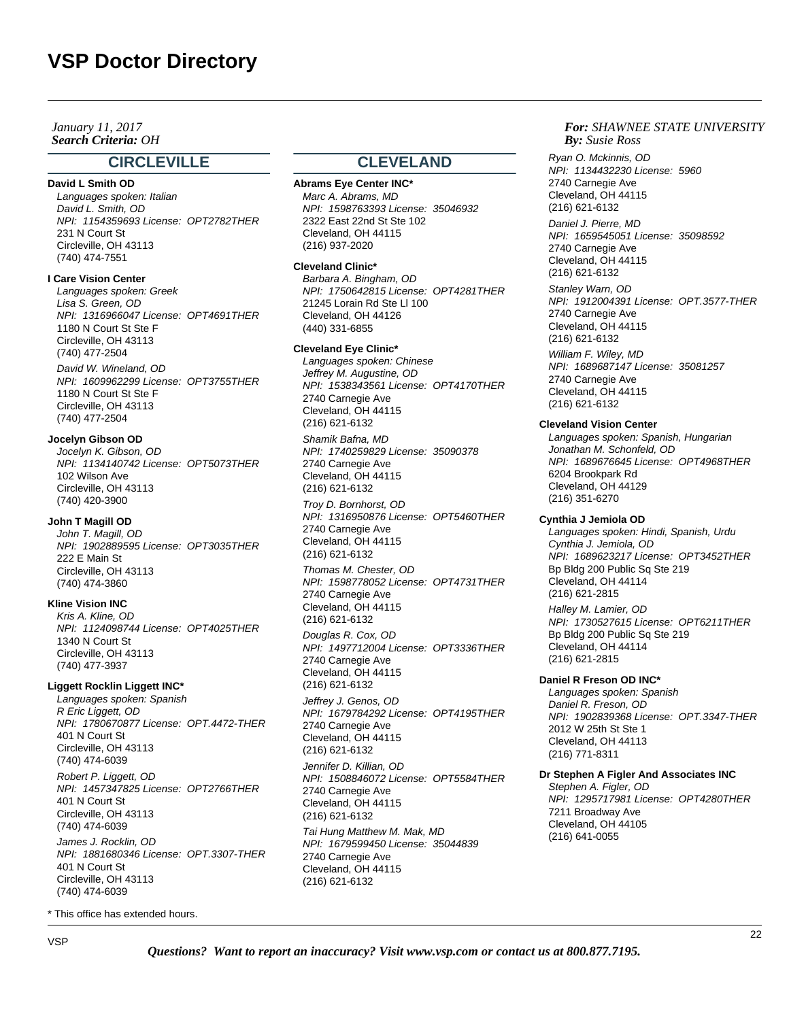*Search Criteria: By: OHJanuary 11, 2017*

## **CIRCLEVILLE**

#### **David L Smith OD**

Languages spoken: Italian David L. Smith, OD NPI: 1154359693 License: OPT2782THER 231 N Court St Circleville, OH 43113 (740) 474-7551

#### **I Care Vision Center**

Languages spoken: Greek Lisa S. Green, OD NPI: 1316966047 License: OPT4691THER 1180 N Court St Ste F Circleville, OH 43113 (740) 477-2504

David W. Wineland, OD NPI: 1609962299 License: OPT3755THER 1180 N Court St Ste F Circleville, OH 43113 (740) 477-2504

## **Jocelyn Gibson OD**

Jocelyn K. Gibson, OD NPI: 1134140742 License: OPT5073THER 102 Wilson Ave Circleville, OH 43113 (740) 420-3900

## **John T Magill OD**

John T. Magill, OD NPI: 1902889595 License: OPT3035THER 222 E Main St Circleville, OH 43113 (740) 474-3860

#### **Kline Vision INC**

Kris A. Kline, OD NPI: 1124098744 License: OPT4025THER 1340 N Court St Circleville, OH 43113 (740) 477-3937

#### **Liggett Rocklin Liggett INC\***

Languages spoken: Spanish R Eric Liggett, OD NPI: 1780670877 License: OPT.4472-THER 401 N Court St Circleville, OH 43113 (740) 474-6039 Robert P. Liggett, OD NPI: 1457347825 License: OPT2766THER 401 N Court St Circleville, OH 43113 (740) 474-6039

James J. Rocklin, OD NPI: 1881680346 License: OPT.3307-THER 401 N Court St Circleville, OH 43113 (740) 474-6039

\* This office has extended hours.

# **CLEVELAND**

**Abrams Eye Center INC\*** Marc A. Abrams, MD NPI: 1598763393 License: 35046932 2322 East 22nd St Ste 102 Cleveland, OH 44115 (216) 937-2020

**Cleveland Clinic\***

Barbara A. Bingham, OD NPI: 1750642815 License: OPT4281THER 21245 Lorain Rd Ste Ll 100 Cleveland, OH 44126 (440) 331-6855

#### **Cleveland Eye Clinic\***

Languages spoken: Chinese Jeffrey M. Augustine, OD NPI: 1538343561 License: OPT4170THER 2740 Carnegie Ave Cleveland, OH 44115 (216) 621-6132

Shamik Bafna, MD NPI: 1740259829 License: 35090378 2740 Carnegie Ave Cleveland, OH 44115 (216) 621-6132 Troy D. Bornhorst, OD

NPI: 1316950876 License: OPT5460THER 2740 Carnegie Ave Cleveland, OH 44115 (216) 621-6132

Thomas M. Chester, OD NPI: 1598778052 License: OPT4731THER 2740 Carnegie Ave Cleveland, OH 44115 (216) 621-6132

Douglas R. Cox, OD NPI: 1497712004 License: OPT3336THER 2740 Carnegie Ave Cleveland, OH 44115 (216) 621-6132

Jeffrey J. Genos, OD NPI: 1679784292 License: OPT4195THER 2740 Carnegie Ave Cleveland, OH 44115 (216) 621-6132 Jennifer D. Killian, OD

NPI: 1508846072 License: OPT5584THER 2740 Carnegie Ave Cleveland, OH 44115 (216) 621-6132

Tai Hung Matthew M. Mak, MD NPI: 1679599450 License: 35044839 2740 Carnegie Ave Cleveland, OH 44115 (216) 621-6132

# *For: SHAWNEE STATE UNIVERSITY Susie Ross*

Ryan O. Mckinnis, OD NPI: 1134432230 License: 5960 2740 Carnegie Ave Cleveland, OH 44115 (216) 621-6132

Daniel J. Pierre, MD NPI: 1659545051 License: 35098592 2740 Carnegie Ave Cleveland, OH 44115 (216) 621-6132

Stanley Warn, OD NPI: 1912004391 License: OPT.3577-THER 2740 Carnegie Ave Cleveland, OH 44115 (216) 621-6132

William F. Wiley, MD NPI: 1689687147 License: 35081257 2740 Carnegie Ave Cleveland, OH 44115 (216) 621-6132

#### **Cleveland Vision Center**

Languages spoken: Spanish, Hungarian Jonathan M. Schonfeld, OD NPI: 1689676645 License: OPT4968THER 6204 Brookpark Rd Cleveland, OH 44129 (216) 351-6270

#### **Cynthia J Jemiola OD**

Languages spoken: Hindi, Spanish, Urdu Cynthia J. Jemiola, OD NPI: 1689623217 License: OPT3452THER Bp Bldg 200 Public Sq Ste 219 Cleveland, OH 44114 (216) 621-2815

Halley M. Lamier, OD NPI: 1730527615 License: OPT6211THER Bp Bldg 200 Public Sq Ste 219 Cleveland, OH 44114 (216) 621-2815

**Daniel R Freson OD INC\***

Languages spoken: Spanish Daniel R. Freson, OD NPI: 1902839368 License: OPT.3347-THER 2012 W 25th St Ste 1 Cleveland, OH 44113 (216) 771-8311

**Dr Stephen A Figler And Associates INC** Stephen A. Figler, OD NPI: 1295717981 License: OPT4280THER 7211 Broadway Ave Cleveland, OH 44105 (216) 641-0055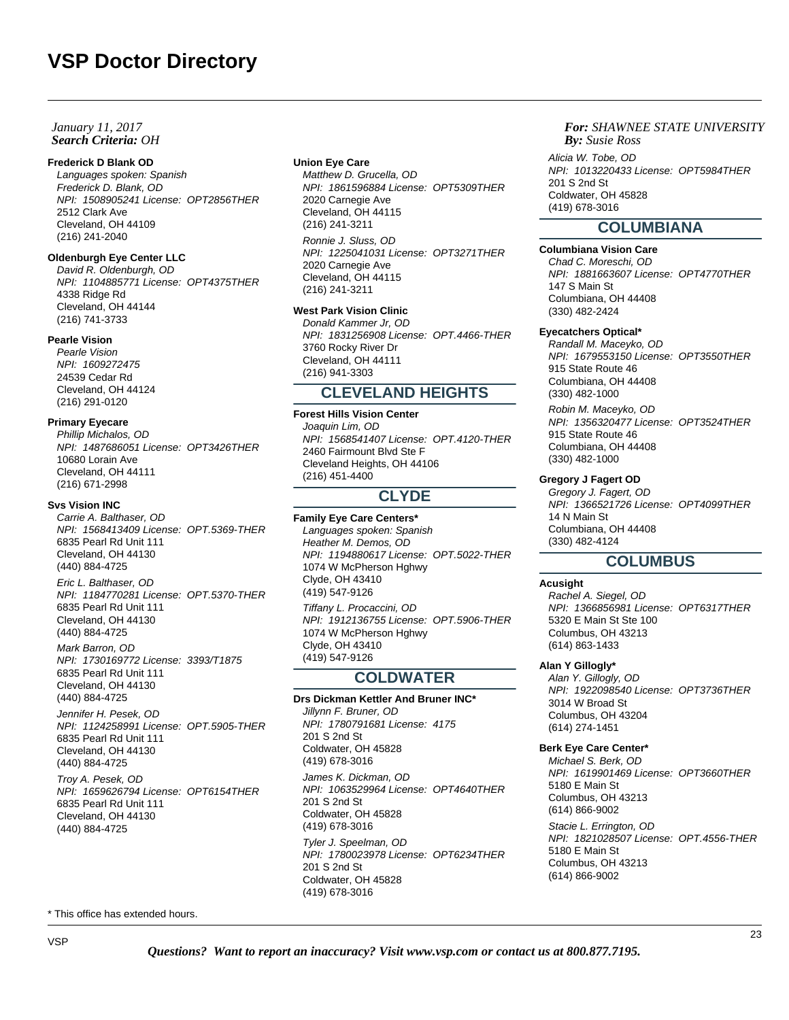## *Search Criteria: By: OHJanuary 11, 2017*

### **Frederick D Blank OD**

Languages spoken: Spanish Frederick D. Blank, OD NPI: 1508905241 License: OPT2856THER 2512 Clark Ave Cleveland, OH 44109 (216) 241-2040

# **Oldenburgh Eye Center LLC**

David R. Oldenburgh, OD NPI: 1104885771 License: OPT4375THER 4338 Ridge Rd Cleveland, OH 44144 (216) 741-3733

## **Pearle Vision**

Pearle Vision NPI: 1609272475 24539 Cedar Rd Cleveland, OH 44124 (216) 291-0120

## **Primary Eyecare**

Phillip Michalos, OD NPI: 1487686051 License: OPT3426THER 10680 Lorain Ave Cleveland, OH 44111 (216) 671-2998

#### **Svs Vision INC**

Carrie A. Balthaser, OD NPI: 1568413409 License: OPT.5369-THER 6835 Pearl Rd Unit 111 Cleveland, OH 44130 (440) 884-4725 Eric L. Balthaser, OD NPI: 1184770281 License: OPT.5370-THER

6835 Pearl Rd Unit 111 Cleveland, OH 44130 (440) 884-4725

Mark Barron, OD NPI: 1730169772 License: 3393/T1875 6835 Pearl Rd Unit 111 Cleveland, OH 44130 (440) 884-4725

Jennifer H. Pesek, OD NPI: 1124258991 License: OPT.5905-THER 6835 Pearl Rd Unit 111 Cleveland, OH 44130 (440) 884-4725

Troy A. Pesek, OD NPI: 1659626794 License: OPT6154THER 6835 Pearl Rd Unit 111 Cleveland, OH 44130 (440) 884-4725

#### \* This office has extended hours.

**Union Eye Care**

Matthew D. Grucella, OD NPI: 1861596884 License: OPT5309THER 2020 Carnegie Ave Cleveland, OH 44115 (216) 241-3211 Ronnie J. Sluss, OD

NPI: 1225041031 License: OPT3271THER 2020 Carnegie Ave Cleveland, OH 44115 (216) 241-3211

# **West Park Vision Clinic**

Donald Kammer Jr, OD NPI: 1831256908 License: OPT.4466-THER 3760 Rocky River Dr Cleveland, OH 44111 (216) 941-3303

# **CLEVELAND HEIGHTS**

#### **Forest Hills Vision Center**

Joaquin Lim, OD NPI: 1568541407 License: OPT.4120-THER 2460 Fairmount Blvd Ste F Cleveland Heights, OH 44106 (216) 451-4400

# **CLYDE**

### **Family Eye Care Centers\***

Languages spoken: Spanish Heather M. Demos, OD NPI: 1194880617 License: OPT.5022-THER 1074 W McPherson Hghwy Clyde, OH 43410 (419) 547-9126 Tiffany L. Procaccini, OD NPI: 1912136755 License: OPT.5906-THER 1074 W McPherson Hahwy Clyde, OH 43410 (419) 547-9126

# **COLDWATER**

**Drs Dickman Kettler And Bruner INC\*** Jillynn F. Bruner, OD NPI: 1780791681 License: 4175 201 S 2nd St Coldwater, OH 45828 (419) 678-3016 James K. Dickman, OD NPI: 1063529964 License: OPT4640THER 201 S 2nd St Coldwater, OH 45828 (419) 678-3016 Tyler J. Speelman, OD NPI: 1780023978 License: OPT6234THER 201 S 2nd St Coldwater, OH 45828 (419) 678-3016

*For: SHAWNEE STATE UNIVERSITY Susie Ross*

Alicia W. Tobe, OD NPI: 1013220433 License: OPT5984THER 201 S 2nd St Coldwater, OH 45828 (419) 678-3016

# **COLUMBIANA**

# **Columbiana Vision Care**

Chad C. Moreschi, OD NPI: 1881663607 License: OPT4770THER 147 S Main St Columbiana, OH 44408 (330) 482-2424

#### **Eyecatchers Optical\***

Randall M. Maceyko, OD NPI: 1679553150 License: OPT3550THER 915 State Route 46 Columbiana, OH 44408 (330) 482-1000

Robin M. Maceyko, OD NPI: 1356320477 License: OPT3524THER 915 State Route 46 Columbiana, OH 44408 (330) 482-1000

# **Gregory J Fagert OD**

Gregory J. Fagert, OD NPI: 1366521726 License: OPT4099THER 14 N Main St Columbiana, OH 44408 (330) 482-4124

# **COLUMBUS**

#### **Acusight**

Rachel A. Siegel, OD NPI: 1366856981 License: OPT6317THER 5320 E Main St Ste 100 Columbus, OH 43213 (614) 863-1433

#### **Alan Y Gillogly\***

Alan Y. Gillogly, OD NPI: 1922098540 License: OPT3736THER 3014 W Broad St Columbus, OH 43204 (614) 274-1451

#### **Berk Eye Care Center\***

Michael S. Berk, OD NPI: 1619901469 License: OPT3660THER 5180 E Main St Columbus, OH 43213 (614) 866-9002 Stacie L. Errington, OD NPI: 1821028507 License: OPT.4556-THER 5180 E Main St Columbus, OH 43213 (614) 866-9002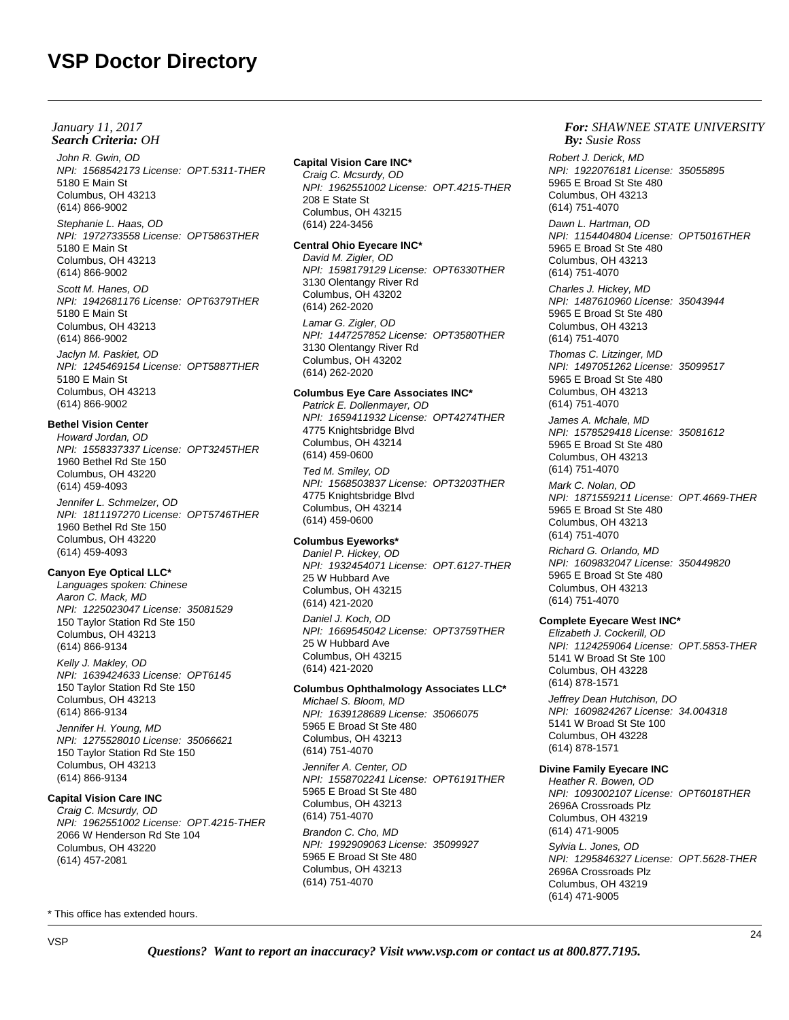## *Search Criteria: By: OHJanuary 11, 2017*

John R. Gwin, OD NPI: 1568542173 License: OPT.5311-THER 5180 E Main St Columbus, OH 43213 (614) 866-9002

Stephanie L. Haas, OD NPI: 1972733558 License: OPT5863THER 5180 E Main St Columbus, OH 43213 (614) 866-9002

Scott M. Hanes, OD NPI: 1942681176 License: OPT6379THER 5180 E Main St Columbus, OH 43213 (614) 866-9002

Jaclyn M. Paskiet, OD NPI: 1245469154 License: OPT5887THER 5180 E Main St Columbus, OH 43213 (614) 866-9002

# **Bethel Vision Center**

Howard Jordan, OD NPI: 1558337337 License: OPT3245THER 1960 Bethel Rd Ste 150 Columbus, OH 43220 (614) 459-4093

Jennifer L. Schmelzer, OD NPI: 1811197270 License: OPT5746THER 1960 Bethel Rd Ste 150 Columbus, OH 43220 (614) 459-4093

# **Canyon Eye Optical LLC\***

Languages spoken: Chinese Aaron C. Mack, MD NPI: 1225023047 License: 35081529 150 Taylor Station Rd Ste 150 Columbus, OH 43213 (614) 866-9134

Kelly J. Makley, OD NPI: 1639424633 License: OPT6145 150 Taylor Station Rd Ste 150 Columbus, OH 43213 (614) 866-9134

Jennifer H. Young, MD NPI: 1275528010 License: 35066621 150 Taylor Station Rd Ste 150 Columbus, OH 43213 (614) 866-9134

#### **Capital Vision Care INC**

Craig C. Mcsurdy, OD NPI: 1962551002 License: OPT.4215-THER 2066 W Henderson Rd Ste 104 Columbus, OH 43220 (614) 457-2081

#### \* This office has extended hours.

# **Capital Vision Care INC\***

Craig C. Mcsurdy, OD NPI: 1962551002 License: OPT.4215-THER 208 E State St Columbus, OH 43215 (614) 224-3456

#### **Central Ohio Eyecare INC\***

David M. Zigler, OD NPI: 1598179129 License: OPT6330THER 3130 Olentangy River Rd Columbus, OH 43202 (614) 262-2020 Lamar G. Zigler, OD NPI: 1447257852 License: OPT3580THER 3130 Olentangy River Rd Columbus, OH 43202 (614) 262-2020

#### **Columbus Eye Care Associates INC\***

Patrick E. Dollenmayer, OD NPI: 1659411932 License: OPT4274THER 4775 Knightsbridge Blvd Columbus, OH 43214 (614) 459-0600 Ted M. Smiley, OD NPI: 1568503837 License: OPT3203THER 4775 Knightsbridge Blvd Columbus, OH 43214 (614) 459-0600

#### **Columbus Eyeworks\***

Daniel P. Hickey, OD NPI: 1932454071 License: OPT.6127-THER 25 W Hubbard Ave Columbus, OH 43215 (614) 421-2020 Daniel J. Koch, OD

NPI: 1669545042 License: OPT3759THER 25 W Hubbard Ave Columbus, OH 43215 (614) 421-2020

#### **Columbus Ophthalmology Associates LLC\***

Michael S. Bloom, MD NPI: 1639128689 License: 35066075 5965 E Broad St Ste 480 Columbus, OH 43213 (614) 751-4070

Jennifer A. Center, OD NPI: 1558702241 License: OPT6191THER 5965 E Broad St Ste 480 Columbus, OH 43213 (614) 751-4070

Brandon C. Cho, MD NPI: 1992909063 License: 35099927 5965 E Broad St Ste 480 Columbus, OH 43213 (614) 751-4070

## *For: SHAWNEE STATE UNIVERSITY Susie Ross*

Robert J. Derick, MD NPI: 1922076181 License: 35055895 5965 E Broad St Ste 480 Columbus, OH 43213 (614) 751-4070

Dawn L. Hartman, OD NPI: 1154404804 License: OPT5016THER 5965 E Broad St Ste 480 Columbus, OH 43213 (614) 751-4070

Charles J. Hickey, MD NPI: 1487610960 License: 35043944 5965 E Broad St Ste 480 Columbus, OH 43213 (614) 751-4070

Thomas C. Litzinger, MD NPI: 1497051262 License: 35099517 5965 E Broad St Ste 480 Columbus, OH 43213 (614) 751-4070

James A. Mchale, MD NPI: 1578529418 License: 35081612 5965 E Broad St Ste 480 Columbus, OH 43213 (614) 751-4070

Mark C. Nolan, OD NPI: 1871559211 License: OPT.4669-THER 5965 E Broad St Ste 480 Columbus, OH 43213 (614) 751-4070

Richard G. Orlando, MD NPI: 1609832047 License: 350449820 5965 E Broad St Ste 480 Columbus, OH 43213 (614) 751-4070

#### **Complete Eyecare West INC\***

Elizabeth J. Cockerill, OD NPI: 1124259064 License: OPT.5853-THER 5141 W Broad St Ste 100 Columbus, OH 43228 (614) 878-1571

Jeffrey Dean Hutchison, DO NPI: 1609824267 License: 34.004318 5141 W Broad St Ste 100 Columbus, OH 43228 (614) 878-1571

## **Divine Family Eyecare INC**

Heather R. Bowen, OD NPI: 1093002107 License: OPT6018THER 2696A Crossroads Plz Columbus, OH 43219 (614) 471-9005

Sylvia L. Jones, OD NPI: 1295846327 License: OPT.5628-THER 2696A Crossroads Plz Columbus, OH 43219 (614) 471-9005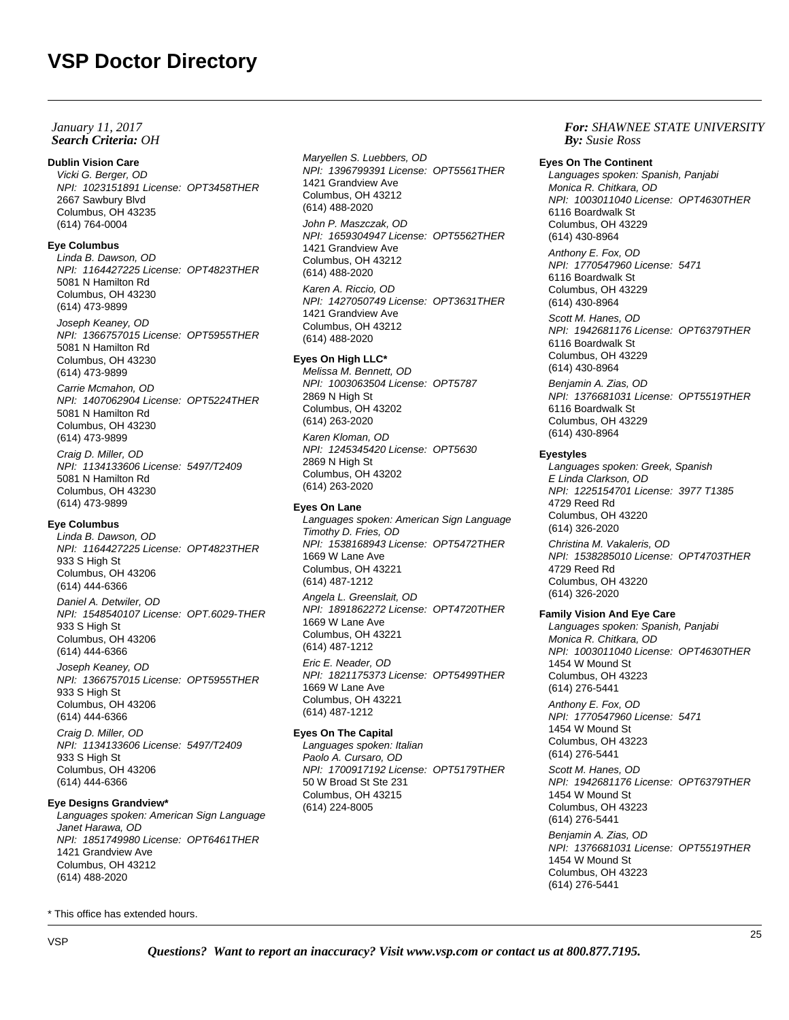# *Search Criteria: By: OHJanuary 11, 2017*

#### **Dublin Vision Care**

Vicki G. Berger, OD NPI: 1023151891 License: OPT3458THER 2667 Sawbury Blvd Columbus, OH 43235 (614) 764-0004

## **Eye Columbus**

Linda B. Dawson, OD NPI: 1164427225 License: OPT4823THER 5081 N Hamilton Rd Columbus, OH 43230 (614) 473-9899

Joseph Keaney, OD NPI: 1366757015 License: OPT5955THER 5081 N Hamilton Rd Columbus, OH 43230 (614) 473-9899

Carrie Mcmahon, OD NPI: 1407062904 License: OPT5224THER 5081 N Hamilton Rd Columbus, OH 43230 (614) 473-9899 Craig D. Miller, OD

NPI: 1134133606 License: 5497/T2409 5081 N Hamilton Rd Columbus, OH 43230 (614) 473-9899

## **Eye Columbus**

Linda B. Dawson, OD NPI: 1164427225 License: OPT4823THER 933 S High St Columbus, OH 43206 (614) 444-6366 Daniel A. Detwiler, OD NPI: 1548540107 License: OPT.6029-THER

933 S High St Columbus, OH 43206 (614) 444-6366

Joseph Keaney, OD NPI: 1366757015 License: OPT5955THER 933 S High St Columbus, OH 43206 (614) 444-6366

Craig D. Miller, OD NPI: 1134133606 License: 5497/T2409 933 S High St Columbus, OH 43206 (614) 444-6366

#### **Eye Designs Grandview\***

Languages spoken: American Sign Language Janet Harawa, OD NPI: 1851749980 License: OPT6461THER 1421 Grandview Ave Columbus, OH 43212 (614) 488-2020

Maryellen S. Luebbers, OD NPI: 1396799391 License: OPT5561THER 1421 Grandview Ave Columbus, OH 43212 (614) 488-2020 John P. Maszczak, OD NPI: 1659304947 License: OPT5562THER 1421 Grandview Ave Columbus, OH 43212 (614) 488-2020 Karen A. Riccio, OD NPI: 1427050749 License: OPT3631THER 1421 Grandview Ave Columbus, OH 43212 (614) 488-2020

# **Eyes On High LLC\***

Melissa M. Bennett, OD NPI: 1003063504 License: OPT5787 2869 N High St Columbus, OH 43202 (614) 263-2020 Karen Kloman, OD NPI: 1245345420 License: OPT5630 2869 N High St Columbus, OH 43202 (614) 263-2020

## **Eyes On Lane**

Languages spoken: American Sign Language Timothy D. Fries, OD NPI: 1538168943 License: OPT5472THER 1669 W Lane Ave Columbus, OH 43221 (614) 487-1212 Angela L. Greenslait, OD NPI: 1891862272 License: OPT4720THER 1669 W Lane Ave Columbus, OH 43221 (614) 487-1212

Eric E. Neader, OD NPI: 1821175373 License: OPT5499THER 1669 W Lane Ave Columbus, OH 43221 (614) 487-1212

### **Eyes On The Capital**

Languages spoken: Italian Paolo A. Cursaro, OD NPI: 1700917192 License: OPT5179THER 50 W Broad St Ste 231 Columbus, OH 43215 (614) 224-8005

*For: SHAWNEE STATE UNIVERSITY Susie Ross*

#### **Eyes On The Continent**

Languages spoken: Spanish, Panjabi Monica R. Chitkara, OD NPI: 1003011040 License: OPT4630THER 6116 Boardwalk St Columbus, OH 43229 (614) 430-8964 Anthony E. Fox, OD NPI: 1770547960 License: 5471 6116 Boardwalk St Columbus, OH 43229 (614) 430-8964 Scott M. Hanes, OD NPI: 1942681176 License: OPT6379THER 6116 Boardwalk St Columbus, OH 43229 (614) 430-8964 Benjamin A. Zias, OD NPI: 1376681031 License: OPT5519THER 6116 Boardwalk St Columbus, OH 43229 (614) 430-8964

#### **Eyestyles**

Languages spoken: Greek, Spanish E Linda Clarkson, OD NPI: 1225154701 License: 3977 T1385 4729 Reed Rd Columbus, OH 43220 (614) 326-2020 Christina M. Vakaleris, OD NPI: 1538285010 License: OPT4703THER 4729 Reed Rd Columbus, OH 43220 (614) 326-2020

# **Family Vision And Eye Care**

Languages spoken: Spanish, Panjabi Monica R. Chitkara, OD NPI: 1003011040 License: OPT4630THER 1454 W Mound St Columbus, OH 43223 (614) 276-5441 Anthony E. Fox, OD NPI: 1770547960 License: 5471 1454 W Mound St Columbus, OH 43223 (614) 276-5441 Scott M. Hanes, OD NPI: 1942681176 License: OPT6379THER

1454 W Mound St Columbus, OH 43223 (614) 276-5441

Benjamin A. Zias, OD NPI: 1376681031 License: OPT5519THER 1454 W Mound St Columbus, OH 43223 (614) 276-5441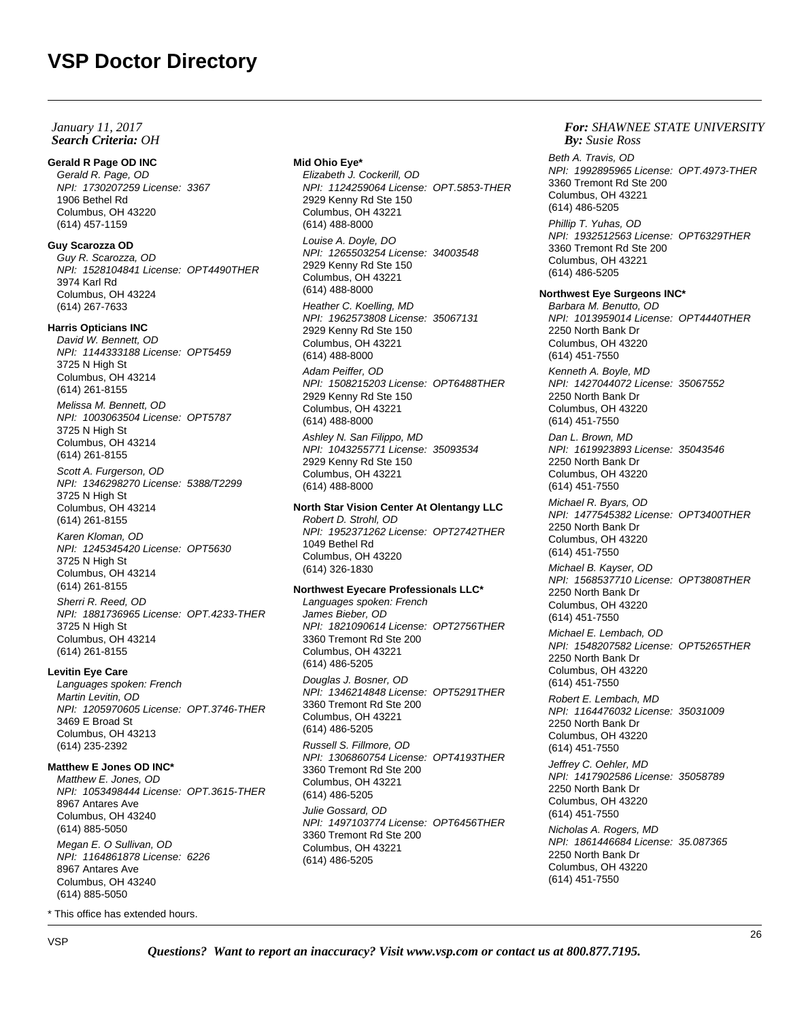## *Search Criteria: By: OHJanuary 11, 2017*

# **Gerald R Page OD INC**

Gerald R. Page, OD NPI: 1730207259 License: 3367 1906 Bethel Rd Columbus, OH 43220 (614) 457-1159

# **Guy Scarozza OD**

Guy R. Scarozza, OD NPI: 1528104841 License: OPT4490THER 3974 Karl Rd Columbus, OH 43224 (614) 267-7633

#### **Harris Opticians INC**

David W. Bennett, OD NPI: 1144333188 License: OPT5459 3725 N High St Columbus, OH 43214 (614) 261-8155

Melissa M. Bennett, OD NPI: 1003063504 License: OPT5787 3725 N High St Columbus, OH 43214 (614) 261-8155

Scott A. Furgerson, OD NPI: 1346298270 License: 5388/T2299 3725 N High St Columbus, OH 43214 (614) 261-8155 Karen Kloman, OD

NPI: 1245345420 License: OPT5630 3725 N High St Columbus, OH 43214 (614) 261-8155 Sherri R. Reed, OD

NPI: 1881736965 License: OPT.4233-THER 3725 N High St Columbus, OH 43214 (614) 261-8155

## **Levitin Eye Care**

Languages spoken: French Martin Levitin, OD NPI: 1205970605 License: OPT.3746-THER 3469 E Broad St Columbus, OH 43213 (614) 235-2392

# **Matthew E Jones OD INC\***

Matthew E. Jones, OD NPI: 1053498444 License: OPT.3615-THER 8967 Antares Ave Columbus, OH 43240 (614) 885-5050 Megan E. O Sullivan, OD NPI: 1164861878 License: 6226 8967 Antares Ave Columbus, OH 43240 (614) 885-5050

\* This office has extended hours.

#### **Mid Ohio Eye\***

Elizabeth J. Cockerill, OD NPI: 1124259064 License: OPT.5853-THER 2929 Kenny Rd Ste 150 Columbus, OH 43221 (614) 488-8000 Louise A. Doyle, DO NPI: 1265503254 License: 34003548 2929 Kenny Rd Ste 150

Columbus, OH 43221 (614) 488-8000

Heather C. Koelling, MD NPI: 1962573808 License: 35067131 2929 Kenny Rd Ste 150 Columbus, OH 43221 (614) 488-8000

Adam Peiffer, OD NPI: 1508215203 License: OPT6488THER 2929 Kenny Rd Ste 150 Columbus, OH 43221 (614) 488-8000 Ashley N. San Filippo, MD NPI: 1043255771 License: 35093534 2929 Kenny Rd Ste 150

Columbus, OH 43221 (614) 488-8000

#### **North Star Vision Center At Olentangy LLC** Robert D. Strohl, OD

NPI: 1952371262 License: OPT2742THER 1049 Bethel Rd Columbus, OH 43220 (614) 326-1830

## **Northwest Eyecare Professionals LLC\***

Languages spoken: French James Bieber, OD NPI: 1821090614 License: OPT2756THER 3360 Tremont Rd Ste 200 Columbus, OH 43221 (614) 486-5205 Douglas J. Bosner, OD NPI: 1346214848 License: OPT5291THER 3360 Tremont Rd Ste 200 Columbus, OH 43221 (614) 486-5205 Russell S. Fillmore, OD NPI: 1306860754 License: OPT4193THER 3360 Tremont Rd Ste 200 Columbus, OH 43221 (614) 486-5205 Julie Gossard, OD NPI: 1497103774 License: OPT6456THER 3360 Tremont Rd Ste 200 Columbus, OH 43221 (614) 486-5205

## *For: SHAWNEE STATE UNIVERSITY Susie Ross*

Beth A. Travis, OD NPI: 1992895965 License: OPT.4973-THER 3360 Tremont Rd Ste 200 Columbus, OH 43221 (614) 486-5205 Phillip T. Yuhas, OD NPI: 1932512563 License: OPT6329THER

3360 Tremont Rd Ste 200 Columbus, OH 43221 (614) 486-5205

# **Northwest Eye Surgeons INC\***

Barbara M. Benutto, OD NPI: 1013959014 License: OPT4440THER 2250 North Bank Dr Columbus, OH 43220 (614) 451-7550

Kenneth A. Boyle, MD NPI: 1427044072 License: 35067552 2250 North Bank Dr Columbus, OH 43220 (614) 451-7550

Dan L. Brown, MD NPI: 1619923893 License: 35043546 2250 North Bank Dr Columbus, OH 43220 (614) 451-7550

Michael R. Byars, OD NPI: 1477545382 License: OPT3400THER 2250 North Bank Dr Columbus, OH 43220 (614) 451-7550

Michael B. Kayser, OD NPI: 1568537710 License: OPT3808THER 2250 North Bank Dr Columbus, OH 43220 (614) 451-7550

Michael E. Lembach, OD NPI: 1548207582 License: OPT5265THER 2250 North Bank Dr Columbus, OH 43220 (614) 451-7550

Robert E. Lembach, MD NPI: 1164476032 License: 35031009 2250 North Bank Dr Columbus, OH 43220 (614) 451-7550

Jeffrey C. Oehler, MD NPI: 1417902586 License: 35058789 2250 North Bank Dr Columbus, OH 43220 (614) 451-7550

Nicholas A. Rogers, MD NPI: 1861446684 License: 35.087365 2250 North Bank Dr Columbus, OH 43220 (614) 451-7550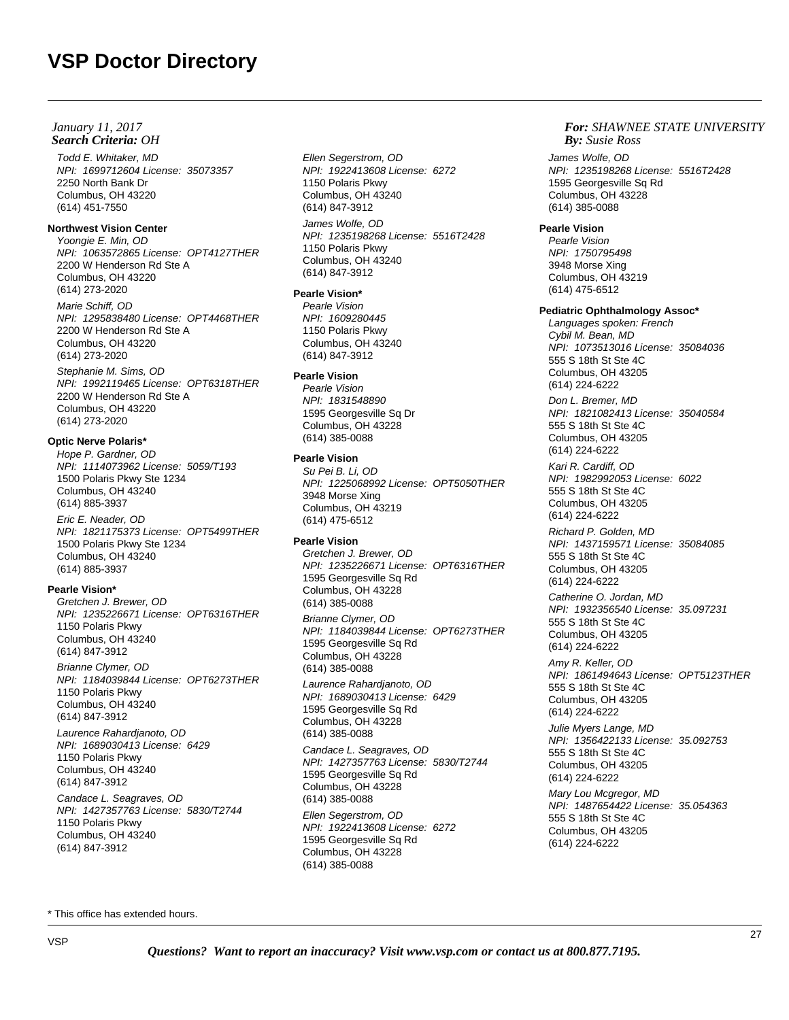Todd E. Whitaker, MD NPI: 1699712604 License: 35073357 2250 North Bank Dr Columbus, OH 43220 (614) 451-7550

# **Northwest Vision Center**

Yoongie E. Min, OD NPI: 1063572865 License: OPT4127THER 2200 W Henderson Rd Ste A Columbus, OH 43220 (614) 273-2020

Marie Schiff, OD NPI: 1295838480 License: OPT4468THER 2200 W Henderson Rd Ste A Columbus, OH 43220 (614) 273-2020

Stephanie M. Sims, OD NPI: 1992119465 License: OPT6318THER 2200 W Henderson Rd Ste A Columbus, OH 43220 (614) 273-2020

# **Optic Nerve Polaris\***

Hope P. Gardner, OD NPI: 1114073962 License: 5059/T193 1500 Polaris Pkwy Ste 1234 Columbus, OH 43240 (614) 885-3937

Eric E. Neader, OD NPI: 1821175373 License: OPT5499THER 1500 Polaris Pkwy Ste 1234 Columbus, OH 43240 (614) 885-3937

## **Pearle Vision\***

Gretchen J. Brewer, OD NPI: 1235226671 License: OPT6316THER 1150 Polaris Pkwy Columbus, OH 43240 (614) 847-3912

Brianne Clymer, OD NPI: 1184039844 License: OPT6273THER 1150 Polaris Pkwy Columbus, OH 43240 (614) 847-3912

Laurence Rahardjanoto, OD NPI: 1689030413 License: 6429 1150 Polaris Pkwy Columbus, OH 43240 (614) 847-3912 Candace L. Seagraves, OD NPI: 1427357763 License: 5830/T2744 1150 Polaris Pkwy

Ellen Segerstrom, OD NPI: 1922413608 License: 6272 1150 Polaris Pkwy Columbus, OH 43240 (614) 847-3912

James Wolfe, OD NPI: 1235198268 License: 5516T2428 1150 Polaris Pkwy Columbus, OH 43240 (614) 847-3912

# **Pearle Vision\***

Pearle Vision NPI: 1609280445 1150 Polaris Pkwy Columbus, OH 43240 (614) 847-3912

# **Pearle Vision**

Pearle Vision NPI: 1831548890 1595 Georgesville Sq Dr Columbus, OH 43228 (614) 385-0088

# **Pearle Vision**

Su Pei B. Li, OD NPI: 1225068992 License: OPT5050THER 3948 Morse Xing Columbus, OH 43219 (614) 475-6512

# **Pearle Vision**

Gretchen J. Brewer, OD NPI: 1235226671 License: OPT6316THER 1595 Georgesville Sq Rd Columbus, OH 43228 (614) 385-0088

Brianne Clymer, OD NPI: 1184039844 License: OPT6273THER 1595 Georgesville Sq Rd Columbus, OH 43228 (614) 385-0088 Laurence Rahardjanoto, OD NPI: 1689030413 License: 6429 1595 Georgesville Sq Rd Columbus, OH 43228 (614) 385-0088 Candace L. Seagraves, OD NPI: 1427357763 License: 5830/T2744 1595 Georgesville Sq Rd Columbus, OH 43228

(614) 385-0088 Ellen Segerstrom, OD NPI: 1922413608 License: 6272 1595 Georgesville Sq Rd Columbus, OH 43228 (614) 385-0088

#### *For: SHAWNEE STATE UNIVERSITY Susie Ross*

James Wolfe, OD NPI: 1235198268 License: 5516T2428 1595 Georgesville Sq Rd Columbus, OH 43228 (614) 385-0088

# **Pearle Vision**

Pearle Vision NPI: 1750795498 3948 Morse Xing Columbus, OH 43219 (614) 475-6512

# **Pediatric Ophthalmology Assoc\***

Languages spoken: French Cybil M. Bean, MD NPI: 1073513016 License: 35084036 555 S 18th St Ste 4C Columbus, OH 43205 (614) 224-6222

Don L. Bremer, MD NPI: 1821082413 License: 35040584 555 S 18th St Ste 4C Columbus, OH 43205 (614) 224-6222

Kari R. Cardiff, OD NPI: 1982992053 License: 6022 555 S 18th St Ste 4C Columbus, OH 43205 (614) 224-6222

Richard P. Golden, MD NPI: 1437159571 License: 35084085 555 S 18th St Ste 4C Columbus, OH 43205 (614) 224-6222

Catherine O. Jordan, MD NPI: 1932356540 License: 35.097231 555 S 18th St Ste 4C Columbus, OH 43205 (614) 224-6222

Amy R. Keller, OD NPI: 1861494643 License: OPT5123THER 555 S 18th St Ste 4C Columbus, OH 43205 (614) 224-6222

Julie Myers Lange, MD NPI: 1356422133 License: 35.092753 555 S 18th St Ste 4C Columbus, OH 43205 (614) 224-6222

Mary Lou Mcgregor, MD NPI: 1487654422 License: 35.054363 555 S 18th St Ste 4C Columbus, OH 43205 (614) 224-6222

\* This office has extended hours.

Columbus, OH 43240 (614) 847-3912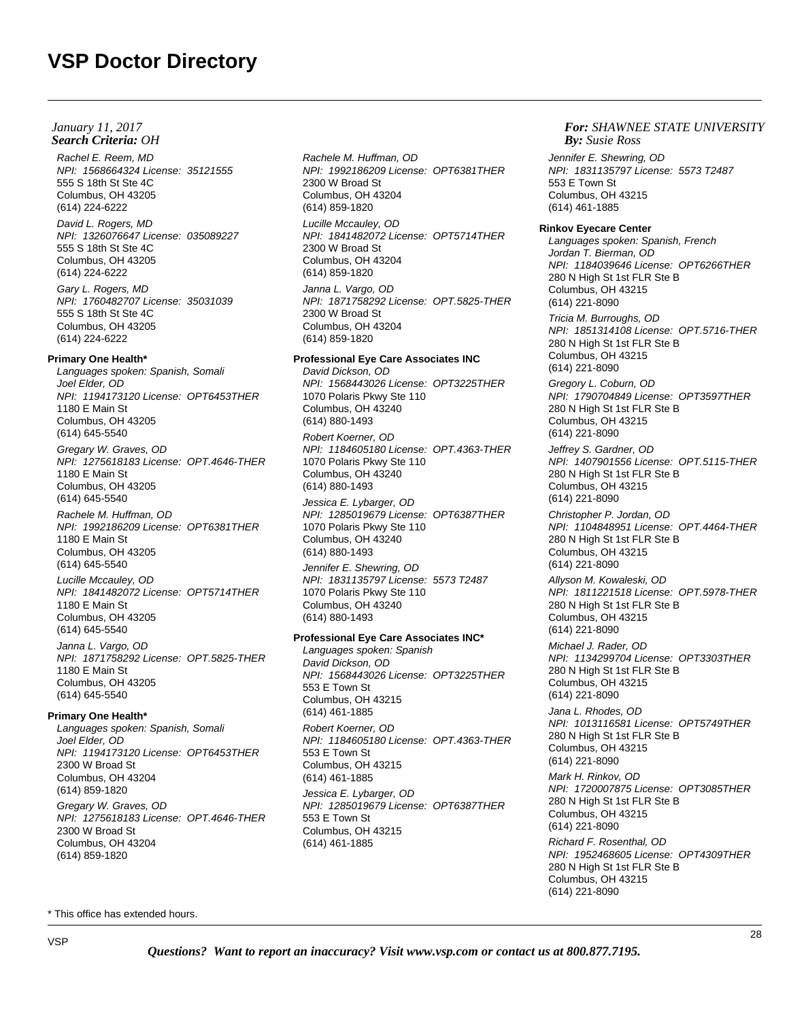Rachel E. Reem, MD NPI: 1568664324 License: 35121555 555 S 18th St Ste 4C Columbus, OH 43205 (614) 224-6222

David L. Rogers, MD NPI: 1326076647 License: 035089227 555 S 18th St Ste 4C Columbus, OH 43205 (614) 224-6222 Gary L. Rogers, MD

NPI: 1760482707 License: 35031039 555 S 18th St Ste 4C Columbus, OH 43205 (614) 224-6222

#### **Primary One Health\***

Languages spoken: Spanish, Somali Joel Elder, OD NPI: 1194173120 License: OPT6453THER 1180 E Main St Columbus, OH 43205 (614) 645-5540 Gregary W. Graves, OD

NPI: 1275618183 License: OPT.4646-THER 1180 E Main St Columbus, OH 43205 (614) 645-5540

Rachele M. Huffman, OD NPI: 1992186209 License: OPT6381THER 1180 E Main St Columbus, OH 43205 (614) 645-5540

Lucille Mccauley, OD NPI: 1841482072 License: OPT5714THER 1180 E Main St Columbus, OH 43205 (614) 645-5540

Janna L. Vargo, OD NPI: 1871758292 License: OPT.5825-THER 1180 E Main St Columbus, OH 43205 (614) 645-5540

### **Primary One Health\***

Languages spoken: Spanish, Somali Joel Elder, OD NPI: 1194173120 License: OPT6453THER 2300 W Broad St Columbus, OH 43204 (614) 859-1820 Gregary W. Graves, OD NPI: 1275618183 License: OPT.4646-THER 2300 W Broad St Columbus, OH 43204 (614) 859-1820

Rachele M. Huffman, OD NPI: 1992186209 License: OPT6381THER 2300 W Broad St Columbus, OH 43204 (614) 859-1820 Lucille Mccauley, OD NPI: 1841482072 License: OPT5714THER 2300 W Broad St Columbus, OH 43204 (614) 859-1820 Janna L. Vargo, OD NPI: 1871758292 License: OPT.5825-THER 2300 W Broad St Columbus, OH 43204 (614) 859-1820 **Professional Eye Care Associates INC** David Dickson, OD

NPI: 1568443026 License: OPT3225THER 1070 Polaris Pkwy Ste 110 Columbus, OH 43240 (614) 880-1493 Robert Koerner, OD NPI: 1184605180 License: OPT.4363-THER 1070 Polaris Pkwy Ste 110

Columbus, OH 43240 (614) 880-1493 Jessica E. Lybarger, OD

NPI: 1285019679 License: OPT6387THER 1070 Polaris Pkwy Ste 110 Columbus, OH 43240 (614) 880-1493

Jennifer E. Shewring, OD NPI: 1831135797 License: 5573 T2487 1070 Polaris Pkwy Ste 110 Columbus, OH 43240 (614) 880-1493

## **Professional Eye Care Associates INC\***

Languages spoken: Spanish David Dickson, OD NPI: 1568443026 License: OPT3225THER 553 E Town St Columbus, OH 43215 (614) 461-1885 Robert Koerner, OD NPI: 1184605180 License: OPT.4363-THER 553 E Town St Columbus, OH 43215 (614) 461-1885 Jessica E. Lybarger, OD

NPI: 1285019679 License: OPT6387THER 553 E Town St Columbus, OH 43215 (614) 461-1885

#### *For: SHAWNEE STATE UNIVERSITY Susie Ross*

Jennifer E. Shewring, OD NPI: 1831135797 License: 5573 T2487 553 E Town St Columbus, OH 43215 (614) 461-1885

#### **Rinkov Eyecare Center**

Languages spoken: Spanish, French Jordan T. Bierman, OD NPI: 1184039646 License: OPT6266THER 280 N High St 1st FLR Ste B Columbus, OH 43215 (614) 221-8090 Tricia M. Burroughs, OD NPI: 1851314108 License: OPT.5716-THER 280 N High St 1st FLR Ste B

Columbus, OH 43215 (614) 221-8090

Gregory L. Coburn, OD NPI: 1790704849 License: OPT3597THER 280 N High St 1st FLR Ste B Columbus, OH 43215 (614) 221-8090

Jeffrey S. Gardner, OD NPI: 1407901556 License: OPT.5115-THER 280 N High St 1st FLR Ste B Columbus, OH 43215 (614) 221-8090

Christopher P. Jordan, OD NPI: 1104848951 License: OPT.4464-THER 280 N High St 1st FLR Ste B Columbus, OH 43215 (614) 221-8090

Allyson M. Kowaleski, OD NPI: 1811221518 License: OPT.5978-THER 280 N High St 1st FLR Ste B Columbus, OH 43215 (614) 221-8090

Michael J. Rader, OD NPI: 1134299704 License: OPT3303THER 280 N High St 1st FLR Ste B Columbus, OH 43215 (614) 221-8090

Jana L. Rhodes, OD NPI: 1013116581 License: OPT5749THER 280 N High St 1st FLR Ste B Columbus, OH 43215 (614) 221-8090

Mark H. Rinkov, OD NPI: 1720007875 License: OPT3085THER 280 N High St 1st FLR Ste B Columbus, OH 43215 (614) 221-8090

Richard F. Rosenthal, OD NPI: 1952468605 License: OPT4309THER 280 N High St 1st FLR Ste B Columbus, OH 43215 (614) 221-8090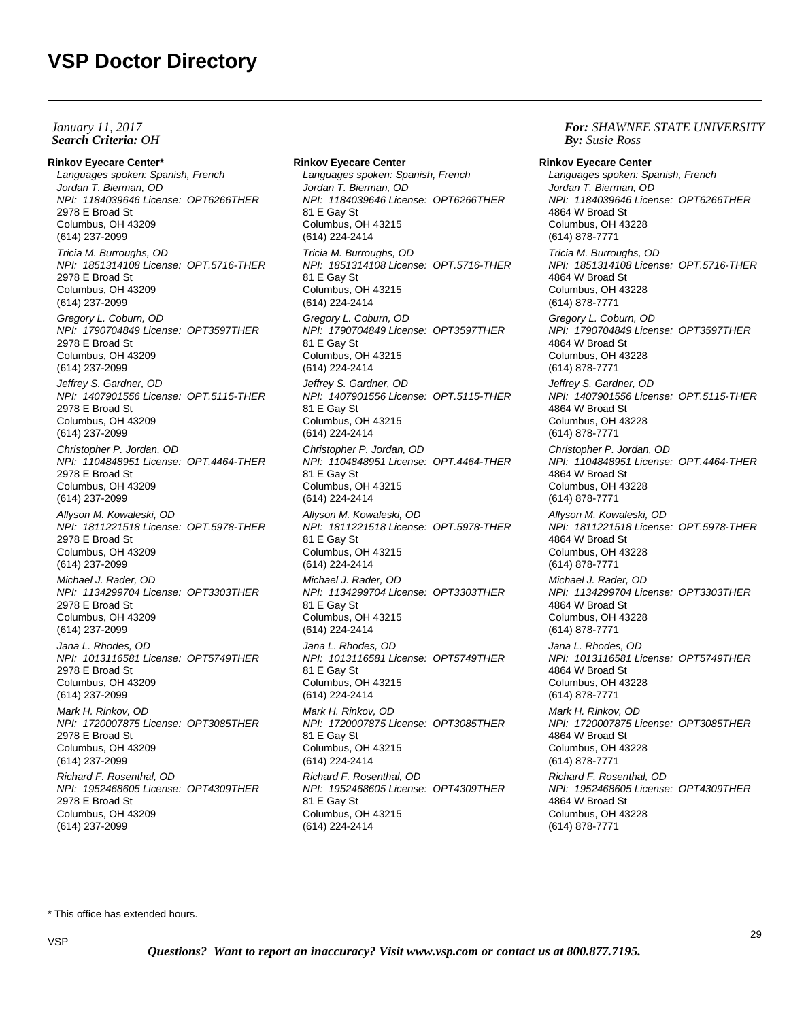## *Search Criteria: By: OHJanuary 11, 2017*

**Rinkov Eyecare Center\*** Languages spoken: Spanish, French Jordan T. Bierman, OD NPI: 1184039646 License: OPT6266THER 2978 E Broad St Columbus, OH 43209 (614) 237-2099 Tricia M. Burroughs, OD NPI: 1851314108 License: OPT.5716-THER 2978 E Broad St Columbus, OH 43209 (614) 237-2099 Gregory L. Coburn, OD NPI: 1790704849 License: OPT3597THER 2978 E Broad St Columbus, OH 43209 (614) 237-2099 Jeffrey S. Gardner, OD NPI: 1407901556 License: OPT.5115-THER 2978 E Broad St Columbus, OH 43209 (614) 237-2099 Christopher P. Jordan, OD NPI: 1104848951 License: OPT.4464-THER 2978 E Broad St Columbus, OH 43209 (614) 237-2099 Allyson M. Kowaleski, OD NPI: 1811221518 License: OPT.5978-THER 2978 E Broad St Columbus, OH 43209 (614) 237-2099 Michael J. Rader, OD NPI: 1134299704 License: OPT3303THER 2978 E Broad St Columbus, OH 43209 (614) 237-2099 Jana L. Rhodes, OD NPI: 1013116581 License: OPT5749THER 2978 E Broad St Columbus, OH 43209 (614) 237-2099 Mark H. Rinkov, OD NPI: 1720007875 License: OPT3085THER 2978 E Broad St Columbus, OH 43209 (614) 237-2099 Richard F. Rosenthal, OD NPI: 1952468605 License: OPT4309THER 2978 E Broad St Columbus, OH 43209 (614) 237-2099

#### **Rinkov Eyecare Center**

Languages spoken: Spanish, French Jordan T. Bierman, OD NPI: 1184039646 License: OPT6266THER 81 E Gay St Columbus, OH 43215 (614) 224-2414 Tricia M. Burroughs, OD NPI: 1851314108 License: OPT.5716-THER 81 E Gay St Columbus, OH 43215 (614) 224-2414 Gregory L. Coburn, OD NPI: 1790704849 License: OPT3597THER 81 E Gay St Columbus, OH 43215 (614) 224-2414 Jeffrey S. Gardner, OD NPI: 1407901556 License: OPT.5115-THER 81 E Gay St Columbus, OH 43215 (614) 224-2414 Christopher P. Jordan, OD NPI: 1104848951 License: OPT.4464-THER 81 E Gay St Columbus, OH 43215 (614) 224-2414 Allyson M. Kowaleski, OD NPI: 1811221518 License: OPT.5978-THER 81 E Gay St Columbus, OH 43215 (614) 224-2414 Michael J. Rader, OD NPI: 1134299704 License: OPT3303THER 81 E Gay St Columbus, OH 43215 (614) 224-2414 Jana L. Rhodes, OD NPI: 1013116581 License: OPT5749THER 81 E Gay St Columbus, OH 43215 (614) 224-2414 Mark H. Rinkov, OD NPI: 1720007875 License: OPT3085THER 81 E Gay St Columbus, OH 43215 (614) 224-2414 Richard F. Rosenthal, OD NPI: 1952468605 License: OPT4309THER 81 E Gay St Columbus, OH 43215 (614) 224-2414

*For: SHAWNEE STATE UNIVERSITY Susie Ross*

#### **Rinkov Eyecare Center**

Languages spoken: Spanish, French Jordan T. Bierman, OD NPI: 1184039646 License: OPT6266THER 4864 W Broad St Columbus, OH 43228 (614) 878-7771 Tricia M. Burroughs, OD NPI: 1851314108 License: OPT.5716-THER 4864 W Broad St Columbus, OH 43228 (614) 878-7771 Gregory L. Coburn, OD NPI: 1790704849 License: OPT3597THER 4864 W Broad St Columbus, OH 43228 (614) 878-7771 Jeffrey S. Gardner, OD NPI: 1407901556 License: OPT.5115-THER 4864 W Broad St Columbus, OH 43228 (614) 878-7771 Christopher P. Jordan, OD NPI: 1104848951 License: OPT.4464-THER 4864 W Broad St Columbus, OH 43228 (614) 878-7771 Allyson M. Kowaleski, OD NPI: 1811221518 License: OPT.5978-THER 4864 W Broad St Columbus, OH 43228 (614) 878-7771 Michael J. Rader, OD NPI: 1134299704 License: OPT3303THER 4864 W Broad St Columbus, OH 43228 (614) 878-7771 Jana L. Rhodes, OD NPI: 1013116581 License: OPT5749THER 4864 W Broad St Columbus, OH 43228 (614) 878-7771 Mark H. Rinkov, OD NPI: 1720007875 License: OPT3085THER 4864 W Broad St Columbus, OH 43228 (614) 878-7771 Richard F. Rosenthal, OD NPI: 1952468605 License: OPT4309THER 4864 W Broad St Columbus, OH 43228

(614) 878-7771

<sup>\*</sup> This office has extended hours.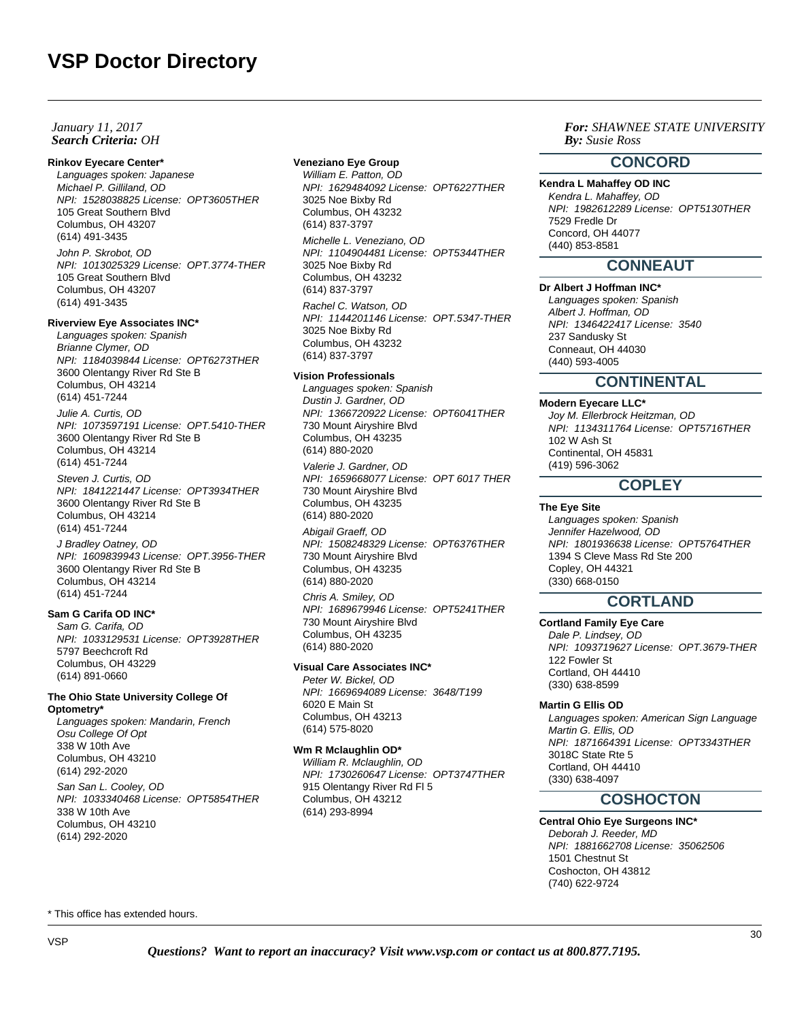## *Search Criteria: By: OHJanuary 11, 2017*

#### **Rinkov Eyecare Center\***

Languages spoken: Japanese Michael P. Gilliland, OD NPI: 1528038825 License: OPT3605THER 105 Great Southern Blvd Columbus, OH 43207 (614) 491-3435 John P. Skrobot, OD

NPI: 1013025329 License: OPT.3774-THER 105 Great Southern Blvd Columbus, OH 43207 (614) 491-3435

# **Riverview Eye Associates INC\***

Languages spoken: Spanish Brianne Clymer, OD NPI: 1184039844 License: OPT6273THER 3600 Olentangy River Rd Ste B Columbus, OH 43214 (614) 451-7244

Julie A. Curtis, OD NPI: 1073597191 License: OPT.5410-THER 3600 Olentangy River Rd Ste B Columbus, OH 43214 (614) 451-7244

Steven J. Curtis, OD NPI: 1841221447 License: OPT3934THER 3600 Olentangy River Rd Ste B Columbus, OH 43214 (614) 451-7244

J Bradley Oatney, OD NPI: 1609839943 License: OPT.3956-THER 3600 Olentangy River Rd Ste B Columbus, OH 43214 (614) 451-7244

## **Sam G Carifa OD INC\***

Sam G. Carifa, OD NPI: 1033129531 License: OPT3928THER 5797 Beechcroft Rd Columbus, OH 43229 (614) 891-0660

#### **The Ohio State University College Of Optometry\***

Languages spoken: Mandarin, French Osu College Of Opt 338 W 10th Ave Columbus, OH 43210 (614) 292-2020 San San L. Cooley, OD NPI: 1033340468 License: OPT5854THER 338 W 10th Ave Columbus, OH 43210 (614) 292-2020

#### **Veneziano Eye Group**

William E. Patton, OD NPI: 1629484092 License: OPT6227THER 3025 Noe Bixby Rd Columbus, OH 43232 (614) 837-3797 Michelle L. Veneziano, OD NPI: 1104904481 License: OPT5344THER 3025 Noe Bixby Rd Columbus, OH 43232

(614) 837-3797 Rachel C. Watson, OD NPI: 1144201146 License: OPT.5347-THER 3025 Noe Bixby Rd Columbus, OH 43232 (614) 837-3797

#### **Vision Professionals**

Languages spoken: Spanish Dustin J. Gardner, OD NPI: 1366720922 License: OPT6041THER 730 Mount Airyshire Blvd Columbus, OH 43235 (614) 880-2020

Valerie J. Gardner, OD NPI: 1659668077 License: OPT 6017 THER 730 Mount Airyshire Blvd Columbus, OH 43235 (614) 880-2020

Abigail Graeff, OD NPI: 1508248329 License: OPT6376THER 730 Mount Airyshire Blvd Columbus, OH 43235 (614) 880-2020 Chris A. Smiley, OD NPI: 1689679946 License: OPT5241THER

730 Mount Airyshire Blvd Columbus, OH 43235 (614) 880-2020

## **Visual Care Associates INC\***

Peter W. Bickel, OD NPI: 1669694089 License: 3648/T199 6020 E Main St Columbus, OH 43213 (614) 575-8020

#### **Wm R Mclaughlin OD\***

William R. Mclaughlin, OD NPI: 1730260647 License: OPT3747THER 915 Olentangy River Rd Fl 5 Columbus, OH 43212 (614) 293-8994

# *For: SHAWNEE STATE UNIVERSITY Susie Ross*

# **CONCORD**

**Kendra L Mahaffey OD INC** Kendra L. Mahaffey, OD NPI: 1982612289 License: OPT5130THER 7529 Fredle Dr Concord, OH 44077 (440) 853-8581

# **CONNEAUT**

# **Dr Albert J Hoffman INC\***

Languages spoken: Spanish Albert J. Hoffman, OD NPI: 1346422417 License: 3540 237 Sandusky St Conneaut, OH 44030 (440) 593-4005

# **CONTINENTAL**

# **Modern Eyecare LLC\***

Joy M. Ellerbrock Heitzman, OD NPI: 1134311764 License: OPT5716THER 102 W Ash St Continental, OH 45831 (419) 596-3062

# **COPLEY**

## **The Eye Site**

Languages spoken: Spanish Jennifer Hazelwood, OD NPI: 1801936638 License: OPT5764THER 1394 S Cleve Mass Rd Ste 200 Copley, OH 44321 (330) 668-0150

# **CORTLAND**

## **Cortland Family Eye Care**

Dale P. Lindsey, OD NPI: 1093719627 License: OPT.3679-THER 122 Fowler St Cortland, OH 44410 (330) 638-8599

#### **Martin G Ellis OD**

Languages spoken: American Sign Language Martin G. Ellis, OD NPI: 1871664391 License: OPT3343THER 3018C State Rte 5 Cortland, OH 44410 (330) 638-4097

# **COSHOCTON**

**Central Ohio Eye Surgeons INC\*** Deborah J. Reeder, MD NPI: 1881662708 License: 35062506 1501 Chestnut St Coshocton, OH 43812 (740) 622-9724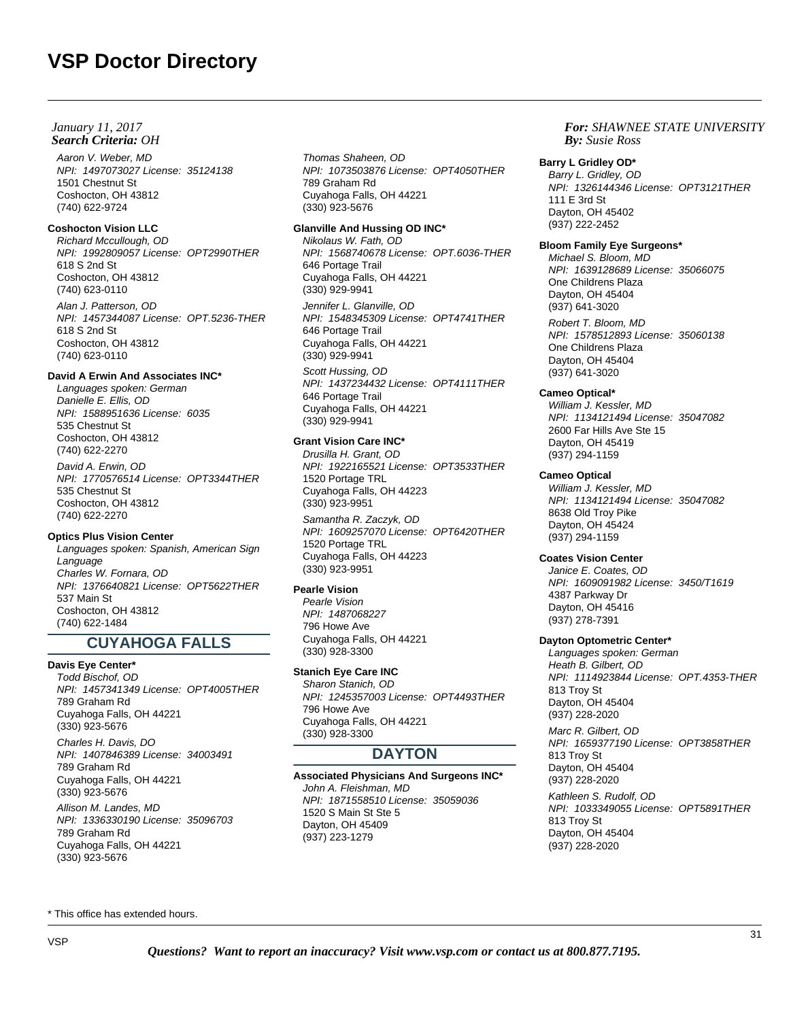## *Search Criteria: By: OHJanuary 11, 2017*

Aaron V. Weber, MD NPI: 1497073027 License: 35124138 1501 Chestnut St Coshocton, OH 43812 (740) 622-9724

# **Coshocton Vision LLC**

Richard Mccullough, OD NPI: 1992809057 License: OPT2990THER 618 S 2nd St Coshocton, OH 43812 (740) 623-0110 Alan J. Patterson, OD NPI: 1457344087 License: OPT.5236-THER

618 S 2nd St Coshocton, OH 43812 (740) 623-0110

## **David A Erwin And Associates INC\***

Languages spoken: German Danielle E. Ellis, OD NPI: 1588951636 License: 6035 535 Chestnut St Coshocton, OH 43812 (740) 622-2270 David A. Erwin, OD NPI: 1770576514 License: OPT3344THER

535 Chestnut St Coshocton, OH 43812 (740) 622-2270

#### **Optics Plus Vision Center**

Languages spoken: Spanish, American Sign Language Charles W. Fornara, OD NPI: 1376640821 License: OPT5622THER 537 Main St Coshocton, OH 43812 (740) 622-1484

# **CUYAHOGA FALLS**

#### **Davis Eye Center\***

Todd Bischof, OD NPI: 1457341349 License: OPT4005THER 789 Graham Rd Cuyahoga Falls, OH 44221 (330) 923-5676

Charles H. Davis, DO NPI: 1407846389 License: 34003491 789 Graham Rd Cuyahoga Falls, OH 44221 (330) 923-5676

Allison M. Landes, MD NPI: 1336330190 License: 35096703 789 Graham Rd Cuyahoga Falls, OH 44221 (330) 923-5676

Thomas Shaheen, OD NPI: 1073503876 License: OPT4050THER 789 Graham Rd Cuyahoga Falls, OH 44221 (330) 923-5676

#### **Glanville And Hussing OD INC\***

Nikolaus W. Fath, OD NPI: 1568740678 License: OPT.6036-THER 646 Portage Trail Cuyahoga Falls, OH 44221 (330) 929-9941

Jennifer L. Glanville, OD NPI: 1548345309 License: OPT4741THER 646 Portage Trail Cuyahoga Falls, OH 44221 (330) 929-9941

Scott Hussing, OD NPI: 1437234432 License: OPT4111THER 646 Portage Trail Cuyahoga Falls, OH 44221 (330) 929-9941

## **Grant Vision Care INC\***

Drusilla H. Grant, OD NPI: 1922165521 License: OPT3533THER 1520 Portage TRL Cuyahoga Falls, OH 44223 (330) 923-9951 Samantha R. Zaczyk, OD NPI: 1609257070 License: OPT6420THER 1520 Portage TRL

Cuyahoga Falls, OH 44223 (330) 923-9951

# **Pearle Vision**

Pearle Vision NPI: 1487068227 796 Howe Ave Cuyahoga Falls, OH 44221 (330) 928-3300

#### **Stanich Eye Care INC**

Sharon Stanich, OD NPI: 1245357003 License: OPT4493THER 796 Howe Ave Cuyahoga Falls, OH 44221 (330) 928-3300

# **DAYTON**

**Associated Physicians And Surgeons INC\*** John A. Fleishman, MD NPI: 1871558510 License: 35059036 1520 S Main St Ste 5 Dayton, OH 45409 (937) 223-1279

### *For: SHAWNEE STATE UNIVERSITY Susie Ross*

#### **Barry L Gridley OD\***

Barry L. Gridley, OD NPI: 1326144346 License: OPT3121THER 111 E 3rd St Dayton, OH 45402 (937) 222-2452

#### **Bloom Family Eye Surgeons\***

Michael S. Bloom, MD NPI: 1639128689 License: 35066075 One Childrens Plaza Dayton, OH 45404 (937) 641-3020

Robert T. Bloom, MD NPI: 1578512893 License: 35060138 One Childrens Plaza Dayton, OH 45404 (937) 641-3020

#### **Cameo Optical\***

William J. Kessler, MD NPI: 1134121494 License: 35047082 2600 Far Hills Ave Ste 15 Dayton, OH 45419 (937) 294-1159

#### **Cameo Optical**

William J. Kessler, MD NPI: 1134121494 License: 35047082 8638 Old Troy Pike Dayton, OH 45424 (937) 294-1159

# **Coates Vision Center**

Janice E. Coates, OD NPI: 1609091982 License: 3450/T1619 4387 Parkway Dr Dayton, OH 45416 (937) 278-7391

### **Dayton Optometric Center\***

(937) 228-2020

Languages spoken: German Heath B. Gilbert, OD NPI: 1114923844 License: OPT.4353-THER 813 Troy St Dayton, OH 45404 (937) 228-2020 Marc R. Gilbert, OD NPI: 1659377190 License: OPT3858THER 813 Troy St Dayton, OH 45404 (937) 228-2020 Kathleen S. Rudolf, OD NPI: 1033349055 License: OPT5891THER 813 Troy St Dayton, OH 45404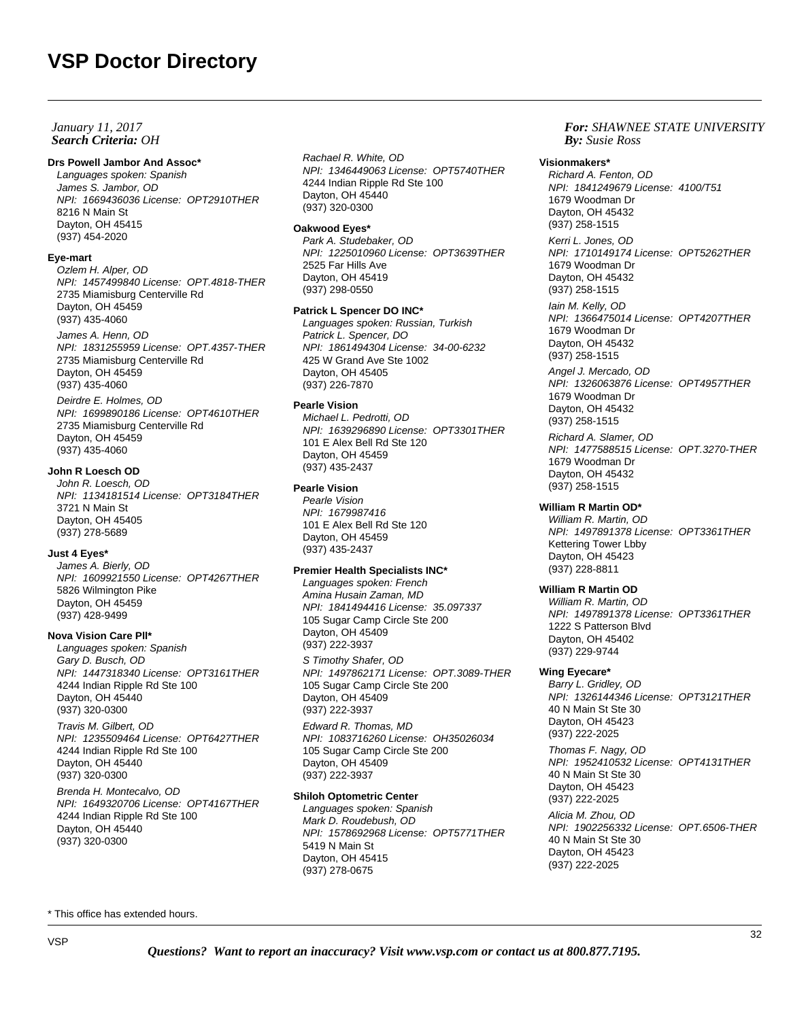#### **Drs Powell Jambor And Assoc\***

Languages spoken: Spanish James S. Jambor, OD NPI: 1669436036 License: OPT2910THER 8216 N Main St Dayton, OH 45415 (937) 454-2020

#### **Eye-mart**

Ozlem H. Alper, OD NPI: 1457499840 License: OPT.4818-THER 2735 Miamisburg Centerville Rd Dayton, OH 45459 (937) 435-4060

James A. Henn, OD NPI: 1831255959 License: OPT.4357-THER 2735 Miamisburg Centerville Rd Dayton, OH 45459 (937) 435-4060

Deirdre E. Holmes, OD NPI: 1699890186 License: OPT4610THER 2735 Miamisburg Centerville Rd Dayton, OH 45459 (937) 435-4060

# **John R Loesch OD**

John R. Loesch, OD NPI: 1134181514 License: OPT3184THER 3721 N Main St Dayton, OH 45405 (937) 278-5689

# **Just 4 Eyes\***

James A. Bierly, OD NPI: 1609921550 License: OPT4267THER 5826 Wilmington Pike Dayton, OH 45459 (937) 428-9499

## **Nova Vision Care Pll\***

Languages spoken: Spanish Gary D. Busch, OD NPI: 1447318340 License: OPT3161THER 4244 Indian Ripple Rd Ste 100 Dayton, OH 45440 (937) 320-0300

# Travis M. Gilbert, OD

NPI: 1235509464 License: OPT6427THER 4244 Indian Ripple Rd Ste 100 Dayton, OH 45440 (937) 320-0300 Brenda H. Montecalvo, OD NPI: 1649320706 License: OPT4167THER 4244 Indian Ripple Rd Ste 100

Dayton, OH 45440 (937) 320-0300

Rachael R. White, OD NPI: 1346449063 License: OPT5740THER 4244 Indian Ripple Rd Ste 100 Dayton, OH 45440 (937) 320-0300

#### **Oakwood Eyes\***

Park A. Studebaker, OD NPI: 1225010960 License: OPT3639THER 2525 Far Hills Ave Dayton, OH 45419 (937) 298-0550

## **Patrick L Spencer DO INC\***

Languages spoken: Russian, Turkish Patrick L. Spencer, DO NPI: 1861494304 License: 34-00-6232 425 W Grand Ave Ste 1002 Dayton, OH 45405 (937) 226-7870

#### **Pearle Vision**

Michael L. Pedrotti, OD NPI: 1639296890 License: OPT3301THER 101 E Alex Bell Rd Ste 120 Dayton, OH 45459 (937) 435-2437

# **Pearle Vision**

Pearle Vision NPI: 1679987416 101 E Alex Bell Rd Ste 120 Dayton, OH 45459 (937) 435-2437

### **Premier Health Specialists INC\***

Languages spoken: French Amina Husain Zaman, MD NPI: 1841494416 License: 35.097337 105 Sugar Camp Circle Ste 200 Dayton, OH 45409 (937) 222-3937

S Timothy Shafer, OD NPI: 1497862171 License: OPT.3089-THER 105 Sugar Camp Circle Ste 200 Dayton, OH 45409 (937) 222-3937

Edward R. Thomas, MD NPI: 1083716260 License: OH35026034 105 Sugar Camp Circle Ste 200 Dayton, OH 45409 (937) 222-3937

# **Shiloh Optometric Center**

Languages spoken: Spanish Mark D. Roudebush, OD NPI: 1578692968 License: OPT5771THER 5419 N Main St Dayton, OH 45415 (937) 278-0675

## *For: SHAWNEE STATE UNIVERSITY Susie Ross*

#### **Visionmakers\***

Richard A. Fenton, OD NPI: 1841249679 License: 4100/T51 1679 Woodman Dr Dayton, OH 45432 (937) 258-1515

Kerri L. Jones, OD NPI: 1710149174 License: OPT5262THER 1679 Woodman Dr Dayton, OH 45432 (937) 258-1515

Iain M. Kelly, OD NPI: 1366475014 License: OPT4207THER 1679 Woodman Dr Dayton, OH 45432 (937) 258-1515

Angel J. Mercado, OD NPI: 1326063876 License: OPT4957THER 1679 Woodman Dr Dayton, OH 45432 (937) 258-1515 Richard A. Slamer, OD

NPI: 1477588515 License: OPT.3270-THER 1679 Woodman Dr Dayton, OH 45432 (937) 258-1515

# **William R Martin OD\***

William R. Martin, OD NPI: 1497891378 License: OPT3361THER Kettering Tower Lbby Dayton, OH 45423 (937) 228-8811

# **William R Martin OD**

William R. Martin, OD NPI: 1497891378 License: OPT3361THER 1222 S Patterson Blvd Dayton, OH 45402 (937) 229-9744

### **Wing Eyecare\***

Barry L. Gridley, OD NPI: 1326144346 License: OPT3121THER 40 N Main St Ste 30 Dayton, OH 45423 (937) 222-2025 Thomas F. Nagy, OD NPI: 1952410532 License: OPT4131THER

40 N Main St Ste 30 Dayton, OH 45423 (937) 222-2025

Alicia M. Zhou, OD NPI: 1902256332 License: OPT.6506-THER 40 N Main St Ste 30 Dayton, OH 45423 (937) 222-2025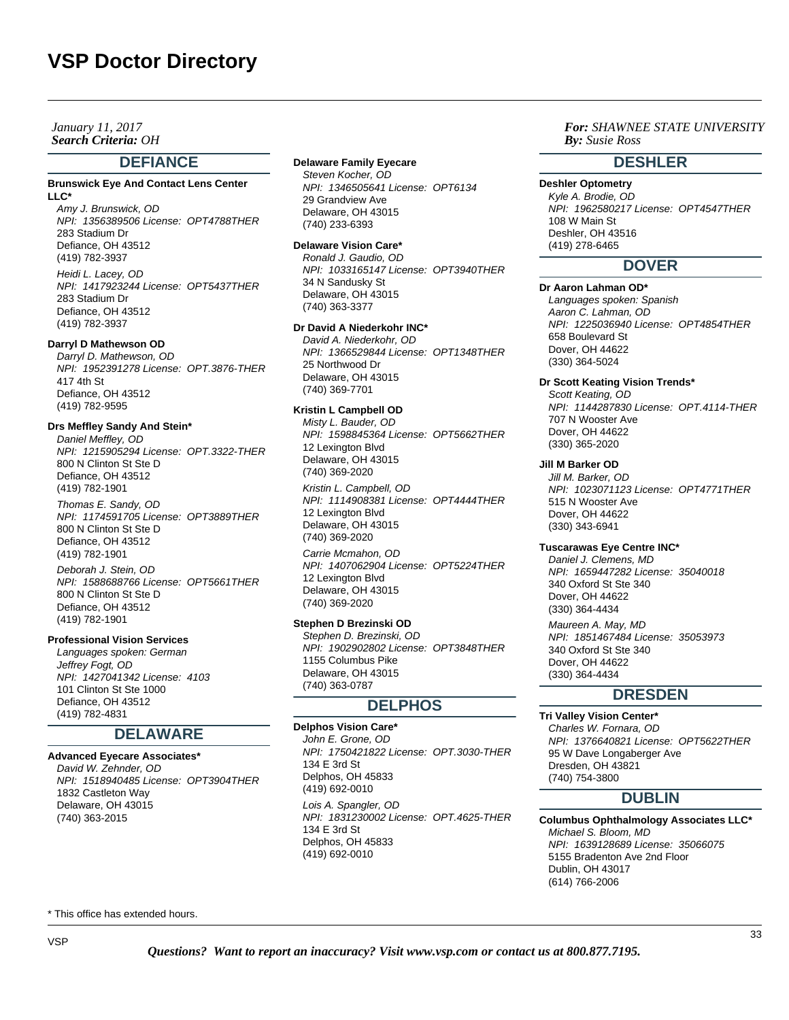# *Search Criteria: By: OHJanuary 11, 2017*

# **DEFIANCE**

#### **Brunswick Eye And Contact Lens Center LLC\***

Amy J. Brunswick, OD NPI: 1356389506 License: OPT4788THER 283 Stadium Dr Defiance, OH 43512 (419) 782-3937 Heidi L. Lacey, OD NPI: 1417923244 License: OPT5437THER 283 Stadium Dr Defiance, OH 43512 (419) 782-3937

## **Darryl D Mathewson OD**

Darryl D. Mathewson, OD NPI: 1952391278 License: OPT.3876-THER 417 4th St Defiance, OH 43512 (419) 782-9595

## **Drs Meffley Sandy And Stein\***

Daniel Meffley, OD NPI: 1215905294 License: OPT.3322-THER 800 N Clinton St Ste D Defiance, OH 43512 (419) 782-1901 Thomas E. Sandy, OD

NPI: 1174591705 License: OPT3889THER 800 N Clinton St Ste D Defiance, OH 43512 (419) 782-1901

Deborah J. Stein, OD NPI: 1588688766 License: OPT5661THER 800 N Clinton St Ste D Defiance, OH 43512 (419) 782-1901

#### **Professional Vision Services**

Languages spoken: German Jeffrey Fogt, OD NPI: 1427041342 License: 4103 101 Clinton St Ste 1000 Defiance, OH 43512 (419) 782-4831

# **DELAWARE**

# **Advanced Eyecare Associates\***

David W. Zehnder, OD NPI: 1518940485 License: OPT3904THER 1832 Castleton Way Delaware, OH 43015 (740) 363-2015

#### **Delaware Family Eyecare**

Steven Kocher, OD NPI: 1346505641 License: OPT6134 29 Grandview Ave Delaware, OH 43015 (740) 233-6393

#### **Delaware Vision Care\***

Ronald J. Gaudio, OD NPI: 1033165147 License: OPT3940THER 34 N Sandusky St Delaware, OH 43015 (740) 363-3377

# **Dr David A Niederkohr INC\***

David A. Niederkohr, OD NPI: 1366529844 License: OPT1348THER 25 Northwood Dr Delaware, OH 43015 (740) 369-7701

#### **Kristin L Campbell OD**

Misty L. Bauder, OD NPI: 1598845364 License: OPT5662THER 12 Lexington Blvd Delaware, OH 43015 (740) 369-2020

Kristin L. Campbell, OD NPI: 1114908381 License: OPT4444THER 12 Lexington Blvd Delaware, OH 43015 (740) 369-2020

Carrie Mcmahon, OD NPI: 1407062904 License: OPT5224THER 12 Lexington Blvd Delaware, OH 43015 (740) 369-2020

# **Stephen D Brezinski OD**

Stephen D. Brezinski, OD NPI: 1902902802 License: OPT3848THER 1155 Columbus Pike Delaware, OH 43015 (740) 363-0787

# **DELPHOS**

# **Delphos Vision Care\***

John E. Grone, OD NPI: 1750421822 License: OPT.3030-THER 134 E 3rd St Delphos, OH 45833 (419) 692-0010 Lois A. Spangler, OD NPI: 1831230002 License: OPT.4625-THER 134 E 3rd St Delphos, OH 45833 (419) 692-0010

## *For: SHAWNEE STATE UNIVERSITY Susie Ross*

# **DESHLER**

## **Deshler Optometry**

Kyle A. Brodie, OD NPI: 1962580217 License: OPT4547THER 108 W Main St Deshler, OH 43516 (419) 278-6465

# **DOVER**

## **Dr Aaron Lahman OD\***

Languages spoken: Spanish Aaron C. Lahman, OD NPI: 1225036940 License: OPT4854THER 658 Boulevard St Dover, OH 44622 (330) 364-5024

#### **Dr Scott Keating Vision Trends\***

Scott Keating, OD NPI: 1144287830 License: OPT.4114-THER 707 N Wooster Ave Dover, OH 44622 (330) 365-2020

# **Jill M Barker OD**

Jill M. Barker, OD NPI: 1023071123 License: OPT4771THER 515 N Wooster Ave Dover, OH 44622 (330) 343-6941

#### **Tuscarawas Eye Centre INC\***

Daniel J. Clemens, MD NPI: 1659447282 License: 35040018 340 Oxford St Ste 340 Dover, OH 44622 (330) 364-4434

Maureen A. May, MD NPI: 1851467484 License: 35053973 340 Oxford St Ste 340 Dover, OH 44622 (330) 364-4434

# **DRESDEN**

**Tri Valley Vision Center\*** Charles W. Fornara, OD NPI: 1376640821 License: OPT5622THER 95 W Dave Longaberger Ave Dresden, OH 43821 (740) 754-3800

# **DUBLIN**

**Columbus Ophthalmology Associates LLC\*** Michael S. Bloom, MD NPI: 1639128689 License: 35066075 5155 Bradenton Ave 2nd Floor Dublin, OH 43017 (614) 766-2006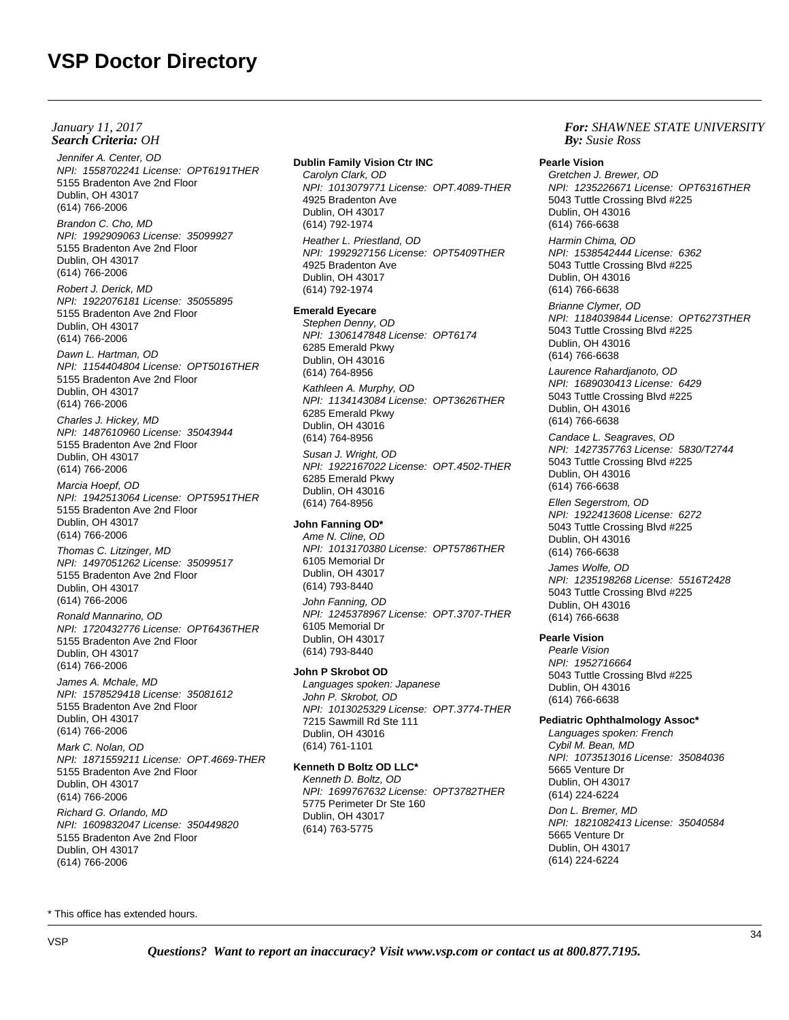Jennifer A. Center, OD NPI: 1558702241 License: OPT6191THER 5155 Bradenton Ave 2nd Floor Dublin, OH 43017 (614) 766-2006

Brandon C. Cho, MD NPI: 1992909063 License: 35099927 5155 Bradenton Ave 2nd Floor Dublin, OH 43017 (614) 766-2006

Robert J. Derick, MD NPI: 1922076181 License: 35055895 5155 Bradenton Ave 2nd Floor Dublin, OH 43017 (614) 766-2006

Dawn L. Hartman, OD NPI: 1154404804 License: OPT5016THER 5155 Bradenton Ave 2nd Floor Dublin, OH 43017 (614) 766-2006

Charles J. Hickey, MD NPI: 1487610960 License: 35043944 5155 Bradenton Ave 2nd Floor Dublin, OH 43017 (614) 766-2006

Marcia Hoepf, OD NPI: 1942513064 License: OPT5951THER 5155 Bradenton Ave 2nd Floor Dublin, OH 43017 (614) 766-2006

Thomas C. Litzinger, MD NPI: 1497051262 License: 35099517 5155 Bradenton Ave 2nd Floor Dublin, OH 43017 (614) 766-2006

Ronald Mannarino, OD NPI: 1720432776 License: OPT6436THER 5155 Bradenton Ave 2nd Floor Dublin, OH 43017 (614) 766-2006

James A. Mchale, MD NPI: 1578529418 License: 35081612 5155 Bradenton Ave 2nd Floor Dublin, OH 43017 (614) 766-2006

Mark C. Nolan, OD NPI: 1871559211 License: OPT.4669-THER 5155 Bradenton Ave 2nd Floor Dublin, OH 43017 (614) 766-2006 Richard G. Orlando, MD NPI: 1609832047 License: 350449820

5155 Bradenton Ave 2nd Floor Dublin, OH 43017 (614) 766-2006

### **Dublin Family Vision Ctr INC**

Carolyn Clark, OD NPI: 1013079771 License: OPT.4089-THER 4925 Bradenton Ave Dublin, OH 43017 (614) 792-1974 Heather L. Priestland, OD NPI: 1992927156 License: OPT5409THER 4925 Bradenton Ave Dublin, OH 43017 (614) 792-1974

#### **Emerald Eyecare**

Stephen Denny, OD NPI: 1306147848 License: OPT6174 6285 Emerald Pkwy Dublin, OH 43016 (614) 764-8956 Kathleen A. Murphy, OD NPI: 1134143084 License: OPT3626THER

6285 Emerald Pkwy Dublin, OH 43016 (614) 764-8956 Susan J. Wright, OD

NPI: 1922167022 License: OPT.4502-THER 6285 Emerald Pkwy Dublin, OH 43016 (614) 764-8956

# **John Fanning OD\***

Ame N. Cline, OD NPI: 1013170380 License: OPT5786THER 6105 Memorial Dr Dublin, OH 43017 (614) 793-8440 John Fanning, OD

NPI: 1245378967 License: OPT.3707-THER 6105 Memorial Dr Dublin, OH 43017 (614) 793-8440

#### **John P Skrobot OD**

Languages spoken: Japanese John P. Skrobot, OD NPI: 1013025329 License: OPT.3774-THER 7215 Sawmill Rd Ste 111 Dublin, OH 43016 (614) 761-1101

# **Kenneth D Boltz OD LLC\***

Kenneth D. Boltz, OD NPI: 1699767632 License: OPT3782THER 5775 Perimeter Dr Ste 160 Dublin, OH 43017 (614) 763-5775

## *For: SHAWNEE STATE UNIVERSITY Susie Ross*

#### **Pearle Vision**

Gretchen J. Brewer, OD NPI: 1235226671 License: OPT6316THER 5043 Tuttle Crossing Blvd #225 Dublin, OH 43016 (614) 766-6638

Harmin Chima, OD NPI: 1538542444 License: 6362 5043 Tuttle Crossing Blvd #225 Dublin, OH 43016 (614) 766-6638

Brianne Clymer, OD NPI: 1184039844 License: OPT6273THER 5043 Tuttle Crossing Blvd #225 Dublin, OH 43016 (614) 766-6638

Laurence Rahardjanoto, OD NPI: 1689030413 License: 6429 5043 Tuttle Crossing Blvd #225 Dublin, OH 43016 (614) 766-6638

Candace L. Seagraves, OD NPI: 1427357763 License: 5830/T2744 5043 Tuttle Crossing Blvd #225 Dublin, OH 43016 (614) 766-6638

Ellen Segerstrom, OD NPI: 1922413608 License: 6272 5043 Tuttle Crossing Blvd #225 Dublin, OH 43016 (614) 766-6638

James Wolfe, OD NPI: 1235198268 License: 5516T2428 5043 Tuttle Crossing Blvd #225 Dublin, OH 43016 (614) 766-6638

## **Pearle Vision**

Pearle Vision NPI: 1952716664 5043 Tuttle Crossing Blvd #225 Dublin, OH 43016 (614) 766-6638

## **Pediatric Ophthalmology Assoc\***

Languages spoken: French Cybil M. Bean, MD NPI: 1073513016 License: 35084036 5665 Venture Dr Dublin, OH 43017 (614) 224-6224 Don L. Bremer, MD NPI: 1821082413 License: 35040584 5665 Venture Dr Dublin, OH 43017 (614) 224-6224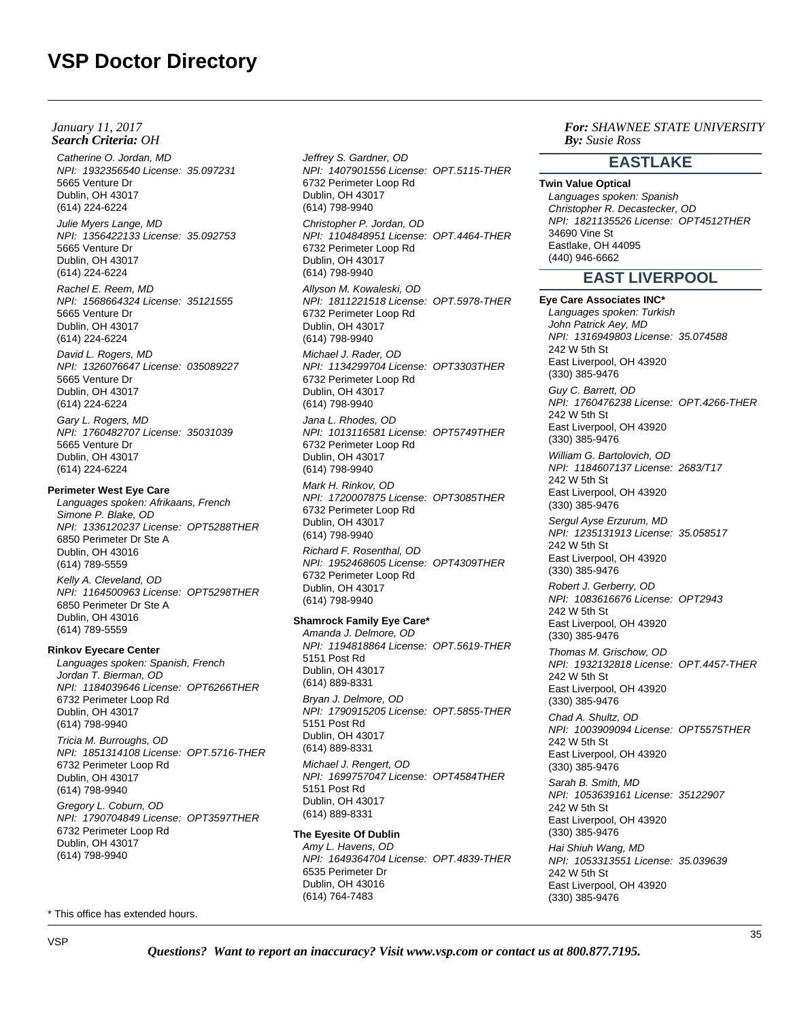Catherine O. Jordan, MD NPI: 1932356540 License: 35.097231 5665 Venture Dr Dublin, OH 43017 (614) 224-6224

Julie Myers Lange, MD NPI: 1356422133 License: 35.092753 5665 Venture Dr Dublin, OH 43017 (614) 224-6224

Rachel E. Reem, MD NPI: 1568664324 License: 35121555 5665 Venture Dr Dublin, OH 43017 (614) 224-6224

David L. Rogers, MD NPI: 1326076647 License: 035089227 5665 Venture Dr Dublin, OH 43017 (614) 224-6224

Gary L. Rogers, MD NPI: 1760482707 License: 35031039 5665 Venture Dr Dublin, OH 43017 (614) 224-6224

### **Perimeter West Eye Care**

Languages spoken: Afrikaans, French Simone P. Blake, OD NPI: 1336120237 License: OPT5288THER 6850 Perimeter Dr Ste A Dublin, OH 43016 (614) 789-5559 Kelly A. Cleveland, OD

NPI: 1164500963 License: OPT5298THER 6850 Perimeter Dr Ste A Dublin, OH 43016 (614) 789-5559

# **Rinkov Eyecare Center**

Languages spoken: Spanish, French Jordan T. Bierman, OD NPI: 1184039646 License: OPT6266THER 6732 Perimeter Loop Rd Dublin, OH 43017 (614) 798-9940

Tricia M. Burroughs, OD NPI: 1851314108 License: OPT.5716-THER 6732 Perimeter Loop Rd Dublin, OH 43017 (614) 798-9940 Gregory L. Coburn, OD NPI: 1790704849 License: OPT3597THER

6732 Perimeter Loop Rd Dublin, OH 43017 (614) 798-9940

Jeffrey S. Gardner, OD NPI: 1407901556 License: OPT.5115-THER 6732 Perimeter Loop Rd Dublin, OH 43017 (614) 798-9940 Christopher P. Jordan, OD NPI: 1104848951 License: OPT.4464-THER 6732 Perimeter Loop Rd Dublin, OH 43017 (614) 798-9940 Allyson M. Kowaleski, OD NPI: 1811221518 License: OPT.5978-THER 6732 Perimeter Loop Rd Dublin, OH 43017 (614) 798-9940

Michael J. Rader, OD NPI: 1134299704 License: OPT3303THER 6732 Perimeter Loop Rd Dublin, OH 43017 (614) 798-9940

Jana L. Rhodes, OD NPI: 1013116581 License: OPT5749THER 6732 Perimeter Loop Rd Dublin, OH 43017 (614) 798-9940

Mark H. Rinkov, OD NPI: 1720007875 License: OPT3085THER 6732 Perimeter Loop Rd Dublin, OH 43017 (614) 798-9940

Richard F. Rosenthal, OD NPI: 1952468605 License: OPT4309THER 6732 Perimeter Loop Rd Dublin, OH 43017 (614) 798-9940

## **Shamrock Family Eye Care\***

Amanda J. Delmore, OD NPI: 1194818864 License: OPT.5619-THER 5151 Post Rd Dublin, OH 43017 (614) 889-8331 Bryan J. Delmore, OD NPI: 1790915205 License: OPT.5855-THER 5151 Post Rd Dublin, OH 43017 (614) 889-8331 Michael J. Rengert, OD NPI: 1699757047 License: OPT4584THER 5151 Post Rd Dublin, OH 43017 (614) 889-8331

### **The Eyesite Of Dublin**

Amy L. Havens, OD NPI: 1649364704 License: OPT.4839-THER 6535 Perimeter Dr Dublin, OH 43016 (614) 764-7483

*For: SHAWNEE STATE UNIVERSITY Susie Ross*

# **EASTLAKE**

**Twin Value Optical** Languages spoken: Spanish Christopher R. Decastecker, OD NPI: 1821135526 License: OPT4512THER 34690 Vine St Eastlake, OH 44095 (440) 946-6662

# **EAST LIVERPOOL**

**Eye Care Associates INC\*** Languages spoken: Turkish John Patrick Aey, MD NPI: 1316949803 License: 35.074588 242 W 5th St East Liverpool, OH 43920 (330) 385-9476 Guy C. Barrett, OD NPI: 1760476238 License: OPT.4266-THER 242 W 5th St East Liverpool, OH 43920 (330) 385-9476 William G. Bartolovich, OD NPI: 1184607137 License: 2683/T17 242 W 5th St East Liverpool, OH 43920 (330) 385-9476 Sergul Ayse Erzurum, MD NPI: 1235131913 License: 35.058517 242 W 5th St East Liverpool, OH 43920 (330) 385-9476 Robert J. Gerberry, OD NPI: 1083616676 License: OPT2943 242 W 5th St East Liverpool, OH 43920 (330) 385-9476 Thomas M. Grischow, OD NPI: 1932132818 License: OPT.4457-THER 242 W 5th St East Liverpool, OH 43920 (330) 385-9476 Chad A. Shultz, OD NPI: 1003909094 License: OPT5575THER 242 W 5th St East Liverpool, OH 43920 (330) 385-9476 Sarah B. Smith, MD NPI: 1053639161 License: 35122907 242 W 5th St East Liverpool, OH 43920 (330) 385-9476 Hai Shiuh Wang, MD NPI: 1053313551 License: 35.039639 242 W 5th St East Liverpool, OH 43920 (330) 385-9476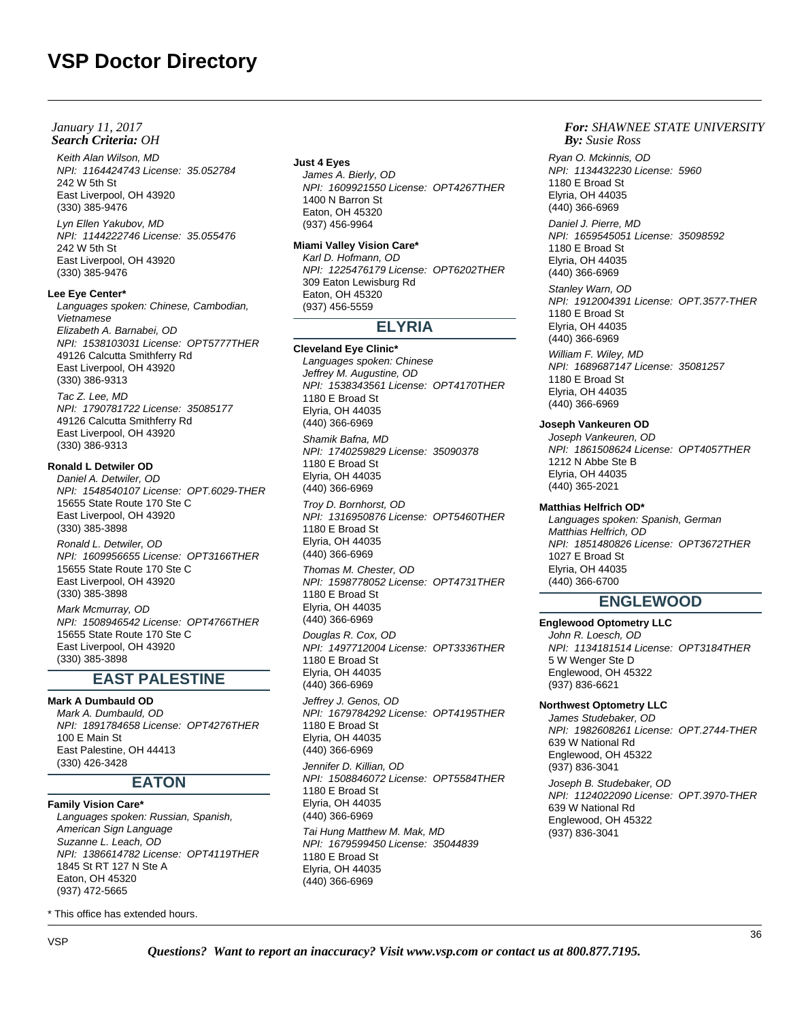Keith Alan Wilson, MD NPI: 1164424743 License: 35.052784 242 W 5th St East Liverpool, OH 43920 (330) 385-9476 Lyn Ellen Yakubov, MD NPI: 1144222746 License: 35.055476 242 W 5th St East Liverpool, OH 43920 (330) 385-9476

### **Lee Eye Center\***

Languages spoken: Chinese, Cambodian, Vietnamese Elizabeth A. Barnabei, OD NPI: 1538103031 License: OPT5777THER 49126 Calcutta Smithferry Rd East Liverpool, OH 43920 (330) 386-9313

Tac Z. Lee, MD NPI: 1790781722 License: 35085177 49126 Calcutta Smithferry Rd East Liverpool, OH 43920 (330) 386-9313

# **Ronald L Detwiler OD**

Daniel A. Detwiler, OD NPI: 1548540107 License: OPT.6029-THER 15655 State Route 170 Ste C East Liverpool, OH 43920 (330) 385-3898

Ronald L. Detwiler, OD NPI: 1609956655 License: OPT3166THER 15655 State Route 170 Ste C East Liverpool, OH 43920 (330) 385-3898

Mark Mcmurray, OD NPI: 1508946542 License: OPT4766THER 15655 State Route 170 Ste C East Liverpool, OH 43920 (330) 385-3898

# **EAST PALESTINE**

**Mark A Dumbauld OD** Mark A. Dumbauld, OD NPI: 1891784658 License: OPT4276THER 100 E Main St East Palestine, OH 44413 (330) 426-3428

# **EATON**

**Family Vision Care\*** Languages spoken: Russian, Spanish, American Sign Language Suzanne L. Leach, OD NPI: 1386614782 License: OPT4119THER 1845 St RT 127 N Ste A Eaton, OH 45320 (937) 472-5665

\* This office has extended hours.

#### **Just 4 Eyes**

James A. Bierly, OD NPI: 1609921550 License: OPT4267THER 1400 N Barron St Eaton, OH 45320 (937) 456-9964

## **Miami Valley Vision Care\***

Karl D. Hofmann, OD NPI: 1225476179 License: OPT6202THER 309 Eaton Lewisburg Rd Eaton, OH 45320 (937) 456-5559

# **ELYRIA**

### **Cleveland Eye Clinic\***

Languages spoken: Chinese Jeffrey M. Augustine, OD NPI: 1538343561 License: OPT4170THER 1180 E Broad St Elyria, OH 44035 (440) 366-6969 Shamik Bafna, MD NPI: 1740259829 License: 35090378 1180 E Broad St Elyria, OH 44035 (440) 366-6969 Troy D. Bornhorst, OD

NPI: 1316950876 License: OPT5460THER 1180 E Broad St Elyria, OH 44035 (440) 366-6969

Thomas M. Chester, OD NPI: 1598778052 License: OPT4731THER 1180 E Broad St Elyria, OH 44035 (440) 366-6969

Douglas R. Cox, OD NPI: 1497712004 License: OPT3336THER 1180 E Broad St Elyria, OH 44035 (440) 366-6969

Jeffrey J. Genos, OD NPI: 1679784292 License: OPT4195THER 1180 E Broad St Elyria, OH 44035 (440) 366-6969

Jennifer D. Killian, OD NPI: 1508846072 License: OPT5584THER 1180 E Broad St Elyria, OH 44035 (440) 366-6969

Tai Hung Matthew M. Mak, MD NPI: 1679599450 License: 35044839 1180 E Broad St Elyria, OH 44035 (440) 366-6969

## *For: SHAWNEE STATE UNIVERSITY Susie Ross*

Ryan O. Mckinnis, OD NPI: 1134432230 License: 5960 1180 E Broad St Elyria, OH 44035 (440) 366-6969

Daniel J. Pierre, MD NPI: 1659545051 License: 35098592 1180 E Broad St Elyria, OH 44035 (440) 366-6969

Stanley Warn, OD NPI: 1912004391 License: OPT.3577-THER 1180 E Broad St Elyria, OH 44035 (440) 366-6969

William F. Wiley, MD NPI: 1689687147 License: 35081257 1180 E Broad St Elyria, OH 44035 (440) 366-6969

## **Joseph Vankeuren OD**

Joseph Vankeuren, OD NPI: 1861508624 License: OPT4057THER 1212 N Abbe Ste B Elyria, OH 44035 (440) 365-2021

#### **Matthias Helfrich OD\***

Languages spoken: Spanish, German Matthias Helfrich, OD NPI: 1851480826 License: OPT3672THER 1027 E Broad St Elyria, OH 44035 (440) 366-6700

# **ENGLEWOOD**

# **Englewood Optometry LLC**

John R. Loesch, OD NPI: 1134181514 License: OPT3184THER 5 W Wenger Ste D Englewood, OH 45322 (937) 836-6621

#### **Northwest Optometry LLC**

James Studebaker, OD NPI: 1982608261 License: OPT.2744-THER 639 W National Rd Englewood, OH 45322 (937) 836-3041

Joseph B. Studebaker, OD NPI: 1124022090 License: OPT.3970-THER 639 W National Rd Englewood, OH 45322 (937) 836-3041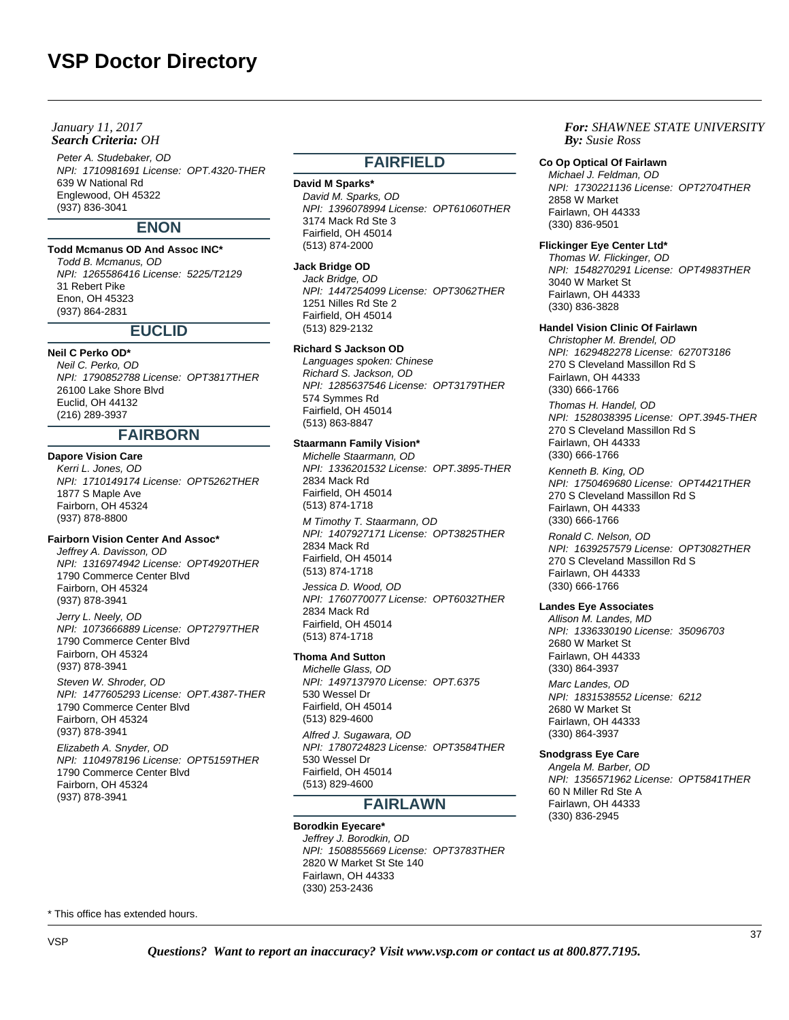## *Search Criteria: By: OHJanuary 11, 2017*

Peter A. Studebaker, OD NPI: 1710981691 License: OPT.4320-THER 639 W National Rd Englewood, OH 45322 (937) 836-3041

# **ENON**

# **Todd Mcmanus OD And Assoc INC\***

Todd B. Mcmanus, OD NPI: 1265586416 License: 5225/T2129 31 Rebert Pike Enon, OH 45323 (937) 864-2831

# **EUCLID**

# **Neil C Perko OD\***

Neil C. Perko, OD NPI: 1790852788 License: OPT3817THER 26100 Lake Shore Blvd Euclid, OH 44132 (216) 289-3937

# **FAIRBORN**

## **Dapore Vision Care**

Kerri L. Jones, OD NPI: 1710149174 License: OPT5262THER 1877 S Maple Ave Fairborn, OH 45324 (937) 878-8800

## **Fairborn Vision Center And Assoc\***

Jeffrey A. Davisson, OD NPI: 1316974942 License: OPT4920THER 1790 Commerce Center Blvd Fairborn, OH 45324 (937) 878-3941 Jerry L. Neely, OD

NPI: 1073666889 License: OPT2797THER 1790 Commerce Center Blvd Fairborn, OH 45324 (937) 878-3941 Steven W. Shroder, OD NPI: 1477605293 License: OPT.4387-THER

1790 Commerce Center Blvd Fairborn, OH 45324 (937) 878-3941

Elizabeth A. Snyder, OD NPI: 1104978196 License: OPT5159THER 1790 Commerce Center Blvd Fairborn, OH 45324 (937) 878-3941

# **FAIRFIELD**

**David M Sparks\*** David M. Sparks, OD NPI: 1396078994 License: OPT61060THER 3174 Mack Rd Ste 3 Fairfield, OH 45014 (513) 874-2000

#### **Jack Bridge OD**

Jack Bridge, OD NPI: 1447254099 License: OPT3062THER 1251 Nilles Rd Ste 2 Fairfield, OH 45014 (513) 829-2132

#### **Richard S Jackson OD**

Languages spoken: Chinese Richard S. Jackson, OD NPI: 1285637546 License: OPT3179THER 574 Symmes Rd Fairfield, OH 45014 (513) 863-8847

# **Staarmann Family Vision\***

Michelle Staarmann, OD NPI: 1336201532 License: OPT.3895-THER 2834 Mack Rd Fairfield, OH 45014 (513) 874-1718

M Timothy T. Staarmann, OD NPI: 1407927171 License: OPT3825THER 2834 Mack Rd Fairfield, OH 45014 (513) 874-1718

Jessica D. Wood, OD NPI: 1760770077 License: OPT6032THER 2834 Mack Rd Fairfield, OH 45014 (513) 874-1718

# **Thoma And Sutton**

Michelle Glass, OD NPI: 1497137970 License: OPT.6375 530 Wessel Dr Fairfield, OH 45014 (513) 829-4600

Alfred J. Sugawara, OD NPI: 1780724823 License: OPT3584THER 530 Wessel Dr Fairfield, OH 45014 (513) 829-4600

# **FAIRLAWN**

## **Borodkin Eyecare\***

Jeffrey J. Borodkin, OD NPI: 1508855669 License: OPT3783THER 2820 W Market St Ste 140 Fairlawn, OH 44333 (330) 253-2436

## *For: SHAWNEE STATE UNIVERSITY Susie Ross*

#### **Co Op Optical Of Fairlawn**

Michael J. Feldman, OD NPI: 1730221136 License: OPT2704THER 2858 W Market Fairlawn, OH 44333 (330) 836-9501

## **Flickinger Eye Center Ltd\***

Thomas W. Flickinger, OD NPI: 1548270291 License: OPT4983THER 3040 W Market St Fairlawn, OH 44333 (330) 836-3828

## **Handel Vision Clinic Of Fairlawn**

Christopher M. Brendel, OD NPI: 1629482278 License: 6270T3186 270 S Cleveland Massillon Rd S Fairlawn, OH 44333 (330) 666-1766

Thomas H. Handel, OD NPI: 1528038395 License: OPT.3945-THER 270 S Cleveland Massillon Rd S Fairlawn, OH 44333 (330) 666-1766

Kenneth B. King, OD NPI: 1750469680 License: OPT4421THER 270 S Cleveland Massillon Rd S Fairlawn, OH 44333 (330) 666-1766 Ronald C. Nelson, OD

NPI: 1639257579 License: OPT3082THER 270 S Cleveland Massillon Rd S Fairlawn, OH 44333 (330) 666-1766

## **Landes Eye Associates**

Allison M. Landes, MD NPI: 1336330190 License: 35096703 2680 W Market St Fairlawn, OH 44333 (330) 864-3937 Marc Landes, OD NPI: 1831538552 License: 6212 2680 W Market St Fairlawn, OH 44333 (330) 864-3937

#### **Snodgrass Eye Care**

Angela M. Barber, OD NPI: 1356571962 License: OPT5841THER 60 N Miller Rd Ste A Fairlawn, OH 44333 (330) 836-2945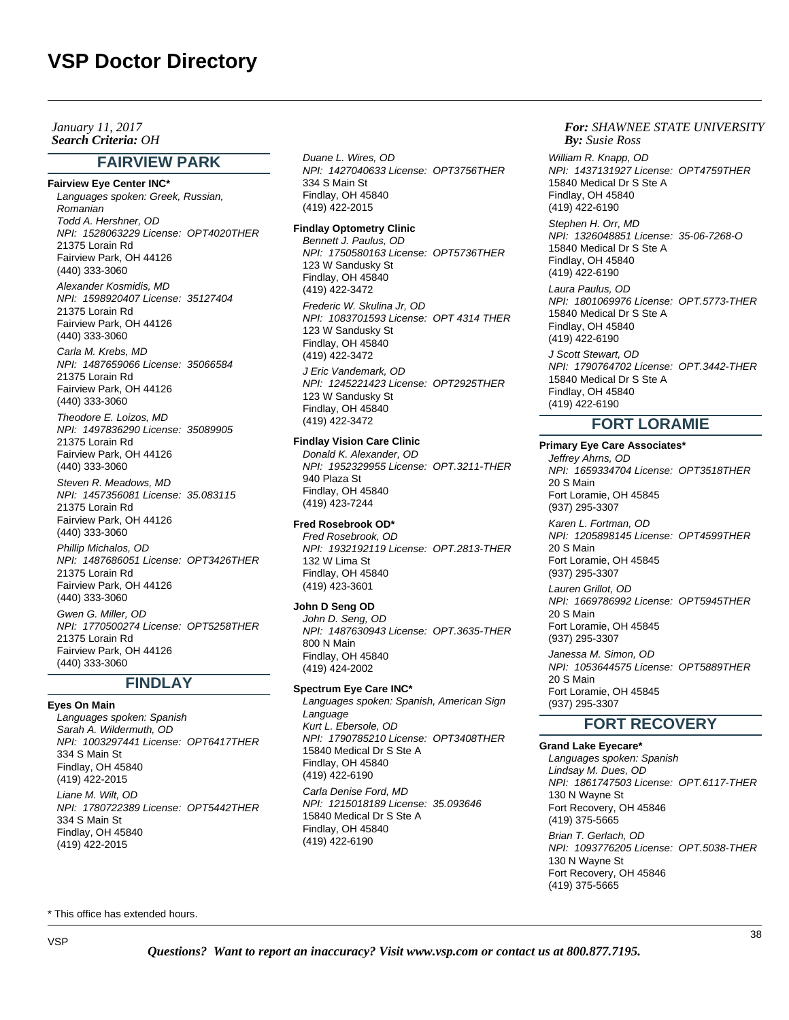*Search Criteria: By: OHJanuary 11, 2017*

# **FAIRVIEW PARK**

**Fairview Eye Center INC\*** Languages spoken: Greek, Russian, Romanian Todd A. Hershner, OD NPI: 1528063229 License: OPT4020THER 21375 Lorain Rd Fairview Park, OH 44126 (440) 333-3060 Alexander Kosmidis, MD NPI: 1598920407 License: 35127404 21375 Lorain Rd Fairview Park, OH 44126 (440) 333-3060 Carla M. Krebs, MD NPI: 1487659066 License: 35066584 21375 Lorain Rd Fairview Park, OH 44126 (440) 333-3060 Theodore E. Loizos, MD NPI: 1497836290 License: 35089905 21375 Lorain Rd Fairview Park, OH 44126 (440) 333-3060 Steven R. Meadows, MD NPI: 1457356081 License: 35.083115 21375 Lorain Rd Fairview Park, OH 44126 (440) 333-3060 Phillip Michalos, OD NPI: 1487686051 License: OPT3426THER 21375 Lorain Rd Fairview Park, OH 44126 (440) 333-3060

Gwen G. Miller, OD NPI: 1770500274 License: OPT5258THER 21375 Lorain Rd Fairview Park, OH 44126 (440) 333-3060

# **FINDLAY**

## **Eyes On Main**

Languages spoken: Spanish Sarah A. Wildermuth, OD NPI: 1003297441 License: OPT6417THER 334 S Main St Findlay, OH 45840 (419) 422-2015 Liane M. Wilt, OD NPI: 1780722389 License: OPT5442THER 334 S Main St Findlay, OH 45840 (419) 422-2015

Duane L. Wires, OD NPI: 1427040633 License: OPT3756THER 334 S Main St Findlay, OH 45840 (419) 422-2015

## **Findlay Optometry Clinic**

Bennett J. Paulus, OD NPI: 1750580163 License: OPT5736THER 123 W Sandusky St Findlay, OH 45840 (419) 422-3472 Frederic W. Skulina Jr, OD NPI: 1083701593 License: OPT 4314 THER 123 W Sandusky St Findlay, OH 45840 (419) 422-3472 J Eric Vandemark, OD NPI: 1245221423 License: OPT2925THER

123 W Sandusky St Findlay, OH 45840 (419) 422-3472

# **Findlay Vision Care Clinic**

Donald K. Alexander, OD NPI: 1952329955 License: OPT.3211-THER 940 Plaza St Findlay, OH 45840 (419) 423-7244

#### **Fred Rosebrook OD\***

Fred Rosebrook, OD NPI: 1932192119 License: OPT.2813-THER 132 W Lima St Findlay, OH 45840 (419) 423-3601

#### **John D Seng OD**

John D. Seng, OD NPI: 1487630943 License: OPT.3635-THER 800 N Main Findlay, OH 45840 (419) 424-2002

#### **Spectrum Eye Care INC\***

Languages spoken: Spanish, American Sign Language Kurt L. Ebersole, OD NPI: 1790785210 License: OPT3408THER 15840 Medical Dr S Ste A Findlay, OH 45840 (419) 422-6190 Carla Denise Ford, MD NPI: 1215018189 License: 35.093646 15840 Medical Dr S Ste A Findlay, OH 45840 (419) 422-6190

## *For: SHAWNEE STATE UNIVERSITY Susie Ross*

William R. Knapp, OD NPI: 1437131927 License: OPT4759THER 15840 Medical Dr S Ste A Findlay, OH 45840 (419) 422-6190

Stephen H. Orr, MD NPI: 1326048851 License: 35-06-7268-O 15840 Medical Dr S Ste A Findlay, OH 45840 (419) 422-6190

Laura Paulus, OD NPI: 1801069976 License: OPT.5773-THER 15840 Medical Dr S Ste A Findlay, OH 45840 (419) 422-6190

J Scott Stewart, OD NPI: 1790764702 License: OPT.3442-THER 15840 Medical Dr S Ste A Findlay, OH 45840 (419) 422-6190

# **FORT LORAMIE**

## **Primary Eye Care Associates\***

Jeffrey Ahrns, OD NPI: 1659334704 License: OPT3518THER 20 S Main Fort Loramie, OH 45845 (937) 295-3307

Karen L. Fortman, OD NPI: 1205898145 License: OPT4599THER 20 S Main Fort Loramie, OH 45845 (937) 295-3307

Lauren Grillot, OD NPI: 1669786992 License: OPT5945THER 20 S Main Fort Loramie, OH 45845 (937) 295-3307 Janessa M. Simon, OD NPI: 1053644575 License: OPT5889THER 20 S Main Fort Loramie, OH 45845 (937) 295-3307

# **FORT RECOVERY**

**Grand Lake Eyecare\***

Languages spoken: Spanish Lindsay M. Dues, OD NPI: 1861747503 License: OPT.6117-THER 130 N Wayne St Fort Recovery, OH 45846 (419) 375-5665 Brian T. Gerlach, OD NPI: 1093776205 License: OPT.5038-THER 130 N Wayne St Fort Recovery, OH 45846 (419) 375-5665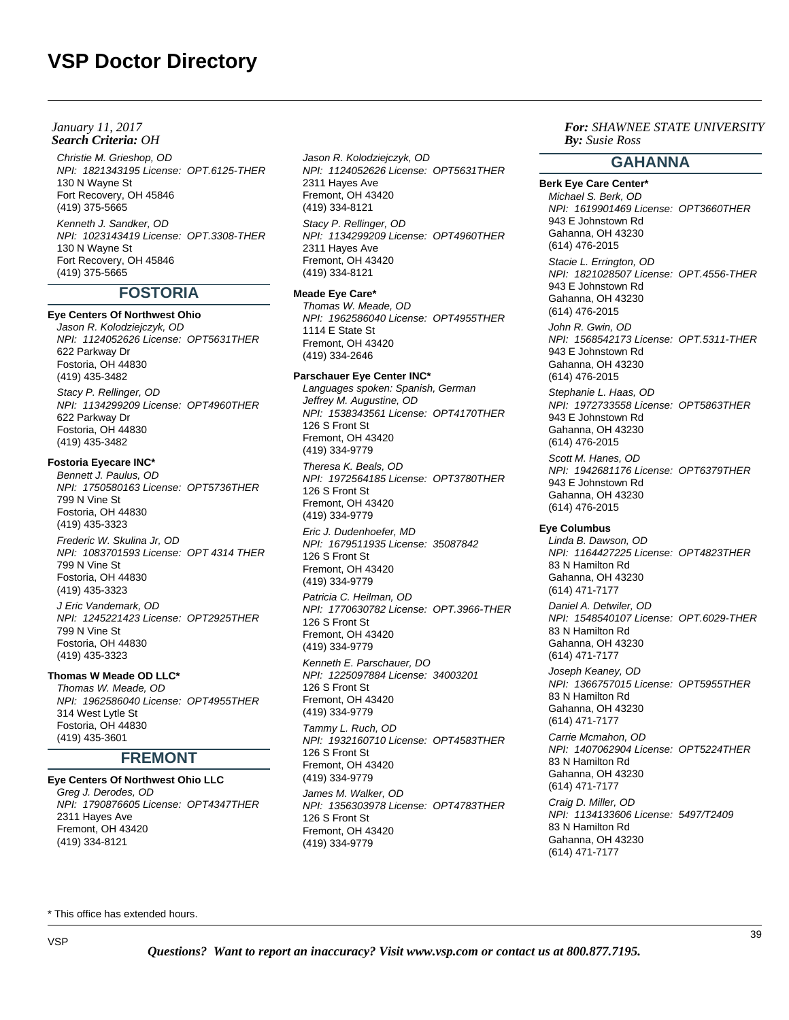Christie M. Grieshop, OD NPI: 1821343195 License: OPT.6125-THER 130 N Wayne St Fort Recovery, OH 45846 (419) 375-5665 Kenneth J. Sandker, OD NPI: 1023143419 License: OPT.3308-THER 130 N Wayne St Fort Recovery, OH 45846 (419) 375-5665

# **FOSTORIA**

## **Eye Centers Of Northwest Ohio**

Jason R. Kolodziejczyk, OD NPI: 1124052626 License: OPT5631THER 622 Parkway Dr Fostoria, OH 44830 (419) 435-3482 Stacy P. Rellinger, OD NPI: 1134299209 License: OPT4960THER 622 Parkway Dr Fostoria, OH 44830 (419) 435-3482

## **Fostoria Eyecare INC\***

Bennett J. Paulus, OD NPI: 1750580163 License: OPT5736THER 799 N Vine St Fostoria, OH 44830 (419) 435-3323

Frederic W. Skulina Jr, OD NPI: 1083701593 License: OPT 4314 THER 799 N Vine St Fostoria, OH 44830 (419) 435-3323 J Eric Vandemark, OD NPI: 1245221423 License: OPT2925THER 799 N Vine St Fostoria, OH 44830 (419) 435-3323

## **Thomas W Meade OD LLC\***

Thomas W. Meade, OD NPI: 1962586040 License: OPT4955THER 314 West Lytle St Fostoria, OH 44830 (419) 435-3601

# **FREMONT**

**Eye Centers Of Northwest Ohio LLC** Greg J. Derodes, OD NPI: 1790876605 License: OPT4347THER 2311 Hayes Ave Fremont, OH 43420 (419) 334-8121

Jason R. Kolodziejczyk, OD NPI: 1124052626 License: OPT5631THER 2311 Hayes Ave Fremont, OH 43420 (419) 334-8121 Stacy P. Rellinger, OD NPI: 1134299209 License: OPT4960THER 2311 Hayes Ave Fremont, OH 43420 (419) 334-8121

## **Meade Eye Care\***

Thomas W. Meade, OD NPI: 1962586040 License: OPT4955THER 1114 E State St Fremont, OH 43420 (419) 334-2646

## **Parschauer Eye Center INC\***

Languages spoken: Spanish, German Jeffrey M. Augustine, OD NPI: 1538343561 License: OPT4170THER 126 S Front St Fremont, OH 43420 (419) 334-9779

Theresa K. Beals, OD NPI: 1972564185 License: OPT3780THER 126 S Front St Fremont, OH 43420 (419) 334-9779

Eric J. Dudenhoefer, MD NPI: 1679511935 License: 35087842 126 S Front St Fremont, OH 43420 (419) 334-9779

Patricia C. Heilman, OD NPI: 1770630782 License: OPT.3966-THER 126 S Front St Fremont, OH 43420 (419) 334-9779

Kenneth E. Parschauer, DO NPI: 1225097884 License: 34003201 126 S Front St Fremont, OH 43420 (419) 334-9779 Tammy L. Ruch, OD

NPI: 1932160710 License: OPT4583THER 126 S Front St Fremont, OH 43420 (419) 334-9779

James M. Walker, OD NPI: 1356303978 License: OPT4783THER 126 S Front St Fremont, OH 43420 (419) 334-9779

## *For: SHAWNEE STATE UNIVERSITY Susie Ross*

# **GAHANNA**

**Berk Eye Care Center\*** Michael S. Berk, OD NPI: 1619901469 License: OPT3660THER 943 E Johnstown Rd Gahanna, OH 43230 (614) 476-2015

Stacie L. Errington, OD NPI: 1821028507 License: OPT.4556-THER 943 E Johnstown Rd Gahanna, OH 43230 (614) 476-2015

John R. Gwin, OD NPI: 1568542173 License: OPT.5311-THER 943 E Johnstown Rd Gahanna, OH 43230 (614) 476-2015

Stephanie L. Haas, OD NPI: 1972733558 License: OPT5863THER 943 E Johnstown Rd Gahanna, OH 43230 (614) 476-2015

Scott M. Hanes, OD NPI: 1942681176 License: OPT6379THER 943 E Johnstown Rd Gahanna, OH 43230 (614) 476-2015

## **Eye Columbus**

Linda B. Dawson, OD NPI: 1164427225 License: OPT4823THER 83 N Hamilton Rd Gahanna, OH 43230 (614) 471-7177 Daniel A. Detwiler, OD

NPI: 1548540107 License: OPT.6029-THER 83 N Hamilton Rd Gahanna, OH 43230 (614) 471-7177

Joseph Keaney, OD NPI: 1366757015 License: OPT5955THER 83 N Hamilton Rd Gahanna, OH 43230 (614) 471-7177

Carrie Mcmahon, OD NPI: 1407062904 License: OPT5224THER 83 N Hamilton Rd Gahanna, OH 43230 (614) 471-7177

Craig D. Miller, OD NPI: 1134133606 License: 5497/T2409 83 N Hamilton Rd Gahanna, OH 43230 (614) 471-7177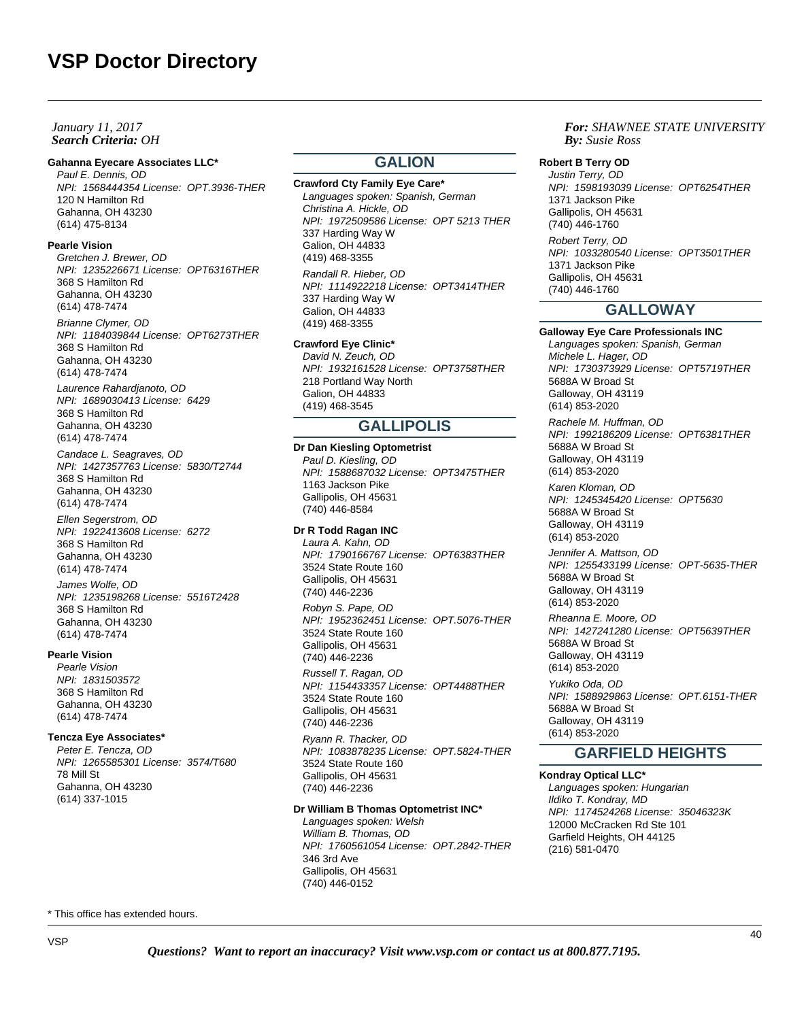## *Search Criteria: By: OHJanuary 11, 2017*

#### **Gahanna Eyecare Associates LLC\***

Paul E. Dennis, OD NPI: 1568444354 License: OPT.3936-THER 120 N Hamilton Rd Gahanna, OH 43230 (614) 475-8134

#### **Pearle Vision**

Gretchen J. Brewer, OD NPI: 1235226671 License: OPT6316THER 368 S Hamilton Rd Gahanna, OH 43230 (614) 478-7474

Brianne Clymer, OD NPI: 1184039844 License: OPT6273THER 368 S Hamilton Rd Gahanna, OH 43230 (614) 478-7474

Laurence Rahardjanoto, OD NPI: 1689030413 License: 6429 368 S Hamilton Rd Gahanna, OH 43230 (614) 478-7474

Candace L. Seagraves, OD NPI: 1427357763 License: 5830/T2744 368 S Hamilton Rd Gahanna, OH 43230 (614) 478-7474

Ellen Segerstrom, OD NPI: 1922413608 License: 6272 368 S Hamilton Rd Gahanna, OH 43230 (614) 478-7474

James Wolfe, OD NPI: 1235198268 License: 5516T2428 368 S Hamilton Rd Gahanna, OH 43230 (614) 478-7474

### **Pearle Vision**

Pearle Vision NPI: 1831503572 368 S Hamilton Rd Gahanna, OH 43230 (614) 478-7474

## **Tencza Eye Associates\***

Peter E. Tencza, OD NPI: 1265585301 License: 3574/T680 78 Mill St Gahanna, OH 43230 (614) 337-1015

# **GALION**

**Crawford Cty Family Eye Care\*** Languages spoken: Spanish, German Christina A. Hickle, OD NPI: 1972509586 License: OPT 5213 THER 337 Harding Way W Galion, OH 44833 (419) 468-3355 Randall R. Hieber, OD NPI: 1114922218 License: OPT3414THER 337 Harding Way W Galion, OH 44833 (419) 468-3355

#### **Crawford Eye Clinic\***

David N. Zeuch, OD NPI: 1932161528 License: OPT3758THER 218 Portland Way North Galion, OH 44833 (419) 468-3545

# **GALLIPOLIS**

**Dr Dan Kiesling Optometrist** Paul D. Kiesling, OD NPI: 1588687032 License: OPT3475THER 1163 Jackson Pike Gallipolis, OH 45631 (740) 446-8584

# **Dr R Todd Ragan INC**

Laura A. Kahn, OD NPI: 1790166767 License: OPT6383THER 3524 State Route 160 Gallipolis, OH 45631 (740) 446-2236 Robyn S. Pape, OD NPI: 1952362451 License: OPT.5076-THER 3524 State Route 160

Gallipolis, OH 45631 (740) 446-2236 Russell T. Ragan, OD

NPI: 1154433357 License: OPT4488THER 3524 State Route 160 Gallipolis, OH 45631 (740) 446-2236

Ryann R. Thacker, OD NPI: 1083878235 License: OPT.5824-THER 3524 State Route 160 Gallipolis, OH 45631 (740) 446-2236

# **Dr William B Thomas Optometrist INC\***

Languages spoken: Welsh William B. Thomas, OD NPI: 1760561054 License: OPT.2842-THER 346 3rd Ave Gallipolis, OH 45631 (740) 446-0152

## *For: SHAWNEE STATE UNIVERSITY Susie Ross*

#### **Robert B Terry OD**

Justin Terry, OD NPI: 1598193039 License: OPT6254THER 1371 Jackson Pike Gallipolis, OH 45631 (740) 446-1760

Robert Terry, OD NPI: 1033280540 License: OPT3501THER 1371 Jackson Pike Gallipolis, OH 45631 (740) 446-1760

# **GALLOWAY**

## **Galloway Eye Care Professionals INC**

Languages spoken: Spanish, German Michele L. Hager, OD NPI: 1730373929 License: OPT5719THER 5688A W Broad St Galloway, OH 43119 (614) 853-2020

Rachele M. Huffman, OD NPI: 1992186209 License: OPT6381THER 5688A W Broad St Galloway, OH 43119 (614) 853-2020

Karen Kloman, OD NPI: 1245345420 License: OPT5630 5688A W Broad St Galloway, OH 43119 (614) 853-2020

Jennifer A. Mattson, OD NPI: 1255433199 License: OPT-5635-THER 5688A W Broad St Galloway, OH 43119 (614) 853-2020

Rheanna E. Moore, OD NPI: 1427241280 License: OPT5639THER 5688A W Broad St Galloway, OH 43119 (614) 853-2020

Yukiko Oda, OD NPI: 1588929863 License: OPT.6151-THER 5688A W Broad St Galloway, OH 43119 (614) 853-2020

# **GARFIELD HEIGHTS**

# **Kondray Optical LLC\***

Languages spoken: Hungarian Ildiko T. Kondray, MD NPI: 1174524268 License: 35046323K 12000 McCracken Rd Ste 101 Garfield Heights, OH 44125 (216) 581-0470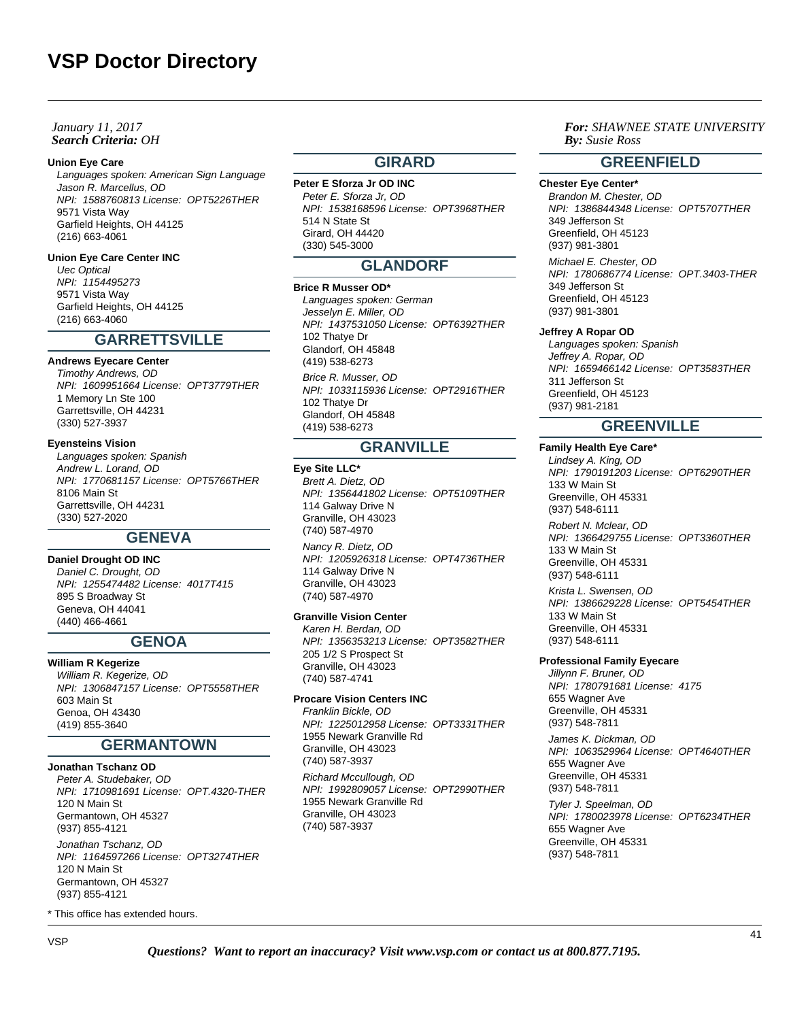## *Search Criteria: By: OHJanuary 11, 2017*

#### **Union Eye Care**

Languages spoken: American Sign Language Jason R. Marcellus, OD NPI: 1588760813 License: OPT5226THER 9571 Vista Way Garfield Heights, OH 44125 (216) 663-4061

#### **Union Eye Care Center INC**

Uec Optical NPI: 1154495273 9571 Vista Way Garfield Heights, OH 44125 (216) 663-4060

# **GARRETTSVILLE**

## **Andrews Eyecare Center**

Timothy Andrews, OD NPI: 1609951664 License: OPT3779THER 1 Memory Ln Ste 100 Garrettsville, OH 44231 (330) 527-3937

#### **Eyensteins Vision**

Languages spoken: Spanish Andrew L. Lorand, OD NPI: 1770681157 License: OPT5766THER 8106 Main St Garrettsville, OH 44231 (330) 527-2020

# **GENEVA**

# **Daniel Drought OD INC**

Daniel C. Drought, OD NPI: 1255474482 License: 4017T415 895 S Broadway St Geneva, OH 44041 (440) 466-4661

# **GENOA**

**William R Kegerize** William R. Kegerize, OD NPI: 1306847157 License: OPT5558THER 603 Main St Genoa, OH 43430 (419) 855-3640

# **GERMANTOWN**

## **Jonathan Tschanz OD**

Peter A. Studebaker, OD NPI: 1710981691 License: OPT.4320-THER 120 N Main St Germantown, OH 45327 (937) 855-4121 Jonathan Tschanz, OD NPI: 1164597266 License: OPT3274THER 120 N Main St Germantown, OH 45327 (937) 855-4121

\* This office has extended hours.

# **GIRARD**

#### **Peter E Sforza Jr OD INC**

Peter E. Sforza Jr, OD NPI: 1538168596 License: OPT3968THER 514 N State St Girard, OH 44420 (330) 545-3000

# **GLANDORF**

#### **Brice R Musser OD\***

Languages spoken: German Jesselyn E. Miller, OD NPI: 1437531050 License: OPT6392THER 102 Thatye Dr Glandorf, OH 45848 (419) 538-6273

Brice R. Musser, OD NPI: 1033115936 License: OPT2916THER 102 Thatye Dr Glandorf, OH 45848 (419) 538-6273

# **GRANVILLE**

**Eye Site LLC\*** Brett A. Dietz, OD

NPI: 1356441802 License: OPT5109THER 114 Galway Drive N Granville, OH 43023 (740) 587-4970

Nancy R. Dietz, OD NPI: 1205926318 License: OPT4736THER 114 Galway Drive N Granville, OH 43023 (740) 587-4970

# **Granville Vision Center**

Karen H. Berdan, OD NPI: 1356353213 License: OPT3582THER 205 1/2 S Prospect St Granville, OH 43023 (740) 587-4741

#### **Procare Vision Centers INC**

Franklin Bickle, OD NPI: 1225012958 License: OPT3331THER 1955 Newark Granville Rd Granville, OH 43023 (740) 587-3937 Richard Mccullough, OD NPI: 1992809057 License: OPT2990THER 1955 Newark Granville Rd Granville, OH 43023 (740) 587-3937

## *For: SHAWNEE STATE UNIVERSITY Susie Ross*

# **GREENFIELD**

#### **Chester Eye Center\***

Brandon M. Chester, OD NPI: 1386844348 License: OPT5707THER 349 Jefferson St Greenfield, OH 45123 (937) 981-3801 Michael E. Chester, OD

NPI: 1780686774 License: OPT.3403-THER 349 Jefferson St Greenfield, OH 45123 (937) 981-3801

#### **Jeffrey A Ropar OD**

Languages spoken: Spanish Jeffrey A. Ropar, OD NPI: 1659466142 License: OPT3583THER 311 Jefferson St Greenfield, OH 45123 (937) 981-2181

# **GREENVILLE**

# **Family Health Eye Care\***

Lindsey A. King, OD NPI: 1790191203 License: OPT6290THER 133 W Main St Greenville, OH 45331 (937) 548-6111

Robert N. Mclear, OD NPI: 1366429755 License: OPT3360THER 133 W Main St Greenville, OH 45331 (937) 548-6111

Krista L. Swensen, OD NPI: 1386629228 License: OPT5454THER 133 W Main St Greenville, OH 45331 (937) 548-6111

#### **Professional Family Eyecare**

Jillynn F. Bruner, OD NPI: 1780791681 License: 4175 655 Wagner Ave Greenville, OH 45331 (937) 548-7811

James K. Dickman, OD NPI: 1063529964 License: OPT4640THER 655 Wagner Ave Greenville, OH 45331 (937) 548-7811

Tyler J. Speelman, OD NPI: 1780023978 License: OPT6234THER 655 Wagner Ave Greenville, OH 45331 (937) 548-7811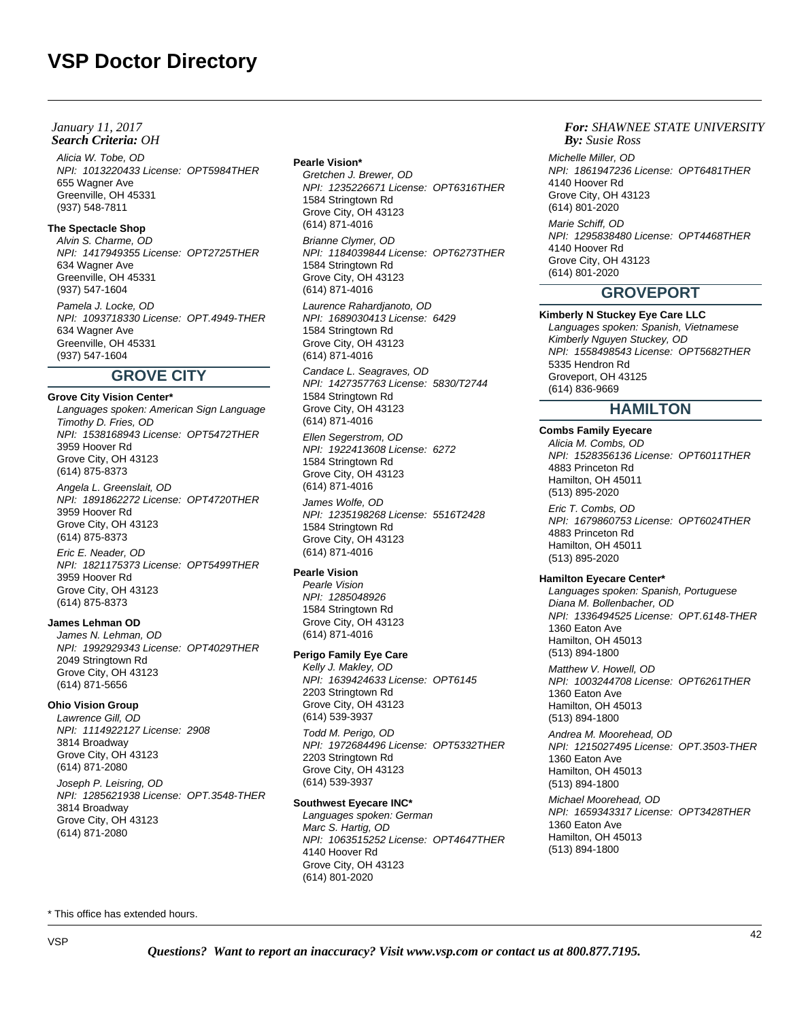## *Search Criteria: By: OHJanuary 11, 2017*

Alicia W. Tobe, OD NPI: 1013220433 License: OPT5984THER 655 Wagner Ave Greenville, OH 45331 (937) 548-7811

# **The Spectacle Shop**

Alvin S. Charme, OD NPI: 1417949355 License: OPT2725THER 634 Wagner Ave Greenville, OH 45331 (937) 547-1604 Pamela J. Locke, OD NPI: 1093718330 License: OPT.4949-THER 634 Wagner Ave Greenville, OH 45331 (937) 547-1604

# **GROVE CITY**

### **Grove City Vision Center\***

Languages spoken: American Sign Language Timothy D. Fries, OD NPI: 1538168943 License: OPT5472THER 3959 Hoover Rd Grove City, OH 43123 (614) 875-8373

Angela L. Greenslait, OD NPI: 1891862272 License: OPT4720THER 3959 Hoover Rd Grove City, OH 43123 (614) 875-8373 Eric E. Neader, OD NPI: 1821175373 License: OPT5499THER

3959 Hoover Rd Grove City, OH 43123 (614) 875-8373

# **James Lehman OD**

James N. Lehman, OD NPI: 1992929343 License: OPT4029THER 2049 Stringtown Rd Grove City, OH 43123 (614) 871-5656

# **Ohio Vision Group**

Lawrence Gill, OD NPI: 1114922127 License: 2908 3814 Broadway Grove City, OH 43123 (614) 871-2080

Joseph P. Leisring, OD NPI: 1285621938 License: OPT.3548-THER 3814 Broadway Grove City, OH 43123 (614) 871-2080

#### **Pearle Vision\***

Gretchen J. Brewer, OD NPI: 1235226671 License: OPT6316THER 1584 Stringtown Rd Grove City, OH 43123 (614) 871-4016 Brianne Clymer, OD NPI: 1184039844 License: OPT6273THER 1584 Stringtown Rd Grove City, OH 43123

(614) 871-4016 Laurence Rahardjanoto, OD NPI: 1689030413 License: 6429 1584 Stringtown Rd

Grove City, OH 43123 (614) 871-4016 Candace L. Seagraves, OD

NPI: 1427357763 License: 5830/T2744 1584 Stringtown Rd Grove City, OH 43123 (614) 871-4016 Ellen Segerstrom, OD

NPI: 1922413608 License: 6272 1584 Stringtown Rd Grove City, OH 43123 (614) 871-4016

James Wolfe, OD NPI: 1235198268 License: 5516T2428 1584 Stringtown Rd Grove City, OH 43123 (614) 871-4016

# **Pearle Vision**

Pearle Vision NPI: 1285048926 1584 Stringtown Rd Grove City, OH 43123 (614) 871-4016

## **Perigo Family Eye Care**

Kelly J. Makley, OD NPI: 1639424633 License: OPT6145 2203 Stringtown Rd Grove City, OH 43123 (614) 539-3937

Todd M. Perigo, OD NPI: 1972684496 License: OPT5332THER 2203 Stringtown Rd Grove City, OH 43123 (614) 539-3937

# **Southwest Eyecare INC\***

Languages spoken: German Marc S. Hartig, OD NPI: 1063515252 License: OPT4647THER 4140 Hoover Rd Grove City, OH 43123 (614) 801-2020

## *For: SHAWNEE STATE UNIVERSITY Susie Ross*

Michelle Miller, OD NPI: 1861947236 License: OPT6481THER 4140 Hoover Rd Grove City, OH 43123 (614) 801-2020 Marie Schiff, OD NPI: 1295838480 License: OPT4468THER 4140 Hoover Rd Grove City, OH 43123 (614) 801-2020

# **GROVEPORT**

**Kimberly N Stuckey Eye Care LLC** Languages spoken: Spanish, Vietnamese Kimberly Nguyen Stuckey, OD NPI: 1558498543 License: OPT5682THER 5335 Hendron Rd Groveport, OH 43125 (614) 836-9669

# **HAMILTON**

## **Combs Family Eyecare**

Alicia M. Combs, OD NPI: 1528356136 License: OPT6011THER 4883 Princeton Rd Hamilton, OH 45011 (513) 895-2020 Eric T. Combs, OD NPI: 1679860753 License: OPT6024THER 4883 Princeton Rd Hamilton, OH 45011 (513) 895-2020

#### **Hamilton Eyecare Center\***

Languages spoken: Spanish, Portuguese Diana M. Bollenbacher, OD NPI: 1336494525 License: OPT.6148-THER 1360 Eaton Ave Hamilton, OH 45013 (513) 894-1800 Matthew V. Howell, OD NPI: 1003244708 License: OPT6261THER 1360 Eaton Ave Hamilton, OH 45013 (513) 894-1800 Andrea M. Moorehead, OD NPI: 1215027495 License: OPT.3503-THER 1360 Eaton Ave Hamilton, OH 45013 (513) 894-1800

Michael Moorehead, OD NPI: 1659343317 License: OPT3428THER 1360 Eaton Ave Hamilton, OH 45013 (513) 894-1800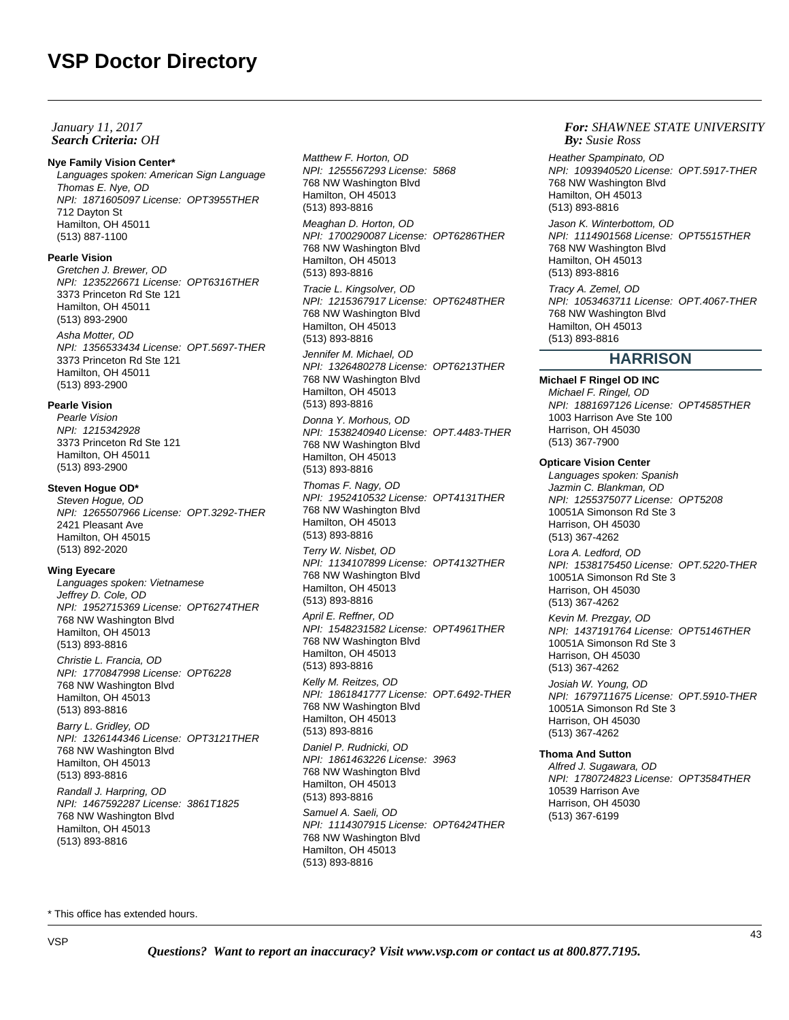#### **Nye Family Vision Center\***

Languages spoken: American Sign Language Thomas E. Nye, OD NPI: 1871605097 License: OPT3955THER 712 Dayton St Hamilton, OH 45011 (513) 887-1100

#### **Pearle Vision**

Gretchen J. Brewer, OD NPI: 1235226671 License: OPT6316THER 3373 Princeton Rd Ste 121 Hamilton, OH 45011 (513) 893-2900 Asha Motter, OD NPI: 1356533434 License: OPT.5697-THER 3373 Princeton Rd Ste 121 Hamilton, OH 45011

(513) 893-2900

# **Pearle Vision**

Pearle Vision NPI: 1215342928 3373 Princeton Rd Ste 121 Hamilton, OH 45011 (513) 893-2900

# **Steven Hogue OD\***

Steven Hoaue, OD NPI: 1265507966 License: OPT.3292-THER 2421 Pleasant Ave Hamilton, OH 45015 (513) 892-2020

## **Wing Eyecare**

Languages spoken: Vietnamese Jeffrey D. Cole, OD NPI: 1952715369 License: OPT6274THER 768 NW Washington Blvd Hamilton, OH 45013 (513) 893-8816

Christie L. Francia, OD NPI: 1770847998 License: OPT6228 768 NW Washington Blvd Hamilton, OH 45013 (513) 893-8816

Barry L. Gridley, OD NPI: 1326144346 License: OPT3121THER 768 NW Washington Blvd Hamilton, OH 45013 (513) 893-8816 Randall J. Harpring, OD NPI: 1467592287 License: 3861T1825 768 NW Washington Blvd Hamilton, OH 45013 (513) 893-8816

Matthew F. Horton, OD NPI: 1255567293 License: 5868 768 NW Washington Blvd Hamilton, OH 45013 (513) 893-8816

Meaghan D. Horton, OD NPI: 1700290087 License: OPT6286THER 768 NW Washington Blvd Hamilton, OH 45013 (513) 893-8816

Tracie L. Kingsolver, OD NPI: 1215367917 License: OPT6248THER 768 NW Washington Blvd Hamilton, OH 45013 (513) 893-8816

Jennifer M. Michael, OD NPI: 1326480278 License: OPT6213THER 768 NW Washington Blvd Hamilton, OH 45013 (513) 893-8816

Donna Y. Morhous, OD NPI: 1538240940 License: OPT.4483-THER 768 NW Washington Blvd Hamilton, OH 45013 (513) 893-8816

Thomas F. Nagy, OD NPI: 1952410532 License: OPT4131THER 768 NW Washington Blvd Hamilton, OH 45013 (513) 893-8816

Terry W. Nisbet, OD NPI: 1134107899 License: OPT4132THER 768 NW Washington Blvd Hamilton, OH 45013 (513) 893-8816

April E. Reffner, OD NPI: 1548231582 License: OPT4961THER 768 NW Washington Blvd Hamilton, OH 45013 (513) 893-8816

Kelly M. Reitzes, OD NPI: 1861841777 License: OPT.6492-THER 768 NW Washington Blvd Hamilton, OH 45013 (513) 893-8816

Daniel P. Rudnicki, OD NPI: 1861463226 License: 3963 768 NW Washington Blvd Hamilton, OH 45013 (513) 893-8816 Samuel A. Saeli, OD NPI: 1114307915 License: OPT6424THER 768 NW Washington Blvd Hamilton, OH 45013 (513) 893-8816

*For: SHAWNEE STATE UNIVERSITY Susie Ross*

Heather Spampinato, OD NPI: 1093940520 License: OPT.5917-THER 768 NW Washington Blvd Hamilton, OH 45013 (513) 893-8816

Jason K. Winterbottom, OD NPI: 1114901568 License: OPT5515THER 768 NW Washington Blvd Hamilton, OH 45013 (513) 893-8816

Tracy A. Zemel, OD NPI: 1053463711 License: OPT.4067-THER 768 NW Washington Blvd Hamilton, OH 45013 (513) 893-8816

# **HARRISON**

**Michael F Ringel OD INC**

Michael F. Ringel, OD NPI: 1881697126 License: OPT4585THER 1003 Harrison Ave Ste 100 Harrison, OH 45030 (513) 367-7900

#### **Opticare Vision Center**

Languages spoken: Spanish Jazmin C. Blankman, OD NPI: 1255375077 License: OPT5208 10051A Simonson Rd Ste 3 Harrison, OH 45030 (513) 367-4262

Lora A. Ledford, OD NPI: 1538175450 License: OPT.5220-THER 10051A Simonson Rd Ste 3 Harrison, OH 45030 (513) 367-4262

Kevin M. Prezgay, OD NPI: 1437191764 License: OPT5146THER 10051A Simonson Rd Ste 3 Harrison, OH 45030 (513) 367-4262

Josiah W. Young, OD NPI: 1679711675 License: OPT.5910-THER 10051A Simonson Rd Ste 3 Harrison, OH 45030 (513) 367-4262

#### **Thoma And Sutton**

Alfred J. Sugawara, OD NPI: 1780724823 License: OPT3584THER 10539 Harrison Ave Harrison, OH 45030 (513) 367-6199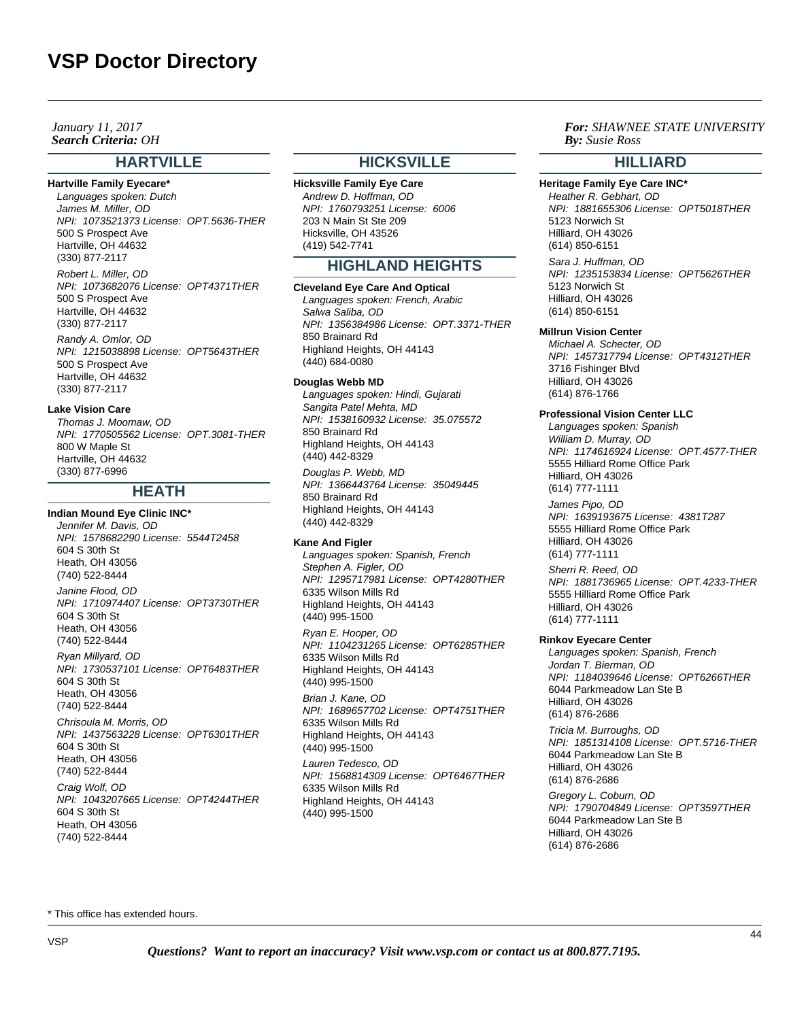*Search Criteria: By: OHJanuary 11, 2017*

## **HARTVILLE**

**Hartville Family Eyecare\*** Languages spoken: Dutch James M. Miller, OD NPI: 1073521373 License: OPT.5636-THER 500 S Prospect Ave Hartville, OH 44632 (330) 877-2117 Robert L. Miller, OD NPI: 1073682076 License: OPT4371THER 500 S Prospect Ave Hartville, OH 44632 (330) 877-2117 Randy A. Omlor, OD NPI: 1215038898 License: OPT5643THER 500 S Prospect Ave Hartville, OH 44632 (330) 877-2117

## **Lake Vision Care**

Thomas J. Moomaw, OD NPI: 1770505562 License: OPT.3081-THER 800 W Maple St Hartville, OH 44632 (330) 877-6996

# **HEATH**

**Indian Mound Eye Clinic INC\*** Jennifer M. Davis, OD NPI: 1578682290 License: 5544T2458 604 S 30th St Heath, OH 43056 (740) 522-8444 Janine Flood, OD

NPI: 1710974407 License: OPT3730THER 604 S 30th St Heath, OH 43056 (740) 522-8444

Ryan Millyard, OD NPI: 1730537101 License: OPT6483THER 604 S 30th St Heath, OH 43056 (740) 522-8444

Chrisoula M. Morris, OD NPI: 1437563228 License: OPT6301THER 604 S 30th St Heath, OH 43056 (740) 522-8444 Craig Wolf, OD NPI: 1043207665 License: OPT4244THER 604 S 30th St Heath, OH 43056 (740) 522-8444

# **HICKSVILLE**

**Hicksville Family Eye Care**

Andrew D. Hoffman, OD NPI: 1760793251 License: 6006 203 N Main St Ste 209 Hicksville, OH 43526 (419) 542-7741

# **HIGHLAND HEIGHTS**

**Cleveland Eye Care And Optical** Languages spoken: French, Arabic Salwa Saliba, OD NPI: 1356384986 License: OPT.3371-THER 850 Brainard Rd Highland Heights, OH 44143 (440) 684-0080

#### **Douglas Webb MD**

Languages spoken: Hindi, Gujarati Sangita Patel Mehta, MD NPI: 1538160932 License: 35.075572 850 Brainard Rd Highland Heights, OH 44143 (440) 442-8329

Douglas P. Webb, MD NPI: 1366443764 License: 35049445 850 Brainard Rd Highland Heights, OH 44143 (440) 442-8329

#### **Kane And Figler**

Languages spoken: Spanish, French Stephen A. Figler, OD NPI: 1295717981 License: OPT4280THER 6335 Wilson Mills Rd Highland Heights, OH 44143 (440) 995-1500

Ryan E. Hooper, OD NPI: 1104231265 License: OPT6285THER 6335 Wilson Mills Rd Highland Heights, OH 44143 (440) 995-1500

Brian J. Kane, OD NPI: 1689657702 License: OPT4751THER 6335 Wilson Mills Rd Highland Heights, OH 44143 (440) 995-1500

Lauren Tedesco, OD NPI: 1568814309 License: OPT6467THER 6335 Wilson Mills Rd Highland Heights, OH 44143 (440) 995-1500

## *For: SHAWNEE STATE UNIVERSITY Susie Ross*

# **HILLIARD**

**Heritage Family Eye Care INC\***

Heather R. Gebhart, OD NPI: 1881655306 License: OPT5018THER 5123 Norwich St Hilliard, OH 43026 (614) 850-6151

Sara J. Huffman, OD NPI: 1235153834 License: OPT5626THER 5123 Norwich St Hilliard, OH 43026 (614) 850-6151

## **Millrun Vision Center**

Michael A. Schecter, OD NPI: 1457317794 License: OPT4312THER 3716 Fishinger Blvd Hilliard, OH 43026 (614) 876-1766

#### **Professional Vision Center LLC**

Languages spoken: Spanish William D. Murray, OD NPI: 1174616924 License: OPT.4577-THER 5555 Hilliard Rome Office Park Hilliard, OH 43026 (614) 777-1111

James Pipo, OD NPI: 1639193675 License: 4381T287 5555 Hilliard Rome Office Park Hilliard, OH 43026 (614) 777-1111

Sherri R. Reed, OD NPI: 1881736965 License: OPT.4233-THER 5555 Hilliard Rome Office Park Hilliard, OH 43026 (614) 777-1111

#### **Rinkov Eyecare Center**

Languages spoken: Spanish, French Jordan T. Bierman, OD NPI: 1184039646 License: OPT6266THER 6044 Parkmeadow Lan Ste B Hilliard, OH 43026 (614) 876-2686

Tricia M. Burroughs, OD NPI: 1851314108 License: OPT.5716-THER 6044 Parkmeadow Lan Ste B Hilliard, OH 43026 (614) 876-2686

Gregory L. Coburn, OD NPI: 1790704849 License: OPT3597THER 6044 Parkmeadow Lan Ste B Hilliard, OH 43026 (614) 876-2686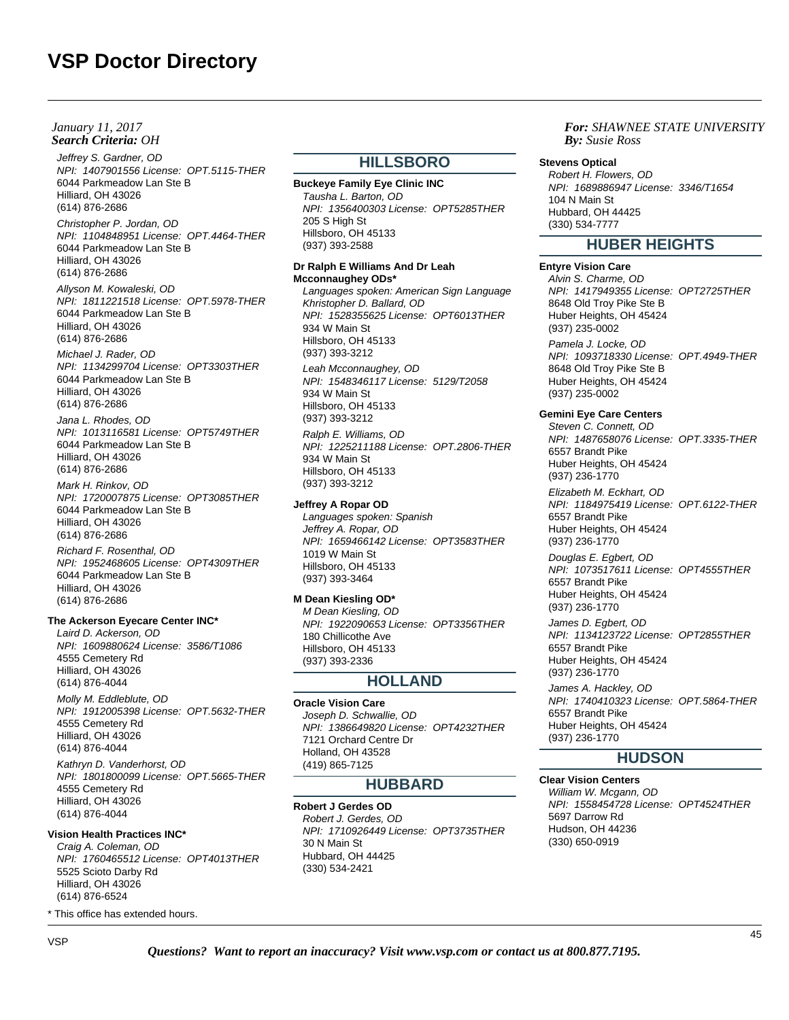Jeffrey S. Gardner, OD NPI: 1407901556 License: OPT.5115-THER 6044 Parkmeadow Lan Ste B Hilliard, OH 43026 (614) 876-2686

Christopher P. Jordan, OD NPI: 1104848951 License: OPT.4464-THER 6044 Parkmeadow Lan Ste B Hilliard, OH 43026 (614) 876-2686

Allyson M. Kowaleski, OD NPI: 1811221518 License: OPT.5978-THER 6044 Parkmeadow Lan Ste B Hilliard, OH 43026 (614) 876-2686

Michael J. Rader, OD NPI: 1134299704 License: OPT3303THER 6044 Parkmeadow Lan Ste B Hilliard, OH 43026 (614) 876-2686

Jana L. Rhodes, OD NPI: 1013116581 License: OPT5749THER 6044 Parkmeadow Lan Ste B Hilliard, OH 43026 (614) 876-2686

Mark H. Rinkov, OD NPI: 1720007875 License: OPT3085THER 6044 Parkmeadow Lan Ste B Hilliard, OH 43026 (614) 876-2686

Richard F. Rosenthal, OD NPI: 1952468605 License: OPT4309THER 6044 Parkmeadow Lan Ste B Hilliard, OH 43026 (614) 876-2686

#### **The Ackerson Eyecare Center INC\***

Laird D. Ackerson, OD NPI: 1609880624 License: 3586/T1086 4555 Cemetery Rd Hilliard, OH 43026 (614) 876-4044

Molly M. Eddleblute, OD NPI: 1912005398 License: OPT.5632-THER 4555 Cemetery Rd Hilliard, OH 43026 (614) 876-4044

Kathryn D. Vanderhorst, OD NPI: 1801800099 License: OPT.5665-THER 4555 Cemetery Rd Hilliard, OH 43026 (614) 876-4044

# **Vision Health Practices INC\***

Craig A. Coleman, OD NPI: 1760465512 License: OPT4013THER 5525 Scioto Darby Rd Hilliard, OH 43026 (614) 876-6524

\* This office has extended hours.

# **HILLSBORO**

**Buckeye Family Eye Clinic INC** Tausha L. Barton, OD NPI: 1356400303 License: OPT5285THER 205 S High St Hillsboro, OH 45133 (937) 393-2588

#### **Dr Ralph E Williams And Dr Leah Mcconnaughey ODs\***

Languages spoken: American Sign Language Khristopher D. Ballard, OD NPI: 1528355625 License: OPT6013THER 934 W Main St Hillsboro, OH 45133 (937) 393-3212 Leah Mcconnaughey, OD NPI: 1548346117 License: 5129/T2058 934 W Main St Hillsboro, OH 45133 (937) 393-3212 Ralph E. Williams, OD NPI: 1225211188 License: OPT.2806-THER 934 W Main St

Hillsboro, OH 45133 (937) 393-3212

# **Jeffrey A Ropar OD**

Languages spoken: Spanish Jeffrey A. Ropar, OD NPI: 1659466142 License: OPT3583THER 1019 W Main St Hillsboro, OH 45133 (937) 393-3464

## **M Dean Kiesling OD\***

M Dean Kiesling, OD NPI: 1922090653 License: OPT3356THER 180 Chillicothe Ave Hillsboro, OH 45133 (937) 393-2336

# **HOLLAND**

**Oracle Vision Care** Joseph D. Schwallie, OD NPI: 1386649820 License: OPT4232THER 7121 Orchard Centre Dr Holland, OH 43528 (419) 865-7125

# **HUBBARD**

**Robert J Gerdes OD** Robert J. Gerdes, OD NPI: 1710926449 License: OPT3735THER 30 N Main St Hubbard, OH 44425 (330) 534-2421

## *For: SHAWNEE STATE UNIVERSITY Susie Ross*

#### **Stevens Optical**

Robert H. Flowers, OD NPI: 1689886947 License: 3346/T1654 104 N Main St Hubbard, OH 44425 (330) 534-7777

# **HUBER HEIGHTS**

#### **Entyre Vision Care**

Alvin S. Charme, OD NPI: 1417949355 License: OPT2725THER 8648 Old Troy Pike Ste B Huber Heights, OH 45424 (937) 235-0002 Pamela J. Locke, OD NPI: 1093718330 License: OPT.4949-THER 8648 Old Troy Pike Ste B Huber Heights, OH 45424 (937) 235-0002

## **Gemini Eye Care Centers**

Steven C. Connett, OD NPI: 1487658076 License: OPT.3335-THER 6557 Brandt Pike Huber Heights, OH 45424 (937) 236-1770 Elizabeth M. Eckhart, OD NPI: 1184975419 License: OPT.6122-THER 6557 Brandt Pike Huber Heights, OH 45424 (937) 236-1770 Douglas E. Egbert, OD NPI: 1073517611 License: OPT4555THER

6557 Brandt Pike Huber Heights, OH 45424 (937) 236-1770 James D. Egbert, OD

NPI: 1134123722 License: OPT2855THER 6557 Brandt Pike Huber Heights, OH 45424 (937) 236-1770

James A. Hackley, OD NPI: 1740410323 License: OPT.5864-THER 6557 Brandt Pike Huber Heights, OH 45424 (937) 236-1770

# **HUDSON**

# **Clear Vision Centers**

William W. Mcgann, OD NPI: 1558454728 License: OPT4524THER 5697 Darrow Rd Hudson, OH 44236 (330) 650-0919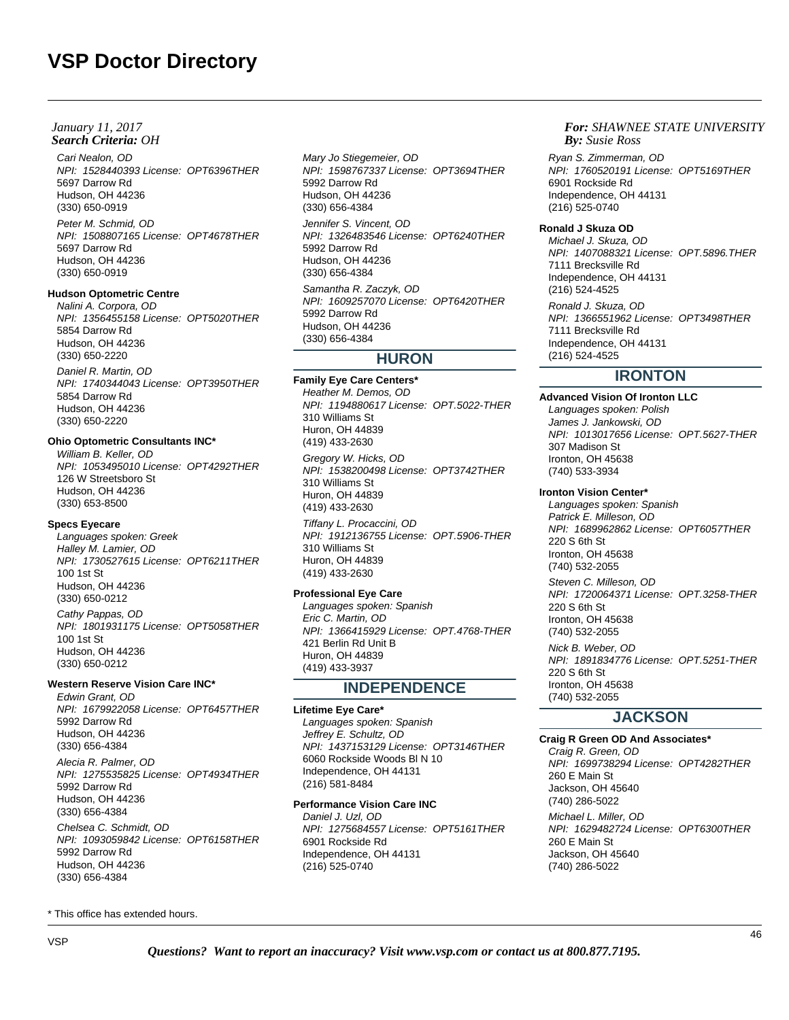Cari Nealon, OD NPI: 1528440393 License: OPT6396THER 5697 Darrow Rd Hudson, OH 44236 (330) 650-0919 Peter M. Schmid, OD NPI: 1508807165 License: OPT4678THER 5697 Darrow Rd Hudson, OH 44236 (330) 650-0919

#### **Hudson Optometric Centre**

Nalini A. Corpora, OD NPI: 1356455158 License: OPT5020THER 5854 Darrow Rd Hudson, OH 44236 (330) 650-2220 Daniel R. Martin, OD NPI: 1740344043 License: OPT3950THER 5854 Darrow Rd Hudson, OH 44236

(330) 650-2220

# **Ohio Optometric Consultants INC\***

William B. Keller, OD NPI: 1053495010 License: OPT4292THER 126 W Streetsboro St Hudson, OH 44236 (330) 653-8500

## **Specs Eyecare**

Languages spoken: Greek Halley M. Lamier, OD NPI: 1730527615 License: OPT6211THER 100 1st St Hudson, OH 44236 (330) 650-0212 Cathy Pappas, OD

NPI: 1801931175 License: OPT5058THER 100 1st St Hudson, OH 44236 (330) 650-0212

## **Western Reserve Vision Care INC\***

Edwin Grant, OD NPI: 1679922058 License: OPT6457THER 5992 Darrow Rd Hudson, OH 44236 (330) 656-4384 Alecia R. Palmer, OD NPI: 1275535825 License: OPT4934THER

5992 Darrow Rd Hudson, OH 44236 (330) 656-4384

Chelsea C. Schmidt, OD NPI: 1093059842 License: OPT6158THER 5992 Darrow Rd Hudson, OH 44236 (330) 656-4384

\* This office has extended hours.

Mary Jo Stiegemeier, OD NPI: 1598767337 License: OPT3694THER 5992 Darrow Rd Hudson, OH 44236 (330) 656-4384 Jennifer S. Vincent, OD NPI: 1326483546 License: OPT6240THER 5992 Darrow Rd Hudson, OH 44236 (330) 656-4384 Samantha R. Zaczyk, OD NPI: 1609257070 License: OPT6420THER 5992 Darrow Rd Hudson, OH 44236 (330) 656-4384

# **HURON**

# **Family Eye Care Centers\***

Heather M. Demos, OD NPI: 1194880617 License: OPT.5022-THER 310 Williams St Huron, OH 44839 (419) 433-2630 Gregory W. Hicks, OD NPI: 1538200498 License: OPT3742THER 310 Williams St

Huron, OH 44839 (419) 433-2630 Tiffany L. Procaccini, OD

NPI: 1912136755 License: OPT.5906-THER 310 Williams St Huron, OH 44839 (419) 433-2630

# **Professional Eye Care**

Languages spoken: Spanish Eric C. Martin, OD NPI: 1366415929 License: OPT.4768-THER 421 Berlin Rd Unit B Huron, OH 44839 (419) 433-3937

# **INDEPENDENCE**

## **Lifetime Eye Care\***

Languages spoken: Spanish Jeffrey E. Schultz, OD NPI: 1437153129 License: OPT3146THER 6060 Rockside Woods Bl N 10 Independence, OH 44131 (216) 581-8484

# **Performance Vision Care INC**

Daniel J. Uzl, OD NPI: 1275684557 License: OPT5161THER 6901 Rockside Rd Independence, OH 44131 (216) 525-0740

## *For: SHAWNEE STATE UNIVERSITY Susie Ross*

Ryan S. Zimmerman, OD NPI: 1760520191 License: OPT5169THER 6901 Rockside Rd Independence, OH 44131 (216) 525-0740

# **Ronald J Skuza OD**

Michael J. Skuza, OD NPI: 1407088321 License: OPT.5896.THER 7111 Brecksville Rd Independence, OH 44131 (216) 524-4525 Ronald J. Skuza, OD NPI: 1366551962 License: OPT3498THER 7111 Brecksville Rd Independence, OH 44131 (216) 524-4525

# **IRONTON**

**Advanced Vision Of Ironton LLC** Languages spoken: Polish James J. Jankowski, OD NPI: 1013017656 License: OPT.5627-THER 307 Madison St Ironton, OH 45638 (740) 533-3934

**Ironton Vision Center\***

Languages spoken: Spanish Patrick E. Milleson, OD NPI: 1689962862 License: OPT6057THER 220 S 6th St Ironton, OH 45638 (740) 532-2055 Steven C. Milleson, OD NPI: 1720064371 License: OPT.3258-THER 220 S 6th St Ironton, OH 45638 (740) 532-2055 Nick B. Weber, OD NPI: 1891834776 License: OPT.5251-THER 220 S 6th St Ironton, OH 45638 (740) 532-2055

# **JACKSON**

**Craig R Green OD And Associates\*** Craig R. Green, OD NPI: 1699738294 License: OPT4282THER 260 E Main St Jackson, OH 45640 (740) 286-5022 Michael L. Miller, OD NPI: 1629482724 License: OPT6300THER 260 E Main St Jackson, OH 45640 (740) 286-5022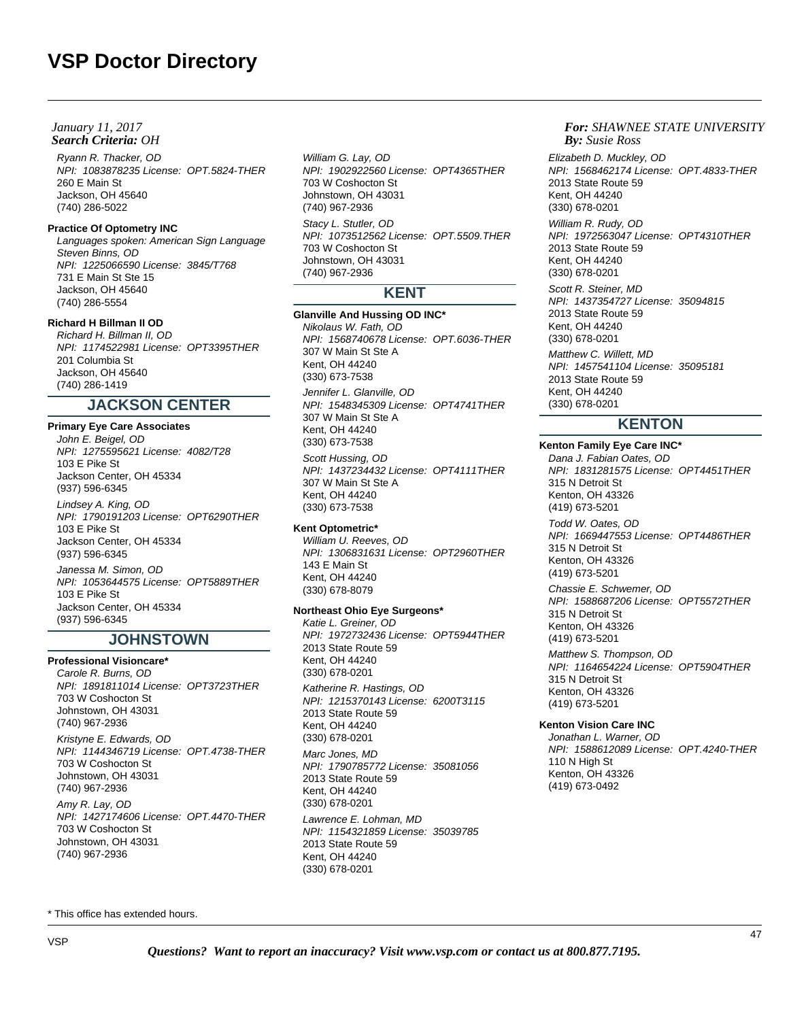Ryann R. Thacker, OD NPI: 1083878235 License: OPT.5824-THER 260 E Main St Jackson, OH 45640 (740) 286-5022

## **Practice Of Optometry INC**

Languages spoken: American Sign Language Steven Binns, OD NPI: 1225066590 License: 3845/T768 731 E Main St Ste 15 Jackson, OH 45640 (740) 286-5554

# **Richard H Billman II OD**

Richard H. Billman II, OD NPI: 1174522981 License: OPT3395THER 201 Columbia St Jackson, OH 45640 (740) 286-1419

# **JACKSON CENTER**

## **Primary Eye Care Associates**

John E. Beigel, OD NPI: 1275595621 License: 4082/T28 103 E Pike St Jackson Center, OH 45334 (937) 596-6345 Lindsey A. King, OD NPI: 1790191203 License: OPT6290THER 103 E Pike St

Jackson Center, OH 45334 (937) 596-6345

Janessa M. Simon, OD NPI: 1053644575 License: OPT5889THER 103 E Pike St Jackson Center, OH 45334 (937) 596-6345

# **JOHNSTOWN**

# **Professional Visioncare\***

Carole R. Burns, OD NPI: 1891811014 License: OPT3723THER 703 W Coshocton St Johnstown, OH 43031 (740) 967-2936 Kristyne E. Edwards, OD NPI: 1144346719 License: OPT.4738-THER 703 W Coshocton St Johnstown, OH 43031 (740) 967-2936 Amy R. Lay, OD

NPI: 1427174606 License: OPT.4470-THER 703 W Coshocton St Johnstown, OH 43031 (740) 967-2936

William G. Lay, OD NPI: 1902922560 License: OPT4365THER 703 W Coshocton St Johnstown, OH 43031 (740) 967-2936 Stacy L. Stutler, OD NPI: 1073512562 License: OPT.5509.THER 703 W Coshocton St Johnstown, OH 43031 (740) 967-2936

# **KENT**

**Glanville And Hussing OD INC\*** Nikolaus W. Fath, OD NPI: 1568740678 License: OPT.6036-THER 307 W Main St Ste A Kent, OH 44240 (330) 673-7538 Jennifer L. Glanville, OD NPI: 1548345309 License: OPT4741THER 307 W Main St Ste A Kent, OH 44240 (330) 673-7538 Scott Hussing, OD NPI: 1437234432 License: OPT4111THER 307 W Main St Ste A Kent, OH 44240 (330) 673-7538

## **Kent Optometric\***

William U. Reeves, OD NPI: 1306831631 License: OPT2960THER 143 E Main St Kent, OH 44240 (330) 678-8079

## **Northeast Ohio Eye Surgeons\***

Katie L. Greiner, OD NPI: 1972732436 License: OPT5944THER 2013 State Route 59 Kent, OH 44240 (330) 678-0201 Katherine R. Hastings, OD NPI: 1215370143 License: 6200T3115 2013 State Route 59 Kent, OH 44240 (330) 678-0201 Marc Jones, MD NPI: 1790785772 License: 35081056 2013 State Route 59 Kent, OH 44240 (330) 678-0201 Lawrence E. Lohman, MD NPI: 1154321859 License: 35039785 2013 State Route 59 Kent, OH 44240 (330) 678-0201

## *For: SHAWNEE STATE UNIVERSITY Susie Ross*

Elizabeth D. Muckley, OD NPI: 1568462174 License: OPT.4833-THER 2013 State Route 59 Kent, OH 44240 (330) 678-0201 William R. Rudy, OD NPI: 1972563047 License: OPT4310THER 2013 State Route 59 Kent, OH 44240 (330) 678-0201 Scott R. Steiner, MD NPI: 1437354727 License: 35094815 2013 State Route 59 Kent, OH 44240 (330) 678-0201 Matthew C. Willett, MD NPI: 1457541104 License: 35095181 2013 State Route 59

Kent, OH 44240 (330) 678-0201

# **KENTON**

# **Kenton Family Eye Care INC\***

Dana J. Fabian Oates, OD NPI: 1831281575 License: OPT4451THER 315 N Detroit St Kenton, OH 43326 (419) 673-5201

Todd W. Oates, OD NPI: 1669447553 License: OPT4486THER 315 N Detroit St Kenton, OH 43326 (419) 673-5201

Chassie E. Schwemer, OD NPI: 1588687206 License: OPT5572THER 315 N Detroit St Kenton, OH 43326 (419) 673-5201 Matthew S. Thompson, OD NPI: 1164654224 License: OPT5904THER 315 N Detroit St Kenton, OH 43326 (419) 673-5201

## **Kenton Vision Care INC**

Jonathan L. Warner, OD NPI: 1588612089 License: OPT.4240-THER 110 N High St Kenton, OH 43326 (419) 673-0492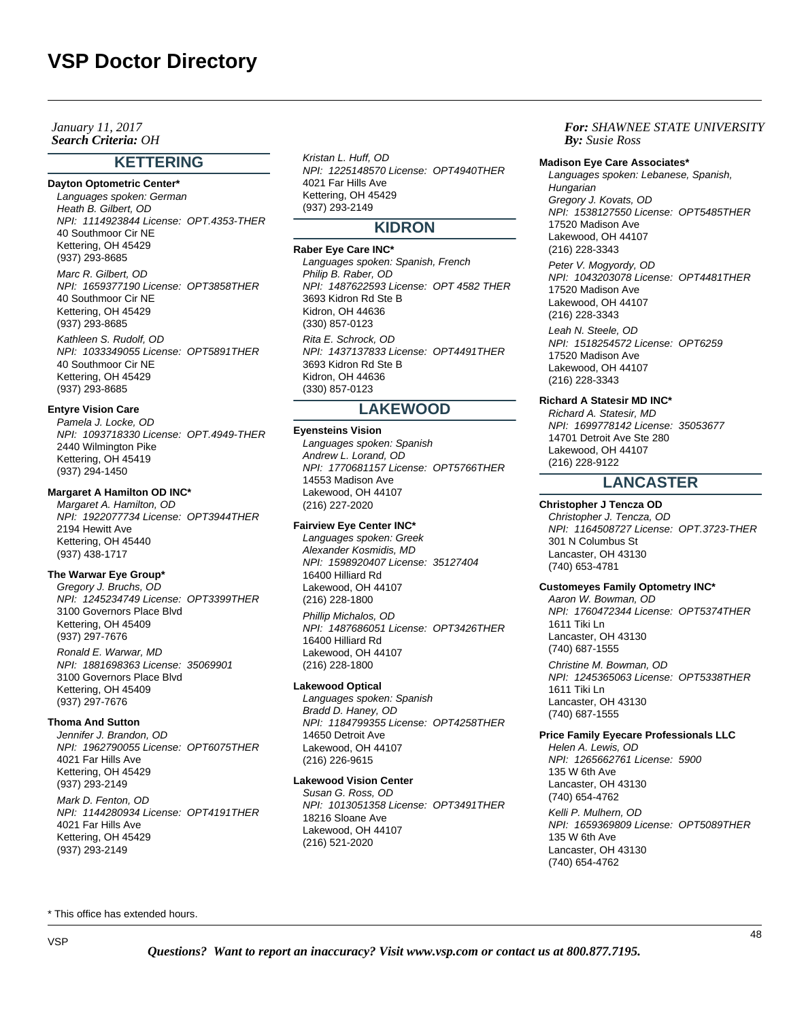*Search Criteria: By: OHJanuary 11, 2017*

# **KETTERING**

#### **Dayton Optometric Center\***

Languages spoken: German Heath B. Gilbert, OD NPI: 1114923844 License: OPT.4353-THER 40 Southmoor Cir NE Kettering, OH 45429 (937) 293-8685 Marc R. Gilbert, OD NPI: 1659377190 License: OPT3858THER 40 Southmoor Cir NE Kettering, OH 45429 (937) 293-8685 Kathleen S. Rudolf, OD NPI: 1033349055 License: OPT5891THER 40 Southmoor Cir NE Kettering, OH 45429 (937) 293-8685

#### **Entyre Vision Care**

Pamela J. Locke, OD NPI: 1093718330 License: OPT.4949-THER 2440 Wilmington Pike Kettering, OH 45419 (937) 294-1450

#### **Margaret A Hamilton OD INC\***

Margaret A. Hamilton, OD NPI: 1922077734 License: OPT3944THER 2194 Hewitt Ave Kettering, OH 45440 (937) 438-1717

# **The Warwar Eye Group\***

Gregory J. Bruchs, OD NPI: 1245234749 License: OPT3399THER 3100 Governors Place Blvd Kettering, OH 45409 (937) 297-7676 Ronald E. Warwar, MD

NPI: 1881698363 License: 35069901 3100 Governors Place Blvd Kettering, OH 45409 (937) 297-7676

## **Thoma And Sutton**

Jennifer J. Brandon, OD NPI: 1962790055 License: OPT6075THER 4021 Far Hills Ave Kettering, OH 45429 (937) 293-2149 Mark D. Fenton, OD NPI: 1144280934 License: OPT4191THER 4021 Far Hills Ave Kettering, OH 45429 (937) 293-2149

Kristan L. Huff, OD NPI: 1225148570 License: OPT4940THER 4021 Far Hills Ave Kettering, OH 45429 (937) 293-2149

# **KIDRON**

# **Raber Eye Care INC\***

Languages spoken: Spanish, French Philip B. Raber, OD NPI: 1487622593 License: OPT 4582 THER 3693 Kidron Rd Ste B Kidron, OH 44636 (330) 857-0123 Rita E. Schrock, OD NPI: 1437137833 License: OPT4491THER 3693 Kidron Rd Ste B Kidron, OH 44636 (330) 857-0123

# **LAKEWOOD**

#### **Eyensteins Vision**

Languages spoken: Spanish Andrew L. Lorand, OD NPI: 1770681157 License: OPT5766THER 14553 Madison Ave Lakewood, OH 44107 (216) 227-2020

#### **Fairview Eye Center INC\***

Languages spoken: Greek Alexander Kosmidis, MD NPI: 1598920407 License: 35127404 16400 Hilliard Rd Lakewood, OH 44107 (216) 228-1800 Phillip Michalos, OD NPI: 1487686051 License: OPT3426THER 16400 Hilliard Rd Lakewood, OH 44107 (216) 228-1800

#### **Lakewood Optical**

Languages spoken: Spanish Bradd D. Haney, OD NPI: 1184799355 License: OPT4258THER 14650 Detroit Ave Lakewood, OH 44107 (216) 226-9615

# **Lakewood Vision Center**

Susan G. Ross, OD NPI: 1013051358 License: OPT3491THER 18216 Sloane Ave Lakewood, OH 44107 (216) 521-2020

*For: SHAWNEE STATE UNIVERSITY Susie Ross*

#### **Madison Eye Care Associates\***

Languages spoken: Lebanese, Spanish, **Hungarian** Gregory J. Kovats, OD NPI: 1538127550 License: OPT5485THER 17520 Madison Ave Lakewood, OH 44107 (216) 228-3343

Peter V. Mogyordy, OD NPI: 1043203078 License: OPT4481THER 17520 Madison Ave Lakewood, OH 44107 (216) 228-3343

Leah N. Steele, OD NPI: 1518254572 License: OPT6259 17520 Madison Ave Lakewood, OH 44107 (216) 228-3343

**Richard A Statesir MD INC\***

Richard A. Statesir, MD NPI: 1699778142 License: 35053677 14701 Detroit Ave Ste 280 Lakewood, OH 44107 (216) 228-9122

# **LANCASTER**

#### **Christopher J Tencza OD**

Christopher J. Tencza, OD NPI: 1164508727 License: OPT.3723-THER 301 N Columbus St Lancaster, OH 43130 (740) 653-4781

#### **Customeyes Family Optometry INC\***

Aaron W. Bowman, OD NPI: 1760472344 License: OPT5374THER 1611 Tiki Ln Lancaster, OH 43130 (740) 687-1555

Christine M. Bowman, OD NPI: 1245365063 License: OPT5338THER 1611 Tiki Ln Lancaster, OH 43130 (740) 687-1555

# **Price Family Eyecare Professionals LLC**

Helen A. Lewis, OD NPI: 1265662761 License: 5900 135 W 6th Ave Lancaster, OH 43130 (740) 654-4762 Kelli P. Mulhern, OD NPI: 1659369809 License: OPT5089THER 135 W 6th Ave Lancaster, OH 43130 (740) 654-4762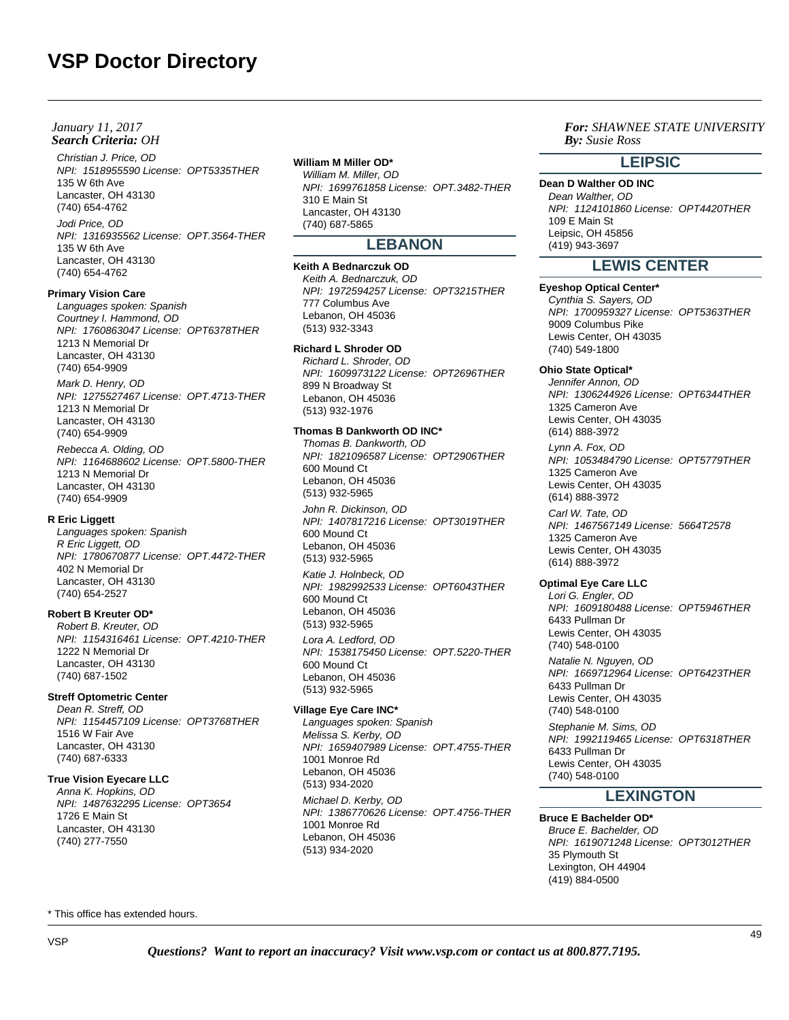Christian J. Price, OD NPI: 1518955590 License: OPT5335THER 135 W 6th Ave Lancaster, OH 43130 (740) 654-4762 Jodi Price, OD NPI: 1316935562 License: OPT.3564-THER 135 W 6th Ave Lancaster, OH 43130 (740) 654-4762

#### **Primary Vision Care**

Languages spoken: Spanish Courtney I. Hammond, OD NPI: 1760863047 License: OPT6378THER 1213 N Memorial Dr Lancaster, OH 43130 (740) 654-9909 Mark D. Henry, OD NPI: 1275527467 License: OPT.4713-THER 1213 N Memorial Dr Lancaster, OH 43130 (740) 654-9909

Rebecca A. Olding, OD NPI: 1164688602 License: OPT.5800-THER 1213 N Memorial Dr Lancaster, OH 43130 (740) 654-9909

#### **R Eric Liggett**

Languages spoken: Spanish R Eric Liggett, OD NPI: 1780670877 License: OPT.4472-THER 402 N Memorial Dr Lancaster, OH 43130 (740) 654-2527

# **Robert B Kreuter OD\***

Robert B. Kreuter, OD NPI: 1154316461 License: OPT.4210-THER 1222 N Memorial Dr Lancaster, OH 43130 (740) 687-1502

## **Streff Optometric Center**

Dean R. Streff, OD NPI: 1154457109 License: OPT3768THER 1516 W Fair Ave Lancaster, OH 43130 (740) 687-6333

# **True Vision Eyecare LLC**

Anna K. Hopkins, OD NPI: 1487632295 License: OPT3654 1726 E Main St Lancaster, OH 43130 (740) 277-7550

#### **William M Miller OD\***

William M. Miller, OD NPI: 1699761858 License: OPT.3482-THER 310 E Main St Lancaster, OH 43130 (740) 687-5865

# **LEBANON**

#### **Keith A Bednarczuk OD**

Keith A. Bednarczuk, OD NPI: 1972594257 License: OPT3215THER 777 Columbus Ave Lebanon, OH 45036 (513) 932-3343

#### **Richard L Shroder OD**

Richard L. Shroder, OD NPI: 1609973122 License: OPT2696THER 899 N Broadway St Lebanon, OH 45036 (513) 932-1976

#### **Thomas B Dankworth OD INC\***

Thomas B. Dankworth, OD NPI: 1821096587 License: OPT2906THER 600 Mound Ct Lebanon, OH 45036 (513) 932-5965 John R. Dickinson, OD

NPI: 1407817216 License: OPT3019THER 600 Mound Ct Lebanon, OH 45036 (513) 932-5965

Katie J. Holnbeck, OD NPI: 1982992533 License: OPT6043THER 600 Mound Ct Lebanon, OH 45036 (513) 932-5965 Lora A. Ledford, OD NPI: 1538175450 License: OPT.5220-THER 600 Mound Ct Lebanon, OH 45036 (513) 932-5965

#### **Village Eye Care INC\***

Languages spoken: Spanish Melissa S. Kerby, OD NPI: 1659407989 License: OPT.4755-THER 1001 Monroe Rd Lebanon, OH 45036 (513) 934-2020 Michael D. Kerby, OD NPI: 1386770626 License: OPT.4756-THER 1001 Monroe Rd Lebanon, OH 45036 (513) 934-2020

## *For: SHAWNEE STATE UNIVERSITY Susie Ross*

# **LEIPSIC**

**Dean D Walther OD INC** Dean Walther, OD NPI: 1124101860 License: OPT4420THER 109 E Main St Leipsic, OH 45856 (419) 943-3697

# **LEWIS CENTER**

# **Eyeshop Optical Center\***

Cynthia S. Sayers, OD NPI: 1700959327 License: OPT5363THER 9009 Columbus Pike Lewis Center, OH 43035 (740) 549-1800

#### **Ohio State Optical\***

Jennifer Annon, OD NPI: 1306244926 License: OPT6344THER 1325 Cameron Ave Lewis Center, OH 43035 (614) 888-3972 Lynn A. Fox, OD NPI: 1053484790 License: OPT5779THER 1325 Cameron Ave Lewis Center, OH 43035 (614) 888-3972 Carl W. Tate, OD NPI: 1467567149 License: 5664T2578 1325 Cameron Ave Lewis Center, OH 43035 (614) 888-3972

#### **Optimal Eye Care LLC**

Lori G. Engler, OD NPI: 1609180488 License: OPT5946THER 6433 Pullman Dr Lewis Center, OH 43035 (740) 548-0100 Natalie N. Nguyen, OD NPI: 1669712964 License: OPT6423THER 6433 Pullman Dr Lewis Center, OH 43035 (740) 548-0100 Stephanie M. Sims, OD NPI: 1992119465 License: OPT6318THER 6433 Pullman Dr Lewis Center, OH 43035 (740) 548-0100

# **LEXINGTON**

# **Bruce E Bachelder OD\***

Bruce E. Bachelder, OD NPI: 1619071248 License: OPT3012THER 35 Plymouth St Lexington, OH 44904 (419) 884-0500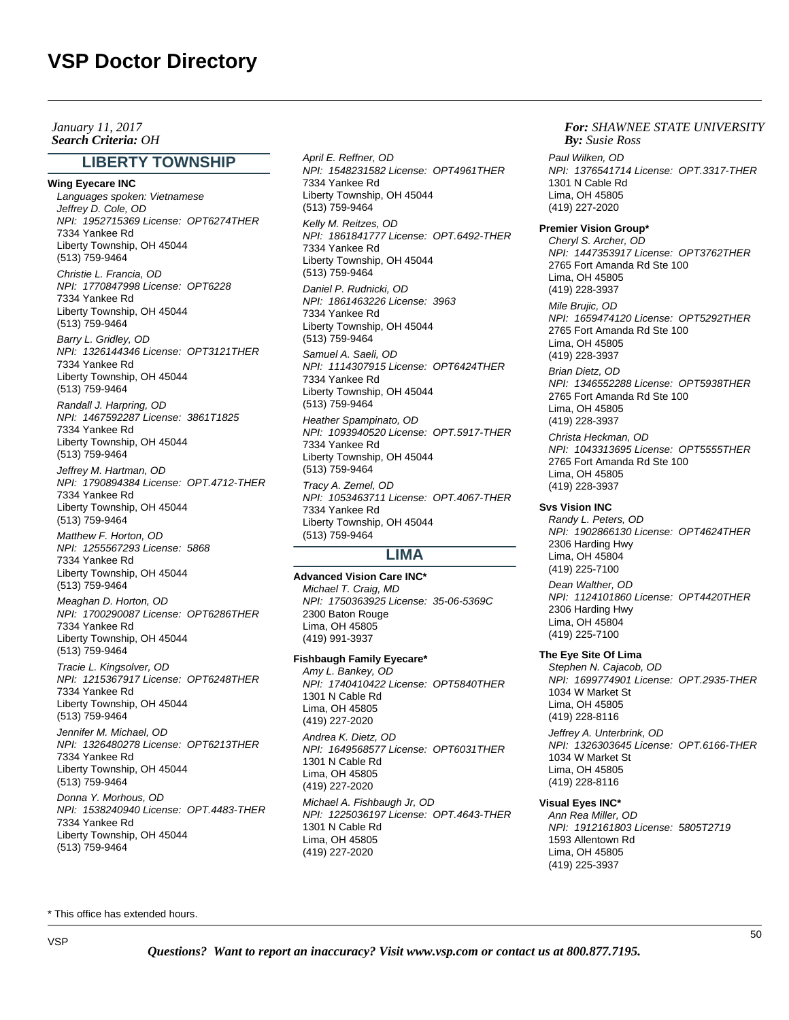*Search Criteria: By: OHJanuary 11, 2017*

# **LIBERTY TOWNSHIP**

#### **Wing Eyecare INC**

Languages spoken: Vietnamese Jeffrey D. Cole, OD NPI: 1952715369 License: OPT6274THER 7334 Yankee Rd Liberty Township, OH 45044 (513) 759-9464 Christie L. Francia, OD NPI: 1770847998 License: OPT6228 7334 Yankee Rd Liberty Township, OH 45044 (513) 759-9464 Barry L. Gridley, OD NPI: 1326144346 License: OPT3121THER 7334 Yankee Rd Liberty Township, OH 45044 (513) 759-9464 Randall J. Harpring, OD NPI: 1467592287 License: 3861T1825 7334 Yankee Rd Liberty Township, OH 45044 (513) 759-9464 Jeffrey M. Hartman, OD NPI: 1790894384 License: OPT.4712-THER 7334 Yankee Rd Liberty Township, OH 45044 (513) 759-9464 Matthew F. Horton, OD NPI: 1255567293 License: 5868 7334 Yankee Rd Liberty Township, OH 45044 (513) 759-9464 Meaghan D. Horton, OD NPI: 1700290087 License: OPT6286THER 7334 Yankee Rd Liberty Township, OH 45044 (513) 759-9464 Tracie L. Kingsolver, OD NPI: 1215367917 License: OPT6248THER 7334 Yankee Rd Liberty Township, OH 45044 (513) 759-9464 Jennifer M. Michael, OD NPI: 1326480278 License: OPT6213THER 7334 Yankee Rd Liberty Township, OH 45044 (513) 759-9464 Donna Y. Morhous, OD NPI: 1538240940 License: OPT.4483-THER 7334 Yankee Rd Liberty Township, OH 45044

April E. Reffner, OD NPI: 1548231582 License: OPT4961THER 7334 Yankee Rd Liberty Township, OH 45044 (513) 759-9464 Kelly M. Reitzes, OD NPI: 1861841777 License: OPT.6492-THER 7334 Yankee Rd Liberty Township, OH 45044 (513) 759-9464 Daniel P. Rudnicki, OD NPI: 1861463226 License: 3963 7334 Yankee Rd Liberty Township, OH 45044 (513) 759-9464 Samuel A. Saeli, OD NPI: 1114307915 License: OPT6424THER 7334 Yankee Rd Liberty Township, OH 45044 (513) 759-9464 Heather Spampinato, OD NPI: 1093940520 License: OPT.5917-THER 7334 Yankee Rd Liberty Township, OH 45044 (513) 759-9464 Tracy A. Zemel, OD NPI: 1053463711 License: OPT.4067-THER 7334 Yankee Rd Liberty Township, OH 45044 (513) 759-9464

# **LIMA**

**Advanced Vision Care INC\*** Michael T. Craig, MD NPI: 1750363925 License: 35-06-5369C 2300 Baton Rouge Lima, OH 45805 (419) 991-3937

**Fishbaugh Family Eyecare\*** Amy L. Bankey, OD NPI: 1740410422 License: OPT5840THER 1301 N Cable Rd Lima, OH 45805 (419) 227-2020

Andrea K. Dietz, OD NPI: 1649568577 License: OPT6031THER 1301 N Cable Rd Lima, OH 45805 (419) 227-2020 Michael A. Fishbaugh Jr, OD NPI: 1225036197 License: OPT.4643-THER 1301 N Cable Rd

Lima, OH 45805 (419) 227-2020

#### *For: SHAWNEE STATE UNIVERSITY Susie Ross*

Paul Wilken, OD NPI: 1376541714 License: OPT.3317-THER 1301 N Cable Rd Lima, OH 45805 (419) 227-2020

**Premier Vision Group\*** Cheryl S. Archer, OD NPI: 1447353917 License: OPT3762THER 2765 Fort Amanda Rd Ste 100 Lima, OH 45805 (419) 228-3937 Mile Brujic, OD NPI: 1659474120 License: OPT5292THER 2765 Fort Amanda Rd Ste 100 Lima, OH 45805 (419) 228-3937 Brian Dietz, OD NPI: 1346552288 License: OPT5938THER 2765 Fort Amanda Rd Ste 100 Lima, OH 45805 (419) 228-3937 Christa Heckman, OD NPI: 1043313695 License: OPT5555THER 2765 Fort Amanda Rd Ste 100 Lima, OH 45805

(419) 228-3937 **Svs Vision INC**

> Randy L. Peters, OD NPI: 1902866130 License: OPT4624THER 2306 Harding Hwy Lima, OH 45804 (419) 225-7100 Dean Walther, OD NPI: 1124101860 License: OPT4420THER 2306 Harding Hwy Lima, OH 45804 (419) 225-7100

**The Eye Site Of Lima**

Stephen N. Cajacob, OD NPI: 1699774901 License: OPT.2935-THER 1034 W Market St Lima, OH 45805 (419) 228-8116 Jeffrey A. Unterbrink, OD NPI: 1326303645 License: OPT.6166-THER

1034 W Market St Lima, OH 45805 (419) 228-8116

# **Visual Eyes INC\***

Ann Rea Miller, OD NPI: 1912161803 License: 5805T2719 1593 Allentown Rd Lima, OH 45805 (419) 225-3937

\* This office has extended hours.

(513) 759-9464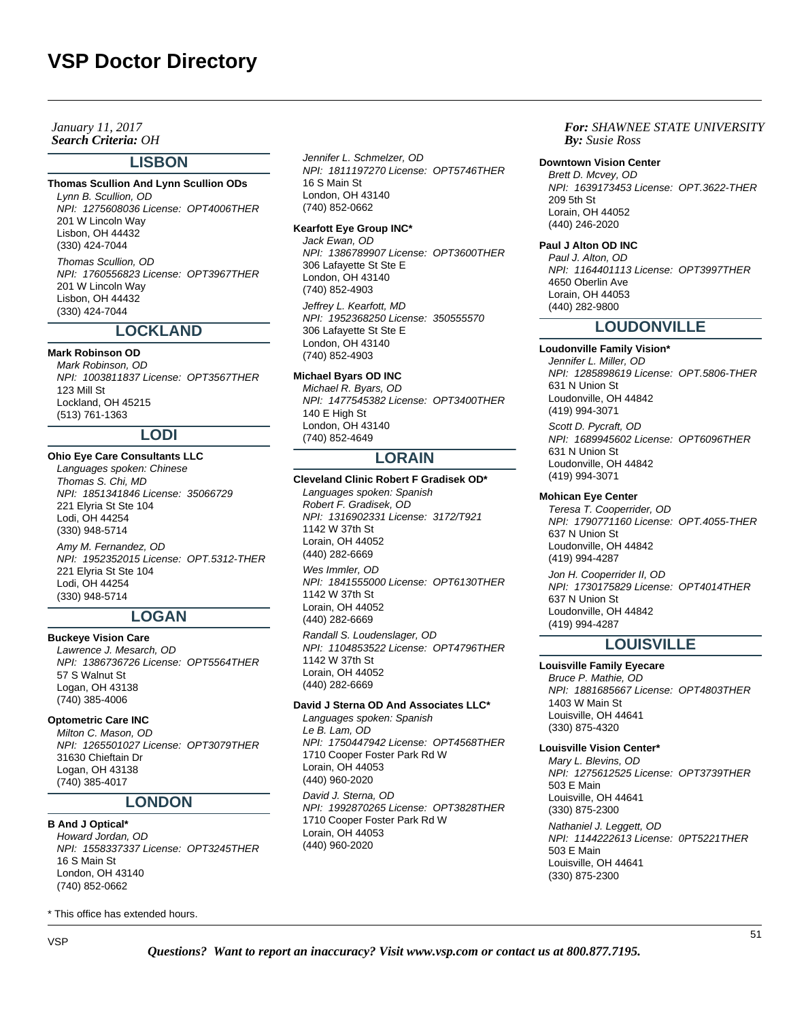## *Search Criteria: By: OHJanuary 11, 2017*

# **LISBON**

# **Thomas Scullion And Lynn Scullion ODs**

Lynn B. Scullion, OD NPI: 1275608036 License: OPT4006THER 201 W Lincoln Way Lisbon, OH 44432 (330) 424-7044 Thomas Scullion, OD NPI: 1760556823 License: OPT3967THER 201 W Lincoln Way Lisbon, OH 44432

## **LOCKLAND**

#### **Mark Robinson OD**

(330) 424-7044

Mark Robinson, OD NPI: 1003811837 License: OPT3567THER 123 Mill St Lockland, OH 45215 (513) 761-1363

# **LODI**

#### **Ohio Eye Care Consultants LLC**

Languages spoken: Chinese Thomas S. Chi, MD NPI: 1851341846 License: 35066729 221 Elyria St Ste 104 Lodi, OH 44254 (330) 948-5714

Amy M. Fernandez, OD NPI: 1952352015 License: OPT.5312-THER 221 Elyria St Ste 104 Lodi, OH 44254 (330) 948-5714

# **LOGAN**

**Buckeye Vision Care** Lawrence J. Mesarch, OD NPI: 1386736726 License: OPT5564THER 57 S Walnut St Logan, OH 43138 (740) 385-4006

# **Optometric Care INC**

Milton C. Mason, OD NPI: 1265501027 License: OPT3079THER 31630 Chieftain Dr Logan, OH 43138 (740) 385-4017

# **LONDON**

## **B And J Optical\***

Howard Jordan, OD NPI: 1558337337 License: OPT3245THER 16 S Main St London, OH 43140 (740) 852-0662

\* This office has extended hours.

Jennifer L. Schmelzer, OD NPI: 1811197270 License: OPT5746THER 16 S Main St London, OH 43140 (740) 852-0662

## **Kearfott Eye Group INC\***

Jack Ewan, OD NPI: 1386789907 License: OPT3600THER 306 Lafayette St Ste E London, OH 43140 (740) 852-4903

Jeffrey L. Kearfott, MD NPI: 1952368250 License: 350555570 306 Lafayette St Ste E London, OH 43140 (740) 852-4903

#### **Michael Byars OD INC**

Michael R. Byars, OD NPI: 1477545382 License: OPT3400THER 140 E High St London, OH 43140 (740) 852-4649

# **LORAIN**

# **Cleveland Clinic Robert F Gradisek OD\***

Languages spoken: Spanish Robert F. Gradisek, OD NPI: 1316902331 License: 3172/T921 1142 W 37th St Lorain, OH 44052 (440) 282-6669

Wes Immler, OD NPI: 1841555000 License: OPT6130THER 1142 W 37th St Lorain, OH 44052 (440) 282-6669

Randall S. Loudenslager, OD NPI: 1104853522 License: OPT4796THER 1142 W 37th St Lorain, OH 44052 (440) 282-6669

# **David J Sterna OD And Associates LLC\***

Languages spoken: Spanish Le B. Lam, OD NPI: 1750447942 License: OPT4568THER 1710 Cooper Foster Park Rd W Lorain, OH 44053 (440) 960-2020

David J. Sterna, OD NPI: 1992870265 License: OPT3828THER 1710 Cooper Foster Park Rd W Lorain, OH 44053 (440) 960-2020

## *For: SHAWNEE STATE UNIVERSITY Susie Ross*

#### **Downtown Vision Center**

Brett D. Mcvey, OD NPI: 1639173453 License: OPT.3622-THER 209 5th St Lorain, OH 44052 (440) 246-2020

#### **Paul J Alton OD INC**

Paul J. Alton, OD NPI: 1164401113 License: OPT3997THER 4650 Oberlin Ave Lorain, OH 44053 (440) 282-9800

# **LOUDONVILLE**

**Loudonville Family Vision\*** Jennifer L. Miller, OD NPI: 1285898619 License: OPT.5806-THER 631 N Union St Loudonville, OH 44842 (419) 994-3071

Scott D. Pycraft, OD NPI: 1689945602 License: OPT6096THER 631 N Union St Loudonville, OH 44842 (419) 994-3071

#### **Mohican Eye Center**

Teresa T. Cooperrider, OD NPI: 1790771160 License: OPT.4055-THER 637 N Union St Loudonville, OH 44842 (419) 994-4287 Jon H. Cooperrider II, OD

NPI: 1730175829 License: OPT4014THER 637 N Union St Loudonville, OH 44842 (419) 994-4287

# **LOUISVILLE**

#### **Louisville Family Eyecare**

Bruce P. Mathie, OD NPI: 1881685667 License: OPT4803THER 1403 W Main St Louisville, OH 44641 (330) 875-4320

#### **Louisville Vision Center\***

Mary L. Blevins, OD NPI: 1275612525 License: OPT3739THER 503 E Main Louisville, OH 44641 (330) 875-2300 Nathaniel J. Leggett, OD NPI: 1144222613 License: 0PT5221THER 503 E Main Louisville, OH 44641 (330) 875-2300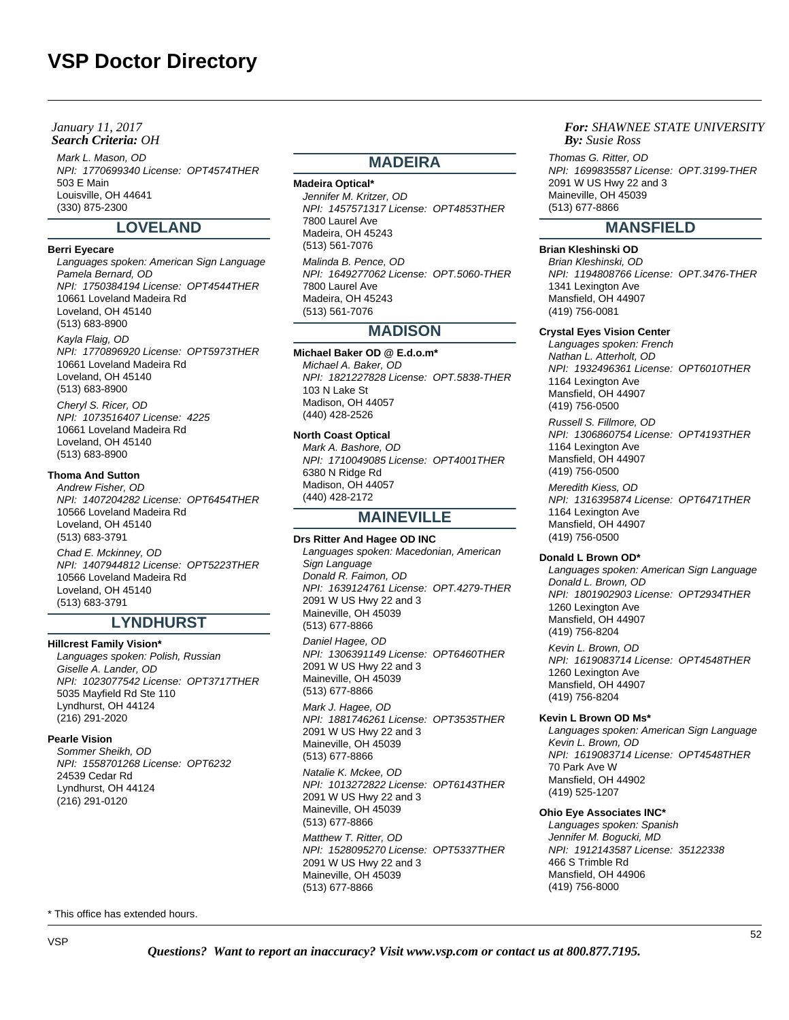*Search Criteria: By: OHJanuary 11, 2017*

Mark L. Mason, OD NPI: 1770699340 License: OPT4574THER 503 E Main Louisville, OH 44641 (330) 875-2300

# **LOVELAND**

#### **Berri Eyecare**

Languages spoken: American Sign Language Pamela Bernard, OD NPI: 1750384194 License: OPT4544THER 10661 Loveland Madeira Rd Loveland, OH 45140 (513) 683-8900 Kayla Flaig, OD NPI: 1770896920 License: OPT5973THER 10661 Loveland Madeira Rd Loveland, OH 45140 (513) 683-8900 Cheryl S. Ricer, OD NPI: 1073516407 License: 4225 10661 Loveland Madeira Rd Loveland, OH 45140 (513) 683-8900

## **Thoma And Sutton**

Andrew Fisher, OD NPI: 1407204282 License: OPT6454THER 10566 Loveland Madeira Rd Loveland, OH 45140 (513) 683-3791 Chad E. Mckinney, OD NPI: 1407944812 License: OPT5223THER 10566 Loveland Madeira Rd Loveland, OH 45140 (513) 683-3791

# **LYNDHURST**

## **Hillcrest Family Vision\***

Languages spoken: Polish, Russian Giselle A. Lander, OD NPI: 1023077542 License: OPT3717THER 5035 Mayfield Rd Ste 110 Lyndhurst, OH 44124 (216) 291-2020

## **Pearle Vision**

Sommer Sheikh, OD NPI: 1558701268 License: OPT6232 24539 Cedar Rd Lyndhurst, OH 44124 (216) 291-0120

\* This office has extended hours.

# **MADEIRA**

**Madeira Optical\*** Jennifer M. Kritzer, OD NPI: 1457571317 License: OPT4853THER 7800 Laurel Ave Madeira, OH 45243 (513) 561-7076 Malinda B. Pence, OD

NPI: 1649277062 License: OPT.5060-THER 7800 Laurel Ave Madeira, OH 45243 (513) 561-7076

# **MADISON**

**Michael Baker OD @ E.d.o.m\*** Michael A. Baker, OD NPI: 1821227828 License: OPT.5838-THER 103 N Lake St Madison, OH 44057 (440) 428-2526

#### **North Coast Optical**

Mark A. Bashore, OD NPI: 1710049085 License: OPT4001THER 6380 N Ridge Rd Madison, OH 44057 (440) 428-2172

# **MAINEVILLE**

# **Drs Ritter And Hagee OD INC**

Languages spoken: Macedonian, American Sign Language Donald R. Faimon, OD NPI: 1639124761 License: OPT.4279-THER 2091 W US Hwy 22 and 3 Maineville, OH 45039 (513) 677-8866

Daniel Hagee, OD NPI: 1306391149 License: OPT6460THER 2091 W US Hwy 22 and 3 Maineville, OH 45039 (513) 677-8866

Mark J. Hagee, OD NPI: 1881746261 License: OPT3535THER 2091 W US Hwy 22 and 3 Maineville, OH 45039 (513) 677-8866 Natalie K. Mckee, OD

NPI: 1013272822 License: OPT6143THER 2091 W US Hwy 22 and 3 Maineville, OH 45039 (513) 677-8866

Matthew T. Ritter, OD NPI: 1528095270 License: OPT5337THER 2091 W US Hwy 22 and 3 Maineville, OH 45039 (513) 677-8866

## *For: SHAWNEE STATE UNIVERSITY Susie Ross*

Thomas G. Ritter, OD NPI: 1699835587 License: OPT.3199-THER 2091 W US Hwy 22 and 3 Maineville, OH 45039 (513) 677-8866

# **MANSFIELD**

# **Brian Kleshinski OD**

Brian Kleshinski, OD NPI: 1194808766 License: OPT.3476-THER 1341 Lexington Ave Mansfield, OH 44907 (419) 756-0081

## **Crystal Eyes Vision Center**

Languages spoken: French Nathan L. Atterholt, OD NPI: 1932496361 License: OPT6010THER 1164 Lexington Ave Mansfield, OH 44907 (419) 756-0500

Russell S. Fillmore, OD NPI: 1306860754 License: OPT4193THER 1164 Lexington Ave Mansfield, OH 44907 (419) 756-0500

Meredith Kiess, OD NPI: 1316395874 License: OPT6471THER 1164 Lexington Ave Mansfield, OH 44907 (419) 756-0500

#### **Donald L Brown OD\***

Languages spoken: American Sign Language Donald L. Brown, OD NPI: 1801902903 License: OPT2934THER 1260 Lexington Ave Mansfield, OH 44907 (419) 756-8204 Kevin L. Brown, OD NPI: 1619083714 License: OPT4548THER 1260 Lexington Ave Mansfield, OH 44907 (419) 756-8204

#### **Kevin L Brown OD Ms\***

Languages spoken: American Sign Language Kevin L. Brown, OD NPI: 1619083714 License: OPT4548THER 70 Park Ave W Mansfield, OH 44902 (419) 525-1207

#### **Ohio Eye Associates INC\***

Languages spoken: Spanish Jennifer M. Bogucki, MD NPI: 1912143587 License: 35122338 466 S Trimble Rd Mansfield, OH 44906 (419) 756-8000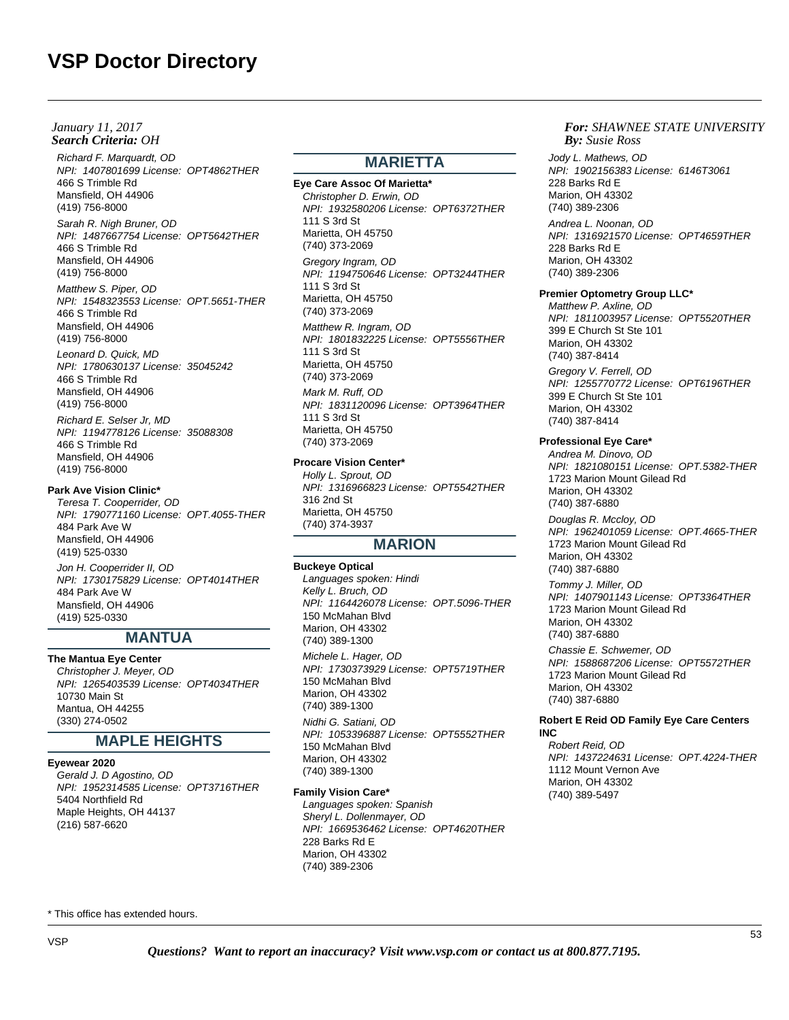Richard F. Marquardt, OD NPI: 1407801699 License: OPT4862THER 466 S Trimble Rd Mansfield, OH 44906 (419) 756-8000 Sarah R. Nigh Bruner, OD

NPI: 1487667754 License: OPT5642THER 466 S Trimble Rd Mansfield, OH 44906 (419) 756-8000

Matthew S. Piper, OD NPI: 1548323553 License: OPT.5651-THER 466 S Trimble Rd Mansfield, OH 44906 (419) 756-8000

Leonard D. Quick, MD NPI: 1780630137 License: 35045242 466 S Trimble Rd Mansfield, OH 44906 (419) 756-8000

Richard E. Selser Jr, MD NPI: 1194778126 License: 35088308 466 S Trimble Rd Mansfield, OH 44906 (419) 756-8000

#### **Park Ave Vision Clinic\***

Teresa T. Cooperrider, OD NPI: 1790771160 License: OPT.4055-THER 484 Park Ave W Mansfield, OH 44906 (419) 525-0330 Jon H. Cooperrider II, OD

NPI: 1730175829 License: OPT4014THER 484 Park Ave W Mansfield, OH 44906 (419) 525-0330

# **MANTUA**

**The Mantua Eye Center** Christopher J. Meyer, OD NPI: 1265403539 License: OPT4034THER 10730 Main St Mantua, OH 44255 (330) 274-0502

# **MAPLE HEIGHTS**

#### **Eyewear 2020**

Gerald J. D Agostino, OD NPI: 1952314585 License: OPT3716THER 5404 Northfield Rd Maple Heights, OH 44137 (216) 587-6620

# **MARIETTA**

**Eye Care Assoc Of Marietta\*** Christopher D. Erwin, OD NPI: 1932580206 License: OPT6372THER 111 S 3rd St Marietta, OH 45750 (740) 373-2069 Gregory Ingram, OD NPI: 1194750646 License: OPT3244THER 111 S 3rd St Marietta, OH 45750 (740) 373-2069 Matthew R. Ingram, OD NPI: 1801832225 License: OPT5556THER 111 S 3rd St Marietta, OH 45750 (740) 373-2069 Mark M. Ruff, OD NPI: 1831120096 License: OPT3964THER 111 S 3rd St Marietta, OH 45750 (740) 373-2069

#### **Procare Vision Center\***

Holly L. Sprout, OD NPI: 1316966823 License: OPT5542THER 316 2nd St Marietta, OH 45750 (740) 374-3937

# **MARION**

#### **Buckeye Optical**

Languages spoken: Hindi Kelly L. Bruch, OD NPI: 1164426078 License: OPT.5096-THER 150 McMahan Blvd Marion, OH 43302 (740) 389-1300 Michele L. Hager, OD

NPI: 1730373929 License: OPT5719THER 150 McMahan Blvd Marion, OH 43302 (740) 389-1300 Nidhi G. Satiani, OD

NPI: 1053396887 License: OPT5552THER 150 McMahan Blvd Marion, OH 43302 (740) 389-1300

# **Family Vision Care\***

Languages spoken: Spanish Sheryl L. Dollenmayer, OD NPI: 1669536462 License: OPT4620THER 228 Barks Rd E Marion, OH 43302 (740) 389-2306

## *For: SHAWNEE STATE UNIVERSITY Susie Ross*

Jody L. Mathews, OD NPI: 1902156383 License: 6146T3061 228 Barks Rd E Marion, OH 43302 (740) 389-2306 Andrea L. Noonan, OD

NPI: 1316921570 License: OPT4659THER 228 Barks Rd E Marion, OH 43302 (740) 389-2306

#### **Premier Optometry Group LLC\***

Matthew P. Axline, OD NPI: 1811003957 License: OPT5520THER 399 E Church St Ste 101 Marion, OH 43302 (740) 387-8414 Gregory V. Ferrell, OD

NPI: 1255770772 License: OPT6196THER 399 E Church St Ste 101 Marion, OH 43302 (740) 387-8414

# **Professional Eye Care\***

Andrea M. Dinovo, OD NPI: 1821080151 License: OPT.5382-THER 1723 Marion Mount Gilead Rd Marion, OH 43302 (740) 387-6880

Douglas R. Mccloy, OD NPI: 1962401059 License: OPT.4665-THER 1723 Marion Mount Gilead Rd Marion, OH 43302 (740) 387-6880

Tommy J. Miller, OD NPI: 1407901143 License: OPT3364THER 1723 Marion Mount Gilead Rd Marion, OH 43302 (740) 387-6880 Chassie E. Schwemer, OD

NPI: 1588687206 License: OPT5572THER 1723 Marion Mount Gilead Rd Marion, OH 43302 (740) 387-6880

## **Robert E Reid OD Family Eye Care Centers INC**

Robert Reid, OD NPI: 1437224631 License: OPT.4224-THER 1112 Mount Vernon Ave Marion, OH 43302 (740) 389-5497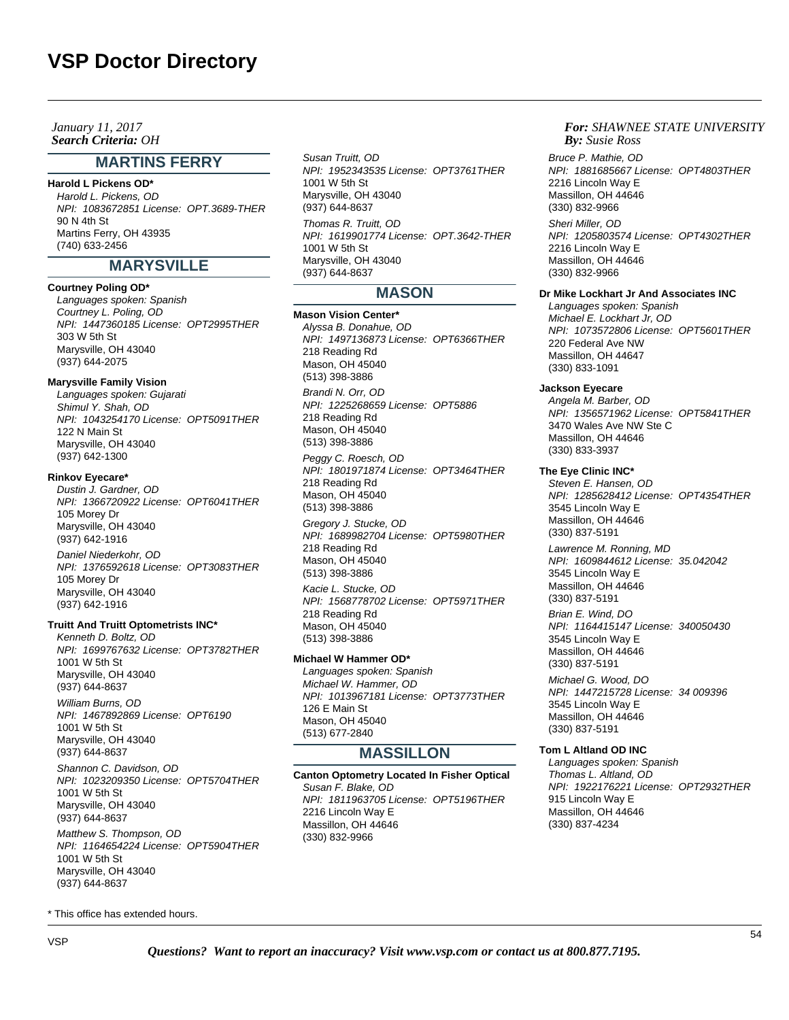## *Search Criteria: By: OHJanuary 11, 2017*

# **MARTINS FERRY**

## **Harold L Pickens OD\***

Harold L. Pickens, OD NPI: 1083672851 License: OPT.3689-THER 90 N 4th St Martins Ferry, OH 43935 (740) 633-2456

# **MARYSVILLE**

## **Courtney Poling OD\***

Languages spoken: Spanish Courtney L. Poling, OD NPI: 1447360185 License: OPT2995THER 303 W 5th St Marysville, OH 43040 (937) 644-2075

## **Marysville Family Vision**

Languages spoken: Gujarati Shimul Y. Shah, OD NPI: 1043254170 License: OPT5091THER 122 N Main St Marysville, OH 43040 (937) 642-1300

#### **Rinkov Eyecare\***

Dustin J. Gardner, OD NPI: 1366720922 License: OPT6041THER 105 Morey Dr Marysville, OH 43040 (937) 642-1916 Daniel Niederkohr, OD NPI: 1376592618 License: OPT3083THER 105 Morey Dr Marysville, OH 43040 (937) 642-1916

#### **Truitt And Truitt Optometrists INC\***

Kenneth D. Boltz, OD NPI: 1699767632 License: OPT3782THER 1001 W 5th St Marysville, OH 43040 (937) 644-8637

William Burns, OD NPI: 1467892869 License: OPT6190 1001 W 5th St Marysville, OH 43040 (937) 644-8637 Shannon C. Davidson, OD NPI: 1023209350 License: OPT5704THER 1001 W 5th St Marysville, OH 43040 (937) 644-8637 Matthew S. Thompson, OD NPI: 1164654224 License: OPT5904THER 1001 W 5th St Marysville, OH 43040

Susan Truitt, OD NPI: 1952343535 License: OPT3761THER 1001 W 5th St Marysville, OH 43040 (937) 644-8637 Thomas R. Truitt, OD NPI: 1619901774 License: OPT.3642-THER 1001 W 5th St Marysville, OH 43040 (937) 644-8637

# **MASON**

#### **Mason Vision Center\***

Alyssa B. Donahue, OD NPI: 1497136873 License: OPT6366THER 218 Reading Rd Mason, OH 45040 (513) 398-3886 Brandi N. Orr, OD NPI: 1225268659 License: OPT5886 218 Reading Rd Mason, OH 45040

(513) 398-3886

Peggy C. Roesch, OD NPI: 1801971874 License: OPT3464THER 218 Reading Rd Mason, OH 45040 (513) 398-3886

Gregory J. Stucke, OD NPI: 1689982704 License: OPT5980THER 218 Reading Rd Mason, OH 45040 (513) 398-3886

Kacie L. Stucke, OD NPI: 1568778702 License: OPT5971THER 218 Reading Rd Mason, OH 45040 (513) 398-3886

## **Michael W Hammer OD\***

Languages spoken: Spanish Michael W. Hammer, OD NPI: 1013967181 License: OPT3773THER 126 E Main St Mason, OH 45040 (513) 677-2840

# **MASSILLON**

**Canton Optometry Located In Fisher Optical** Susan F. Blake, OD NPI: 1811963705 License: OPT5196THER 2216 Lincoln Way E Massillon, OH 44646 (330) 832-9966

#### *For: SHAWNEE STATE UNIVERSITY Susie Ross*

Bruce P. Mathie, OD NPI: 1881685667 License: OPT4803THER 2216 Lincoln Way E Massillon, OH 44646 (330) 832-9966 Sheri Miller, OD NPI: 1205803574 License: OPT4302THER 2216 Lincoln Way E Massillon, OH 44646 (330) 832-9966

# **Dr Mike Lockhart Jr And Associates INC**

Languages spoken: Spanish Michael E. Lockhart Jr, OD NPI: 1073572806 License: OPT5601THER 220 Federal Ave NW Massillon, OH 44647 (330) 833-1091

## **Jackson Eyecare**

Angela M. Barber, OD NPI: 1356571962 License: OPT5841THER 3470 Wales Ave NW Ste C Massillon, OH 44646 (330) 833-3937

#### **The Eye Clinic INC\***

Steven E. Hansen, OD NPI: 1285628412 License: OPT4354THER 3545 Lincoln Way E Massillon, OH 44646 (330) 837-5191

Lawrence M. Ronning, MD NPI: 1609844612 License: 35.042042 3545 Lincoln Way E Massillon, OH 44646 (330) 837-5191

Brian E. Wind, DO NPI: 1164415147 License: 340050430 3545 Lincoln Way E Massillon, OH 44646 (330) 837-5191

Michael G. Wood, DO NPI: 1447215728 License: 34 009396 3545 Lincoln Way E Massillon, OH 44646 (330) 837-5191

#### **Tom L Altland OD INC**

Languages spoken: Spanish Thomas L. Altland, OD NPI: 1922176221 License: OPT2932THER 915 Lincoln Way E Massillon, OH 44646 (330) 837-4234

\* This office has extended hours.

(937) 644-8637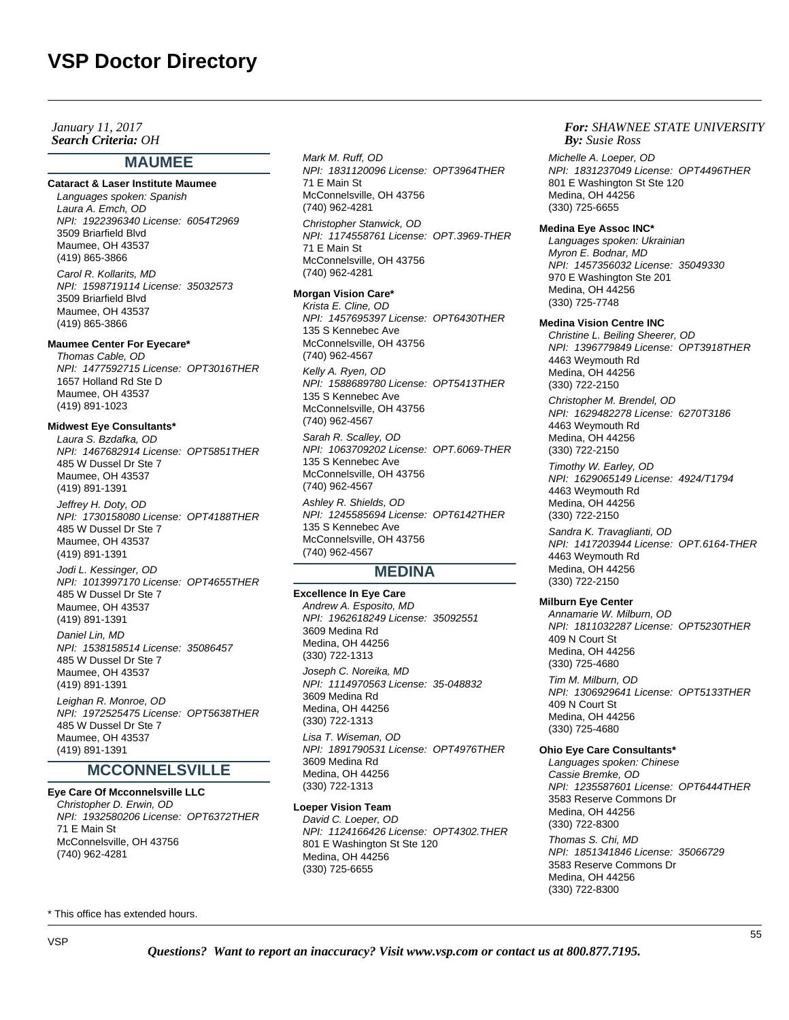*Search Criteria: By: OHJanuary 11, 2017*

# **MAUMEE**

# **Cataract & Laser Institute Maumee**

Languages spoken: Spanish Laura A. Emch, OD NPI: 1922396340 License: 6054T2969 3509 Briarfield Blvd Maumee, OH 43537 (419) 865-3866 Carol R. Kollarits, MD NPI: 1598719114 License: 35032573 3509 Briarfield Blvd

Maumee, OH 43537 (419) 865-3866

### **Maumee Center For Eyecare\***

Thomas Cable, OD NPI: 1477592715 License: OPT3016THER 1657 Holland Rd Ste D Maumee, OH 43537 (419) 891-1023

## **Midwest Eye Consultants\***

Laura S. Bzdafka, OD NPI: 1467682914 License: OPT5851THER 485 W Dussel Dr Ste 7 Maumee, OH 43537 (419) 891-1391 Jeffrey H. Doty, OD

NPI: 1730158080 License: OPT4188THER 485 W Dussel Dr Ste 7 Maumee, OH 43537 (419) 891-1391

Jodi L. Kessinger, OD NPI: 1013997170 License: OPT4655THER 485 W Dussel Dr Ste 7 Maumee, OH 43537 (419) 891-1391

Daniel Lin, MD NPI: 1538158514 License: 35086457 485 W Dussel Dr Ste 7 Maumee, OH 43537 (419) 891-1391

Leighan R. Monroe, OD NPI: 1972525475 License: OPT5638THER 485 W Dussel Dr Ste 7 Maumee, OH 43537 (419) 891-1391

# **MCCONNELSVILLE**

**Eye Care Of Mcconnelsville LLC** Christopher D. Erwin, OD NPI: 1932580206 License: OPT6372THER

71 E Main St McConnelsville, OH 43756 (740) 962-4281

Mark M. Ruff, OD NPI: 1831120096 License: OPT3964THER 71 E Main St McConnelsville, OH 43756 (740) 962-4281 Christopher Stanwick, OD NPI: 1174558761 License: OPT.3969-THER 71 E Main St McConnelsville, OH 43756 (740) 962-4281

#### **Morgan Vision Care\***

Krista E. Cline, OD NPI: 1457695397 License: OPT6430THER 135 S Kennebec Ave McConnelsville, OH 43756 (740) 962-4567 Kelly A. Ryen, OD

NPI: 1588689780 License: OPT5413THER 135 S Kennebec Ave McConnelsville, OH 43756 (740) 962-4567 Sarah R. Scalley, OD

NPI: 1063709202 License: OPT.6069-THER 135 S Kennebec Ave McConnelsville, OH 43756 (740) 962-4567

Ashley R. Shields, OD NPI: 1245585694 License: OPT6142THER 135 S Kennebec Ave McConnelsville, OH 43756 (740) 962-4567

# **MEDINA**

**Excellence In Eye Care** Andrew A. Esposito, MD NPI: 1962618249 License: 35092551 3609 Medina Rd Medina, OH 44256 (330) 722-1313

Joseph C. Noreika, MD NPI: 1114970563 License: 35-048832 3609 Medina Rd Medina, OH 44256 (330) 722-1313

Lisa T. Wiseman, OD NPI: 1891790531 License: OPT4976THER 3609 Medina Rd Medina, OH 44256 (330) 722-1313

# **Loeper Vision Team**

David C. Loeper, OD NPI: 1124166426 License: OPT4302.THER 801 E Washington St Ste 120 Medina, OH 44256 (330) 725-6655

#### *For: SHAWNEE STATE UNIVERSITY Susie Ross*

Michelle A. Loeper, OD NPI: 1831237049 License: OPT4496THER 801 E Washington St Ste 120 Medina, OH 44256 (330) 725-6655

#### **Medina Eye Assoc INC\***

Languages spoken: Ukrainian Myron E. Bodnar, MD NPI: 1457356032 License: 35049330 970 E Washington Ste 201 Medina, OH 44256 (330) 725-7748

#### **Medina Vision Centre INC**

Christine L. Beiling Sheerer, OD NPI: 1396779849 License: OPT3918THER 4463 Weymouth Rd Medina, OH 44256 (330) 722-2150

Christopher M. Brendel, OD NPI: 1629482278 License: 6270T3186 4463 Weymouth Rd Medina, OH 44256 (330) 722-2150

Timothy W. Earley, OD NPI: 1629065149 License: 4924/T1794 4463 Weymouth Rd Medina, OH 44256 (330) 722-2150

Sandra K. Travaglianti, OD NPI: 1417203944 License: OPT.6164-THER 4463 Weymouth Rd Medina, OH 44256 (330) 722-2150

## **Milburn Eye Center**

Annamarie W. Milburn, OD NPI: 1811032287 License: OPT5230THER 409 N Court St Medina, OH 44256 (330) 725-4680

Tim M. Milburn, OD NPI: 1306929641 License: OPT5133THER 409 N Court St Medina, OH 44256 (330) 725-4680

#### **Ohio Eye Care Consultants\***

Languages spoken: Chinese Cassie Bremke, OD NPI: 1235587601 License: OPT6444THER 3583 Reserve Commons Dr Medina, OH 44256 (330) 722-8300

Thomas S. Chi, MD NPI: 1851341846 License: 35066729 3583 Reserve Commons Dr Medina, OH 44256 (330) 722-8300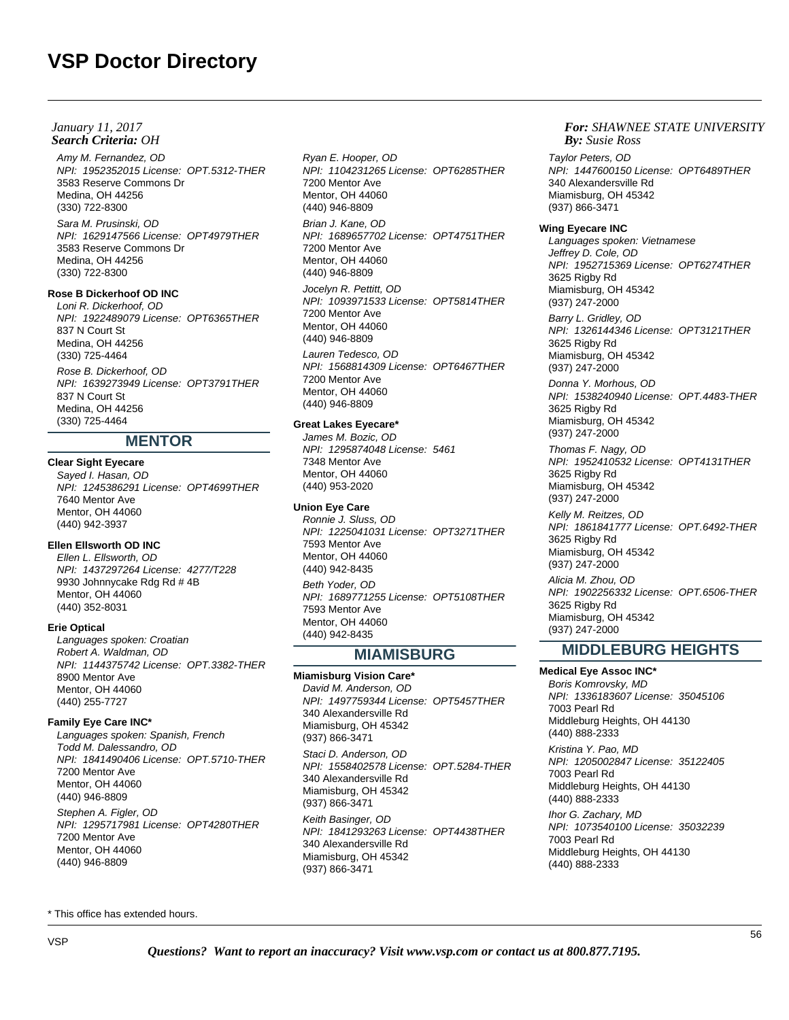Amy M. Fernandez, OD NPI: 1952352015 License: OPT.5312-THER 3583 Reserve Commons Dr Medina, OH 44256 (330) 722-8300 Sara M. Prusinski, OD NPI: 1629147566 License: OPT4979THER

3583 Reserve Commons Dr Medina, OH 44256 (330) 722-8300

# **Rose B Dickerhoof OD INC**

Loni R. Dickerhoof, OD NPI: 1922489079 License: OPT6365THER 837 N Court St Medina, OH 44256 (330) 725-4464 Rose B. Dickerhoof, OD NPI: 1639273949 License: OPT3791THER

837 N Court St Medina, OH 44256 (330) 725-4464

# **MENTOR**

# **Clear Sight Eyecare**

Sayed I. Hasan, OD NPI: 1245386291 License: OPT4699THER 7640 Mentor Ave Mentor, OH 44060 (440) 942-3937

# **Ellen Ellsworth OD INC**

Ellen L. Ellsworth, OD NPI: 1437297264 License: 4277/T228 9930 Johnnycake Rdg Rd # 4B Mentor, OH 44060 (440) 352-8031

## **Erie Optical**

Languages spoken: Croatian Robert A. Waldman, OD NPI: 1144375742 License: OPT.3382-THER 8900 Mentor Ave Mentor, OH 44060 (440) 255-7727

## **Family Eye Care INC\***

Languages spoken: Spanish, French Todd M. Dalessandro, OD NPI: 1841490406 License: OPT.5710-THER 7200 Mentor Ave Mentor, OH 44060 (440) 946-8809 Stephen A. Figler, OD NPI: 1295717981 License: OPT4280THER 7200 Mentor Ave Mentor, OH 44060 (440) 946-8809

Ryan E. Hooper, OD NPI: 1104231265 License: OPT6285THER 7200 Mentor Ave Mentor, OH 44060 (440) 946-8809

Brian J. Kane, OD NPI: 1689657702 License: OPT4751THER 7200 Mentor Ave Mentor, OH 44060 (440) 946-8809 Jocelyn R. Pettitt, OD

NPI: 1093971533 License: OPT5814THER 7200 Mentor Ave Mentor, OH 44060 (440) 946-8809

Lauren Tedesco, OD NPI: 1568814309 License: OPT6467THER 7200 Mentor Ave Mentor, OH 44060 (440) 946-8809

# **Great Lakes Eyecare\***

James M. Bozic, OD NPI: 1295874048 License: 5461 7348 Mentor Ave Mentor, OH 44060 (440) 953-2020

#### **Union Eye Care**

Ronnie J. Sluss, OD NPI: 1225041031 License: OPT3271THER 7593 Mentor Ave Mentor, OH 44060 (440) 942-8435 Beth Yoder, OD NPI: 1689771255 License: OPT5108THER 7593 Mentor Ave Mentor, OH 44060 (440) 942-8435

# **MIAMISBURG**

## **Miamisburg Vision Care\***

David M. Anderson, OD NPI: 1497759344 License: OPT5457THER 340 Alexandersville Rd Miamisburg, OH 45342 (937) 866-3471 Staci D. Anderson, OD NPI: 1558402578 License: OPT.5284-THER 340 Alexandersville Rd Miamisburg, OH 45342 (937) 866-3471 Keith Basinger, OD NPI: 1841293263 License: OPT4438THER 340 Alexandersville Rd Miamisburg, OH 45342 (937) 866-3471

#### *For: SHAWNEE STATE UNIVERSITY Susie Ross*

Taylor Peters, OD NPI: 1447600150 License: OPT6489THER 340 Alexandersville Rd Miamisburg, OH 45342 (937) 866-3471

#### **Wing Eyecare INC**

Languages spoken: Vietnamese Jeffrey D. Cole, OD NPI: 1952715369 License: OPT6274THER 3625 Rigby Rd Miamisburg, OH 45342 (937) 247-2000 Barry L. Gridley, OD NPI: 1326144346 License: OPT3121THER 3625 Rigby Rd Miamisburg, OH 45342 (937) 247-2000 Donna Y. Morhous, OD NPI: 1538240940 License: OPT.4483-THER 3625 Rigby Rd Miamisburg, OH 45342 (937) 247-2000 Thomas F. Nagy, OD NPI: 1952410532 License: OPT4131THER 3625 Rigby Rd Miamisburg, OH 45342 (937) 247-2000 Kelly M. Reitzes, OD NPI: 1861841777 License: OPT.6492-THER 3625 Rigby Rd Miamisburg, OH 45342 (937) 247-2000 Alicia M. Zhou, OD NPI: 1902256332 License: OPT.6506-THER 3625 Rigby Rd Miamisburg, OH 45342 (937) 247-2000

# **MIDDLEBURG HEIGHTS**

## **Medical Eye Assoc INC\***

Boris Komrovsky, MD NPI: 1336183607 License: 35045106 7003 Pearl Rd Middleburg Heights, OH 44130 (440) 888-2333 Kristina Y. Pao, MD NPI: 1205002847 License: 35122405 7003 Pearl Rd Middleburg Heights, OH 44130 (440) 888-2333 Ihor G. Zachary, MD NPI: 1073540100 License: 35032239

7003 Pearl Rd Middleburg Heights, OH 44130 (440) 888-2333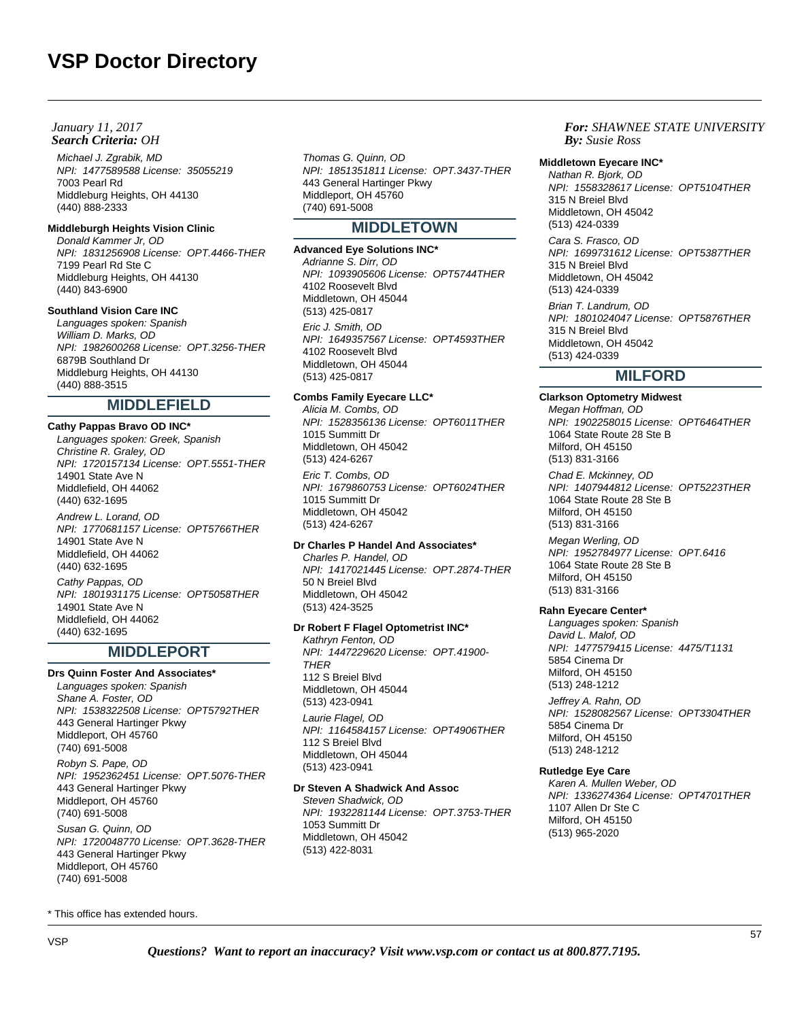Michael J. Zgrabik, MD NPI: 1477589588 License: 35055219 7003 Pearl Rd Middleburg Heights, OH 44130 (440) 888-2333

# **Middleburgh Heights Vision Clinic**

Donald Kammer Jr, OD NPI: 1831256908 License: OPT.4466-THER 7199 Pearl Rd Ste C Middleburg Heights, OH 44130 (440) 843-6900

# **Southland Vision Care INC**

Languages spoken: Spanish William D. Marks, OD NPI: 1982600268 License: OPT.3256-THER 6879B Southland Dr Middleburg Heights, OH 44130 (440) 888-3515

# **MIDDLEFIELD**

## **Cathy Pappas Bravo OD INC\***

Languages spoken: Greek, Spanish Christine R. Graley, OD NPI: 1720157134 License: OPT.5551-THER 14901 State Ave N Middlefield, OH 44062 (440) 632-1695

Andrew L. Lorand, OD NPI: 1770681157 License: OPT5766THER 14901 State Ave N Middlefield, OH 44062 (440) 632-1695

Cathy Pappas, OD NPI: 1801931175 License: OPT5058THER 14901 State Ave N Middlefield, OH 44062 (440) 632-1695

# **MIDDLEPORT**

## **Drs Quinn Foster And Associates\***

Languages spoken: Spanish Shane A. Foster, OD NPI: 1538322508 License: OPT5792THER 443 General Hartinger Pkwy Middleport, OH 45760 (740) 691-5008

Robyn S. Pape, OD NPI: 1952362451 License: OPT.5076-THER 443 General Hartinger Pkwy Middleport, OH 45760 (740) 691-5008 Susan G. Quinn, OD NPI: 1720048770 License: OPT.3628-THER

443 General Hartinger Pkwy Middleport, OH 45760 (740) 691-5008

Thomas G. Quinn, OD NPI: 1851351811 License: OPT.3437-THER 443 General Hartinger Pkwy Middleport, OH 45760 (740) 691-5008

# **MIDDLETOWN**

# **Advanced Eye Solutions INC\***

Adrianne S. Dirr, OD NPI: 1093905606 License: OPT5744THER 4102 Roosevelt Blvd Middletown, OH 45044 (513) 425-0817

Eric J. Smith, OD NPI: 1649357567 License: OPT4593THER 4102 Roosevelt Blvd Middletown, OH 45044 (513) 425-0817

## **Combs Family Eyecare LLC\***

Alicia M. Combs, OD NPI: 1528356136 License: OPT6011THER 1015 Summitt Dr Middletown, OH 45042 (513) 424-6267 Eric T. Combs, OD

NPI: 1679860753 License: OPT6024THER 1015 Summitt Dr Middletown, OH 45042 (513) 424-6267

# **Dr Charles P Handel And Associates\***

Charles P. Handel, OD NPI: 1417021445 License: OPT.2874-THER 50 N Breiel Blvd Middletown, OH 45042 (513) 424-3525

## **Dr Robert F Flagel Optometrist INC\***

Kathryn Fenton, OD NPI: 1447229620 License: OPT.41900- **THER** 112 S Breiel Blvd Middletown, OH 45044 (513) 423-0941

Laurie Flagel, OD NPI: 1164584157 License: OPT4906THER 112 S Breiel Blvd Middletown, OH 45044 (513) 423-0941

## **Dr Steven A Shadwick And Assoc**

Steven Shadwick, OD NPI: 1932281144 License: OPT.3753-THER 1053 Summitt Dr Middletown, OH 45042 (513) 422-8031

## *For: SHAWNEE STATE UNIVERSITY Susie Ross*

#### **Middletown Eyecare INC\***

Nathan R. Bjork, OD NPI: 1558328617 License: OPT5104THER 315 N Breiel Blvd Middletown, OH 45042 (513) 424-0339

Cara S. Frasco, OD NPI: 1699731612 License: OPT5387THER 315 N Breiel Blvd Middletown, OH 45042 (513) 424-0339

Brian T. Landrum, OD NPI: 1801024047 License: OPT5876THER 315 N Breiel Blvd Middletown, OH 45042 (513) 424-0339

# **MILFORD**

#### **Clarkson Optometry Midwest** Megan Hoffman, OD

NPI: 1902258015 License: OPT6464THER 1064 State Route 28 Ste B Milford, OH 45150 (513) 831-3166

Chad E. Mckinney, OD NPI: 1407944812 License: OPT5223THER 1064 State Route 28 Ste B Milford, OH 45150 (513) 831-3166

Megan Werling, OD NPI: 1952784977 License: OPT.6416 1064 State Route 28 Ste B Milford, OH 45150 (513) 831-3166

## **Rahn Eyecare Center\***

Languages spoken: Spanish David L. Malof, OD NPI: 1477579415 License: 4475/T1131 5854 Cinema Dr Milford, OH 45150 (513) 248-1212

Jeffrey A. Rahn, OD NPI: 1528082567 License: OPT3304THER 5854 Cinema Dr Milford, OH 45150 (513) 248-1212

## **Rutledge Eye Care**

Karen A. Mullen Weber, OD NPI: 1336274364 License: OPT4701THER 1107 Allen Dr Ste C Milford, OH 45150 (513) 965-2020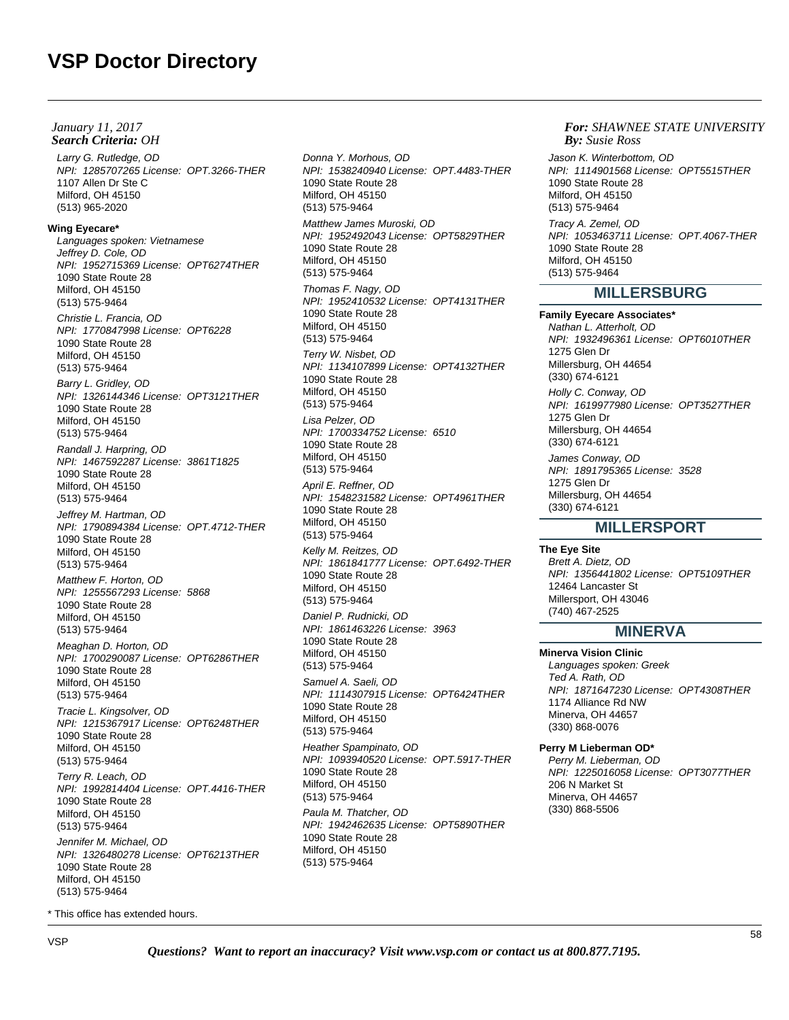Larry G. Rutledge, OD NPI: 1285707265 License: OPT.3266-THER 1107 Allen Dr Ste C Milford, OH 45150 (513) 965-2020

## **Wing Eyecare\***

Languages spoken: Vietnamese Jeffrey D. Cole, OD NPI: 1952715369 License: OPT6274THER 1090 State Route 28 Milford, OH 45150 (513) 575-9464 Christie L. Francia, OD NPI: 1770847998 License: OPT6228 1090 State Route 28 Milford, OH 45150 (513) 575-9464 Barry L. Gridley, OD NPI: 1326144346 License: OPT3121THER 1090 State Route 28 Milford, OH 45150 (513) 575-9464 Randall J. Harpring, OD

NPI: 1467592287 License: 3861T1825 1090 State Route 28 Milford, OH 45150 (513) 575-9464

Jeffrey M. Hartman, OD NPI: 1790894384 License: OPT.4712-THER 1090 State Route 28 Milford, OH 45150 (513) 575-9464

Matthew F. Horton, OD NPI: 1255567293 License: 5868 1090 State Route 28 Milford, OH 45150 (513) 575-9464

Meaghan D. Horton, OD NPI: 1700290087 License: OPT6286THER 1090 State Route 28 Milford, OH 45150 (513) 575-9464

Tracie L. Kingsolver, OD NPI: 1215367917 License: OPT6248THER 1090 State Route 28 Milford, OH 45150 (513) 575-9464

Terry R. Leach, OD NPI: 1992814404 License: OPT.4416-THER 1090 State Route 28 Milford, OH 45150 (513) 575-9464

Jennifer M. Michael, OD NPI: 1326480278 License: OPT6213THER 1090 State Route 28 Milford, OH 45150 (513) 575-9464

1090 State Route 28 Milford, OH 45150 (513) 575-9464 Matthew James Muroski, OD NPI: 1952492043 License: OPT5829THER 1090 State Route 28 Milford, OH 45150 (513) 575-9464 Thomas F. Nagy, OD NPI: 1952410532 License: OPT4131THER 1090 State Route 28 Milford, OH 45150 (513) 575-9464 Terry W. Nisbet, OD NPI: 1134107899 License: OPT4132THER 1090 State Route 28 Milford, OH 45150 (513) 575-9464 Lisa Pelzer, OD NPI: 1700334752 License: 6510 1090 State Route 28 Milford, OH 45150 (513) 575-9464 April E. Reffner, OD NPI: 1548231582 License: OPT4961THER 1090 State Route 28 Milford, OH 45150 (513) 575-9464 Kelly M. Reitzes, OD NPI: 1861841777 License: OPT.6492-THER

NPI: 1538240940 License: OPT.4483-THER

Donna Y. Morhous, OD

1090 State Route 28 Milford, OH 45150 (513) 575-9464 Daniel P. Rudnicki, OD

NPI: 1861463226 License: 3963 1090 State Route 28 Milford, OH 45150 (513) 575-9464

Samuel A. Saeli, OD NPI: 1114307915 License: OPT6424THER 1090 State Route 28 Milford, OH 45150 (513) 575-9464

Heather Spampinato, OD NPI: 1093940520 License: OPT.5917-THER 1090 State Route 28 Milford, OH 45150 (513) 575-9464 Paula M. Thatcher, OD NPI: 1942462635 License: OPT5890THER 1090 State Route 28 Milford, OH 45150 (513) 575-9464

## *For: SHAWNEE STATE UNIVERSITY Susie Ross*

Jason K. Winterbottom, OD NPI: 1114901568 License: OPT5515THER 1090 State Route 28 Milford, OH 45150 (513) 575-9464 Tracy A. Zemel, OD NPI: 1053463711 License: OPT.4067-THER 1090 State Route 28 Milford, OH 45150 (513) 575-9464

# **MILLERSBURG**

**Family Eyecare Associates\*** Nathan L. Atterholt, OD NPI: 1932496361 License: OPT6010THER 1275 Glen Dr Millersburg, OH 44654 (330) 674-6121 Holly C. Conway, OD NPI: 1619977980 License: OPT3527THER 1275 Glen Dr Millersburg, OH 44654 (330) 674-6121 James Conway, OD NPI: 1891795365 License: 3528 1275 Glen Dr Millersburg, OH 44654 (330) 674-6121

# **MILLERSPORT**

# **The Eye Site**

Brett A. Dietz, OD NPI: 1356441802 License: OPT5109THER 12464 Lancaster St Millersport, OH 43046 (740) 467-2525

# **MINERVA**

**Minerva Vision Clinic** Languages spoken: Greek Ted A. Rath, OD NPI: 1871647230 License: OPT4308THER 1174 Alliance Rd NW Minerva, OH 44657 (330) 868-0076

## **Perry M Lieberman OD\***

Perry M. Lieberman, OD NPI: 1225016058 License: OPT3077THER 206 N Market St Minerva, OH 44657 (330) 868-5506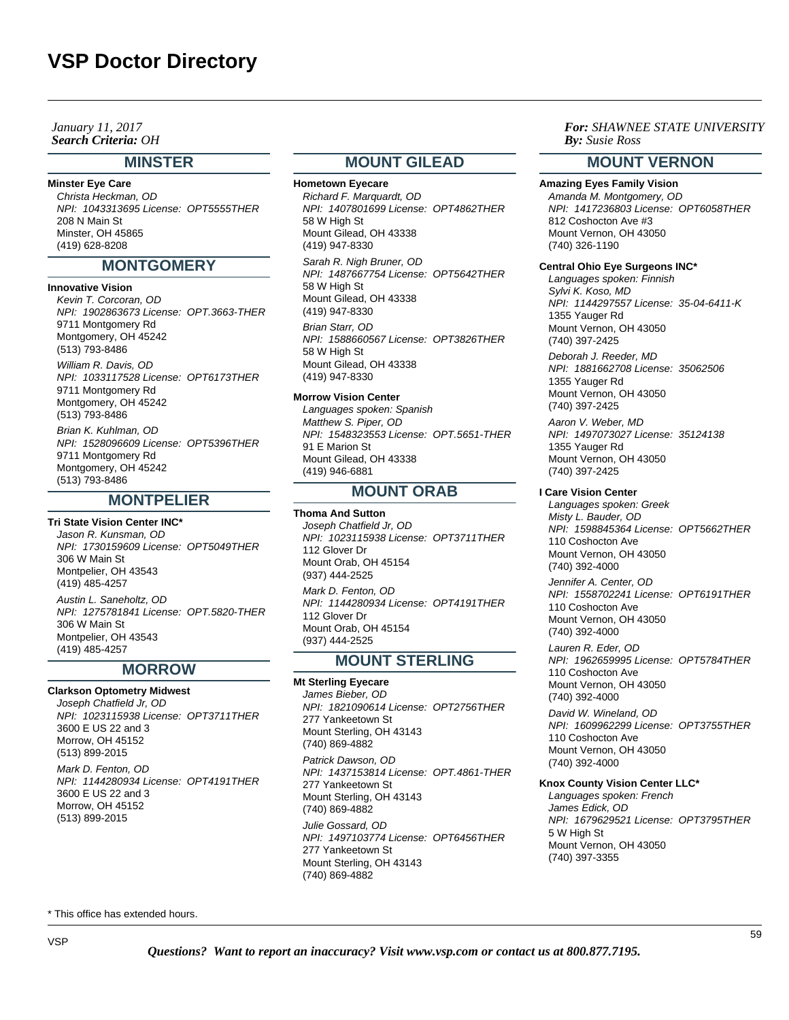*Search Criteria: By: OHJanuary 11, 2017*

# **MINSTER**

#### **Minster Eye Care**

Christa Heckman, OD NPI: 1043313695 License: OPT5555THER 208 N Main St Minster, OH 45865 (419) 628-8208

# **MONTGOMERY**

#### **Innovative Vision**

Kevin T. Corcoran, OD NPI: 1902863673 License: OPT.3663-THER 9711 Montgomery Rd Montgomery, OH 45242 (513) 793-8486

William R. Davis, OD NPI: 1033117528 License: OPT6173THER 9711 Montgomery Rd Montgomery, OH 45242 (513) 793-8486 Brian K. Kuhlman, OD NPI: 1528096609 License: OPT5396THER 9711 Montgomery Rd

## **MONTPELIER**

Montgomery, OH 45242 (513) 793-8486

**Tri State Vision Center INC\*** Jason R. Kunsman, OD NPI: 1730159609 License: OPT5049THER 306 W Main St Montpelier, OH 43543 (419) 485-4257 Austin L. Saneholtz, OD NPI: 1275781841 License: OPT.5820-THER 306 W Main St Montpelier, OH 43543 (419) 485-4257

# **MORROW**

**Clarkson Optometry Midwest** Joseph Chatfield Jr, OD NPI: 1023115938 License: OPT3711THER 3600 E US 22 and 3 Morrow, OH 45152 (513) 899-2015 Mark D. Fenton, OD NPI: 1144280934 License: OPT4191THER 3600 E US 22 and 3

**MOUNT GILEAD**

**Hometown Eyecare** Richard F. Marquardt, OD NPI: 1407801699 License: OPT4862THER 58 W High St Mount Gilead, OH 43338 (419) 947-8330

Sarah R. Nigh Bruner, OD NPI: 1487667754 License: OPT5642THER 58 W High St Mount Gilead, OH 43338 (419) 947-8330

Brian Starr, OD NPI: 1588660567 License: OPT3826THER 58 W High St Mount Gilead, OH 43338 (419) 947-8330

**Morrow Vision Center** Languages spoken: Spanish

Matthew S. Piper, OD NPI: 1548323553 License: OPT.5651-THER 91 E Marion St Mount Gilead, OH 43338 (419) 946-6881

# **MOUNT ORAB**

**Thoma And Sutton**

Joseph Chatfield Jr, OD NPI: 1023115938 License: OPT3711THER 112 Glover Dr Mount Orab, OH 45154 (937) 444-2525

Mark D. Fenton, OD NPI: 1144280934 License: OPT4191THER 112 Glover Dr Mount Orab, OH 45154 (937) 444-2525

# **MOUNT STERLING**

**Mt Sterling Eyecare**

James Bieber, OD NPI: 1821090614 License: OPT2756THER 277 Yankeetown St Mount Sterling, OH 43143 (740) 869-4882

Patrick Dawson, OD NPI: 1437153814 License: OPT.4861-THER 277 Yankeetown St Mount Sterling, OH 43143 (740) 869-4882

Julie Gossard, OD NPI: 1497103774 License: OPT6456THER 277 Yankeetown St Mount Sterling, OH 43143 (740) 869-4882

*For: SHAWNEE STATE UNIVERSITY Susie Ross*

# **MOUNT VERNON**

**Amazing Eyes Family Vision** Amanda M. Montgomery, OD NPI: 1417236803 License: OPT6058THER

812 Coshocton Ave #3 Mount Vernon, OH 43050 (740) 326-1190

#### **Central Ohio Eye Surgeons INC\***

Languages spoken: Finnish Sylvi K. Koso, MD NPI: 1144297557 License: 35-04-6411-K 1355 Yauger Rd Mount Vernon, OH 43050 (740) 397-2425

Deborah J. Reeder, MD NPI: 1881662708 License: 35062506 1355 Yauger Rd Mount Vernon, OH 43050 (740) 397-2425

Aaron V. Weber, MD NPI: 1497073027 License: 35124138 1355 Yauger Rd Mount Vernon, OH 43050 (740) 397-2425

**I Care Vision Center**

Languages spoken: Greek Misty L. Bauder, OD NPI: 1598845364 License: OPT5662THER 110 Coshocton Ave Mount Vernon, OH 43050 (740) 392-4000

Jennifer A. Center, OD NPI: 1558702241 License: OPT6191THER 110 Coshocton Ave Mount Vernon, OH 43050 (740) 392-4000

Lauren R. Eder, OD NPI: 1962659995 License: OPT5784THER 110 Coshocton Ave Mount Vernon, OH 43050 (740) 392-4000

David W. Wineland, OD NPI: 1609962299 License: OPT3755THER 110 Coshocton Ave Mount Vernon, OH 43050 (740) 392-4000

# **Knox County Vision Center LLC\***

Languages spoken: French James Edick, OD NPI: 1679629521 License: OPT3795THER 5 W High St Mount Vernon, OH 43050 (740) 397-3355

\* This office has extended hours.

Morrow, OH 45152 (513) 899-2015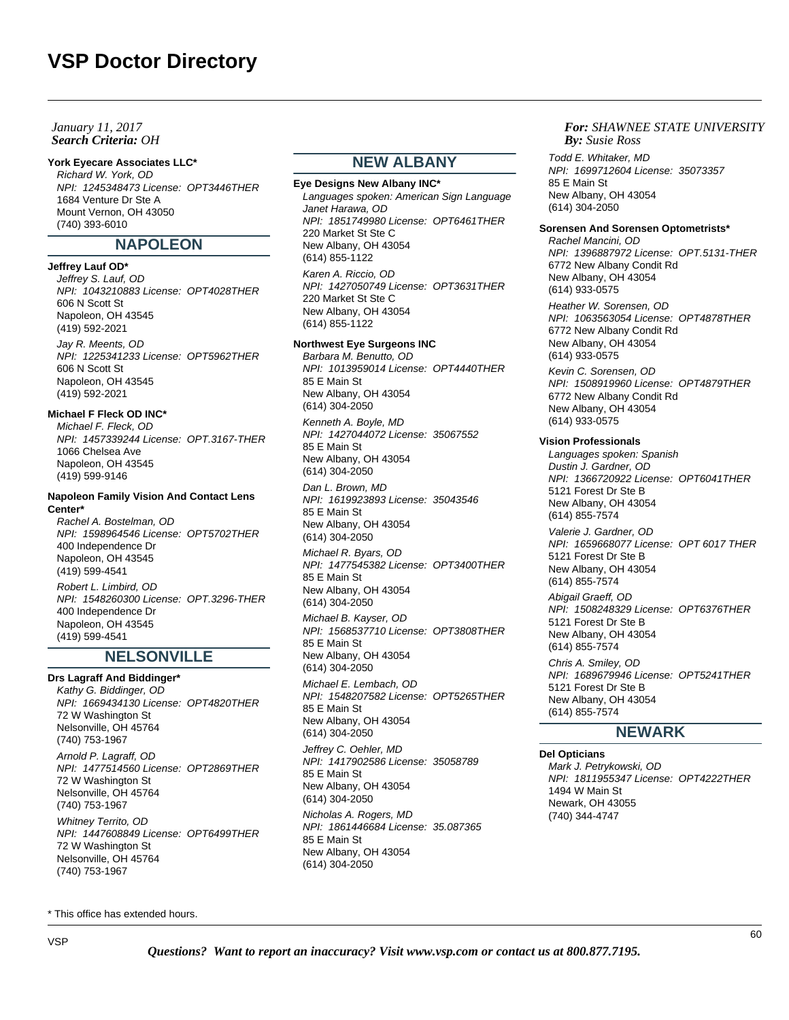## *Search Criteria: By: OHJanuary 11, 2017*

#### **York Eyecare Associates LLC\***

Richard W. York, OD NPI: 1245348473 License: OPT3446THER 1684 Venture Dr Ste A Mount Vernon, OH 43050 (740) 393-6010

# **NAPOLEON**

#### **Jeffrey Lauf OD\***

Jeffrey S. Lauf, OD NPI: 1043210883 License: OPT4028THER 606 N Scott St Napoleon, OH 43545 (419) 592-2021 Jay R. Meents, OD NPI: 1225341233 License: OPT5962THER 606 N Scott St Napoleon, OH 43545 (419) 592-2021

## **Michael F Fleck OD INC\***

Michael F. Fleck, OD NPI: 1457339244 License: OPT.3167-THER 1066 Chelsea Ave Napoleon, OH 43545 (419) 599-9146

#### **Napoleon Family Vision And Contact Lens Center\***

Rachel A. Bostelman, OD NPI: 1598964546 License: OPT5702THER 400 Independence Dr Napoleon, OH 43545 (419) 599-4541 Robert L. Limbird, OD NPI: 1548260300 License: OPT.3296-THER 400 Independence Dr Napoleon, OH 43545 (419) 599-4541

# **NELSONVILLE**

**Drs Lagraff And Biddinger\*** Kathy G. Biddinger, OD NPI: 1669434130 License: OPT4820THER 72 W Washington St Nelsonville, OH 45764 (740) 753-1967 Arnold P. Lagraff, OD NPI: 1477514560 License: OPT2869THER

72 W Washington St Nelsonville, OH 45764 (740) 753-1967 Whitney Territo, OD NPI: 1447608849 License: OPT6499THER 72 W Washington St Nelsonville, OH 45764 (740) 753-1967

# **NEW ALBANY**

**Eye Designs New Albany INC\*** Languages spoken: American Sign Language Janet Harawa, OD NPI: 1851749980 License: OPT6461THER 220 Market St Ste C New Albany, OH 43054 (614) 855-1122

Karen A. Riccio, OD NPI: 1427050749 License: OPT3631THER 220 Market St Ste C New Albany, OH 43054 (614) 855-1122

## **Northwest Eye Surgeons INC**

Barbara M. Benutto, OD NPI: 1013959014 License: OPT4440THER 85 E Main St New Albany, OH 43054 (614) 304-2050

Kenneth A. Boyle, MD NPI: 1427044072 License: 35067552 85 E Main St New Albany, OH 43054 (614) 304-2050

Dan L. Brown, MD NPI: 1619923893 License: 35043546 85 E Main St New Albany, OH 43054 (614) 304-2050

Michael R. Byars, OD NPI: 1477545382 License: OPT3400THER 85 E Main St New Albany, OH 43054 (614) 304-2050

Michael B. Kayser, OD NPI: 1568537710 License: OPT3808THER 85 E Main St New Albany, OH 43054 (614) 304-2050 Michael E. Lembach, OD NPI: 1548207582 License: OPT5265THER

85 E Main St New Albany, OH 43054 (614) 304-2050 Jeffrey C. Oehler, MD NPI: 1417902586 License: 35058789 85 E Main St New Albany, OH 43054 (614) 304-2050 Nicholas A. Rogers, MD NPI: 1861446684 License: 35.087365

85 E Main St New Albany, OH 43054 (614) 304-2050

## *For: SHAWNEE STATE UNIVERSITY Susie Ross*

Todd E. Whitaker, MD NPI: 1699712604 License: 35073357 85 E Main St New Albany, OH 43054 (614) 304-2050

## **Sorensen And Sorensen Optometrists\***

Rachel Mancini, OD NPI: 1396887972 License: OPT.5131-THER 6772 New Albany Condit Rd New Albany, OH 43054 (614) 933-0575

Heather W. Sorensen, OD NPI: 1063563054 License: OPT4878THER 6772 New Albany Condit Rd New Albany, OH 43054 (614) 933-0575

Kevin C. Sorensen, OD NPI: 1508919960 License: OPT4879THER 6772 New Albany Condit Rd New Albany, OH 43054 (614) 933-0575

## **Vision Professionals**

Languages spoken: Spanish Dustin J. Gardner, OD NPI: 1366720922 License: OPT6041THER 5121 Forest Dr Ste B New Albany, OH 43054 (614) 855-7574 Valerie J. Gardner, OD NPI: 1659668077 License: OPT 6017 THER 5121 Forest Dr Ste B New Albany, OH 43054 (614) 855-7574 Abigail Graeff, OD NPI: 1508248329 License: OPT6376THER 5121 Forest Dr Ste B New Albany, OH 43054 (614) 855-7574 Chris A. Smiley, OD NPI: 1689679946 License: OPT5241THER 5121 Forest Dr Ste B New Albany, OH 43054 (614) 855-7574

# **NEWARK**

**Del Opticians** Mark J. Petrykowski, OD NPI: 1811955347 License: OPT4222THER 1494 W Main St Newark, OH 43055 (740) 344-4747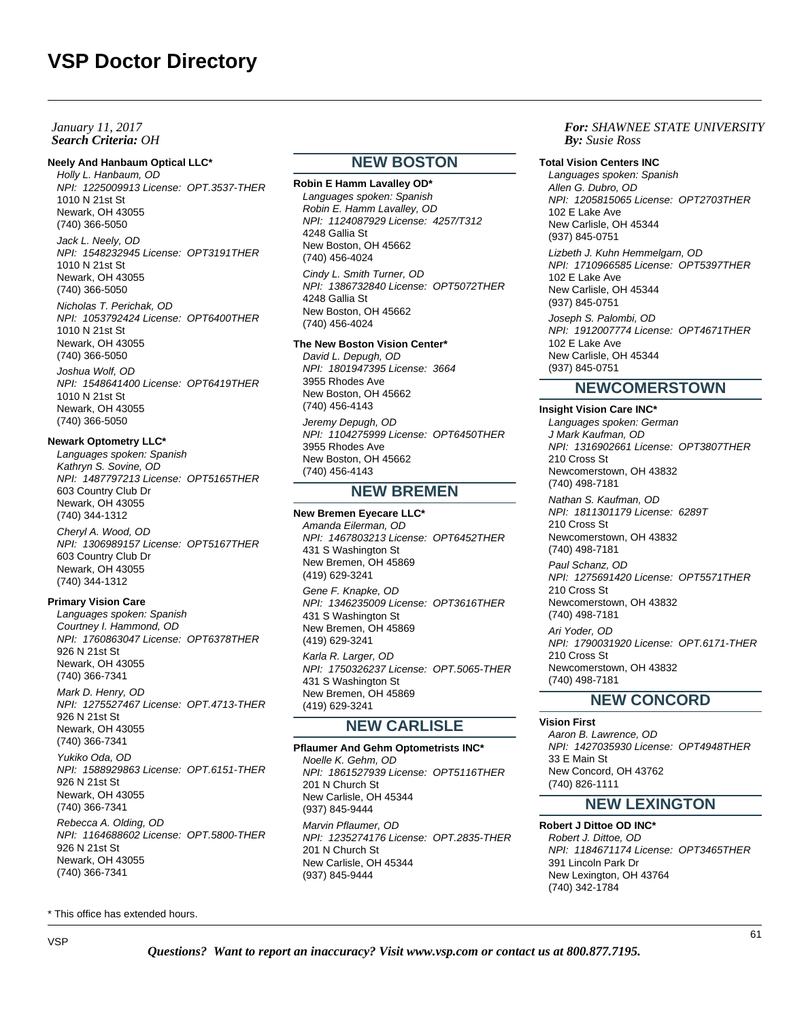## *Search Criteria: By: OHJanuary 11, 2017*

#### **Neely And Hanbaum Optical LLC\***

Holly L. Hanbaum, OD NPI: 1225009913 License: OPT.3537-THER 1010 N 21st St Newark, OH 43055 (740) 366-5050

Jack L. Neely, OD NPI: 1548232945 License: OPT3191THER 1010 N 21st St Newark, OH 43055 (740) 366-5050

Nicholas T. Perichak, OD NPI: 1053792424 License: OPT6400THER 1010 N 21st St Newark, OH 43055 (740) 366-5050

Joshua Wolf, OD NPI: 1548641400 License: OPT6419THER 1010 N 21st St Newark, OH 43055 (740) 366-5050

## **Newark Optometry LLC\***

Languages spoken: Spanish Kathryn S. Sovine, OD NPI: 1487797213 License: OPT5165THER 603 Country Club Dr Newark, OH 43055 (740) 344-1312 Cheryl A. Wood, OD NPI: 1306989157 License: OPT5167THER 603 Country Club Dr Newark, OH 43055 (740) 344-1312

#### **Primary Vision Care**

Languages spoken: Spanish Courtney I. Hammond, OD NPI: 1760863047 License: OPT6378THER 926 N 21st St Newark, OH 43055 (740) 366-7341 Mark D. Henry, OD NPI: 1275527467 License: OPT.4713-THER 926 N 21st St Newark, OH 43055 (740) 366-7341 Yukiko Oda, OD NPI: 1588929863 License: OPT.6151-THER 926 N 21st St

Newark, OH 43055 (740) 366-7341

Rebecca A. Olding, OD NPI: 1164688602 License: OPT.5800-THER 926 N 21st St Newark, OH 43055 (740) 366-7341

\* This office has extended hours.

# **NEW BOSTON**

**Robin E Hamm Lavalley OD\*** Languages spoken: Spanish Robin E. Hamm Lavalley, OD NPI: 1124087929 License: 4257/T312 4248 Gallia St New Boston, OH 45662 (740) 456-4024 Cindy L. Smith Turner, OD NPI: 1386732840 License: OPT5072THER 4248 Gallia St New Boston, OH 45662 (740) 456-4024

#### **The New Boston Vision Center\***

David L. Depugh, OD NPI: 1801947395 License: 3664 3955 Rhodes Ave New Boston, OH 45662 (740) 456-4143

Jeremy Depugh, OD NPI: 1104275999 License: OPT6450THER 3955 Rhodes Ave New Boston, OH 45662 (740) 456-4143

# **NEW BREMEN**

**New Bremen Eyecare LLC\*** Amanda Eilerman, OD NPI: 1467803213 License: OPT6452THER 431 S Washington St New Bremen, OH 45869 (419) 629-3241

Gene F. Knapke, OD NPI: 1346235009 License: OPT3616THER 431 S Washington St New Bremen, OH 45869 (419) 629-3241

Karla R. Larger, OD NPI: 1750326237 License: OPT.5065-THER 431 S Washington St New Bremen, OH 45869 (419) 629-3241

# **NEW CARLISLE**

**Pflaumer And Gehm Optometrists INC\*** Noelle K. Gehm, OD NPI: 1861527939 License: OPT5116THER 201 N Church St New Carlisle, OH 45344 (937) 845-9444

Marvin Pflaumer, OD NPI: 1235274176 License: OPT.2835-THER 201 N Church St New Carlisle, OH 45344 (937) 845-9444

## *For: SHAWNEE STATE UNIVERSITY Susie Ross*

#### **Total Vision Centers INC**

Languages spoken: Spanish Allen G. Dubro, OD NPI: 1205815065 License: OPT2703THER 102 E Lake Ave New Carlisle, OH 45344 (937) 845-0751 Lizbeth J. Kuhn Hemmelgarn, OD NPI: 1710966585 License: OPT5397THER 102 E Lake Ave New Carlisle, OH 45344 (937) 845-0751 Joseph S. Palombi, OD NPI: 1912007774 License: OPT4671THER 102 E Lake Ave New Carlisle, OH 45344 (937) 845-0751

# **NEWCOMERSTOWN**

**Insight Vision Care INC\***

Languages spoken: German J Mark Kaufman, OD NPI: 1316902661 License: OPT3807THER 210 Cross St Newcomerstown, OH 43832 (740) 498-7181 Nathan S. Kaufman, OD NPI: 1811301179 License: 6289T

210 Cross St Newcomerstown, OH 43832 (740) 498-7181

Paul Schanz, OD NPI: 1275691420 License: OPT5571THER 210 Cross St Newcomerstown, OH 43832 (740) 498-7181

Ari Yoder, OD NPI: 1790031920 License: OPT.6171-THER 210 Cross St Newcomerstown, OH 43832 (740) 498-7181

# **NEW CONCORD**

# **Vision First**

Aaron B. Lawrence, OD NPI: 1427035930 License: OPT4948THER 33 E Main St New Concord, OH 43762 (740) 826-1111

# **NEW LEXINGTON**

**Robert J Dittoe OD INC\*** Robert J. Dittoe, OD NPI: 1184671174 License: OPT3465THER 391 Lincoln Park Dr New Lexington, OH 43764 (740) 342-1784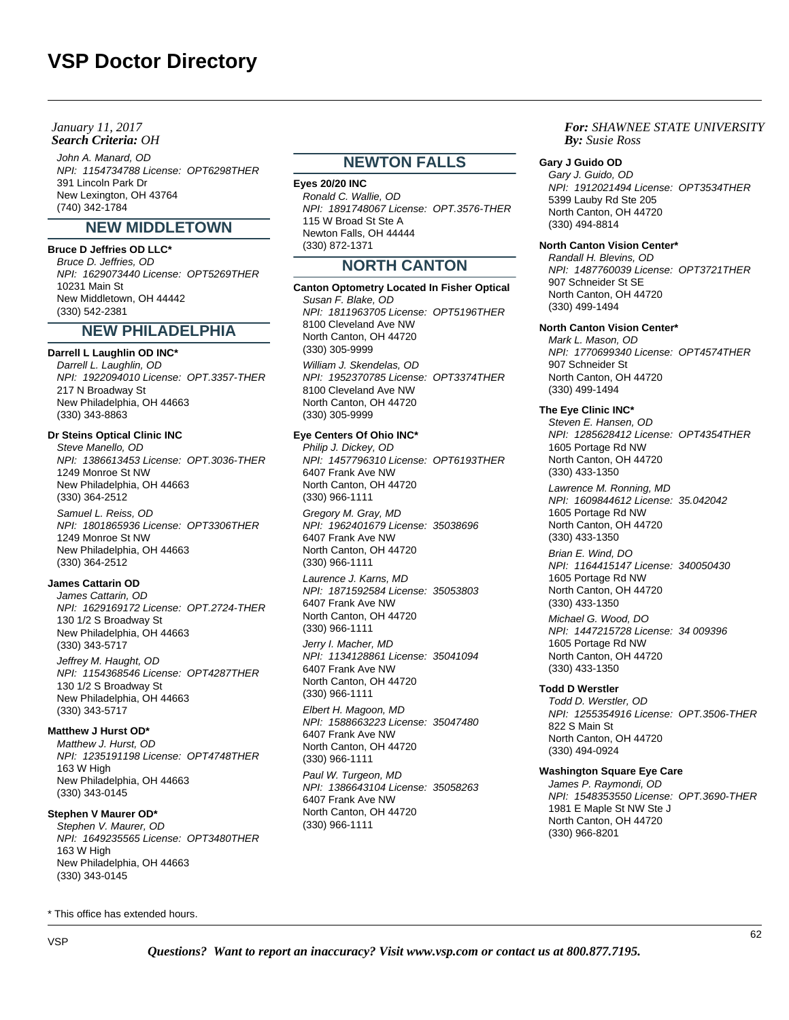## *Search Criteria: By: OHJanuary 11, 2017*

John A. Manard, OD NPI: 1154734788 License: OPT6298THER 391 Lincoln Park Dr New Lexington, OH 43764 (740) 342-1784

# **NEW MIDDLETOWN**

# **Bruce D Jeffries OD LLC\***

Bruce D. Jeffries, OD NPI: 1629073440 License: OPT5269THER 10231 Main St New Middletown, OH 44442 (330) 542-2381

# **NEW PHILADELPHIA**

#### **Darrell L Laughlin OD INC\***

Darrell L. Laughlin, OD NPI: 1922094010 License: OPT.3357-THER 217 N Broadway St New Philadelphia, OH 44663 (330) 343-8863

## **Dr Steins Optical Clinic INC**

Steve Manello, OD NPI: 1386613453 License: OPT.3036-THER 1249 Monroe St NW New Philadelphia, OH 44663 (330) 364-2512 Samuel L. Reiss, OD NPI: 1801865936 License: OPT3306THER 1249 Monroe St NW New Philadelphia, OH 44663 (330) 364-2512

## **James Cattarin OD**

James Cattarin, OD NPI: 1629169172 License: OPT.2724-THER 130 1/2 S Broadway St New Philadelphia, OH 44663 (330) 343-5717 Jeffrey M. Haught, OD NPI: 1154368546 License: OPT4287THER 130 1/2 S Broadway St New Philadelphia, OH 44663

## **Matthew J Hurst OD\***

(330) 343-5717

Matthew J. Hurst, OD NPI: 1235191198 License: OPT4748THER 163 W High New Philadelphia, OH 44663 (330) 343-0145

#### **Stephen V Maurer OD\***

Stephen V. Maurer, OD NPI: 1649235565 License: OPT3480THER 163 W High New Philadelphia, OH 44663 (330) 343-0145

# **NEWTON FALLS**

**Eyes 20/20 INC**

Ronald C. Wallie, OD NPI: 1891748067 License: OPT.3576-THER 115 W Broad St Ste A Newton Falls, OH 44444 (330) 872-1371

# **NORTH CANTON**

**Canton Optometry Located In Fisher Optical** Susan F. Blake, OD NPI: 1811963705 License: OPT5196THER 8100 Cleveland Ave NW North Canton, OH 44720 (330) 305-9999 William J. Skendelas, OD NPI: 1952370785 License: OPT3374THER 8100 Cleveland Ave NW North Canton, OH 44720 (330) 305-9999

#### **Eye Centers Of Ohio INC\***

Philip J. Dickey, OD NPI: 1457796310 License: OPT6193THER 6407 Frank Ave NW North Canton, OH 44720 (330) 966-1111 Gregory M. Gray, MD NPI: 1962401679 License: 35038696 6407 Frank Ave NW North Canton, OH 44720 (330) 966-1111

Laurence J. Karns, MD NPI: 1871592584 License: 35053803 6407 Frank Ave NW North Canton, OH 44720 (330) 966-1111

Jerry I. Macher, MD NPI: 1134128861 License: 35041094 6407 Frank Ave NW North Canton, OH 44720 (330) 966-1111

Elbert H. Magoon, MD NPI: 1588663223 License: 35047480 6407 Frank Ave NW North Canton, OH 44720 (330) 966-1111

Paul W. Turgeon, MD NPI: 1386643104 License: 35058263 6407 Frank Ave NW North Canton, OH 44720 (330) 966-1111

#### *For: SHAWNEE STATE UNIVERSITY Susie Ross*

#### **Gary J Guido OD**

Gary J. Guido, OD NPI: 1912021494 License: OPT3534THER 5399 Lauby Rd Ste 205 North Canton, OH 44720 (330) 494-8814

## **North Canton Vision Center\***

Randall H. Blevins, OD NPI: 1487760039 License: OPT3721THER 907 Schneider St SE North Canton, OH 44720 (330) 499-1494

#### **North Canton Vision Center\***

Mark L. Mason, OD NPI: 1770699340 License: OPT4574THER 907 Schneider St North Canton, OH 44720 (330) 499-1494

#### **The Eye Clinic INC\***

Steven E. Hansen, OD NPI: 1285628412 License: OPT4354THER 1605 Portage Rd NW North Canton, OH 44720 (330) 433-1350

Lawrence M. Ronning, MD NPI: 1609844612 License: 35.042042 1605 Portage Rd NW North Canton, OH 44720 (330) 433-1350

Brian E. Wind, DO NPI: 1164415147 License: 340050430 1605 Portage Rd NW North Canton, OH 44720 (330) 433-1350

Michael G. Wood, DO NPI: 1447215728 License: 34 009396 1605 Portage Rd NW North Canton, OH 44720 (330) 433-1350

#### **Todd D Werstler**

Todd D. Werstler, OD NPI: 1255354916 License: OPT.3506-THER 822 S Main St North Canton, OH 44720 (330) 494-0924

# **Washington Square Eye Care**

James P. Raymondi, OD NPI: 1548353550 License: OPT.3690-THER 1981 E Maple St NW Ste J North Canton, OH 44720 (330) 966-8201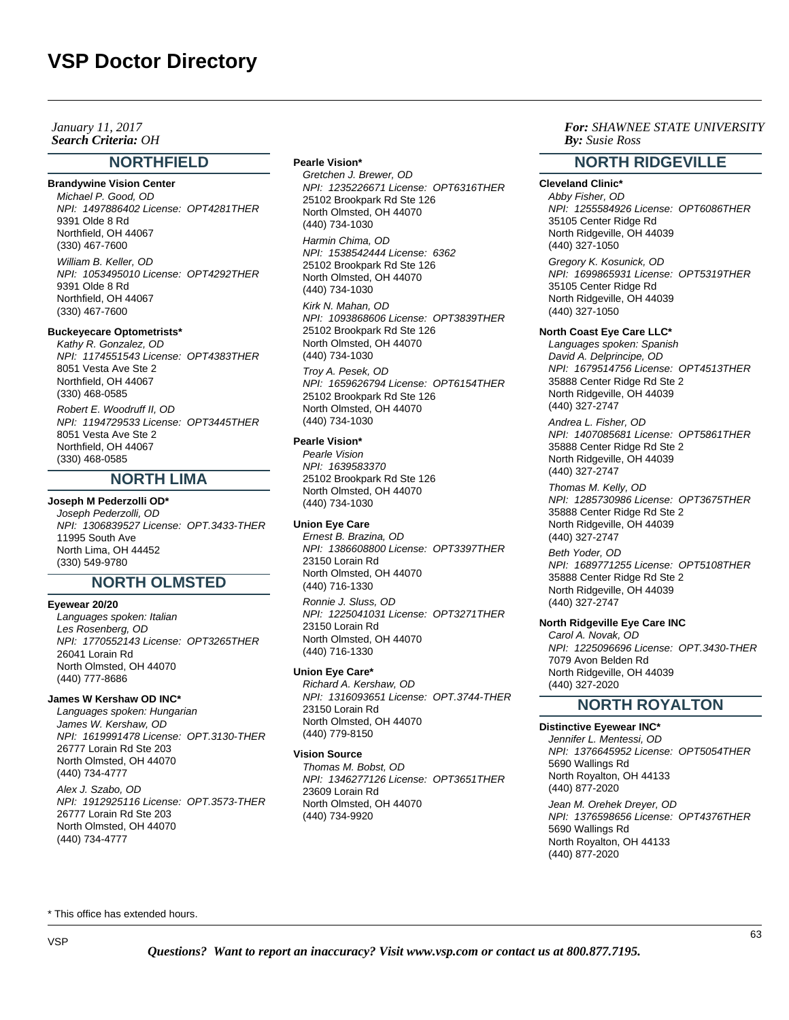*Search Criteria: By: OHJanuary 11, 2017*

# **NORTHFIELD**

# **Brandywine Vision Center**

Michael P. Good, OD NPI: 1497886402 License: OPT4281THER 9391 Olde 8 Rd Northfield, OH 44067 (330) 467-7600 William B. Keller, OD NPI: 1053495010 License: OPT4292THER 9391 Olde 8 Rd Northfield, OH 44067

#### **Buckeyecare Optometrists\***

(330) 467-7600

Kathy R. Gonzalez, OD NPI: 1174551543 License: OPT4383THER 8051 Vesta Ave Ste 2 Northfield, OH 44067 (330) 468-0585 Robert E. Woodruff II, OD NPI: 1194729533 License: OPT3445THER 8051 Vesta Ave Ste 2 Northfield, OH 44067 (330) 468-0585

# **NORTH LIMA**

#### **Joseph M Pederzolli OD\***

Joseph Pederzolli, OD NPI: 1306839527 License: OPT.3433-THER 11995 South Ave North Lima, OH 44452 (330) 549-9780

# **NORTH OLMSTED**

#### **Eyewear 20/20**

Languages spoken: Italian Les Rosenberg, OD NPI: 1770552143 License: OPT3265THER 26041 Lorain Rd North Olmsted, OH 44070 (440) 777-8686

## **James W Kershaw OD INC\***

Languages spoken: Hungarian James W. Kershaw, OD NPI: 1619991478 License: OPT.3130-THER 26777 Lorain Rd Ste 203 North Olmsted, OH 44070 (440) 734-4777 Alex J. Szabo, OD NPI: 1912925116 License: OPT.3573-THER 26777 Lorain Rd Ste 203 North Olmsted, OH 44070 (440) 734-4777

#### **Pearle Vision\***

Gretchen J. Brewer, OD NPI: 1235226671 License: OPT6316THER 25102 Brookpark Rd Ste 126 North Olmsted, OH 44070 (440) 734-1030

Harmin Chima, OD NPI: 1538542444 License: 6362 25102 Brookpark Rd Ste 126 North Olmsted, OH 44070 (440) 734-1030

Kirk N. Mahan, OD NPI: 1093868606 License: OPT3839THER 25102 Brookpark Rd Ste 126 North Olmsted, OH 44070 (440) 734-1030

Troy A. Pesek, OD NPI: 1659626794 License: OPT6154THER 25102 Brookpark Rd Ste 126 North Olmsted, OH 44070 (440) 734-1030

#### **Pearle Vision\***

Pearle Vision NPI: 1639583370 25102 Brookpark Rd Ste 126 North Olmsted, OH 44070 (440) 734-1030

#### **Union Eye Care**

Ernest B. Brazina, OD NPI: 1386608800 License: OPT3397THER 23150 Lorain Rd North Olmsted, OH 44070 (440) 716-1330

Ronnie J. Sluss, OD NPI: 1225041031 License: OPT3271THER 23150 Lorain Rd North Olmsted, OH 44070 (440) 716-1330

#### **Union Eye Care\***

Richard A. Kershaw, OD NPI: 1316093651 License: OPT.3744-THER 23150 Lorain Rd North Olmsted, OH 44070 (440) 779-8150

#### **Vision Source**

Thomas M. Bobst, OD NPI: 1346277126 License: OPT3651THER 23609 Lorain Rd North Olmsted, OH 44070 (440) 734-9920

## *For: SHAWNEE STATE UNIVERSITY Susie Ross*

# **NORTH RIDGEVILLE**

**Cleveland Clinic\*** Abby Fisher, OD NPI: 1255584926 License: OPT6086THER 35105 Center Ridge Rd North Ridgeville, OH 44039 (440) 327-1050

Gregory K. Kosunick, OD NPI: 1699865931 License: OPT5319THER 35105 Center Ridge Rd North Ridgeville, OH 44039 (440) 327-1050

#### **North Coast Eye Care LLC\***

Languages spoken: Spanish David A. Delprincipe, OD NPI: 1679514756 License: OPT4513THER 35888 Center Ridge Rd Ste 2 North Ridgeville, OH 44039 (440) 327-2747

Andrea L. Fisher, OD NPI: 1407085681 License: OPT5861THER 35888 Center Ridge Rd Ste 2 North Ridgeville, OH 44039 (440) 327-2747

Thomas M. Kelly, OD NPI: 1285730986 License: OPT3675THER 35888 Center Ridge Rd Ste 2 North Ridgeville, OH 44039 (440) 327-2747

Beth Yoder, OD NPI: 1689771255 License: OPT5108THER 35888 Center Ridge Rd Ste 2 North Ridgeville, OH 44039 (440) 327-2747

## **North Ridgeville Eye Care INC**

Carol A. Novak, OD NPI: 1225096696 License: OPT.3430-THER 7079 Avon Belden Rd North Ridgeville, OH 44039 (440) 327-2020

# **NORTH ROYALTON**

# **Distinctive Eyewear INC\***

Jennifer L. Mentessi, OD NPI: 1376645952 License: OPT5054THER 5690 Wallings Rd North Royalton, OH 44133 (440) 877-2020 Jean M. Orehek Dreyer, OD NPI: 1376598656 License: OPT4376THER 5690 Wallings Rd North Royalton, OH 44133

(440) 877-2020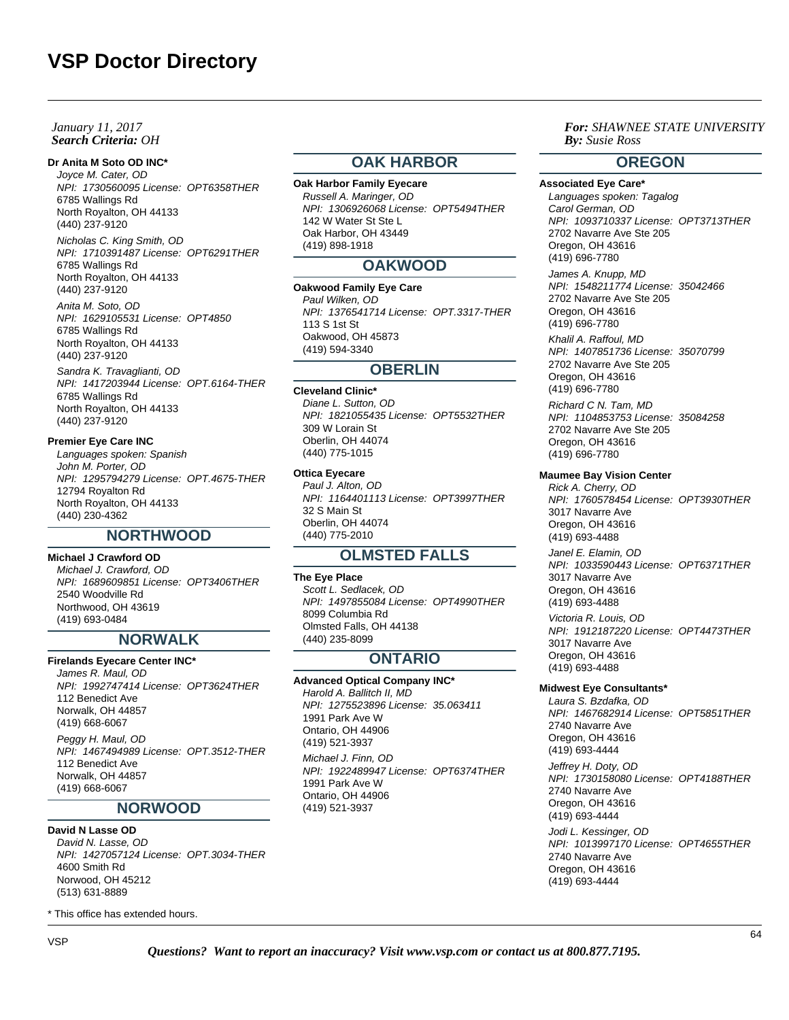#### **Dr Anita M Soto OD INC\***

Joyce M. Cater, OD NPI: 1730560095 License: OPT6358THER 6785 Wallings Rd North Royalton, OH 44133 (440) 237-9120 Nicholas C. King Smith, OD

NPI: 1710391487 License: OPT6291THER 6785 Wallings Rd North Royalton, OH 44133 (440) 237-9120

Anita M. Soto, OD NPI: 1629105531 License: OPT4850 6785 Wallings Rd North Royalton, OH 44133 (440) 237-9120

Sandra K. Travaglianti, OD

NPI: 1417203944 License: OPT.6164-THER 6785 Wallings Rd North Royalton, OH 44133 (440) 237-9120

# **Premier Eye Care INC**

Languages spoken: Spanish John M. Porter, OD NPI: 1295794279 License: OPT.4675-THER 12794 Royalton Rd North Royalton, OH 44133 (440) 230-4362

# **NORTHWOOD**

# **Michael J Crawford OD**

Michael J. Crawford, OD NPI: 1689609851 License: OPT3406THER 2540 Woodville Rd Northwood, OH 43619 (419) 693-0484

# **NORWALK**

## **Firelands Eyecare Center INC\***

James R. Maul, OD NPI: 1992747414 License: OPT3624THER 112 Benedict Ave Norwalk, OH 44857 (419) 668-6067 Peggy H. Maul, OD NPI: 1467494989 License: OPT.3512-THER 112 Benedict Ave

Norwalk, OH 44857 (419) 668-6067

# **NORWOOD**

# **David N Lasse OD**

David N. Lasse, OD NPI: 1427057124 License: OPT.3034-THER 4600 Smith Rd Norwood, OH 45212 (513) 631-8889

\* This office has extended hours.

# **OAK HARBOR**

**Oak Harbor Family Eyecare** Russell A. Maringer, OD NPI: 1306926068 License: OPT5494THER 142 W Water St Ste L Oak Harbor, OH 43449 (419) 898-1918

# **OAKWOOD**

**Oakwood Family Eye Care** Paul Wilken, OD

NPI: 1376541714 License: OPT.3317-THER 113 S 1st St Oakwood, OH 45873 (419) 594-3340

# **OBERLIN**

**Cleveland Clinic\***

Diane L. Sutton, OD NPI: 1821055435 License: OPT5532THER 309 W Lorain St Oberlin, OH 44074 (440) 775-1015

## **Ottica Eyecare**

Paul J. Alton, OD NPI: 1164401113 License: OPT3997THER 32 S Main St Oberlin, OH 44074 (440) 775-2010

# **OLMSTED FALLS**

#### **The Eye Place**

Scott L. Sedlacek, OD NPI: 1497855084 License: OPT4990THER 8099 Columbia Rd Olmsted Falls, OH 44138 (440) 235-8099

# **ONTARIO**

**Advanced Optical Company INC\*** Harold A. Ballitch II, MD NPI: 1275523896 License: 35.063411 1991 Park Ave W Ontario, OH 44906 (419) 521-3937 Michael J. Finn, OD NPI: 1922489947 License: OPT6374THER 1991 Park Ave W

Ontario, OH 44906 (419) 521-3937

# *For: SHAWNEE STATE UNIVERSITY Susie Ross*

# **OREGON**

**Associated Eye Care\*** Languages spoken: Tagalog Carol German, OD NPI: 1093710337 License: OPT3713THER 2702 Navarre Ave Ste 205 Oregon, OH 43616 (419) 696-7780

James A. Knupp, MD NPI: 1548211774 License: 35042466 2702 Navarre Ave Ste 205 Oregon, OH 43616 (419) 696-7780

Khalil A. Raffoul, MD NPI: 1407851736 License: 35070799 2702 Navarre Ave Ste 205 Oregon, OH 43616 (419) 696-7780

Richard C N. Tam, MD NPI: 1104853753 License: 35084258 2702 Navarre Ave Ste 205 Oregon, OH 43616 (419) 696-7780

# **Maumee Bay Vision Center**

Rick A. Cherry, OD NPI: 1760578454 License: OPT3930THER 3017 Navarre Ave Oregon, OH 43616 (419) 693-4488 Janel E. Elamin, OD

NPI: 1033590443 License: OPT6371THER 3017 Navarre Ave Oregon, OH 43616 (419) 693-4488 Victoria R. Louis, OD

NPI: 1912187220 License: OPT4473THER 3017 Navarre Ave Oregon, OH 43616 (419) 693-4488

#### **Midwest Eye Consultants\***

Laura S. Bzdafka, OD NPI: 1467682914 License: OPT5851THER 2740 Navarre Ave Oregon, OH 43616 (419) 693-4444

Jeffrey H. Doty, OD NPI: 1730158080 License: OPT4188THER 2740 Navarre Ave Oregon, OH 43616 (419) 693-4444

Jodi L. Kessinger, OD NPI: 1013997170 License: OPT4655THER 2740 Navarre Ave Oregon, OH 43616 (419) 693-4444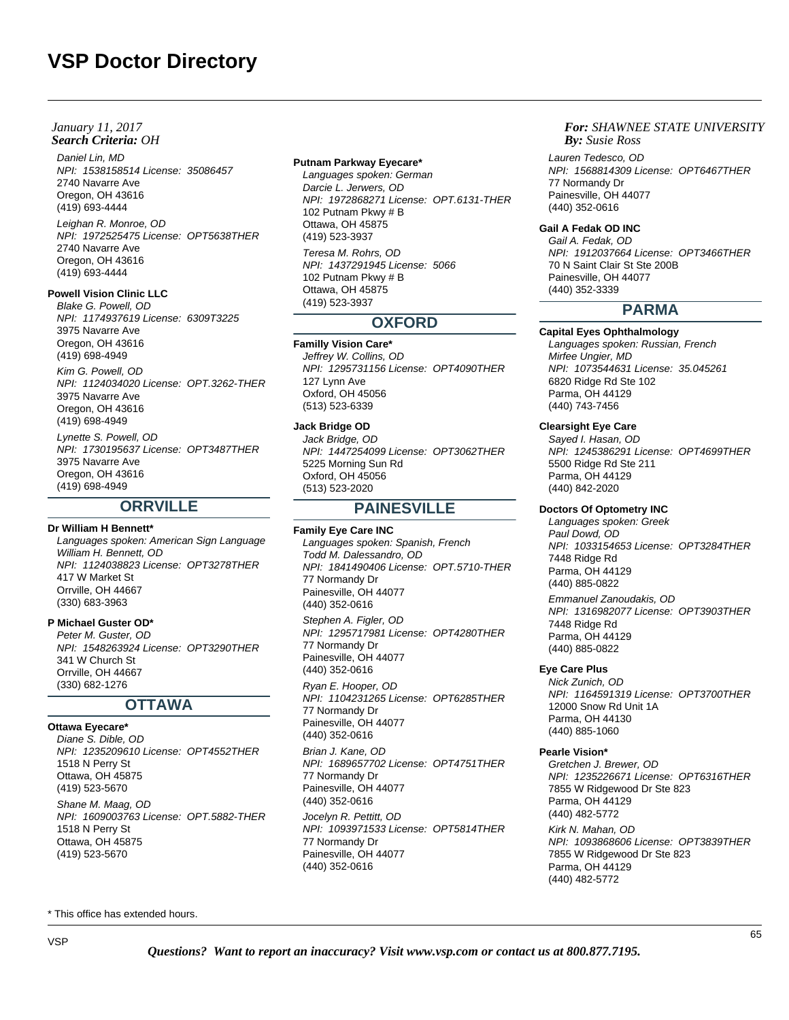## *Search Criteria: By: OHJanuary 11, 2017*

Daniel Lin, MD NPI: 1538158514 License: 35086457 2740 Navarre Ave Oregon, OH 43616 (419) 693-4444 Leighan R. Monroe, OD NPI: 1972525475 License: OPT5638THER 2740 Navarre Ave Oregon, OH 43616

#### **Powell Vision Clinic LLC**

(419) 693-4444

Blake G. Powell, OD NPI: 1174937619 License: 6309T3225 3975 Navarre Ave Oregon, OH 43616 (419) 698-4949

#### Kim G. Powell, OD

NPI: 1124034020 License: OPT.3262-THER 3975 Navarre Ave Oregon, OH 43616 (419) 698-4949 Lynette S. Powell, OD NPI: 1730195637 License: OPT3487THER 3975 Navarre Ave Oregon, OH 43616 (419) 698-4949

## **ORRVILLE**

**Dr William H Bennett\*** Languages spoken: American Sign Language William H. Bennett, OD

NPI: 1124038823 License: OPT3278THER 417 W Market St Orrville, OH 44667 (330) 683-3963

# **P Michael Guster OD\***

Peter M. Guster, OD NPI: 1548263924 License: OPT3290THER 341 W Church St Orrville, OH 44667 (330) 682-1276

# **OTTAWA**

#### **Ottawa Eyecare\***

Diane S. Dible, OD NPI: 1235209610 License: OPT4552THER 1518 N Perry St Ottawa, OH 45875 (419) 523-5670 Shane M. Maag, OD NPI: 1609003763 License: OPT.5882-THER 1518 N Perry St Ottawa, OH 45875 (419) 523-5670

#### **Putnam Parkway Eyecare\***

Languages spoken: German Darcie L. Jerwers, OD NPI: 1972868271 License: OPT.6131-THER 102 Putnam Pkwy # B Ottawa, OH 45875 (419) 523-3937

Teresa M. Rohrs, OD NPI: 1437291945 License: 5066 102 Putnam Pkwy # B Ottawa, OH 45875 (419) 523-3937

# **OXFORD**

**Familly Vision Care\***

Jeffrey W. Collins, OD NPI: 1295731156 License: OPT4090THER 127 Lynn Ave Oxford, OH 45056 (513) 523-6339

#### **Jack Bridge OD**

Jack Bridge, OD NPI: 1447254099 License: OPT3062THER 5225 Morning Sun Rd Oxford, OH 45056 (513) 523-2020

# **PAINESVILLE**

**Family Eye Care INC** Languages spoken: Spanish, French Todd M. Dalessandro, OD NPI: 1841490406 License: OPT.5710-THER 77 Normandy Dr Painesville, OH 44077 (440) 352-0616 Stephen A. Figler, OD NPI: 1295717981 License: OPT4280THER 77 Normandy Dr Painesville, OH 44077 (440) 352-0616 Ryan E. Hooper, OD NPI: 1104231265 License: OPT6285THER 77 Normandy Dr Painesville, OH 44077 (440) 352-0616 Brian J. Kane, OD NPI: 1689657702 License: OPT4751THER 77 Normandy Dr Painesville, OH 44077 (440) 352-0616 Jocelyn R. Pettitt, OD NPI: 1093971533 License: OPT5814THER 77 Normandy Dr Painesville, OH 44077 (440) 352-0616

#### *For: SHAWNEE STATE UNIVERSITY Susie Ross*

Lauren Tedesco, OD NPI: 1568814309 License: OPT6467THER 77 Normandy Dr Painesville, OH 44077 (440) 352-0616

#### **Gail A Fedak OD INC**

Gail A. Fedak, OD NPI: 1912037664 License: OPT3466THER 70 N Saint Clair St Ste 200B Painesville, OH 44077 (440) 352-3339

# **PARMA**

## **Capital Eyes Ophthalmology**

Languages spoken: Russian, French Mirfee Ungier, MD NPI: 1073544631 License: 35.045261 6820 Ridge Rd Ste 102 Parma, OH 44129 (440) 743-7456

## **Clearsight Eye Care**

Sayed I. Hasan, OD NPI: 1245386291 License: OPT4699THER 5500 Ridge Rd Ste 211 Parma, OH 44129 (440) 842-2020

# **Doctors Of Optometry INC**

Languages spoken: Greek Paul Dowd, OD NPI: 1033154653 License: OPT3284THER 7448 Ridge Rd Parma, OH 44129 (440) 885-0822

Emmanuel Zanoudakis, OD NPI: 1316982077 License: OPT3903THER 7448 Ridge Rd Parma, OH 44129 (440) 885-0822

#### **Eye Care Plus**

Nick Zunich, OD NPI: 1164591319 License: OPT3700THER 12000 Snow Rd Unit 1A Parma, OH 44130 (440) 885-1060

#### **Pearle Vision\***

Gretchen J. Brewer, OD NPI: 1235226671 License: OPT6316THER 7855 W Ridgewood Dr Ste 823 Parma, OH 44129 (440) 482-5772

Kirk N. Mahan, OD NPI: 1093868606 License: OPT3839THER 7855 W Ridgewood Dr Ste 823 Parma, OH 44129 (440) 482-5772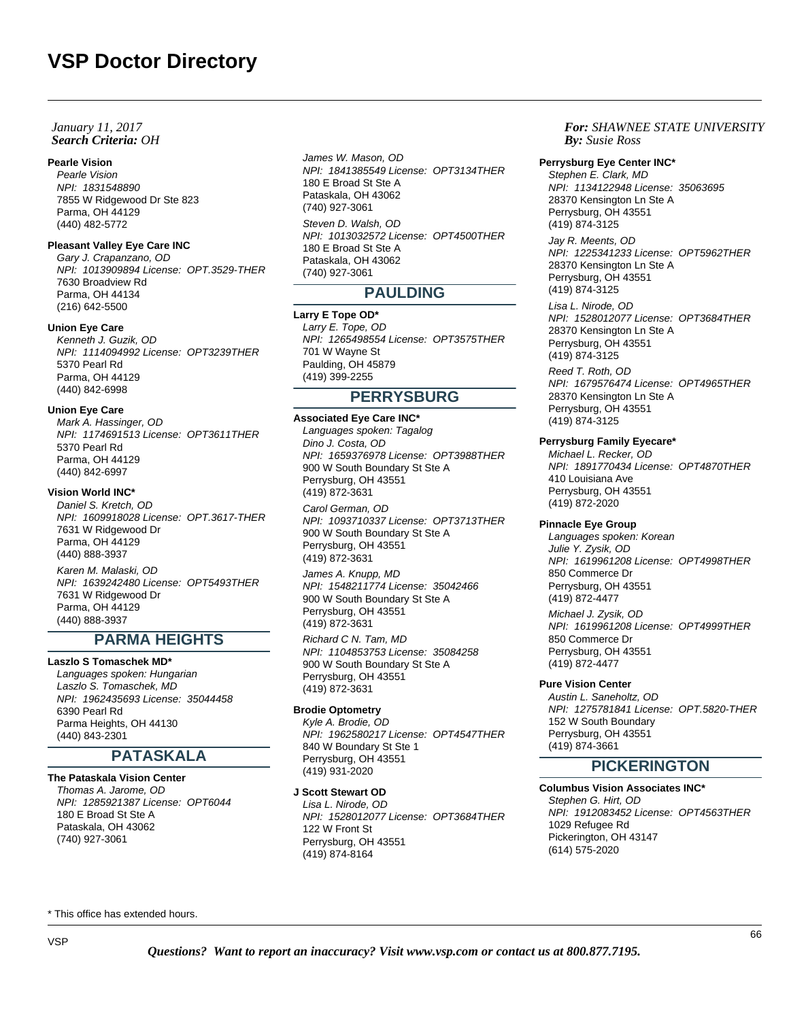## *Search Criteria: By: OHJanuary 11, 2017*

## **Pearle Vision**

Pearle Vision NPI: 1831548890 7855 W Ridgewood Dr Ste 823 Parma, OH 44129 (440) 482-5772

## **Pleasant Valley Eye Care INC**

Gary J. Crapanzano, OD NPI: 1013909894 License: OPT.3529-THER 7630 Broadview Rd Parma, OH 44134 (216) 642-5500

#### **Union Eye Care**

Kenneth J. Guzik, OD NPI: 1114094992 License: OPT3239THER 5370 Pearl Rd Parma, OH 44129 (440) 842-6998

#### **Union Eye Care**

Mark A. Hassinger, OD NPI: 1174691513 License: OPT3611THER 5370 Pearl Rd Parma, OH 44129 (440) 842-6997

#### **Vision World INC\***

Daniel S. Kretch, OD NPI: 1609918028 License: OPT.3617-THER 7631 W Ridgewood Dr Parma, OH 44129 (440) 888-3937 Karen M. Malaski, OD NPI: 1639242480 License: OPT5493THER 7631 W Ridgewood Dr Parma, OH 44129 (440) 888-3937

# **PARMA HEIGHTS**

## **Laszlo S Tomaschek MD\***

Languages spoken: Hungarian Laszlo S. Tomaschek, MD NPI: 1962435693 License: 35044458 6390 Pearl Rd Parma Heights, OH 44130 (440) 843-2301

# **PATASKALA**

#### **The Pataskala Vision Center**

Thomas A. Jarome, OD NPI: 1285921387 License: OPT6044 180 E Broad St Ste A Pataskala, OH 43062 (740) 927-3061

James W. Mason, OD NPI: 1841385549 License: OPT3134THER 180 E Broad St Ste A Pataskala, OH 43062 (740) 927-3061 Steven D. Walsh, OD NPI: 1013032572 License: OPT4500THER 180 E Broad St Ste A Pataskala, OH 43062 (740) 927-3061

# **PAULDING**

**Larry E Tope OD\*** Larry E. Tope, OD NPI: 1265498554 License: OPT3575THER 701 W Wayne St Paulding, OH 45879 (419) 399-2255

# **PERRYSBURG**

# **Associated Eye Care INC\***

Languages spoken: Tagalog Dino J. Costa, OD NPI: 1659376978 License: OPT3988THER 900 W South Boundary St Ste A Perrysburg, OH 43551 (419) 872-3631 Carol German, OD

NPI: 1093710337 License: OPT3713THER 900 W South Boundary St Ste A Perrysburg, OH 43551 (419) 872-3631

James A. Knupp, MD NPI: 1548211774 License: 35042466 900 W South Boundary St Ste A Perrysburg, OH 43551 (419) 872-3631

Richard C N. Tam, MD NPI: 1104853753 License: 35084258 900 W South Boundary St Ste A Perrysburg, OH 43551 (419) 872-3631

## **Brodie Optometry**

Kyle A. Brodie, OD NPI: 1962580217 License: OPT4547THER 840 W Boundary St Ste 1 Perrysburg, OH 43551 (419) 931-2020

# **J Scott Stewart OD**

Lisa L. Nirode, OD NPI: 1528012077 License: OPT3684THER 122 W Front St Perrysburg, OH 43551 (419) 874-8164

## *For: SHAWNEE STATE UNIVERSITY Susie Ross*

#### **Perrysburg Eye Center INC\***

Stephen E. Clark, MD NPI: 1134122948 License: 35063695 28370 Kensington Ln Ste A Perrysburg, OH 43551 (419) 874-3125

Jay R. Meents, OD NPI: 1225341233 License: OPT5962THER 28370 Kensington Ln Ste A Perrysburg, OH 43551 (419) 874-3125

Lisa L. Nirode, OD NPI: 1528012077 License: OPT3684THER 28370 Kensington Ln Ste A Perrysburg, OH 43551 (419) 874-3125

Reed T. Roth, OD NPI: 1679576474 License: OPT4965THER 28370 Kensington Ln Ste A Perrysburg, OH 43551 (419) 874-3125

## **Perrysburg Family Eyecare\***

Michael L. Recker, OD NPI: 1891770434 License: OPT4870THER 410 Louisiana Ave Perrysburg, OH 43551 (419) 872-2020

#### **Pinnacle Eye Group**

Languages spoken: Korean Julie Y. Zysik, OD NPI: 1619961208 License: OPT4998THER 850 Commerce Dr Perrysburg, OH 43551 (419) 872-4477 Michael J. Zysik, OD NPI: 1619961208 License: OPT4999THER 850 Commerce Dr

Perrysburg, OH 43551 (419) 872-4477

## **Pure Vision Center**

Austin L. Saneholtz, OD NPI: 1275781841 License: OPT.5820-THER 152 W South Boundary Perrysburg, OH 43551 (419) 874-3661

# **PICKERINGTON**

**Columbus Vision Associates INC\*** Stephen G. Hirt, OD NPI: 1912083452 License: OPT4563THER 1029 Refugee Rd Pickerington, OH 43147 (614) 575-2020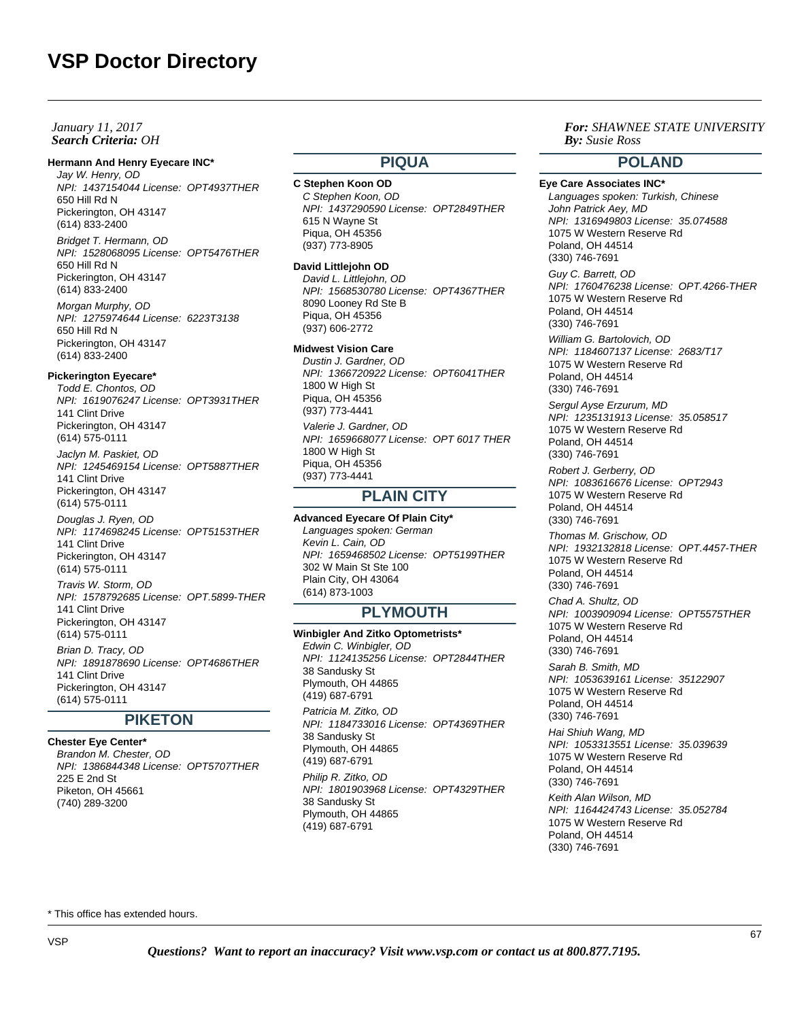## *Search Criteria: By: OHJanuary 11, 2017*

# **Hermann And Henry Eyecare INC\***

Jay W. Henry, OD NPI: 1437154044 License: OPT4937THER 650 Hill Rd N Pickerington, OH 43147 (614) 833-2400

Bridget T. Hermann, OD NPI: 1528068095 License: OPT5476THER 650 Hill Rd N Pickerington, OH 43147 (614) 833-2400

Morgan Murphy, OD NPI: 1275974644 License: 6223T3138 650 Hill Rd N Pickerington, OH 43147 (614) 833-2400

## **Pickerington Eyecare\***

Todd E. Chontos, OD NPI: 1619076247 License: OPT3931THER 141 Clint Drive Pickerington, OH 43147 (614) 575-0111

Jaclyn M. Paskiet, OD NPI: 1245469154 License: OPT5887THER 141 Clint Drive Pickerington, OH 43147 (614) 575-0111

Douglas J. Ryen, OD NPI: 1174698245 License: OPT5153THER 141 Clint Drive Pickerington, OH 43147 (614) 575-0111 Travis W. Storm, OD

NPI: 1578792685 License: OPT.5899-THER 141 Clint Drive Pickerington, OH 43147 (614) 575-0111 Brian D. Tracy, OD NPI: 1891878690 License: OPT4686THER 141 Clint Drive Pickerington, OH 43147

#### **PIKETON**

(614) 575-0111

**Chester Eye Center\*** Brandon M. Chester, OD NPI: 1386844348 License: OPT5707THER 225 E 2nd St Piketon, OH 45661 (740) 289-3200

# **PIQUA**

# **C Stephen Koon OD**

C Stephen Koon, OD NPI: 1437290590 License: OPT2849THER 615 N Wayne St Piqua, OH 45356 (937) 773-8905

#### **David Littlejohn OD**

David L. Littlejohn, OD NPI: 1568530780 License: OPT4367THER 8090 Looney Rd Ste B Piqua, OH 45356 (937) 606-2772

#### **Midwest Vision Care**

Dustin J. Gardner, OD NPI: 1366720922 License: OPT6041THER 1800 W High St Piqua, OH 45356 (937) 773-4441 Valerie J. Gardner, OD

NPI: 1659668077 License: OPT 6017 THER 1800 W High St Piqua, OH 45356 (937) 773-4441

# **PLAIN CITY**

**Advanced Eyecare Of Plain City\*** Languages spoken: German Kevin L. Cain, OD NPI: 1659468502 License: OPT5199THER 302 W Main St Ste 100 Plain City, OH 43064 (614) 873-1003

# **PLYMOUTH**

**Winbigler And Zitko Optometrists\*** Edwin C. Winbigler, OD NPI: 1124135256 License: OPT2844THER 38 Sandusky St Plymouth, OH 44865 (419) 687-6791

Patricia M. Zitko, OD NPI: 1184733016 License: OPT4369THER 38 Sandusky St Plymouth, OH 44865 (419) 687-6791 Philip R. Zitko, OD NPI: 1801903968 License: OPT4329THER 38 Sandusky St Plymouth, OH 44865 (419) 687-6791

*For: SHAWNEE STATE UNIVERSITY Susie Ross*

# **POLAND**

**Eye Care Associates INC\***

Languages spoken: Turkish, Chinese John Patrick Aey, MD NPI: 1316949803 License: 35.074588 1075 W Western Reserve Rd Poland, OH 44514 (330) 746-7691 Guy C. Barrett, OD NPI: 1760476238 License: OPT.4266-THER 1075 W Western Reserve Rd Poland, OH 44514 (330) 746-7691 William G. Bartolovich, OD NPI: 1184607137 License: 2683/T17 1075 W Western Reserve Rd Poland, OH 44514 (330) 746-7691 Sergul Ayse Erzurum, MD NPI: 1235131913 License: 35.058517

1075 W Western Reserve Rd Poland, OH 44514 (330) 746-7691 Robert J. Gerberry, OD

NPI: 1083616676 License: OPT2943 1075 W Western Reserve Rd Poland, OH 44514 (330) 746-7691

Thomas M. Grischow, OD NPI: 1932132818 License: OPT.4457-THER 1075 W Western Reserve Rd Poland, OH 44514 (330) 746-7691

Chad A. Shultz, OD NPI: 1003909094 License: OPT5575THER 1075 W Western Reserve Rd Poland, OH 44514 (330) 746-7691

Sarah B. Smith, MD NPI: 1053639161 License: 35122907 1075 W Western Reserve Rd Poland, OH 44514 (330) 746-7691

Hai Shiuh Wang, MD NPI: 1053313551 License: 35.039639 1075 W Western Reserve Rd Poland, OH 44514 (330) 746-7691

Keith Alan Wilson, MD NPI: 1164424743 License: 35.052784 1075 W Western Reserve Rd Poland, OH 44514 (330) 746-7691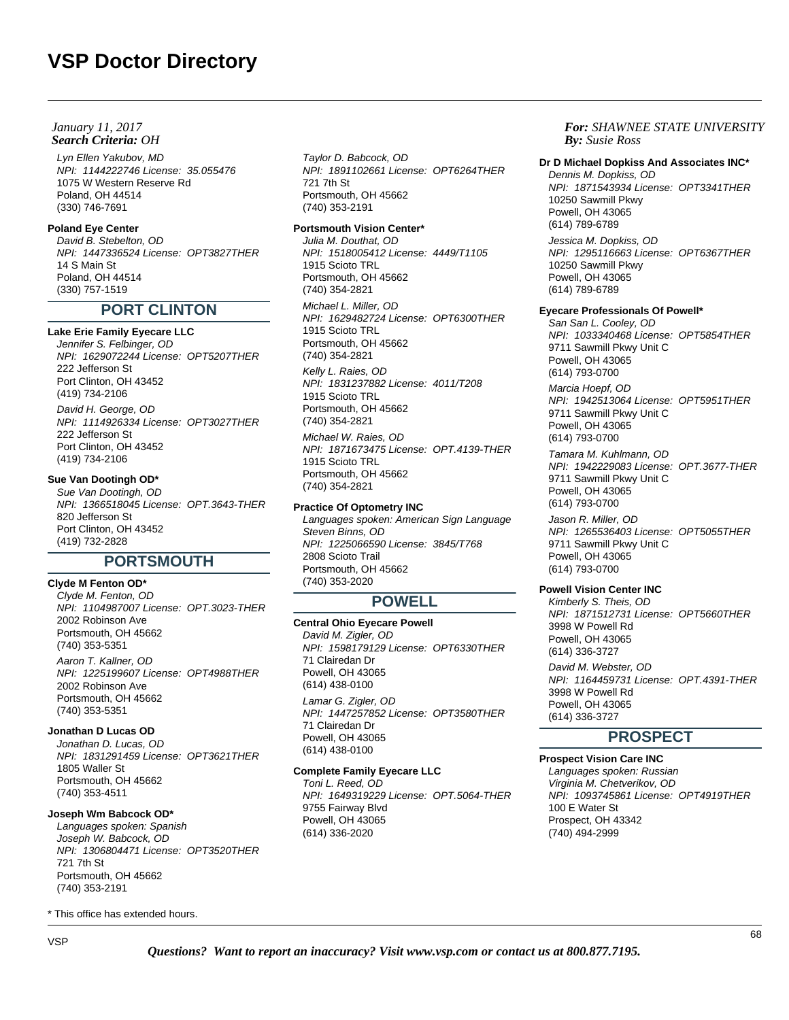## *Search Criteria: By: OHJanuary 11, 2017*

Lyn Ellen Yakubov, MD NPI: 1144222746 License: 35.055476 1075 W Western Reserve Rd Poland, OH 44514 (330) 746-7691

## **Poland Eye Center**

David B. Stebelton, OD NPI: 1447336524 License: OPT3827THER 14 S Main St Poland, OH 44514 (330) 757-1519

# **PORT CLINTON**

# **Lake Erie Family Eyecare LLC**

Jennifer S. Felbinger, OD NPI: 1629072244 License: OPT5207THER 222 Jefferson St Port Clinton, OH 43452 (419) 734-2106 David H. George, OD NPI: 1114926334 License: OPT3027THER 222 Jefferson St Port Clinton, OH 43452

# (419) 734-2106

**Sue Van Dootingh OD\*** Sue Van Dootingh, OD NPI: 1366518045 License: OPT.3643-THER 820 Jefferson St Port Clinton, OH 43452 (419) 732-2828

# **PORTSMOUTH**

## **Clyde M Fenton OD\***

Clyde M. Fenton, OD NPI: 1104987007 License: OPT.3023-THER 2002 Robinson Ave Portsmouth, OH 45662 (740) 353-5351 Aaron T. Kallner, OD NPI: 1225199607 License: OPT4988THER 2002 Robinson Ave Portsmouth, OH 45662 (740) 353-5351

## **Jonathan D Lucas OD**

Jonathan D. Lucas, OD NPI: 1831291459 License: OPT3621THER 1805 Waller St Portsmouth, OH 45662 (740) 353-4511

## **Joseph Wm Babcock OD\***

Languages spoken: Spanish Joseph W. Babcock, OD NPI: 1306804471 License: OPT3520THER 721 7th St Portsmouth, OH 45662 (740) 353-2191

\* This office has extended hours.

Taylor D. Babcock, OD NPI: 1891102661 License: OPT6264THER 721 7th St Portsmouth, OH 45662 (740) 353-2191

# **Portsmouth Vision Center\***

Julia M. Douthat, OD NPI: 1518005412 License: 4449/T1105 1915 Scioto TRL Portsmouth, OH 45662 (740) 354-2821

Michael L. Miller, OD NPI: 1629482724 License: OPT6300THER 1915 Scioto TRL Portsmouth, OH 45662 (740) 354-2821 Kelly L. Raies, OD NPI: 1831237882 License: 4011/T208 1915 Scioto TRL

Portsmouth, OH 45662 (740) 354-2821 Michael W. Raies, OD NPI: 1871673475 License: OPT.4139-THER 1915 Scioto TRL Portsmouth, OH 45662 (740) 354-2821

## **Practice Of Optometry INC**

Languages spoken: American Sign Language Steven Binns, OD NPI: 1225066590 License: 3845/T768 2808 Scioto Trail Portsmouth, OH 45662 (740) 353-2020

# **POWELL**

# **Central Ohio Eyecare Powell**

David M. Zigler, OD NPI: 1598179129 License: OPT6330THER 71 Clairedan Dr Powell, OH 43065 (614) 438-0100 Lamar G. Zigler, OD NPI: 1447257852 License: OPT3580THER 71 Clairedan Dr Powell, OH 43065 (614) 438-0100

## **Complete Family Eyecare LLC**

Toni L. Reed, OD NPI: 1649319229 License: OPT.5064-THER 9755 Fairway Blvd Powell, OH 43065 (614) 336-2020

## *For: SHAWNEE STATE UNIVERSITY Susie Ross*

#### **Dr D Michael Dopkiss And Associates INC\***

Dennis M. Dopkiss, OD NPI: 1871543934 License: OPT3341THER 10250 Sawmill Pkwy Powell, OH 43065 (614) 789-6789

Jessica M. Dopkiss, OD NPI: 1295116663 License: OPT6367THER 10250 Sawmill Pkwy Powell, OH 43065 (614) 789-6789

## **Eyecare Professionals Of Powell\***

San San L. Cooley, OD NPI: 1033340468 License: OPT5854THER 9711 Sawmill Pkwy Unit C Powell, OH 43065 (614) 793-0700

Marcia Hoepf, OD NPI: 1942513064 License: OPT5951THER 9711 Sawmill Pkwy Unit C Powell, OH 43065 (614) 793-0700

Tamara M. Kuhlmann, OD NPI: 1942229083 License: OPT.3677-THER 9711 Sawmill Pkwy Unit C Powell, OH 43065 (614) 793-0700

Jason R. Miller, OD NPI: 1265536403 License: OPT5055THER 9711 Sawmill Pkwy Unit C Powell, OH 43065 (614) 793-0700

## **Powell Vision Center INC**

Kimberly S. Theis, OD NPI: 1871512731 License: OPT5660THER 3998 W Powell Rd Powell, OH 43065 (614) 336-3727

David M. Webster, OD NPI: 1164459731 License: OPT.4391-THER 3998 W Powell Rd Powell, OH 43065 (614) 336-3727

# **PROSPECT**

# **Prospect Vision Care INC**

Languages spoken: Russian Virginia M. Chetverikov, OD NPI: 1093745861 License: OPT4919THER 100 E Water St Prospect, OH 43342 (740) 494-2999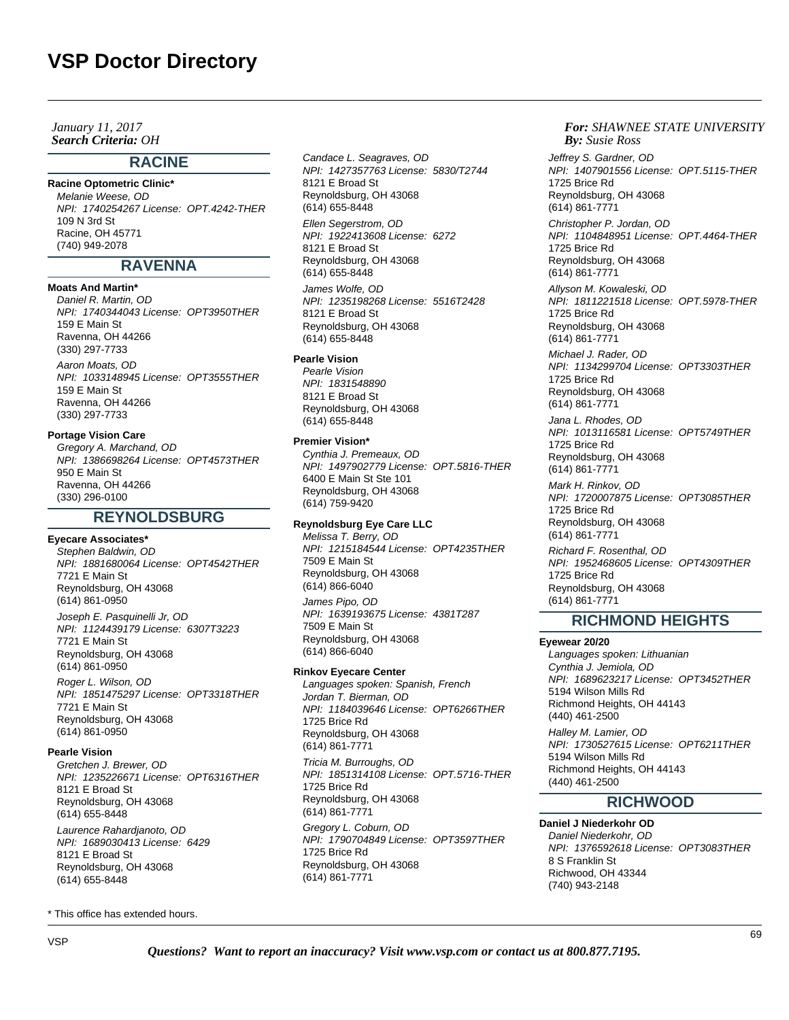*Search Criteria: By: OHJanuary 11, 2017*

# **RACINE**

**Racine Optometric Clinic\***

Melanie Weese, OD NPI: 1740254267 License: OPT.4242-THER 109 N 3rd St Racine, OH 45771 (740) 949-2078

# **RAVENNA**

## **Moats And Martin\***

Daniel R. Martin, OD NPI: 1740344043 License: OPT3950THER 159 E Main St Ravenna, OH 44266 (330) 297-7733

Aaron Moats, OD NPI: 1033148945 License: OPT3555THER 159 E Main St Ravenna, OH 44266 (330) 297-7733

## **Portage Vision Care**

Gregory A. Marchand, OD NPI: 1386698264 License: OPT4573THER 950 E Main St Ravenna, OH 44266 (330) 296-0100

# **REYNOLDSBURG**

## **Eyecare Associates\***

Stephen Baldwin, OD NPI: 1881680064 License: OPT4542THER 7721 E Main St Reynoldsburg, OH 43068 (614) 861-0950 Joseph E. Pasquinelli Jr, OD NPI: 1124439179 License: 6307T3223 7721 E Main St Reynoldsburg, OH 43068 (614) 861-0950 Roger L. Wilson, OD NPI: 1851475297 License: OPT3318THER 7721 E Main St Reynoldsburg, OH 43068 (614) 861-0950

#### **Pearle Vision**

Gretchen J. Brewer, OD NPI: 1235226671 License: OPT6316THER 8121 E Broad St Reynoldsburg, OH 43068 (614) 655-8448 Laurence Rahardjanoto, OD NPI: 1689030413 License: 6429 8121 E Broad St Reynoldsburg, OH 43068 (614) 655-8448

\* This office has extended hours.

Candace L. Seagraves, OD NPI: 1427357763 License: 5830/T2744 8121 E Broad St Reynoldsburg, OH 43068 (614) 655-8448 Ellen Segerstrom, OD NPI: 1922413608 License: 6272 8121 E Broad St Reynoldsburg, OH 43068 (614) 655-8448 James Wolfe, OD NPI: 1235198268 License: 5516T2428 8121 E Broad St Reynoldsburg, OH 43068 (614) 655-8448

# **Pearle Vision**

Pearle Vision NPI: 1831548890 8121 E Broad St Reynoldsburg, OH 43068 (614) 655-8448

#### **Premier Vision\***

Cynthia J. Premeaux, OD NPI: 1497902779 License: OPT.5816-THER 6400 E Main St Ste 101 Reynoldsburg, OH 43068 (614) 759-9420

#### **Reynoldsburg Eye Care LLC**

Melissa T. Berry, OD NPI: 1215184544 License: OPT4235THER 7509 E Main St Reynoldsburg, OH 43068 (614) 866-6040 James Pipo, OD NPI: 1639193675 License: 4381T287 7509 E Main St

Reynoldsburg, OH 43068 (614) 866-6040

# **Rinkov Eyecare Center**

Languages spoken: Spanish, French Jordan T. Bierman, OD NPI: 1184039646 License: OPT6266THER 1725 Brice Rd Reynoldsburg, OH 43068 (614) 861-7771

Tricia M. Burroughs, OD NPI: 1851314108 License: OPT.5716-THER 1725 Brice Rd Reynoldsburg, OH 43068 (614) 861-7771

Gregory L. Coburn, OD NPI: 1790704849 License: OPT3597THER 1725 Brice Rd Reynoldsburg, OH 43068 (614) 861-7771

## *For: SHAWNEE STATE UNIVERSITY Susie Ross*

Jeffrey S. Gardner, OD NPI: 1407901556 License: OPT.5115-THER 1725 Brice Rd Reynoldsburg, OH 43068 (614) 861-7771 Christopher P. Jordan, OD

NPI: 1104848951 License: OPT.4464-THER 1725 Brice Rd Reynoldsburg, OH 43068 (614) 861-7771

Allyson M. Kowaleski, OD NPI: 1811221518 License: OPT.5978-THER 1725 Brice Rd Reynoldsburg, OH 43068 (614) 861-7771

Michael J. Rader, OD NPI: 1134299704 License: OPT3303THER 1725 Brice Rd Reynoldsburg, OH 43068 (614) 861-7771

Jana L. Rhodes, OD NPI: 1013116581 License: OPT5749THER 1725 Brice Rd Reynoldsburg, OH 43068 (614) 861-7771

Mark H. Rinkov, OD NPI: 1720007875 License: OPT3085THER 1725 Brice Rd Reynoldsburg, OH 43068 (614) 861-7771 Richard F. Rosenthal, OD NPI: 1952468605 License: OPT4309THER 1725 Brice Rd Reynoldsburg, OH 43068 (614) 861-7771

# **RICHMOND HEIGHTS**

#### **Eyewear 20/20**

Languages spoken: Lithuanian Cynthia J. Jemiola, OD NPI: 1689623217 License: OPT3452THER 5194 Wilson Mills Rd Richmond Heights, OH 44143 (440) 461-2500

Halley M. Lamier, OD NPI: 1730527615 License: OPT6211THER 5194 Wilson Mills Rd Richmond Heights, OH 44143 (440) 461-2500

# **RICHWOOD**

# **Daniel J Niederkohr OD**

Daniel Niederkohr, OD NPI: 1376592618 License: OPT3083THER 8 S Franklin St Richwood, OH 43344 (740) 943-2148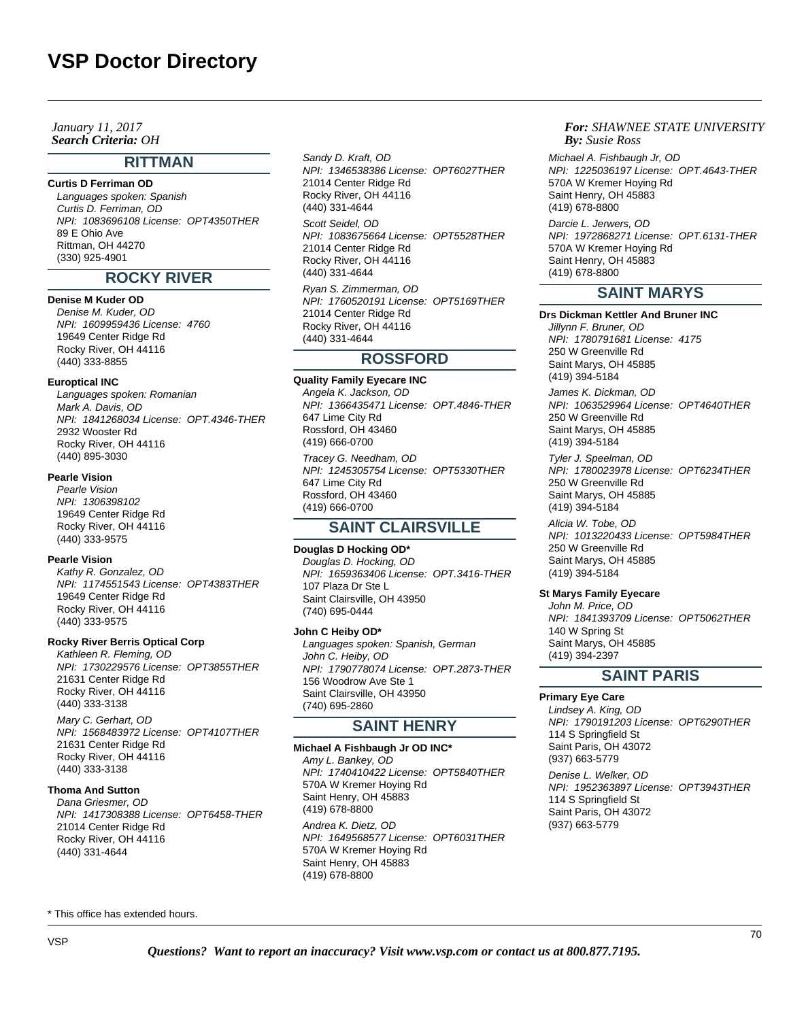*Search Criteria: By: OHJanuary 11, 2017*

# **RITTMAN**

# **Curtis D Ferriman OD**

Languages spoken: Spanish Curtis D. Ferriman, OD NPI: 1083696108 License: OPT4350THER 89 E Ohio Ave Rittman, OH 44270 (330) 925-4901

# **ROCKY RIVER**

## **Denise M Kuder OD**

Denise M. Kuder, OD NPI: 1609959436 License: 4760 19649 Center Ridge Rd Rocky River, OH 44116 (440) 333-8855

#### **Europtical INC**

Languages spoken: Romanian Mark A. Davis, OD NPI: 1841268034 License: OPT.4346-THER 2932 Wooster Rd Rocky River, OH 44116 (440) 895-3030

#### **Pearle Vision**

Pearle Vision NPI: 1306398102 19649 Center Ridge Rd Rocky River, OH 44116 (440) 333-9575

#### **Pearle Vision**

Kathy R. Gonzalez, OD NPI: 1174551543 License: OPT4383THER 19649 Center Ridge Rd Rocky River, OH 44116 (440) 333-9575

## **Rocky River Berris Optical Corp**

Kathleen R. Fleming, OD NPI: 1730229576 License: OPT3855THER 21631 Center Ridge Rd Rocky River, OH 44116 (440) 333-3138 Mary C. Gerhart, OD NPI: 1568483972 License: OPT4107THER 21631 Center Ridge Rd

Rocky River, OH 44116 (440) 333-3138

#### **Thoma And Sutton**

Dana Griesmer, OD NPI: 1417308388 License: OPT6458-THER 21014 Center Ridge Rd Rocky River, OH 44116 (440) 331-4644

Sandy D. Kraft, OD NPI: 1346538386 License: OPT6027THER 21014 Center Ridge Rd Rocky River, OH 44116 (440) 331-4644 Scott Seidel, OD NPI: 1083675664 License: OPT5528THER 21014 Center Ridge Rd Rocky River, OH 44116 (440) 331-4644 Ryan S. Zimmerman, OD NPI: 1760520191 License: OPT5169THER 21014 Center Ridge Rd Rocky River, OH 44116 (440) 331-4644

# **ROSSFORD**

**Quality Family Eyecare INC** Angela K. Jackson, OD NPI: 1366435471 License: OPT.4846-THER 647 Lime City Rd Rossford, OH 43460 (419) 666-0700 Tracey G. Needham, OD NPI: 1245305754 License: OPT5330THER 647 Lime City Rd Rossford, OH 43460 (419) 666-0700

# **SAINT CLAIRSVILLE**

# **Douglas D Hocking OD\***

Douglas D. Hocking, OD NPI: 1659363406 License: OPT.3416-THER 107 Plaza Dr Ste L Saint Clairsville, OH 43950 (740) 695-0444

#### **John C Heiby OD\***

Languages spoken: Spanish, German John C. Heiby, OD NPI: 1790778074 License: OPT.2873-THER 156 Woodrow Ave Ste 1 Saint Clairsville, OH 43950 (740) 695-2860

# **SAINT HENRY**

**Michael A Fishbaugh Jr OD INC\*** Amy L. Bankey, OD NPI: 1740410422 License: OPT5840THER 570A W Kremer Hoying Rd Saint Henry, OH 45883 (419) 678-8800 Andrea K. Dietz, OD NPI: 1649568577 License: OPT6031THER 570A W Kremer Hoying Rd

*For: SHAWNEE STATE UNIVERSITY Susie Ross*

Michael A. Fishbaugh Jr, OD NPI: 1225036197 License: OPT.4643-THER 570A W Kremer Hoying Rd Saint Henry, OH 45883 (419) 678-8800 Darcie L. Jerwers, OD NPI: 1972868271 License: OPT.6131-THER 570A W Kremer Hoying Rd Saint Henry, OH 45883 (419) 678-8800

# **SAINT MARYS**

**Drs Dickman Kettler And Bruner INC** Jillynn F. Bruner, OD NPI: 1780791681 License: 4175 250 W Greenville Rd Saint Marys, OH 45885 (419) 394-5184 James K. Dickman, OD NPI: 1063529964 License: OPT4640THER 250 W Greenville Rd

Saint Marys, OH 45885 (419) 394-5184 Tyler J. Speelman, OD NPI: 1780023978 License: OPT6234THER 250 W Greenville Rd

Saint Marys, OH 45885 (419) 394-5184

Alicia W. Tobe, OD NPI: 1013220433 License: OPT5984THER 250 W Greenville Rd Saint Marys, OH 45885 (419) 394-5184

## **St Marys Family Eyecare**

John M. Price, OD NPI: 1841393709 License: OPT5062THER 140 W Spring St Saint Marys, OH 45885 (419) 394-2397

# **SAINT PARIS**

**Primary Eye Care** Lindsey A. King, OD

NPI: 1790191203 License: OPT6290THER 114 S Springfield St Saint Paris, OH 43072 (937) 663-5779 Denise L. Welker, OD NPI: 1952363897 License: OPT3943THER 114 S Springfield St Saint Paris, OH 43072 (937) 663-5779

\* This office has extended hours.

Saint Henry, OH 45883 (419) 678-8800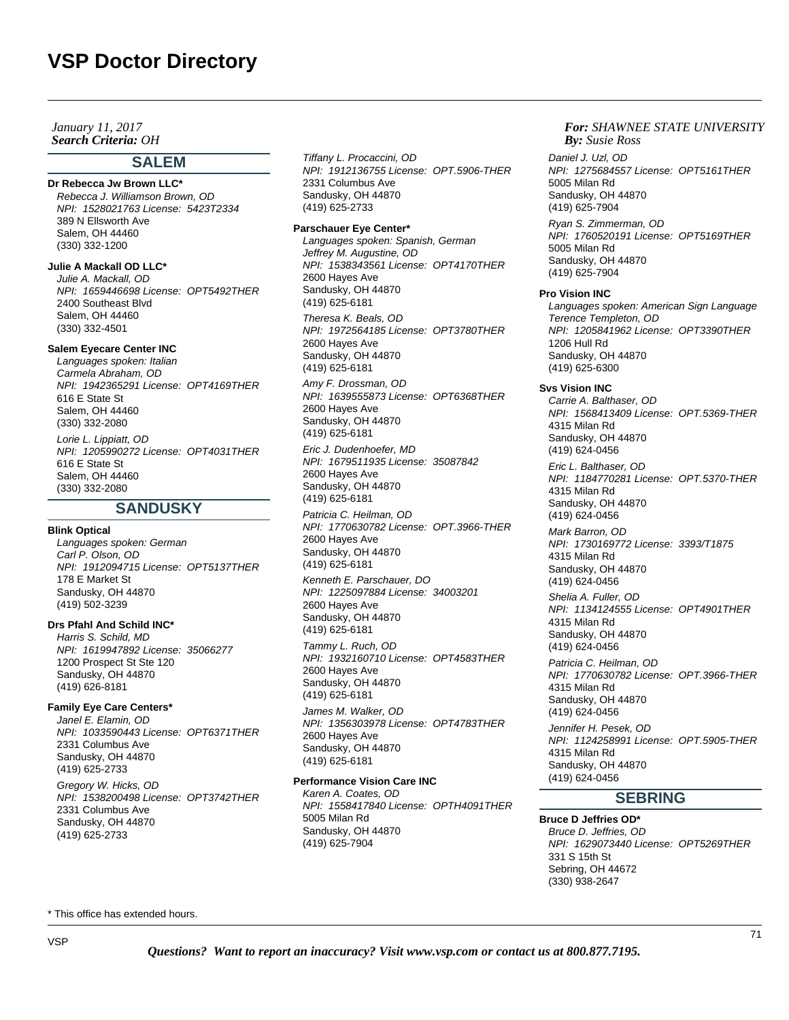## *Search Criteria: By: OHJanuary 11, 2017*

## **SALEM**

## **Dr Rebecca Jw Brown LLC\***

Rebecca J. Williamson Brown, OD NPI: 1528021763 License: 5423T2334 389 N Ellsworth Ave Salem, OH 44460 (330) 332-1200

## **Julie A Mackall OD LLC\***

Julie A. Mackall, OD NPI: 1659446698 License: OPT5492THER 2400 Southeast Blvd Salem, OH 44460 (330) 332-4501

## **Salem Eyecare Center INC**

Languages spoken: Italian Carmela Abraham, OD NPI: 1942365291 License: OPT4169THER 616 E State St Salem, OH 44460 (330) 332-2080 Lorie L. Lippiatt, OD NPI: 1205990272 License: OPT4031THER 616 E State St Salem, OH 44460 (330) 332-2080

# **SANDUSKY**

**Blink Optical**

Languages spoken: German Carl P. Olson, OD NPI: 1912094715 License: OPT5137THER 178 E Market St Sandusky, OH 44870 (419) 502-3239

#### **Drs Pfahl And Schild INC\***

Harris S. Schild, MD NPI: 1619947892 License: 35066277 1200 Prospect St Ste 120 Sandusky, OH 44870 (419) 626-8181

## **Family Eye Care Centers\***

Janel E. Elamin, OD NPI: 1033590443 License: OPT6371THER 2331 Columbus Ave Sandusky, OH 44870 (419) 625-2733 Gregory W. Hicks, OD

NPI: 1538200498 License: OPT3742THER 2331 Columbus Ave Sandusky, OH 44870 (419) 625-2733

Tiffany L. Procaccini, OD NPI: 1912136755 License: OPT.5906-THER 2331 Columbus Ave Sandusky, OH 44870 (419) 625-2733

#### **Parschauer Eye Center\***

Languages spoken: Spanish, German Jeffrey M. Augustine, OD NPI: 1538343561 License: OPT4170THER 2600 Hayes Ave Sandusky, OH 44870 (419) 625-6181 Theresa K. Beals, OD NPI: 1972564185 License: OPT3780THER 2600 Hayes Ave Sandusky, OH 44870 (419) 625-6181 Amy F. Drossman, OD NPI: 1639555873 License: OPT6368THER 2600 Hayes Ave Sandusky, OH 44870 (419) 625-6181 Eric J. Dudenhoefer, MD NPI: 1679511935 License: 35087842 2600 Hayes Ave Sandusky, OH 44870 (419) 625-6181 Patricia C. Heilman, OD NPI: 1770630782 License: OPT.3966-THER 2600 Hayes Ave Sandusky, OH 44870 (419) 625-6181 Kenneth E. Parschauer, DO NPI: 1225097884 License: 34003201 2600 Hayes Ave Sandusky, OH 44870 (419) 625-6181 Tammy L. Ruch, OD NPI: 1932160710 License: OPT4583THER 2600 Hayes Ave Sandusky, OH 44870 (419) 625-6181 James M. Walker, OD

NPI: 1356303978 License: OPT4783THER 2600 Hayes Ave Sandusky, OH 44870 (419) 625-6181

# **Performance Vision Care INC**

Karen A. Coates, OD NPI: 1558417840 License: OPTH4091THER 5005 Milan Rd Sandusky, OH 44870 (419) 625-7904

## *For: SHAWNEE STATE UNIVERSITY Susie Ross*

Daniel J. Uzl, OD NPI: 1275684557 License: OPT5161THER 5005 Milan Rd Sandusky, OH 44870 (419) 625-7904 Ryan S. Zimmerman, OD NPI: 1760520191 License: OPT5169THER 5005 Milan Rd Sandusky, OH 44870 (419) 625-7904

#### **Pro Vision INC**

Languages spoken: American Sign Language Terence Templeton, OD NPI: 1205841962 License: OPT3390THER 1206 Hull Rd Sandusky, OH 44870 (419) 625-6300

**Svs Vision INC**

Carrie A. Balthaser, OD NPI: 1568413409 License: OPT.5369-THER 4315 Milan Rd Sandusky, OH 44870 (419) 624-0456

Eric L. Balthaser, OD NPI: 1184770281 License: OPT.5370-THER 4315 Milan Rd Sandusky, OH 44870 (419) 624-0456 Mark Barron, OD NPI: 1730169772 License: 3393/T1875

4315 Milan Rd Sandusky, OH 44870 (419) 624-0456

Shelia A. Fuller, OD NPI: 1134124555 License: OPT4901THER 4315 Milan Rd Sandusky, OH 44870 (419) 624-0456

Patricia C. Heilman, OD NPI: 1770630782 License: OPT.3966-THER 4315 Milan Rd Sandusky, OH 44870 (419) 624-0456

Jennifer H. Pesek, OD NPI: 1124258991 License: OPT.5905-THER 4315 Milan Rd Sandusky, OH 44870 (419) 624-0456

# **SEBRING**

# **Bruce D Jeffries OD\***

Bruce D. Jeffries, OD NPI: 1629073440 License: OPT5269THER 331 S 15th St Sebring, OH 44672 (330) 938-2647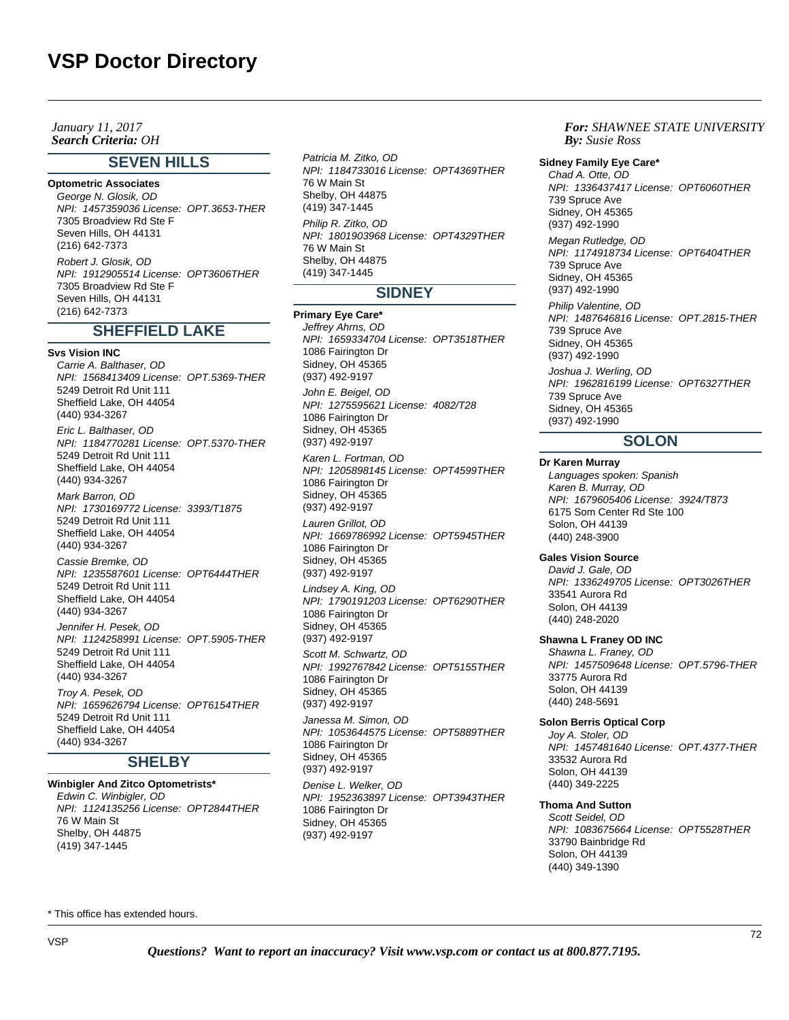# **SEVEN HILLS**

## **Optometric Associates**

George N. Glosik, OD NPI: 1457359036 License: OPT.3653-THER 7305 Broadview Rd Ste F Seven Hills, OH 44131 (216) 642-7373 Robert J. Glosik, OD NPI: 1912905514 License: OPT3606THER 7305 Broadview Rd Ste F Seven Hills, OH 44131 (216) 642-7373

#### **SHEFFIELD LAKE**

#### **Svs Vision INC**

Carrie A. Balthaser, OD NPI: 1568413409 License: OPT.5369-THER 5249 Detroit Rd Unit 111 Sheffield Lake, OH 44054 (440) 934-3267 Eric L. Balthaser, OD NPI: 1184770281 License: OPT.5370-THER 5249 Detroit Rd Unit 111 Sheffield Lake, OH 44054

(440) 934-3267 Mark Barron, OD NPI: 1730169772 License: 3393/T1875 5249 Detroit Rd Unit 111 Sheffield Lake, OH 44054 (440) 934-3267

Cassie Bremke, OD NPI: 1235587601 License: OPT6444THER 5249 Detroit Rd Unit 111 Sheffield Lake, OH 44054 (440) 934-3267

Jennifer H. Pesek, OD NPI: 1124258991 License: OPT.5905-THER 5249 Detroit Rd Unit 111 Sheffield Lake, OH 44054 (440) 934-3267

Troy A. Pesek, OD NPI: 1659626794 License: OPT6154THER 5249 Detroit Rd Unit 111 Sheffield Lake, OH 44054 (440) 934-3267

# **SHELBY**

**Winbigler And Zitco Optometrists\*** Edwin C. Winbigler, OD NPI: 1124135256 License: OPT2844THER 76 W Main St Shelby, OH 44875 (419) 347-1445

Patricia M. Zitko, OD NPI: 1184733016 License: OPT4369THER 76 W Main St Shelby, OH 44875 (419) 347-1445 Philip R. Zitko, OD NPI: 1801903968 License: OPT4329THER 76 W Main St Shelby, OH 44875 (419) 347-1445

## **SIDNEY**

#### **Primary Eye Care\***

Jeffrey Ahrns, OD NPI: 1659334704 License: OPT3518THER 1086 Fairington Dr Sidney, OH 45365 (937) 492-9197 John E. Beigel, OD NPI: 1275595621 License: 4082/T28 1086 Fairington Dr Sidney, OH 45365 (937) 492-9197 Karen L. Fortman, OD

NPI: 1205898145 License: OPT4599THER 1086 Fairington Dr Sidney, OH 45365 (937) 492-9197

Lauren Grillot, OD NPI: 1669786992 License: OPT5945THER 1086 Fairington Dr Sidney, OH 45365 (937) 492-9197

Lindsey A. King, OD NPI: 1790191203 License: OPT6290THER 1086 Fairington Dr Sidney, OH 45365 (937) 492-9197

Scott M. Schwartz, OD NPI: 1992767842 License: OPT5155THER 1086 Fairington Dr Sidney, OH 45365 (937) 492-9197

Janessa M. Simon, OD NPI: 1053644575 License: OPT5889THER 1086 Fairington Dr Sidney, OH 45365 (937) 492-9197

Denise L. Welker, OD NPI: 1952363897 License: OPT3943THER 1086 Fairington Dr Sidney, OH 45365 (937) 492-9197

*For: SHAWNEE STATE UNIVERSITY Susie Ross*

#### **Sidney Family Eye Care\***

Chad A. Otte, OD NPI: 1336437417 License: OPT6060THER 739 Spruce Ave Sidney, OH 45365 (937) 492-1990

Megan Rutledge, OD NPI: 1174918734 License: OPT6404THER 739 Spruce Ave Sidney, OH 45365 (937) 492-1990

Philip Valentine, OD NPI: 1487646816 License: OPT.2815-THER 739 Spruce Ave Sidney, OH 45365 (937) 492-1990 Joshua J. Werling, OD NPI: 1962816199 License: OPT6327THER 739 Spruce Ave Sidney, OH 45365 (937) 492-1990

# **SOLON**

# **Dr Karen Murray**

Languages spoken: Spanish Karen B. Murray, OD NPI: 1679605406 License: 3924/T873 6175 Som Center Rd Ste 100 Solon, OH 44139 (440) 248-3900

# **Gales Vision Source**

David J. Gale, OD NPI: 1336249705 License: OPT3026THER 33541 Aurora Rd Solon, OH 44139 (440) 248-2020

## **Shawna L Franey OD INC**

Shawna L. Franey, OD NPI: 1457509648 License: OPT.5796-THER 33775 Aurora Rd Solon, OH 44139 (440) 248-5691

## **Solon Berris Optical Corp**

Joy A. Stoler, OD NPI: 1457481640 License: OPT.4377-THER 33532 Aurora Rd Solon, OH 44139 (440) 349-2225

#### **Thoma And Sutton** Scott Seidel, OD

NPI: 1083675664 License: OPT5528THER 33790 Bainbridge Rd Solon, OH 44139 (440) 349-1390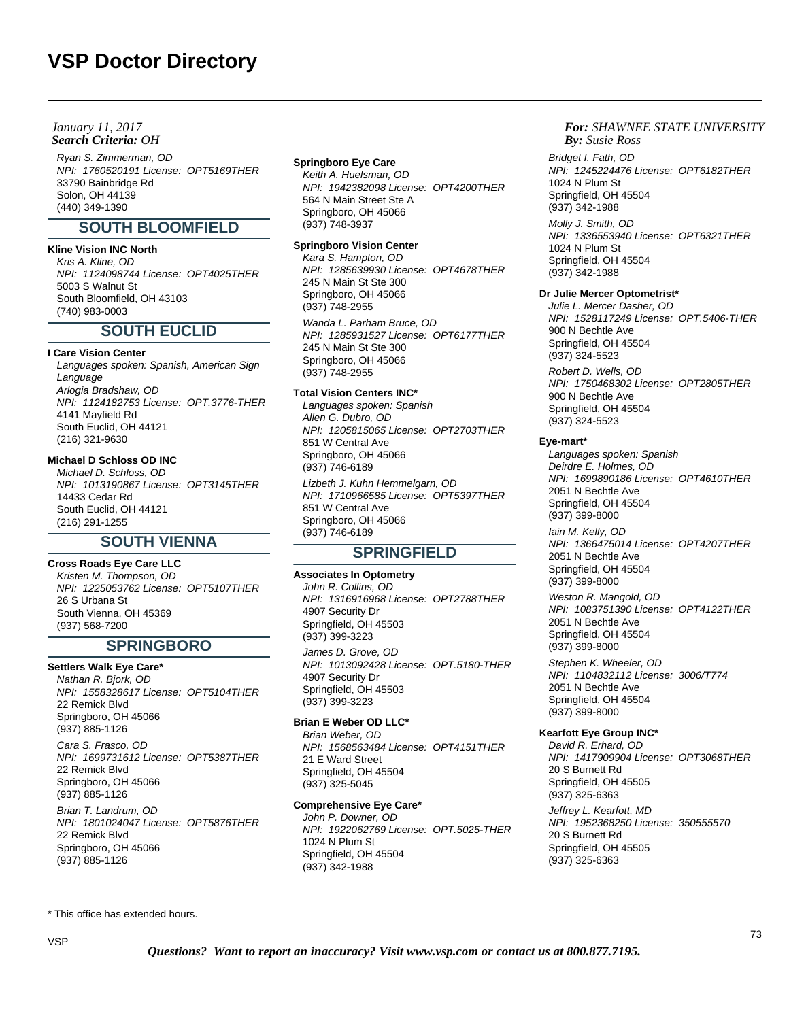### *Search Criteria: By: OHJanuary 11, 2017*

Ryan S. Zimmerman, OD NPI: 1760520191 License: OPT5169THER 33790 Bainbridge Rd Solon, OH 44139 (440) 349-1390

# **SOUTH BLOOMFIELD**

## **Kline Vision INC North**

Kris A. Kline, OD NPI: 1124098744 License: OPT4025THER 5003 S Walnut St South Bloomfield, OH 43103 (740) 983-0003

# **SOUTH EUCLID**

#### **I Care Vision Center**

Languages spoken: Spanish, American Sign Language Arlogia Bradshaw, OD NPI: 1124182753 License: OPT.3776-THER 4141 Mayfield Rd South Euclid, OH 44121 (216) 321-9630

### **Michael D Schloss OD INC**

Michael D. Schloss, OD NPI: 1013190867 License: OPT3145THER 14433 Cedar Rd South Euclid, OH 44121 (216) 291-1255

# **SOUTH VIENNA**

**Cross Roads Eye Care LLC** Kristen M. Thompson, OD NPI: 1225053762 License: OPT5107THER 26 S Urbana St South Vienna, OH 45369 (937) 568-7200

# **SPRINGBORO**

**Settlers Walk Eye Care\*** Nathan R. Bjork, OD NPI: 1558328617 License: OPT5104THER 22 Remick Blvd Springboro, OH 45066 (937) 885-1126 Cara S. Frasco, OD NPI: 1699731612 License: OPT5387THER 22 Remick Blvd Springboro, OH 45066 (937) 885-1126 Brian T. Landrum, OD NPI: 1801024047 License: OPT5876THER 22 Remick Blvd

Springboro, OH 45066 (937) 885-1126

#### **Springboro Eye Care**

Keith A. Huelsman, OD NPI: 1942382098 License: OPT4200THER 564 N Main Street Ste A Springboro, OH 45066 (937) 748-3937

### **Springboro Vision Center**

Kara S. Hampton, OD NPI: 1285639930 License: OPT4678THER 245 N Main St Ste 300 Springboro, OH 45066 (937) 748-2955

Wanda L. Parham Bruce, OD NPI: 1285931527 License: OPT6177THER 245 N Main St Ste 300 Springboro, OH 45066 (937) 748-2955

### **Total Vision Centers INC\***

Languages spoken: Spanish Allen G. Dubro, OD NPI: 1205815065 License: OPT2703THER 851 W Central Ave Springboro, OH 45066 (937) 746-6189 Lizbeth J. Kuhn Hemmelgarn, OD NPI: 1710966585 License: OPT5397THER 851 W Central Ave Springboro, OH 45066 (937) 746-6189

# **SPRINGFIELD**

#### **Associates In Optometry**

John R. Collins, OD NPI: 1316916968 License: OPT2788THER 4907 Security Dr Springfield, OH 45503 (937) 399-3223 James D. Grove, OD NPI: 1013092428 License: OPT.5180-THER 4907 Security Dr Springfield, OH 45503

(937) 399-3223

### **Brian E Weber OD LLC\***

Brian Weber, OD NPI: 1568563484 License: OPT4151THER 21 E Ward Street Springfield, OH 45504 (937) 325-5045

# **Comprehensive Eye Care\***

John P. Downer, OD NPI: 1922062769 License: OPT.5025-THER 1024 N Plum St Springfield, OH 45504 (937) 342-1988

### *For: SHAWNEE STATE UNIVERSITY Susie Ross*

Bridget I. Fath, OD NPI: 1245224476 License: OPT6182THER 1024 N Plum St Springfield, OH 45504 (937) 342-1988 Molly J. Smith, OD NPI: 1336553940 License: OPT6321THER 1024 N Plum St Springfield, OH 45504 (937) 342-1988

### **Dr Julie Mercer Optometrist\***

Julie L. Mercer Dasher, OD NPI: 1528117249 License: OPT.5406-THER 900 N Bechtle Ave Springfield, OH 45504 (937) 324-5523 Robert D. Wells, OD NPI: 1750468302 License: OPT2805THER 900 N Bechtle Ave Springfield, OH 45504 (937) 324-5523

### **Eye-mart\***

Languages spoken: Spanish Deirdre E. Holmes, OD NPI: 1699890186 License: OPT4610THER 2051 N Bechtle Ave Springfield, OH 45504 (937) 399-8000 Iain M. Kelly, OD NPI: 1366475014 License: OPT4207THER 2051 N Bechtle Ave Springfield, OH 45504 (937) 399-8000 Weston R. Mangold, OD

NPI: 1083751390 License: OPT4122THER 2051 N Bechtle Ave Springfield, OH 45504 (937) 399-8000

Stephen K. Wheeler, OD NPI: 1104832112 License: 3006/T774 2051 N Bechtle Ave Springfield, OH 45504 (937) 399-8000

### **Kearfott Eye Group INC\***

David R. Erhard, OD NPI: 1417909904 License: OPT3068THER 20 S Burnett Rd Springfield, OH 45505 (937) 325-6363 Jeffrey L. Kearfott, MD NPI: 1952368250 License: 350555570 20 S Burnett Rd Springfield, OH 45505 (937) 325-6363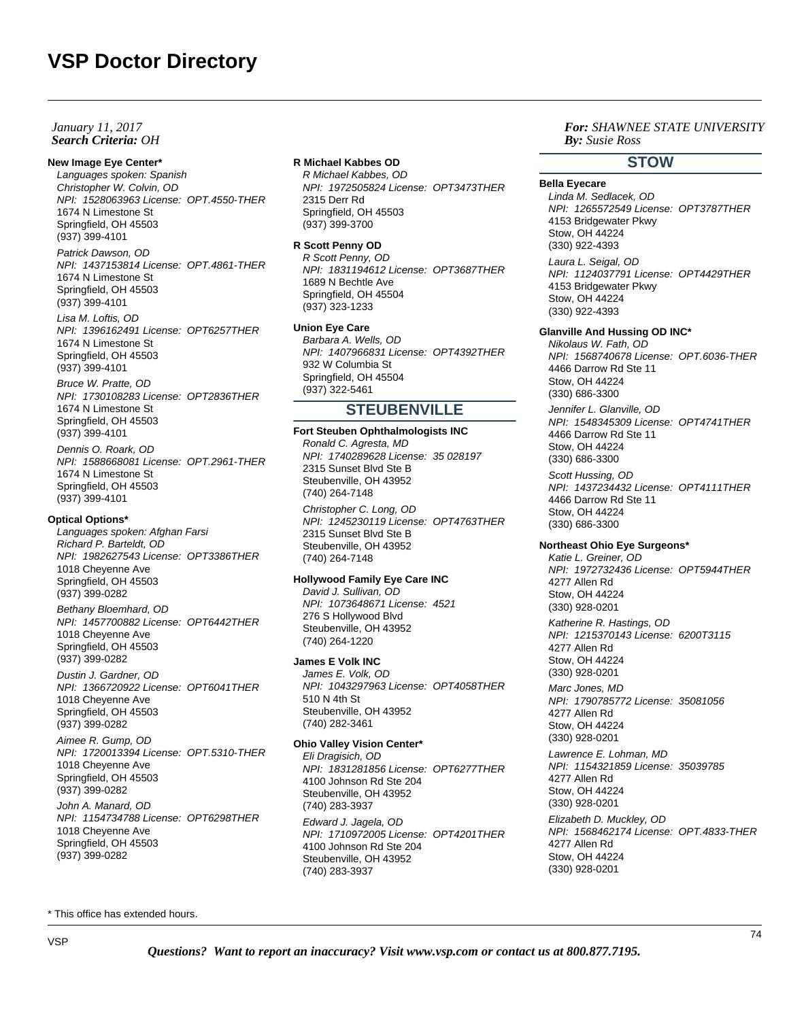## *Search Criteria: By: OHJanuary 11, 2017*

#### **New Image Eye Center\***

Languages spoken: Spanish Christopher W. Colvin, OD NPI: 1528063963 License: OPT.4550-THER 1674 N Limestone St Springfield, OH 45503 (937) 399-4101

Patrick Dawson, OD NPI: 1437153814 License: OPT.4861-THER 1674 N Limestone St Springfield, OH 45503 (937) 399-4101

Lisa M. Loftis, OD NPI: 1396162491 License: OPT6257THER 1674 N Limestone St Springfield, OH 45503 (937) 399-4101

Bruce W. Pratte, OD NPI: 1730108283 License: OPT2836THER 1674 N Limestone St Springfield, OH 45503 (937) 399-4101

Dennis O. Roark, OD NPI: 1588668081 License: OPT.2961-THER 1674 N Limestone St Springfield, OH 45503 (937) 399-4101

#### **Optical Options\***

Languages spoken: Afghan Farsi Richard P. Barteldt, OD NPI: 1982627543 License: OPT3386THER 1018 Cheyenne Ave Springfield, OH 45503 (937) 399-0282

Bethany Bloemhard, OD NPI: 1457700882 License: OPT6442THER 1018 Cheyenne Ave Springfield, OH 45503 (937) 399-0282

Dustin J. Gardner, OD NPI: 1366720922 License: OPT6041THER 1018 Cheyenne Ave Springfield, OH 45503 (937) 399-0282

Aimee R. Gump, OD NPI: 1720013394 License: OPT.5310-THER 1018 Cheyenne Ave Springfield, OH 45503 (937) 399-0282 John A. Manard, OD

NPI: 1154734788 License: OPT6298THER 1018 Cheyenne Ave Springfield, OH 45503 (937) 399-0282

#### **R Michael Kabbes OD**

R Michael Kabbes, OD NPI: 1972505824 License: OPT3473THER 2315 Derr Rd Springfield, OH 45503 (937) 399-3700

#### **R Scott Penny OD**

R Scott Penny, OD NPI: 1831194612 License: OPT3687THER 1689 N Bechtle Ave Springfield, OH 45504 (937) 323-1233

#### **Union Eye Care**

Barbara A. Wells, OD NPI: 1407966831 License: OPT4392THER 932 W Columbia St Springfield, OH 45504 (937) 322-5461

# **STEUBENVILLE**

#### **Fort Steuben Ophthalmologists INC**

Ronald C. Agresta, MD NPI: 1740289628 License: 35 028197 2315 Sunset Blvd Ste B Steubenville, OH 43952 (740) 264-7148

Christopher C. Long, OD NPI: 1245230119 License: OPT4763THER 2315 Sunset Blvd Ste B Steubenville, OH 43952 (740) 264-7148

#### **Hollywood Family Eye Care INC**

David J. Sullivan, OD NPI: 1073648671 License: 4521 276 S Hollywood Blvd Steubenville, OH 43952 (740) 264-1220

#### **James E Volk INC**

James E. Volk, OD NPI: 1043297963 License: OPT4058THER 510 N 4th St Steubenville, OH 43952 (740) 282-3461

### **Ohio Valley Vision Center\***

Eli Dragisich, OD NPI: 1831281856 License: OPT6277THER 4100 Johnson Rd Ste 204 Steubenville, OH 43952 (740) 283-3937

Edward J. Jagela, OD NPI: 1710972005 License: OPT4201THER 4100 Johnson Rd Ste 204 Steubenville, OH 43952 (740) 283-3937

*For: SHAWNEE STATE UNIVERSITY Susie Ross*

# **STOW**

#### **Bella Eyecare**

Linda M. Sedlacek, OD NPI: 1265572549 License: OPT3787THER 4153 Bridgewater Pkwy Stow, OH 44224 (330) 922-4393

Laura L. Seigal, OD NPI: 1124037791 License: OPT4429THER 4153 Bridgewater Pkwy Stow, OH 44224 (330) 922-4393

### **Glanville And Hussing OD INC\***

Nikolaus W. Fath, OD NPI: 1568740678 License: OPT.6036-THER 4466 Darrow Rd Ste 11 Stow, OH 44224 (330) 686-3300

Jennifer L. Glanville, OD NPI: 1548345309 License: OPT4741THER 4466 Darrow Rd Ste 11 Stow, OH 44224 (330) 686-3300

Scott Hussing, OD NPI: 1437234432 License: OPT4111THER 4466 Darrow Rd Ste 11 Stow, OH 44224 (330) 686-3300

## **Northeast Ohio Eye Surgeons\***

Katie L. Greiner, OD NPI: 1972732436 License: OPT5944THER 4277 Allen Rd Stow, OH 44224 (330) 928-0201 Katherine R. Hastings, OD NPI: 1215370143 License: 6200T3115 4277 Allen Rd

Stow, OH 44224 (330) 928-0201 Marc Jones, MD NPI: 1790785772 License: 35081056 4277 Allen Rd Stow, OH 44224 (330) 928-0201 Lawrence E. Lohman, MD

NPI: 1154321859 License: 35039785 4277 Allen Rd Stow, OH 44224 (330) 928-0201 Elizabeth D. Muckley, OD NPI: 1568462174 License: OPT.4833-THER 4277 Allen Rd Stow, OH 44224 (330) 928-0201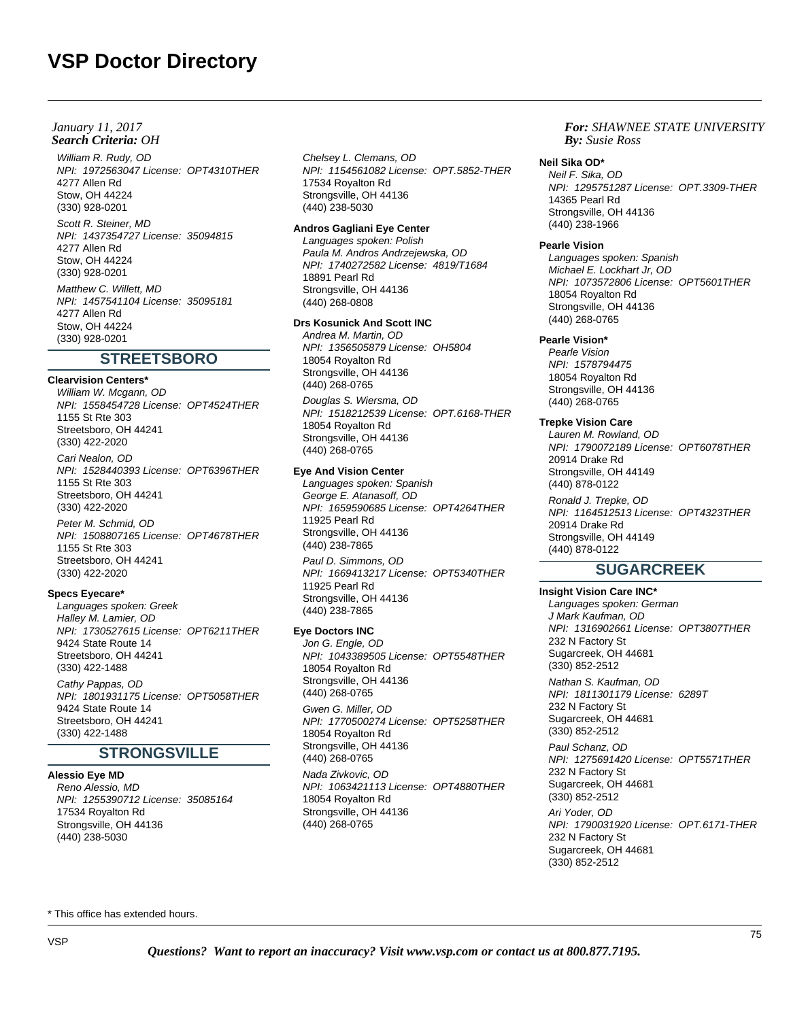William R. Rudy, OD NPI: 1972563047 License: OPT4310THER 4277 Allen Rd Stow, OH 44224 (330) 928-0201 Scott R. Steiner, MD NPI: 1437354727 License: 35094815 4277 Allen Rd Stow, OH 44224 (330) 928-0201 Matthew C. Willett, MD NPI: 1457541104 License: 35095181 4277 Allen Rd Stow, OH 44224 (330) 928-0201

# **STREETSBORO**

# **Clearvision Centers\***

William W. Mcgann, OD NPI: 1558454728 License: OPT4524THER 1155 St Rte 303 Streetsboro, OH 44241 (330) 422-2020 Cari Nealon, OD NPI: 1528440393 License: OPT6396THER 1155 St Rte 303 Streetsboro, OH 44241 (330) 422-2020

Peter M. Schmid, OD NPI: 1508807165 License: OPT4678THER 1155 St Rte 303 Streetsboro, OH 44241 (330) 422-2020

### **Specs Eyecare\***

Languages spoken: Greek Halley M. Lamier, OD NPI: 1730527615 License: OPT6211THER 9424 State Route 14 Streetsboro, OH 44241 (330) 422-1488 Cathy Pappas, OD NPI: 1801931175 License: OPT5058THER 9424 State Route 14

Streetsboro, OH 44241 (330) 422-1488

# **STRONGSVILLE**

**Alessio Eye MD**

Reno Alessio, MD NPI: 1255390712 License: 35085164 17534 Royalton Rd Strongsville, OH 44136 (440) 238-5030

Chelsey L. Clemans, OD NPI: 1154561082 License: OPT.5852-THER 17534 Royalton Rd Strongsville, OH 44136 (440) 238-5030

### **Andros Gagliani Eye Center**

Languages spoken: Polish Paula M. Andros Andrzejewska, OD NPI: 1740272582 License: 4819/T1684 18891 Pearl Rd Strongsville, OH 44136 (440) 268-0808

#### **Drs Kosunick And Scott INC**

Andrea M. Martin, OD NPI: 1356505879 License: OH5804 18054 Royalton Rd Strongsville, OH 44136 (440) 268-0765

Douglas S. Wiersma, OD NPI: 1518212539 License: OPT.6168-THER 18054 Royalton Rd Strongsville, OH 44136 (440) 268-0765

### **Eye And Vision Center**

Languages spoken: Spanish George E. Atanasoff, OD NPI: 1659590685 License: OPT4264THER 11925 Pearl Rd Strongsville, OH 44136 (440) 238-7865

Paul D. Simmons, OD NPI: 1669413217 License: OPT5340THER 11925 Pearl Rd Strongsville, OH 44136 (440) 238-7865

#### **Eye Doctors INC**

Jon G. Engle, OD NPI: 1043389505 License: OPT5548THER 18054 Royalton Rd Strongsville, OH 44136 (440) 268-0765

Gwen G. Miller, OD NPI: 1770500274 License: OPT5258THER 18054 Royalton Rd Strongsville, OH 44136 (440) 268-0765

Nada Zivkovic, OD NPI: 1063421113 License: OPT4880THER 18054 Royalton Rd Strongsville, OH 44136 (440) 268-0765

### *For: SHAWNEE STATE UNIVERSITY Susie Ross*

#### **Neil Sika OD\***

Neil F. Sika, OD NPI: 1295751287 License: OPT.3309-THER 14365 Pearl Rd Strongsville, OH 44136 (440) 238-1966

#### **Pearle Vision**

Languages spoken: Spanish Michael E. Lockhart Jr, OD NPI: 1073572806 License: OPT5601THER 18054 Royalton Rd Strongsville, OH 44136 (440) 268-0765

### **Pearle Vision\***

Pearle Vision NPI: 1578794475 18054 Royalton Rd Strongsville, OH 44136 (440) 268-0765

### **Trepke Vision Care**

Lauren M. Rowland, OD NPI: 1790072189 License: OPT6078THER 20914 Drake Rd Strongsville, OH 44149 (440) 878-0122

Ronald J. Trepke, OD NPI: 1164512513 License: OPT4323THER 20914 Drake Rd Strongsville, OH 44149 (440) 878-0122

# **SUGARCREEK**

**Insight Vision Care INC\*** Languages spoken: German J Mark Kaufman, OD NPI: 1316902661 License: OPT3807THER 232 N Factory St Sugarcreek, OH 44681 (330) 852-2512 Nathan S. Kaufman, OD NPI: 1811301179 License: 6289T 232 N Factory St Sugarcreek, OH 44681 (330) 852-2512 Paul Schanz, OD NPI: 1275691420 License: OPT5571THER 232 N Factory St Sugarcreek, OH 44681 (330) 852-2512 Ari Yoder, OD NPI: 1790031920 License: OPT.6171-THER 232 N Factory St Sugarcreek, OH 44681 (330) 852-2512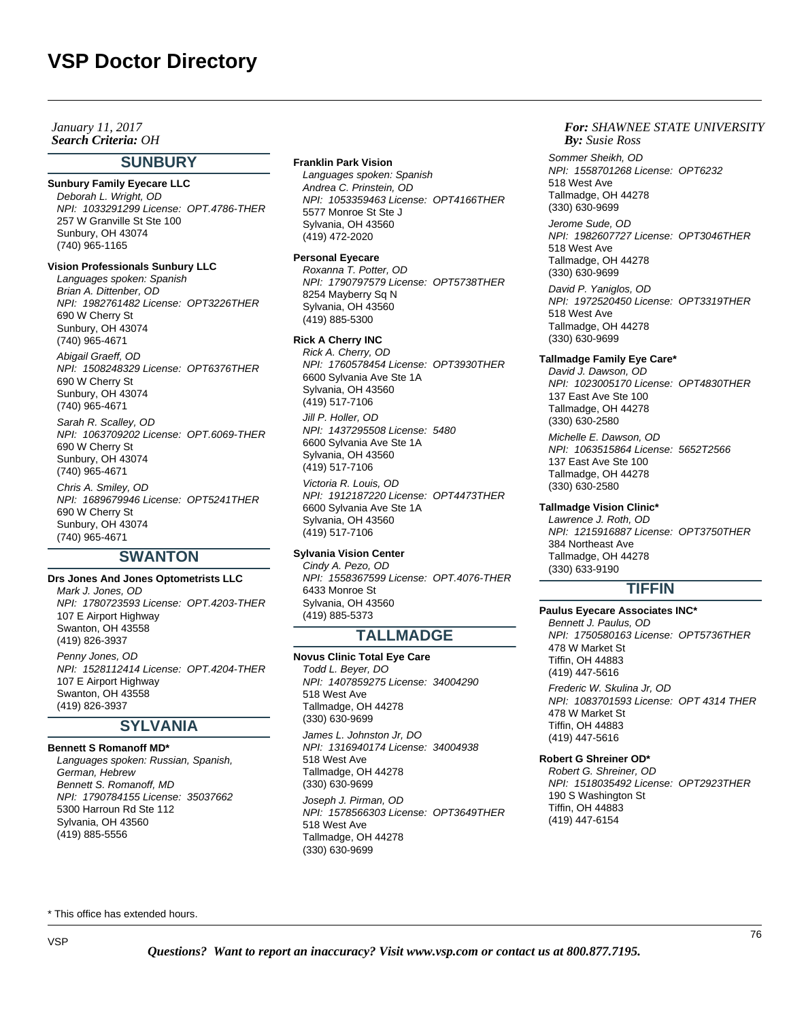### *Search Criteria: By: OHJanuary 11, 2017*

# **SUNBURY**

# **Sunbury Family Eyecare LLC**

Deborah L. Wright, OD NPI: 1033291299 License: OPT.4786-THER 257 W Granville St Ste 100 Sunbury, OH 43074 (740) 965-1165

### **Vision Professionals Sunbury LLC**

Languages spoken: Spanish Brian A. Dittenber, OD NPI: 1982761482 License: OPT3226THER 690 W Cherry St Sunbury, OH 43074 (740) 965-4671

Abigail Graeff, OD NPI: 1508248329 License: OPT6376THER 690 W Cherry St Sunbury, OH 43074 (740) 965-4671

Sarah R. Scalley, OD NPI: 1063709202 License: OPT.6069-THER 690 W Cherry St Sunbury, OH 43074 (740) 965-4671

Chris A. Smiley, OD NPI: 1689679946 License: OPT5241THER 690 W Cherry St Sunbury, OH 43074 (740) 965-4671

# **SWANTON**

**Drs Jones And Jones Optometrists LLC** Mark J. Jones, OD NPI: 1780723593 License: OPT.4203-THER 107 E Airport Highway Swanton, OH 43558 (419) 826-3937 Penny Jones, OD NPI: 1528112414 License: OPT.4204-THER 107 E Airport Highway Swanton, OH 43558 (419) 826-3937

# **SYLVANIA**

**Bennett S Romanoff MD\***

Languages spoken: Russian, Spanish, German, Hebrew Bennett S. Romanoff, MD NPI: 1790784155 License: 35037662 5300 Harroun Rd Ste 112 Sylvania, OH 43560 (419) 885-5556

#### **Franklin Park Vision**

Languages spoken: Spanish Andrea C. Prinstein, OD NPI: 1053359463 License: OPT4166THER 5577 Monroe St Ste J Sylvania, OH 43560 (419) 472-2020

#### **Personal Eyecare**

Roxanna T. Potter, OD NPI: 1790797579 License: OPT5738THER 8254 Mayberry Sq N Sylvania, OH 43560 (419) 885-5300

#### **Rick A Cherry INC**

Rick A. Cherry, OD NPI: 1760578454 License: OPT3930THER 6600 Sylvania Ave Ste 1A Sylvania, OH 43560 (419) 517-7106 Jill P. Holler, OD NPI: 1437295508 License: 5480 6600 Sylvania Ave Ste 1A Sylvania, OH 43560 (419) 517-7106 Victoria R. Louis, OD NPI: 1912187220 License: OPT4473THER 6600 Sylvania Ave Ste 1A Sylvania, OH 43560 (419) 517-7106

#### **Sylvania Vision Center**

Cindy A. Pezo, OD NPI: 1558367599 License: OPT.4076-THER 6433 Monroe St Sylvania, OH 43560 (419) 885-5373

# **TALLMADGE**

**Novus Clinic Total Eye Care** Todd L. Beyer, DO NPI: 1407859275 License: 34004290 518 West Ave Tallmadge, OH 44278 (330) 630-9699

James L. Johnston Jr, DO NPI: 1316940174 License: 34004938 518 West Ave Tallmadge, OH 44278 (330) 630-9699 Joseph J. Pirman, OD NPI: 1578566303 License: OPT3649THER 518 West Ave Tallmadge, OH 44278 (330) 630-9699

### *For: SHAWNEE STATE UNIVERSITY Susie Ross*

Sommer Sheikh, OD NPI: 1558701268 License: OPT6232 518 West Ave Tallmadge, OH 44278 (330) 630-9699

Jerome Sude, OD NPI: 1982607727 License: OPT3046THER 518 West Ave Tallmadge, OH 44278 (330) 630-9699 David P. Yaniglos, OD

NPI: 1972520450 License: OPT3319THER 518 West Ave Tallmadge, OH 44278 (330) 630-9699

#### **Tallmadge Family Eye Care\***

David J. Dawson, OD NPI: 1023005170 License: OPT4830THER 137 East Ave Ste 100 Tallmadge, OH 44278 (330) 630-2580 Michelle E. Dawson, OD NPI: 1063515864 License: 5652T2566

137 East Ave Ste 100 Tallmadge, OH 44278 (330) 630-2580

# **Tallmadge Vision Clinic\***

Lawrence J. Roth, OD NPI: 1215916887 License: OPT3750THER 384 Northeast Ave Tallmadge, OH 44278 (330) 633-9190

### **TIFFIN**

#### **Paulus Eyecare Associates INC\***

Bennett J. Paulus, OD NPI: 1750580163 License: OPT5736THER 478 W Market St Tiffin, OH 44883 (419) 447-5616 Frederic W. Skulina Jr, OD NPI: 1083701593 License: OPT 4314 THER

478 W Market St Tiffin, OH 44883 (419) 447-5616

# **Robert G Shreiner OD\***

Robert G. Shreiner, OD NPI: 1518035492 License: OPT2923THER 190 S Washington St Tiffin, OH 44883 (419) 447-6154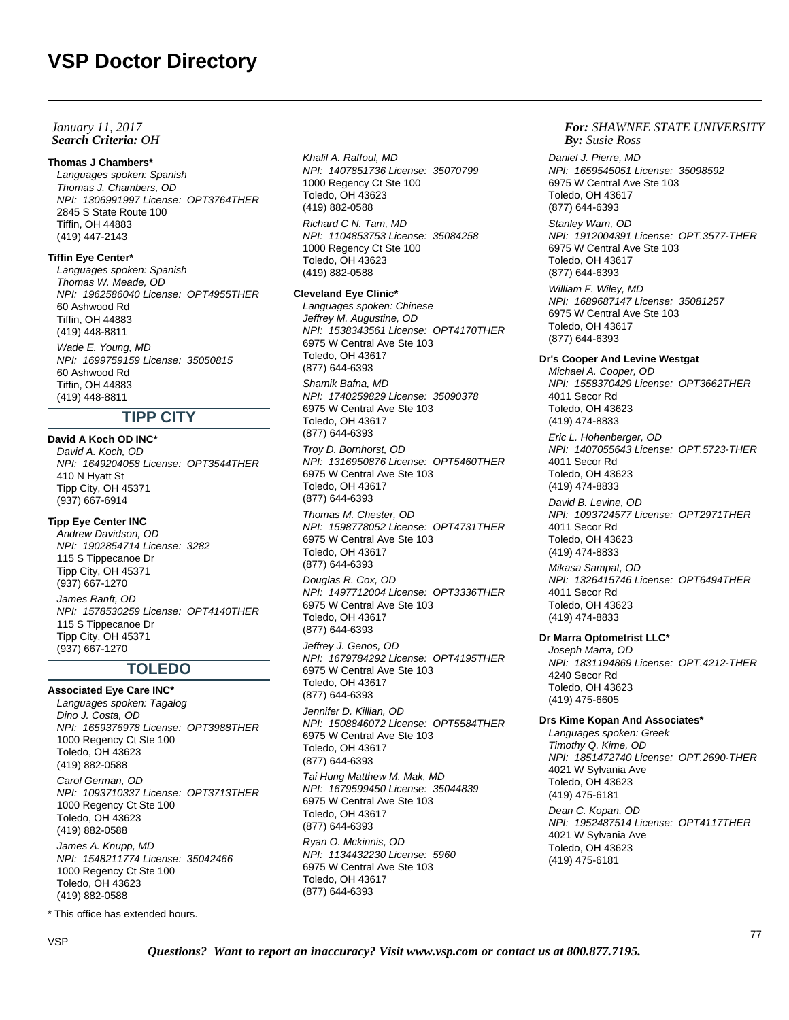### *Search Criteria: By: OHJanuary 11, 2017*

### **Thomas J Chambers\***

Languages spoken: Spanish Thomas J. Chambers, OD NPI: 1306991997 License: OPT3764THER 2845 S State Route 100 Tiffin, OH 44883 (419) 447-2143

#### **Tiffin Eye Center\***

Languages spoken: Spanish Thomas W. Meade, OD NPI: 1962586040 License: OPT4955THER 60 Ashwood Rd Tiffin, OH 44883 (419) 448-8811 Wade E. Young, MD NPI: 1699759159 License: 35050815 60 Ashwood Rd Tiffin, OH 44883

(419) 448-8811

# **TIPP CITY**

### **David A Koch OD INC\***

David A. Koch, OD NPI: 1649204058 License: OPT3544THER 410 N Hyatt St Tipp City, OH 45371 (937) 667-6914

### **Tipp Eye Center INC**

Andrew Davidson, OD NPI: 1902854714 License: 3282 115 S Tippecanoe Dr Tipp City, OH 45371 (937) 667-1270 James Ranft, OD NPI: 1578530259 License: OPT4140THER 115 S Tippecanoe Dr Tipp City, OH 45371 (937) 667-1270

# **TOLEDO**

**Associated Eye Care INC\*** Languages spoken: Tagalog Dino J. Costa, OD NPI: 1659376978 License: OPT3988THER 1000 Regency Ct Ste 100 Toledo, OH 43623 (419) 882-0588 Carol German, OD NPI: 1093710337 License: OPT3713THER 1000 Regency Ct Ste 100 Toledo, OH 43623 (419) 882-0588 James A. Knupp, MD

NPI: 1548211774 License: 35042466 1000 Regency Ct Ste 100 Toledo, OH 43623 (419) 882-0588

\* This office has extended hours.

Khalil A. Raffoul, MD NPI: 1407851736 License: 35070799 1000 Regency Ct Ste 100 Toledo, OH 43623 (419) 882-0588 Richard C N. Tam, MD

NPI: 1104853753 License: 35084258 1000 Regency Ct Ste 100 Toledo, OH 43623 (419) 882-0588

#### **Cleveland Eye Clinic\***

Languages spoken: Chinese Jeffrey M. Augustine, OD NPI: 1538343561 License: OPT4170THER 6975 W Central Ave Ste 103 Toledo, OH 43617 (877) 644-6393

Shamik Bafna, MD NPI: 1740259829 License: 35090378 6975 W Central Ave Ste 103 Toledo, OH 43617 (877) 644-6393

Troy D. Bornhorst, OD NPI: 1316950876 License: OPT5460THER 6975 W Central Ave Ste 103 Toledo, OH 43617 (877) 644-6393

Thomas M. Chester, OD NPI: 1598778052 License: OPT4731THER 6975 W Central Ave Ste 103 Toledo, OH 43617 (877) 644-6393

Douglas R. Cox, OD NPI: 1497712004 License: OPT3336THER 6975 W Central Ave Ste 103 Toledo, OH 43617 (877) 644-6393

Jeffrey J. Genos, OD NPI: 1679784292 License: OPT4195THER 6975 W Central Ave Ste 103 Toledo, OH 43617 (877) 644-6393

Jennifer D. Killian, OD NPI: 1508846072 License: OPT5584THER 6975 W Central Ave Ste 103 Toledo, OH 43617 (877) 644-6393

Tai Hung Matthew M. Mak, MD NPI: 1679599450 License: 35044839 6975 W Central Ave Ste 103 Toledo, OH 43617 (877) 644-6393

Ryan O. Mckinnis, OD NPI: 1134432230 License: 5960 6975 W Central Ave Ste 103 Toledo, OH 43617 (877) 644-6393

### *For: SHAWNEE STATE UNIVERSITY Susie Ross*

Daniel J. Pierre, MD NPI: 1659545051 License: 35098592 6975 W Central Ave Ste 103 Toledo, OH 43617 (877) 644-6393

Stanley Warn, OD NPI: 1912004391 License: OPT.3577-THER 6975 W Central Ave Ste 103 Toledo, OH 43617 (877) 644-6393

William F. Wiley, MD NPI: 1689687147 License: 35081257 6975 W Central Ave Ste 103 Toledo, OH 43617 (877) 644-6393

## **Dr's Cooper And Levine Westgat**

Michael A. Cooper, OD NPI: 1558370429 License: OPT3662THER 4011 Secor Rd Toledo, OH 43623 (419) 474-8833 Eric L. Hohenberger, OD NPI: 1407055643 License: OPT.5723-THER

4011 Secor Rd Toledo, OH 43623 (419) 474-8833 David B. Levine, OD

NPI: 1093724577 License: OPT2971THER 4011 Secor Rd Toledo, OH 43623 (419) 474-8833

Mikasa Sampat, OD NPI: 1326415746 License: OPT6494THER 4011 Secor Rd Toledo, OH 43623 (419) 474-8833

### **Dr Marra Optometrist LLC\***

Joseph Marra, OD NPI: 1831194869 License: OPT.4212-THER 4240 Secor Rd Toledo, OH 43623 (419) 475-6605

# **Drs Kime Kopan And Associates\***

Languages spoken: Greek Timothy Q. Kime, OD NPI: 1851472740 License: OPT.2690-THER 4021 W Sylvania Ave Toledo, OH 43623 (419) 475-6181 Dean C. Kopan, OD NPI: 1952487514 License: OPT4117THER 4021 W Sylvania Ave Toledo, OH 43623 (419) 475-6181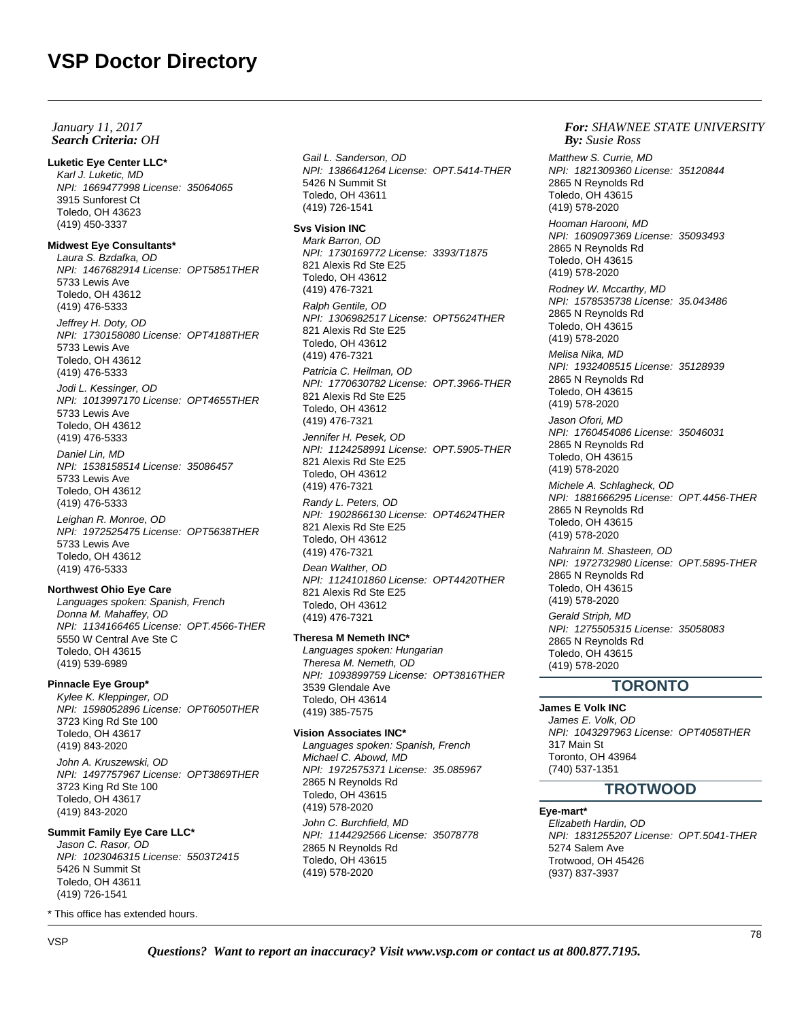**Luketic Eye Center LLC\*** Karl J. Luketic, MD NPI: 1669477998 License: 35064065 3915 Sunforest Ct Toledo, OH 43623 (419) 450-3337

### **Midwest Eye Consultants\***

Laura S. Bzdafka, OD NPI: 1467682914 License: OPT5851THER 5733 Lewis Ave Toledo, OH 43612 (419) 476-5333 Jeffrey H. Doty, OD

NPI: 1730158080 License: OPT4188THER 5733 Lewis Ave Toledo, OH 43612 (419) 476-5333

Jodi L. Kessinger, OD NPI: 1013997170 License: OPT4655THER 5733 Lewis Ave Toledo, OH 43612 (419) 476-5333

Daniel Lin, MD NPI: 1538158514 License: 35086457 5733 Lewis Ave Toledo, OH 43612 (419) 476-5333

Leighan R. Monroe, OD NPI: 1972525475 License: OPT5638THER 5733 Lewis Ave Toledo, OH 43612 (419) 476-5333

### **Northwest Ohio Eye Care**

Languages spoken: Spanish, French Donna M. Mahaffey, OD NPI: 1134166465 License: OPT.4566-THER 5550 W Central Ave Ste C Toledo, OH 43615 (419) 539-6989

### **Pinnacle Eye Group\***

Kylee K. Kleppinger, OD NPI: 1598052896 License: OPT6050THER 3723 King Rd Ste 100 Toledo, OH 43617 (419) 843-2020 John A. Kruszewski, OD

NPI: 1497757967 License: OPT3869THER 3723 King Rd Ste 100 Toledo, OH 43617 (419) 843-2020

### **Summit Family Eye Care LLC\***

Jason C. Rasor, OD NPI: 1023046315 License: 5503T2415 5426 N Summit St Toledo, OH 43611 (419) 726-1541

\* This office has extended hours.

Gail L. Sanderson, OD NPI: 1386641264 License: OPT.5414-THER 5426 N Summit St Toledo, OH 43611 (419) 726-1541

**Svs Vision INC** Mark Barron, OD NPI: 1730169772 License: 3393/T1875 821 Alexis Rd Ste E25 Toledo, OH 43612 (419) 476-7321

Ralph Gentile, OD NPI: 1306982517 License: OPT5624THER 821 Alexis Rd Ste E25 Toledo, OH 43612 (419) 476-7321

Patricia C. Heilman, OD NPI: 1770630782 License: OPT.3966-THER 821 Alexis Rd Ste E25 Toledo, OH 43612 (419) 476-7321 Jennifer H. Pesek, OD

NPI: 1124258991 License: OPT.5905-THER 821 Alexis Rd Ste E25 Toledo, OH 43612 (419) 476-7321

Randy L. Peters, OD NPI: 1902866130 License: OPT4624THER 821 Alexis Rd Ste E25 Toledo, OH 43612 (419) 476-7321

Dean Walther, OD NPI: 1124101860 License: OPT4420THER 821 Alexis Rd Ste E25 Toledo, OH 43612 (419) 476-7321

### **Theresa M Nemeth INC\***

Languages spoken: Hungarian Theresa M. Nemeth, OD NPI: 1093899759 License: OPT3816THER 3539 Glendale Ave Toledo, OH 43614 (419) 385-7575

#### **Vision Associates INC\***

Languages spoken: Spanish, French Michael C. Abowd, MD NPI: 1972575371 License: 35.085967 2865 N Reynolds Rd Toledo, OH 43615 (419) 578-2020

John C. Burchfield, MD NPI: 1144292566 License: 35078778 2865 N Reynolds Rd Toledo, OH 43615 (419) 578-2020

### *For: SHAWNEE STATE UNIVERSITY Susie Ross*

Matthew S. Currie, MD NPI: 1821309360 License: 35120844 2865 N Reynolds Rd Toledo, OH 43615 (419) 578-2020

Hooman Harooni, MD NPI: 1609097369 License: 35093493 2865 N Reynolds Rd Toledo, OH 43615 (419) 578-2020

Rodney W. Mccarthy, MD NPI: 1578535738 License: 35.043486 2865 N Reynolds Rd Toledo, OH 43615 (419) 578-2020

Melisa Nika, MD NPI: 1932408515 License: 35128939 2865 N Reynolds Rd Toledo, OH 43615 (419) 578-2020

Jason Ofori, MD NPI: 1760454086 License: 35046031 2865 N Reynolds Rd Toledo, OH 43615 (419) 578-2020 Michele A. Schlagheck, OD NPI: 1881666295 License: OPT.4456-THER 2865 N Reynolds Rd Toledo, OH 43615 (419) 578-2020 Nahrainn M. Shasteen, OD NPI: 1972732980 License: OPT.5895-THER 2865 N Reynolds Rd Toledo, OH 43615 (419) 578-2020

Gerald Striph, MD NPI: 1275505315 License: 35058083 2865 N Reynolds Rd Toledo, OH 43615 (419) 578-2020

# **TORONTO**

**James E Volk INC** James E. Volk, OD NPI: 1043297963 License: OPT4058THER 317 Main St Toronto, OH 43964 (740) 537-1351

# **TROTWOOD**

### **Eye-mart\***

Elizabeth Hardin, OD NPI: 1831255207 License: OPT.5041-THER 5274 Salem Ave Trotwood, OH 45426 (937) 837-3937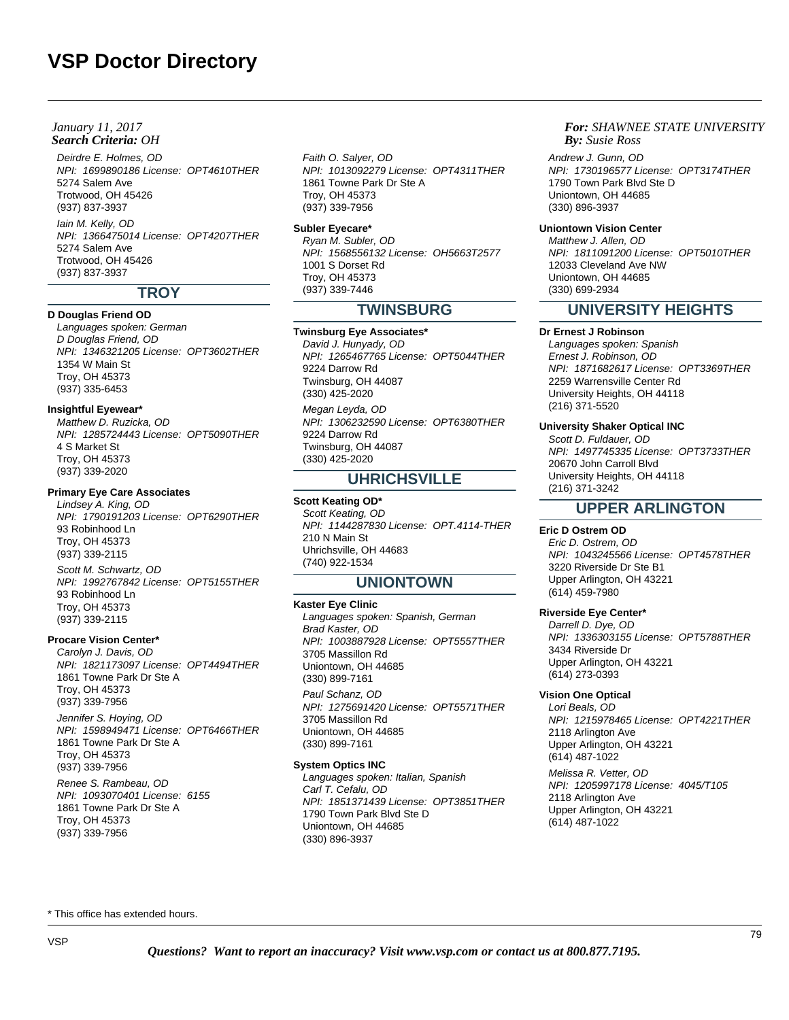Deirdre E. Holmes, OD NPI: 1699890186 License: OPT4610THER 5274 Salem Ave Trotwood, OH 45426 (937) 837-3937 Iain M. Kelly, OD NPI: 1366475014 License: OPT4207THER 5274 Salem Ave Trotwood, OH 45426 (937) 837-3937

# **TROY**

#### **D Douglas Friend OD**

Languages spoken: German D Douglas Friend, OD NPI: 1346321205 License: OPT3602THER 1354 W Main St Troy, OH 45373 (937) 335-6453

### **Insightful Eyewear\***

Matthew D. Ruzicka, OD NPI: 1285724443 License: OPT5090THER 4 S Market St Troy, OH 45373 (937) 339-2020

#### **Primary Eye Care Associates**

Lindsey A. King, OD NPI: 1790191203 License: OPT6290THER 93 Robinhood Ln Troy, OH 45373 (937) 339-2115 Scott M. Schwartz, OD NPI: 1992767842 License: OPT5155THER

93 Robinhood Ln Troy, OH 45373 (937) 339-2115

## **Procare Vision Center\***

Carolyn J. Davis, OD NPI: 1821173097 License: OPT4494THER 1861 Towne Park Dr Ste A Troy, OH 45373 (937) 339-7956

Jennifer S. Hoying, OD NPI: 1598949471 License: OPT6466THER 1861 Towne Park Dr Ste A Troy, OH 45373 (937) 339-7956 Renee S. Rambeau, OD

NPI: 1093070401 License: 6155 1861 Towne Park Dr Ste A Troy, OH 45373 (937) 339-7956

Faith O. Salyer, OD NPI: 1013092279 License: OPT4311THER 1861 Towne Park Dr Ste A Troy, OH 45373 (937) 339-7956

#### **Subler Eyecare\***

Ryan M. Subler, OD NPI: 1568556132 License: OH5663T2577 1001 S Dorset Rd Troy, OH 45373 (937) 339-7446

# **TWINSBURG**

# **Twinsburg Eye Associates\***

David J. Hunyady, OD NPI: 1265467765 License: OPT5044THER 9224 Darrow Rd Twinsburg, OH 44087 (330) 425-2020

Megan Leyda, OD NPI: 1306232590 License: OPT6380THER 9224 Darrow Rd Twinsburg, OH 44087 (330) 425-2020

# **UHRICHSVILLE**

#### **Scott Keating OD\***

Scott Keating, OD NPI: 1144287830 License: OPT.4114-THER 210 N Main St Uhrichsville, OH 44683 (740) 922-1534

# **UNIONTOWN**

#### **Kaster Eye Clinic**

Languages spoken: Spanish, German Brad Kaster, OD NPI: 1003887928 License: OPT5557THER 3705 Massillon Rd Uniontown, OH 44685 (330) 899-7161

Paul Schanz, OD NPI: 1275691420 License: OPT5571THER 3705 Massillon Rd Uniontown, OH 44685 (330) 899-7161

#### **System Optics INC**

Languages spoken: Italian, Spanish Carl T. Cefalu, OD NPI: 1851371439 License: OPT3851THER 1790 Town Park Blvd Ste D Uniontown, OH 44685 (330) 896-3937

### *For: SHAWNEE STATE UNIVERSITY Susie Ross*

Andrew J. Gunn, OD NPI: 1730196577 License: OPT3174THER 1790 Town Park Blvd Ste D Uniontown, OH 44685 (330) 896-3937

# **Uniontown Vision Center**

Matthew J. Allen, OD NPI: 1811091200 License: OPT5010THER 12033 Cleveland Ave NW Uniontown, OH 44685 (330) 699-2934

# **UNIVERSITY HEIGHTS**

### **Dr Ernest J Robinson**

Languages spoken: Spanish Ernest J. Robinson, OD NPI: 1871682617 License: OPT3369THER 2259 Warrensville Center Rd University Heights, OH 44118 (216) 371-5520

#### **University Shaker Optical INC**

Scott D. Fuldauer, OD NPI: 1497745335 License: OPT3733THER 20670 John Carroll Blvd University Heights, OH 44118 (216) 371-3242

# **UPPER ARLINGTON**

### **Eric D Ostrem OD**

Eric D. Ostrem, OD NPI: 1043245566 License: OPT4578THER 3220 Riverside Dr Ste B1 Upper Arlington, OH 43221 (614) 459-7980

# **Riverside Eye Center\***

Darrell D. Dye, OD NPI: 1336303155 License: OPT5788THER 3434 Riverside Dr Upper Arlington, OH 43221 (614) 273-0393

# **Vision One Optical**

Lori Beals, OD NPI: 1215978465 License: OPT4221THER 2118 Arlington Ave Upper Arlington, OH 43221 (614) 487-1022 Melissa R. Vetter, OD NPI: 1205997178 License: 4045/T105

2118 Arlington Ave Upper Arlington, OH 43221 (614) 487-1022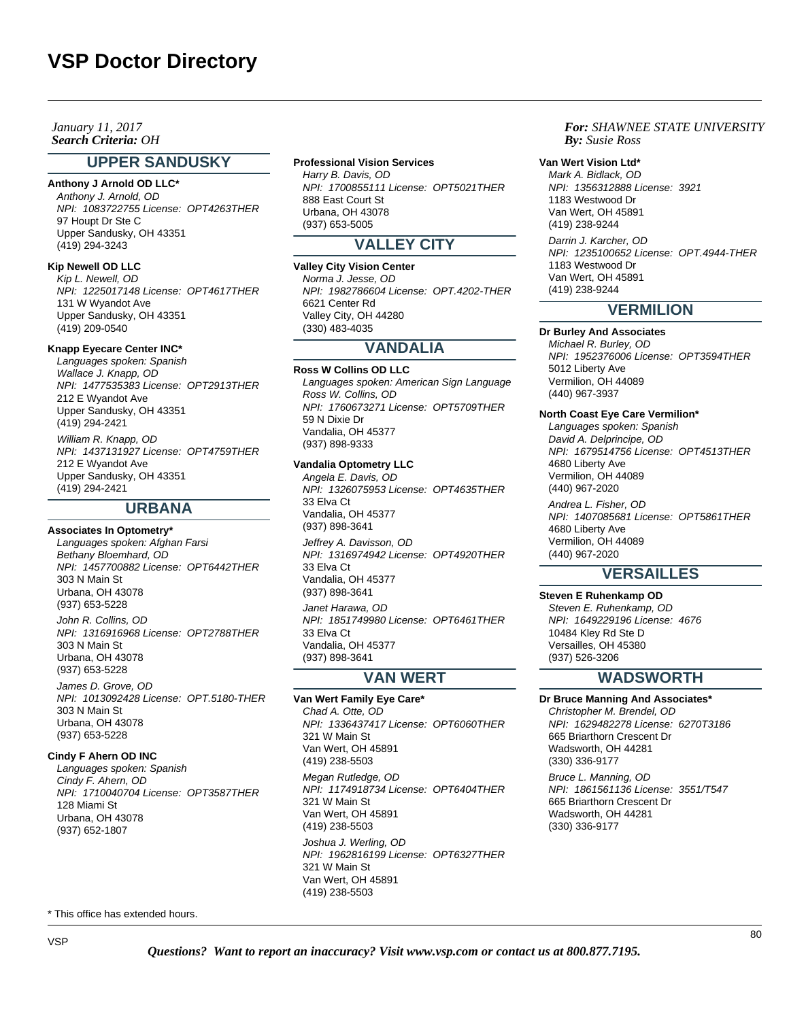# **UPPER SANDUSKY**

### **Anthony J Arnold OD LLC\***

Anthony J. Arnold, OD NPI: 1083722755 License: OPT4263THER 97 Houpt Dr Ste C Upper Sandusky, OH 43351 (419) 294-3243

## **Kip Newell OD LLC**

Kip L. Newell, OD NPI: 1225017148 License: OPT4617THER 131 W Wyandot Ave Upper Sandusky, OH 43351 (419) 209-0540

#### **Knapp Eyecare Center INC\***

Languages spoken: Spanish Wallace J. Knapp, OD NPI: 1477535383 License: OPT2913THER 212 E Wyandot Ave Upper Sandusky, OH 43351 (419) 294-2421 William R. Knapp, OD NPI: 1437131927 License: OPT4759THER 212 E Wyandot Ave Upper Sandusky, OH 43351 (419) 294-2421

# **URBANA**

**Associates In Optometry\***

Languages spoken: Afghan Farsi Bethany Bloemhard, OD NPI: 1457700882 License: OPT6442THER 303 N Main St Urbana, OH 43078 (937) 653-5228 John R. Collins, OD NPI: 1316916968 License: OPT2788THER 303 N Main St Urbana, OH 43078 (937) 653-5228 James D. Grove, OD

NPI: 1013092428 License: OPT.5180-THER 303 N Main St Urbana, OH 43078 (937) 653-5228

# **Cindy F Ahern OD INC**

Languages spoken: Spanish Cindy F. Ahern, OD NPI: 1710040704 License: OPT3587THER 128 Miami St Urbana, OH 43078 (937) 652-1807

\* This office has extended hours.

# **Professional Vision Services**

Harry B. Davis, OD NPI: 1700855111 License: OPT5021THER 888 East Court St Urbana, OH 43078 (937) 653-5005

# **VALLEY CITY**

**Valley City Vision Center**

Norma J. Jesse, OD NPI: 1982786604 License: OPT.4202-THER 6621 Center Rd Valley City, OH 44280 (330) 483-4035

# **VANDALIA**

**Ross W Collins OD LLC** Languages spoken: American Sign Language Ross W. Collins, OD NPI: 1760673271 License: OPT5709THER 59 N Dixie Dr Vandalia, OH 45377 (937) 898-9333

# **Vandalia Optometry LLC**

Angela E. Davis, OD NPI: 1326075953 License: OPT4635THER 33 Elva Ct Vandalia, OH 45377 (937) 898-3641 Jeffrey A. Davisson, OD NPI: 1316974942 License: OPT4920THER

33 Elva Ct Vandalia, OH 45377 (937) 898-3641 Janet Harawa, OD NPI: 1851749980 License: OPT6461THER 33 Elva Ct Vandalia, OH 45377 (937) 898-3641

# **VAN WERT**

**Van Wert Family Eye Care\*** Chad A. Otte, OD NPI: 1336437417 License: OPT6060THER 321 W Main St Van Wert, OH 45891 (419) 238-5503 Megan Rutledge, OD NPI: 1174918734 License: OPT6404THER 321 W Main St Van Wert, OH 45891 (419) 238-5503 Joshua J. Werling, OD NPI: 1962816199 License: OPT6327THER 321 W Main St Van Wert, OH 45891 (419) 238-5503

### *For: SHAWNEE STATE UNIVERSITY Susie Ross*

#### **Van Wert Vision Ltd\***

Mark A. Bidlack, OD NPI: 1356312888 License: 3921 1183 Westwood Dr Van Wert, OH 45891 (419) 238-9244

Darrin J. Karcher, OD NPI: 1235100652 License: OPT.4944-THER 1183 Westwood Dr Van Wert, OH 45891 (419) 238-9244

# **VERMILION**

### **Dr Burley And Associates**

Michael R. Burley, OD NPI: 1952376006 License: OPT3594THER 5012 Liberty Ave Vermilion, OH 44089 (440) 967-3937

#### **North Coast Eye Care Vermilion\***

Languages spoken: Spanish David A. Delprincipe, OD NPI: 1679514756 License: OPT4513THER 4680 Liberty Ave Vermilion, OH 44089 (440) 967-2020 Andrea L. Fisher, OD NPI: 1407085681 License: OPT5861THER 4680 Liberty Ave Vermilion, OH 44089

(440) 967-2020

# **VERSAILLES**

### **Steven E Ruhenkamp OD**

Steven E. Ruhenkamp, OD NPI: 1649229196 License: 4676 10484 Kley Rd Ste D Versailles, OH 45380 (937) 526-3206

# **WADSWORTH**

**Dr Bruce Manning And Associates\*** Christopher M. Brendel, OD NPI: 1629482278 License: 6270T3186 665 Briarthorn Crescent Dr Wadsworth, OH 44281 (330) 336-9177 Bruce L. Manning, OD NPI: 1861561136 License: 3551/T547 665 Briarthorn Crescent Dr Wadsworth, OH 44281 (330) 336-9177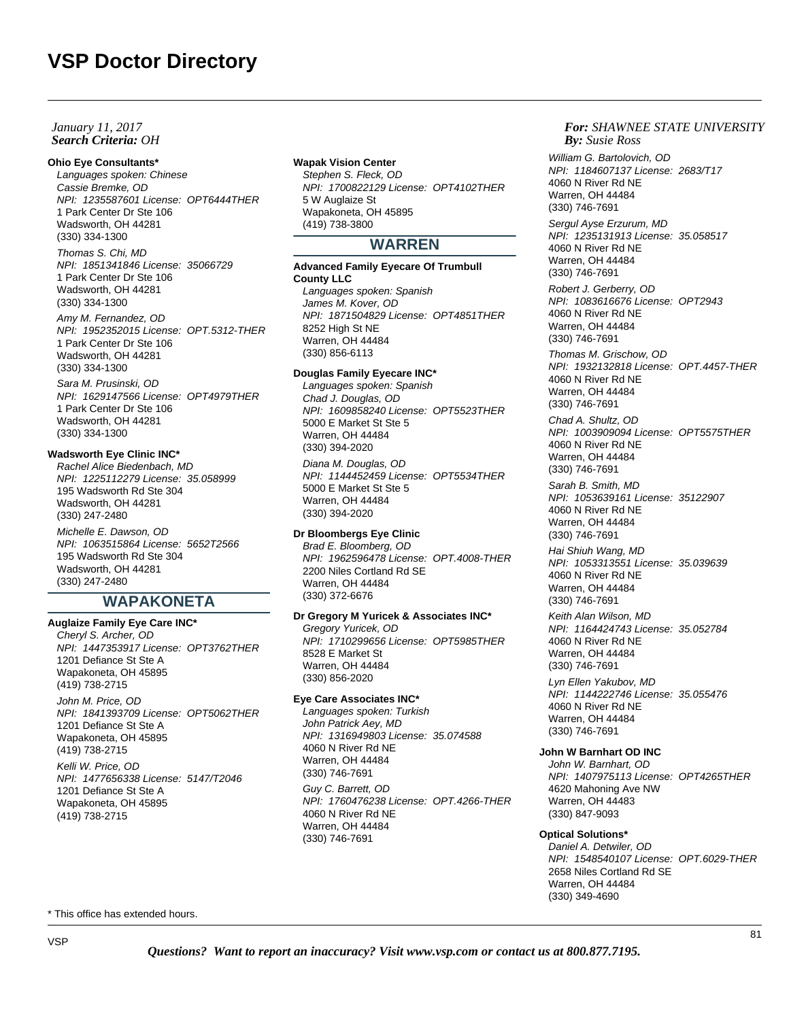### *Search Criteria: By: OHJanuary 11, 2017*

#### **Ohio Eye Consultants\***

Languages spoken: Chinese Cassie Bremke, OD NPI: 1235587601 License: OPT6444THER 1 Park Center Dr Ste 106 Wadsworth, OH 44281 (330) 334-1300

Thomas S. Chi, MD NPI: 1851341846 License: 35066729 1 Park Center Dr Ste 106 Wadsworth, OH 44281 (330) 334-1300

Amy M. Fernandez, OD NPI: 1952352015 License: OPT.5312-THER 1 Park Center Dr Ste 106 Wadsworth, OH 44281 (330) 334-1300 Sara M. Prusinski, OD

NPI: 1629147566 License: OPT4979THER 1 Park Center Dr Ste 106 Wadsworth, OH 44281 (330) 334-1300

### **Wadsworth Eye Clinic INC\***

Rachel Alice Biedenbach, MD NPI: 1225112279 License: 35.058999 195 Wadsworth Rd Ste 304 Wadsworth, OH 44281 (330) 247-2480 Michelle E. Dawson, OD NPI: 1063515864 License: 5652T2566

195 Wadsworth Rd Ste 304 Wadsworth, OH 44281 (330) 247-2480

# **WAPAKONETA**

## **Auglaize Family Eye Care INC\***

Cheryl S. Archer, OD NPI: 1447353917 License: OPT3762THER 1201 Defiance St Ste A Wapakoneta, OH 45895 (419) 738-2715 John M. Price, OD NPI: 1841393709 License: OPT5062THER 1201 Defiance St Ste A Wapakoneta, OH 45895 (419) 738-2715 Kelli W. Price, OD NPI: 1477656338 License: 5147/T2046 1201 Defiance St Ste A Wapakoneta, OH 45895 (419) 738-2715

#### **Wapak Vision Center**

Stephen S. Fleck, OD NPI: 1700822129 License: OPT4102THER 5 W Auglaize St Wapakoneta, OH 45895 (419) 738-3800

# **WARREN**

#### **Advanced Family Eyecare Of Trumbull County LLC**

Languages spoken: Spanish James M. Kover, OD NPI: 1871504829 License: OPT4851THER 8252 High St NE Warren, OH 44484 (330) 856-6113

### **Douglas Family Eyecare INC\***

Languages spoken: Spanish Chad J. Douglas, OD NPI: 1609858240 License: OPT5523THER 5000 E Market St Ste 5 Warren, OH 44484 (330) 394-2020

Diana M. Douglas, OD NPI: 1144452459 License: OPT5534THER 5000 E Market St Ste 5 Warren, OH 44484 (330) 394-2020

### **Dr Bloombergs Eye Clinic**

Brad E. Bloomberg, OD NPI: 1962596478 License: OPT.4008-THER 2200 Niles Cortland Rd SE Warren, OH 44484 (330) 372-6676

# **Dr Gregory M Yuricek & Associates INC\***

Gregory Yuricek, OD NPI: 1710299656 License: OPT5985THER 8528 E Market St Warren, OH 44484 (330) 856-2020

# **Eye Care Associates INC\***

Warren, OH 44484 (330) 746-7691

Languages spoken: Turkish John Patrick Aey, MD NPI: 1316949803 License: 35.074588 4060 N River Rd NE Warren, OH 44484 (330) 746-7691 Guy C. Barrett, OD NPI: 1760476238 License: OPT.4266-THER 4060 N River Rd NE

*For: SHAWNEE STATE UNIVERSITY Susie Ross*

William G. Bartolovich, OD NPI: 1184607137 License: 2683/T17 4060 N River Rd NE Warren, OH 44484 (330) 746-7691

Sergul Ayse Erzurum, MD NPI: 1235131913 License: 35.058517 4060 N River Rd NE Warren, OH 44484 (330) 746-7691

Robert J. Gerberry, OD NPI: 1083616676 License: OPT2943 4060 N River Rd NE Warren, OH 44484 (330) 746-7691

Thomas M. Grischow, OD NPI: 1932132818 License: OPT.4457-THER 4060 N River Rd NE Warren, OH 44484 (330) 746-7691

Chad A. Shultz, OD NPI: 1003909094 License: OPT5575THER 4060 N River Rd NE Warren, OH 44484 (330) 746-7691

Sarah B. Smith, MD NPI: 1053639161 License: 35122907 4060 N River Rd NE Warren, OH 44484 (330) 746-7691

Hai Shiuh Wang, MD NPI: 1053313551 License: 35.039639 4060 N River Rd NE Warren, OH 44484 (330) 746-7691

Keith Alan Wilson, MD NPI: 1164424743 License: 35.052784 4060 N River Rd NE Warren, OH 44484 (330) 746-7691

Lyn Ellen Yakubov, MD NPI: 1144222746 License: 35.055476 4060 N River Rd NE Warren, OH 44484 (330) 746-7691

## **John W Barnhart OD INC**

John W. Barnhart, OD NPI: 1407975113 License: OPT4265THER 4620 Mahoning Ave NW Warren, OH 44483 (330) 847-9093

#### **Optical Solutions\***

Daniel A. Detwiler, OD NPI: 1548540107 License: OPT.6029-THER 2658 Niles Cortland Rd SE Warren, OH 44484 (330) 349-4690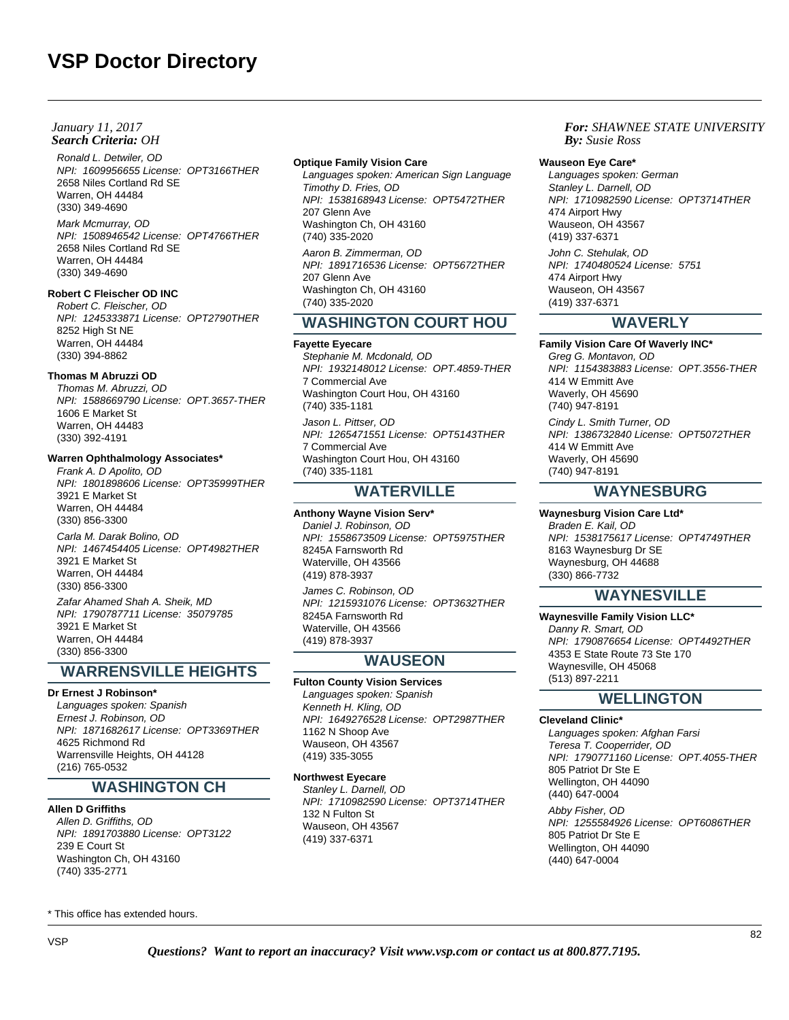Ronald L. Detwiler, OD NPI: 1609956655 License: OPT3166THER 2658 Niles Cortland Rd SE Warren, OH 44484 (330) 349-4690 Mark Mcmurray, OD

NPI: 1508946542 License: OPT4766THER 2658 Niles Cortland Rd SE Warren, OH 44484 (330) 349-4690

### **Robert C Fleischer OD INC**

Robert C. Fleischer, OD NPI: 1245333871 License: OPT2790THER 8252 High St NE Warren, OH 44484 (330) 394-8862

### **Thomas M Abruzzi OD**

Thomas M. Abruzzi, OD NPI: 1588669790 License: OPT.3657-THER 1606 E Market St Warren, OH 44483 (330) 392-4191

# **Warren Ophthalmology Associates\***

Frank A. D Apolito, OD NPI: 1801898606 License: OPT35999THER 3921 E Market St Warren, OH 44484 (330) 856-3300 Carla M. Darak Bolino, OD NPI: 1467454405 License: OPT4982THER 3921 E Market St Warren, OH 44484 (330) 856-3300 Zafar Ahamed Shah A. Sheik, MD NPI: 1790787711 License: 35079785

3921 E Market St Warren, OH 44484 (330) 856-3300

# **WARRENSVILLE HEIGHTS**

### **Dr Ernest J Robinson\***

Languages spoken: Spanish Ernest J. Robinson, OD NPI: 1871682617 License: OPT3369THER 4625 Richmond Rd Warrensville Heights, OH 44128 (216) 765-0532

# **WASHINGTON CH**

**Allen D Griffiths** Allen D. Griffiths, OD NPI: 1891703880 License: OPT3122 239 E Court St Washington Ch, OH 43160 (740) 335-2771

### **Optique Family Vision Care**

Languages spoken: American Sign Language Timothy D. Fries, OD NPI: 1538168943 License: OPT5472THER 207 Glenn Ave Washington Ch, OH 43160 (740) 335-2020

Aaron B. Zimmerman, OD NPI: 1891716536 License: OPT5672THER 207 Glenn Ave Washington Ch, OH 43160 (740) 335-2020

# **WASHINGTON COURT HOU**

#### **Fayette Eyecare**

Stephanie M. Mcdonald, OD NPI: 1932148012 License: OPT.4859-THER 7 Commercial Ave Washington Court Hou, OH 43160 (740) 335-1181

Jason L. Pittser, OD NPI: 1265471551 License: OPT5143THER 7 Commercial Ave Washington Court Hou, OH 43160 (740) 335-1181

# **WATERVILLE**

**Anthony Wayne Vision Serv\*** Daniel J. Robinson, OD NPI: 1558673509 License: OPT5975THER 8245A Farnsworth Rd Waterville, OH 43566

(419) 878-3937 James C. Robinson, OD NPI: 1215931076 License: OPT3632THER 8245A Farnsworth Rd Waterville, OH 43566 (419) 878-3937

# **WAUSEON**

### **Fulton County Vision Services**

Languages spoken: Spanish Kenneth H. Kling, OD NPI: 1649276528 License: OPT2987THER 1162 N Shoop Ave Wauseon, OH 43567 (419) 335-3055

### **Northwest Eyecare**

Stanley L. Darnell, OD NPI: 1710982590 License: OPT3714THER 132 N Fulton St Wauseon, OH 43567 (419) 337-6371

### *For: SHAWNEE STATE UNIVERSITY Susie Ross*

#### **Wauseon Eye Care\***

Languages spoken: German Stanley L. Darnell, OD NPI: 1710982590 License: OPT3714THER 474 Airport Hwy Wauseon, OH 43567 (419) 337-6371 John C. Stehulak, OD

NPI: 1740480524 License: 5751 474 Airport Hwy Wauseon, OH 43567 (419) 337-6371

# **WAVERLY**

**Family Vision Care Of Waverly INC\*** Greg G. Montavon, OD NPI: 1154383883 License: OPT.3556-THER 414 W Emmitt Ave Waverly, OH 45690 (740) 947-8191 Cindy L. Smith Turner, OD NPI: 1386732840 License: OPT5072THER 414 W Emmitt Ave Waverly, OH 45690 (740) 947-8191

# **WAYNESBURG**

**Waynesburg Vision Care Ltd\*** Braden E. Kail, OD NPI: 1538175617 License: OPT4749THER 8163 Waynesburg Dr SE Waynesburg, OH 44688 (330) 866-7732

# **WAYNESVILLE**

**Waynesville Family Vision LLC\*** Danny R. Smart, OD NPI: 1790876654 License: OPT4492THER 4353 E State Route 73 Ste 170 Waynesville, OH 45068 (513) 897-2211

# **WELLINGTON**

**Cleveland Clinic\***

Languages spoken: Afghan Farsi Teresa T. Cooperrider, OD NPI: 1790771160 License: OPT.4055-THER 805 Patriot Dr Ste E Wellington, OH 44090 (440) 647-0004

Abby Fisher, OD NPI: 1255584926 License: OPT6086THER 805 Patriot Dr Ste E Wellington, OH 44090 (440) 647-0004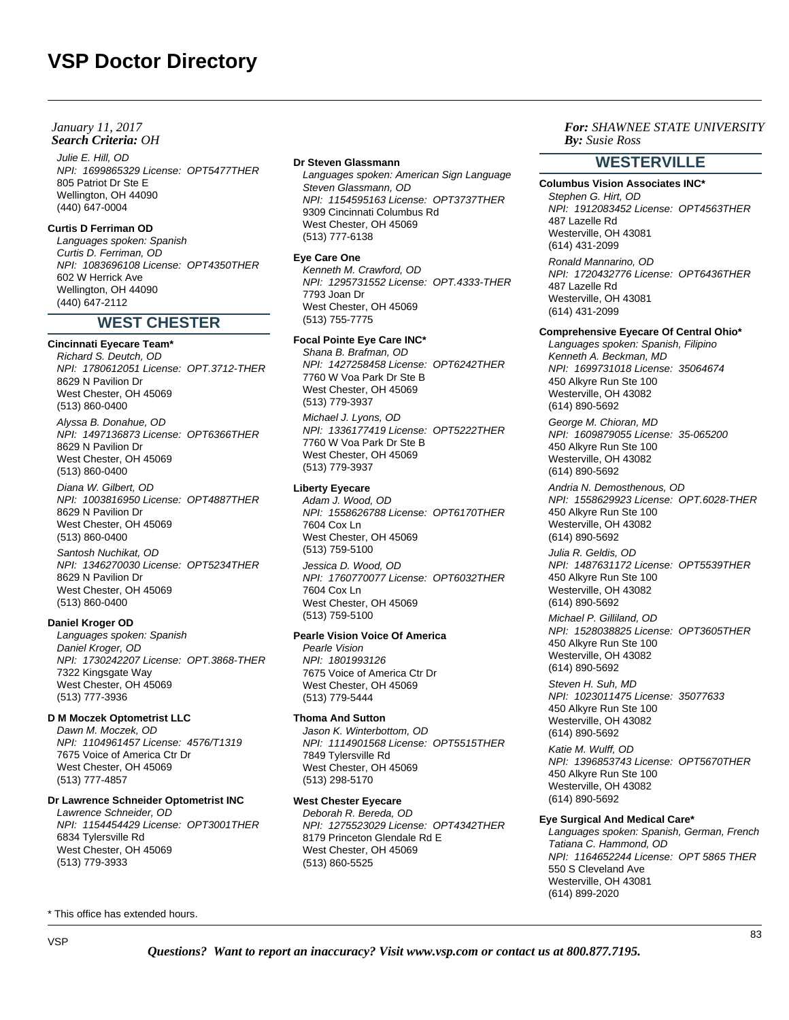### *Search Criteria: By: OHJanuary 11, 2017*

Julie E. Hill, OD NPI: 1699865329 License: OPT5477THER 805 Patriot Dr Ste E Wellington, OH 44090 (440) 647-0004

### **Curtis D Ferriman OD**

Languages spoken: Spanish Curtis D. Ferriman, OD NPI: 1083696108 License: OPT4350THER 602 W Herrick Ave Wellington, OH 44090 (440) 647-2112

# **WEST CHESTER**

## **Cincinnati Eyecare Team\***

Richard S. Deutch, OD NPI: 1780612051 License: OPT.3712-THER 8629 N Pavilion Dr West Chester, OH 45069 (513) 860-0400

Alyssa B. Donahue, OD NPI: 1497136873 License: OPT6366THER 8629 N Pavilion Dr West Chester, OH 45069 (513) 860-0400

Diana W. Gilbert, OD NPI: 1003816950 License: OPT4887THER 8629 N Pavilion Dr West Chester, OH 45069 (513) 860-0400 Santosh Nuchikat, OD

NPI: 1346270030 License: OPT5234THER 8629 N Pavilion Dr West Chester, OH 45069 (513) 860-0400

### **Daniel Kroger OD**

Languages spoken: Spanish Daniel Kroger, OD NPI: 1730242207 License: OPT.3868-THER 7322 Kingsgate Way West Chester, OH 45069 (513) 777-3936

## **D M Moczek Optometrist LLC**

Dawn M. Moczek, OD NPI: 1104961457 License: 4576/T1319 7675 Voice of America Ctr Dr West Chester, OH 45069 (513) 777-4857

### **Dr Lawrence Schneider Optometrist INC**

Lawrence Schneider, OD NPI: 1154454429 License: OPT3001THER 6834 Tylersville Rd West Chester, OH 45069 (513) 779-3933

#### \* This office has extended hours.

#### **Dr Steven Glassmann**

Languages spoken: American Sign Language Steven Glassmann, OD NPI: 1154595163 License: OPT3737THER 9309 Cincinnati Columbus Rd West Chester, OH 45069 (513) 777-6138

#### **Eye Care One**

Kenneth M. Crawford, OD NPI: 1295731552 License: OPT.4333-THER 7793 Joan Dr West Chester, OH 45069 (513) 755-7775

# **Focal Pointe Eye Care INC\***

Shana B. Brafman, OD NPI: 1427258458 License: OPT6242THER 7760 W Voa Park Dr Ste B West Chester, OH 45069 (513) 779-3937 Michael J. Lyons, OD NPI: 1336177419 License: OPT5222THER 7760 W Voa Park Dr Ste B West Chester, OH 45069 (513) 779-3937

#### **Liberty Eyecare**

Adam J. Wood, OD NPI: 1558626788 License: OPT6170THER 7604 Cox Ln West Chester, OH 45069 (513) 759-5100

Jessica D. Wood, OD NPI: 1760770077 License: OPT6032THER 7604 Cox Ln West Chester, OH 45069 (513) 759-5100

# **Pearle Vision Voice Of America**

Pearle Vision NPI: 1801993126 7675 Voice of America Ctr Dr West Chester, OH 45069 (513) 779-5444

#### **Thoma And Sutton**

Jason K. Winterbottom, OD NPI: 1114901568 License: OPT5515THER 7849 Tylersville Rd West Chester, OH 45069 (513) 298-5170

### **West Chester Eyecare**

Deborah R. Bereda, OD NPI: 1275523029 License: OPT4342THER 8179 Princeton Glendale Rd E West Chester, OH 45069 (513) 860-5525

# *For: SHAWNEE STATE UNIVERSITY Susie Ross*

# **WESTERVILLE**

**Columbus Vision Associates INC\*** Stephen G. Hirt, OD NPI: 1912083452 License: OPT4563THER 487 Lazelle Rd Westerville, OH 43081 (614) 431-2099

Ronald Mannarino, OD NPI: 1720432776 License: OPT6436THER 487 Lazelle Rd Westerville, OH 43081 (614) 431-2099

### **Comprehensive Eyecare Of Central Ohio\***

Languages spoken: Spanish, Filipino Kenneth A. Beckman, MD NPI: 1699731018 License: 35064674 450 Alkyre Run Ste 100 Westerville, OH 43082 (614) 890-5692

George M. Chioran, MD NPI: 1609879055 License: 35-065200 450 Alkyre Run Ste 100 Westerville, OH 43082 (614) 890-5692

Andria N. Demosthenous, OD NPI: 1558629923 License: OPT.6028-THER 450 Alkyre Run Ste 100 Westerville, OH 43082 (614) 890-5692

Julia R. Geldis, OD NPI: 1487631172 License: OPT5539THER 450 Alkyre Run Ste 100 Westerville, OH 43082 (614) 890-5692

Michael P. Gilliland, OD NPI: 1528038825 License: OPT3605THER 450 Alkyre Run Ste 100 Westerville, OH 43082 (614) 890-5692

Steven H. Suh, MD NPI: 1023011475 License: 35077633 450 Alkyre Run Ste 100 Westerville, OH 43082 (614) 890-5692

Katie M. Wulff, OD NPI: 1396853743 License: OPT5670THER 450 Alkyre Run Ste 100 Westerville, OH 43082 (614) 890-5692

#### **Eye Surgical And Medical Care\***

Languages spoken: Spanish, German, French Tatiana C. Hammond, OD NPI: 1164652244 License: OPT 5865 THER 550 S Cleveland Ave Westerville, OH 43081 (614) 899-2020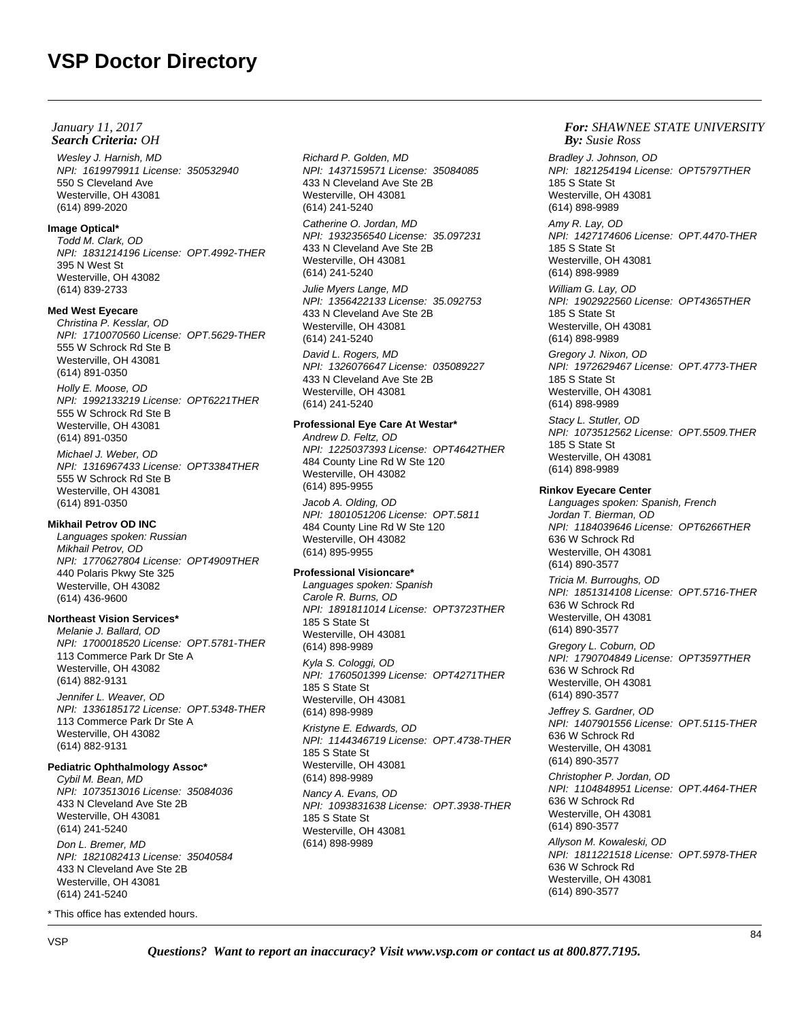Wesley J. Harnish, MD NPI: 1619979911 License: 350532940 550 S Cleveland Ave Westerville, OH 43081 (614) 899-2020

## **Image Optical\***

Todd M. Clark, OD NPI: 1831214196 License: OPT.4992-THER 395 N West St Westerville, OH 43082 (614) 839-2733

# **Med West Eyecare**

Christina P. Kesslar, OD NPI: 1710070560 License: OPT.5629-THER 555 W Schrock Rd Ste B Westerville, OH 43081 (614) 891-0350

# Holly E. Moose, OD

NPI: 1992133219 License: OPT6221THER 555 W Schrock Rd Ste B Westerville, OH 43081 (614) 891-0350

Michael J. Weber, OD NPI: 1316967433 License: OPT3384THER 555 W Schrock Rd Ste B Westerville, OH 43081 (614) 891-0350

# **Mikhail Petrov OD INC**

Languages spoken: Russian Mikhail Petrov, OD NPI: 1770627804 License: OPT4909THER 440 Polaris Pkwy Ste 325 Westerville, OH 43082 (614) 436-9600

# **Northeast Vision Services\***

Melanie J. Ballard, OD NPI: 1700018520 License: OPT.5781-THER 113 Commerce Park Dr Ste A Westerville, OH 43082 (614) 882-9131 Jennifer L. Weaver, OD

NPI: 1336185172 License: OPT.5348-THER 113 Commerce Park Dr Ste A Westerville, OH 43082 (614) 882-9131

# **Pediatric Ophthalmology Assoc\***

Cybil M. Bean, MD NPI: 1073513016 License: 35084036 433 N Cleveland Ave Ste 2B Westerville, OH 43081 (614) 241-5240 Don L. Bremer, MD NPI: 1821082413 License: 35040584 433 N Cleveland Ave Ste 2B Westerville, OH 43081 (614) 241-5240

\* This office has extended hours.

Richard P. Golden, MD NPI: 1437159571 License: 35084085 433 N Cleveland Ave Ste 2B Westerville, OH 43081 (614) 241-5240

Catherine O. Jordan, MD NPI: 1932356540 License: 35.097231 433 N Cleveland Ave Ste 2B Westerville, OH 43081 (614) 241-5240

Julie Myers Lange, MD NPI: 1356422133 License: 35.092753 433 N Cleveland Ave Ste 2B Westerville, OH 43081 (614) 241-5240

David L. Rogers, MD NPI: 1326076647 License: 035089227 433 N Cleveland Ave Ste 2B Westerville, OH 43081 (614) 241-5240

# **Professional Eye Care At Westar\***

Andrew D. Feltz, OD NPI: 1225037393 License: OPT4642THER 484 County Line Rd W Ste 120 Westerville, OH 43082 (614) 895-9955

Jacob A. Olding, OD NPI: 1801051206 License: OPT.5811 484 County Line Rd W Ste 120 Westerville, OH 43082 (614) 895-9955

# **Professional Visioncare\***

Languages spoken: Spanish Carole R. Burns, OD NPI: 1891811014 License: OPT3723THER 185 S State St Westerville, OH 43081 (614) 898-9989 Kyla S. Cologgi, OD NPI: 1760501399 License: OPT4271THER 185 S State St

Westerville, OH 43081 (614) 898-9989 Kristyne E. Edwards, OD NPI: 1144346719 License: OPT.4738-THER 185 S State St Westerville, OH 43081 (614) 898-9989

Nancy A. Evans, OD NPI: 1093831638 License: OPT.3938-THER 185 S State St Westerville, OH 43081 (614) 898-9989

### *For: SHAWNEE STATE UNIVERSITY Susie Ross*

Bradley J. Johnson, OD NPI: 1821254194 License: OPT5797THER 185 S State St Westerville, OH 43081 (614) 898-9989 Amy R. Lay, OD

NPI: 1427174606 License: OPT.4470-THER 185 S State St Westerville, OH 43081 (614) 898-9989

William G. Lay, OD NPI: 1902922560 License: OPT4365THER 185 S State St Westerville, OH 43081 (614) 898-9989

Gregory J. Nixon, OD NPI: 1972629467 License: OPT.4773-THER 185 S State St Westerville, OH 43081 (614) 898-9989

Stacy L. Stutler, OD NPI: 1073512562 License: OPT.5509.THER 185 S State St Westerville, OH 43081 (614) 898-9989

### **Rinkov Eyecare Center**

Languages spoken: Spanish, French Jordan T. Bierman, OD NPI: 1184039646 License: OPT6266THER 636 W Schrock Rd Westerville, OH 43081 (614) 890-3577

Tricia M. Burroughs, OD NPI: 1851314108 License: OPT.5716-THER 636 W Schrock Rd Westerville, OH 43081 (614) 890-3577

Gregory L. Coburn, OD NPI: 1790704849 License: OPT3597THER 636 W Schrock Rd Westerville, OH 43081 (614) 890-3577

Jeffrey S. Gardner, OD NPI: 1407901556 License: OPT.5115-THER 636 W Schrock Rd Westerville, OH 43081 (614) 890-3577

Christopher P. Jordan, OD NPI: 1104848951 License: OPT.4464-THER 636 W Schrock Rd Westerville, OH 43081 (614) 890-3577

Allyson M. Kowaleski, OD NPI: 1811221518 License: OPT.5978-THER 636 W Schrock Rd Westerville, OH 43081 (614) 890-3577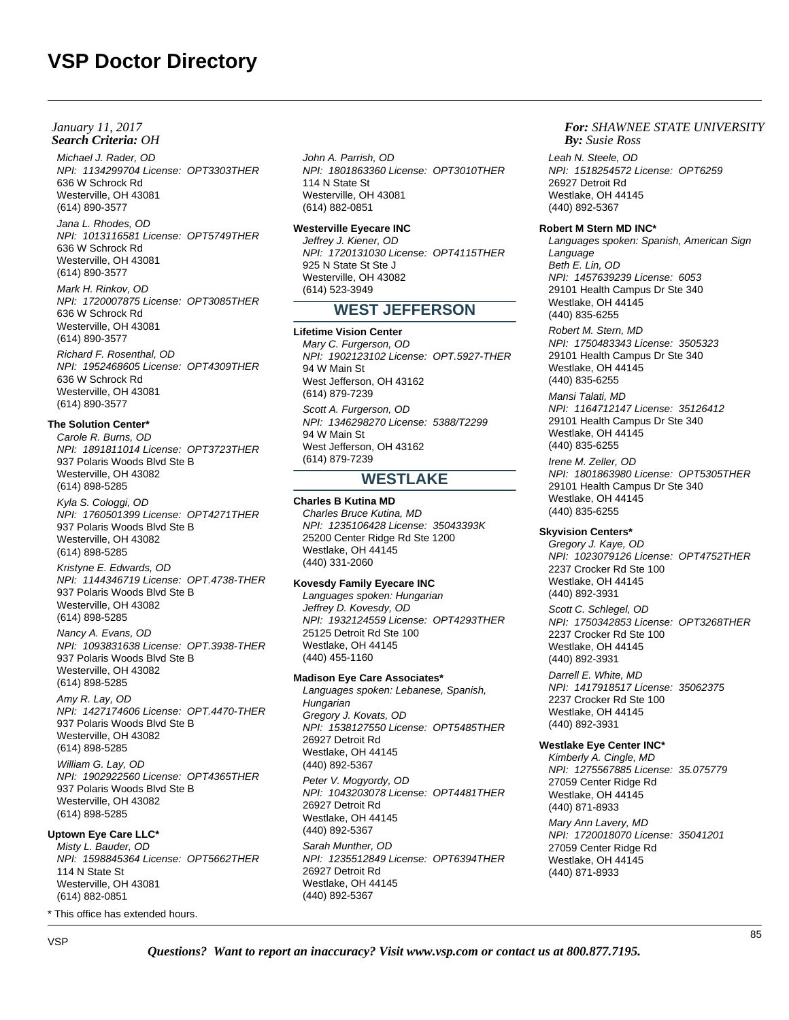Michael J. Rader, OD NPI: 1134299704 License: OPT3303THER 636 W Schrock Rd Westerville, OH 43081 (614) 890-3577

Jana L. Rhodes, OD NPI: 1013116581 License: OPT5749THER 636 W Schrock Rd Westerville, OH 43081 (614) 890-3577

Mark H. Rinkov, OD NPI: 1720007875 License: OPT3085THER 636 W Schrock Rd Westerville, OH 43081 (614) 890-3577

Richard F. Rosenthal, OD NPI: 1952468605 License: OPT4309THER 636 W Schrock Rd Westerville, OH 43081 (614) 890-3577

## **The Solution Center\***

Carole R. Burns, OD NPI: 1891811014 License: OPT3723THER 937 Polaris Woods Blvd Ste B Westerville, OH 43082 (614) 898-5285

Kyla S. Cologgi, OD NPI: 1760501399 License: OPT4271THER 937 Polaris Woods Blvd Ste B Westerville, OH 43082 (614) 898-5285

Kristyne E. Edwards, OD NPI: 1144346719 License: OPT.4738-THER 937 Polaris Woods Blvd Ste B Westerville, OH 43082 (614) 898-5285

Nancy A. Evans, OD NPI: 1093831638 License: OPT.3938-THER 937 Polaris Woods Blvd Ste B Westerville, OH 43082 (614) 898-5285

Amy R. Lay, OD NPI: 1427174606 License: OPT.4470-THER 937 Polaris Woods Blvd Ste B Westerville, OH 43082 (614) 898-5285

William G. Lay, OD NPI: 1902922560 License: OPT4365THER 937 Polaris Woods Blvd Ste B Westerville, OH 43082 (614) 898-5285

### **Uptown Eye Care LLC\***

Misty L. Bauder, OD NPI: 1598845364 License: OPT5662THER 114 N State St Westerville, OH 43081 (614) 882-0851

\* This office has extended hours.

John A. Parrish, OD NPI: 1801863360 License: OPT3010THER 114 N State St Westerville, OH 43081 (614) 882-0851

### **Westerville Eyecare INC**

Jeffrey J. Kiener, OD NPI: 1720131030 License: OPT4115THER 925 N State St Ste J Westerville, OH 43082 (614) 523-3949

# **WEST JEFFERSON**

### **Lifetime Vision Center**

Mary C. Furgerson, OD NPI: 1902123102 License: OPT.5927-THER 94 W Main St West Jefferson, OH 43162 (614) 879-7239 Scott A. Furgerson, OD NPI: 1346298270 License: 5388/T2299 94 W Main St West Jefferson, OH 43162 (614) 879-7239

# **WESTLAKE**

### **Charles B Kutina MD**

Charles Bruce Kutina, MD NPI: 1235106428 License: 35043393K 25200 Center Ridge Rd Ste 1200 Westlake, OH 44145 (440) 331-2060

### **Kovesdy Family Eyecare INC**

Languages spoken: Hungarian Jeffrey D. Kovesdy, OD NPI: 1932124559 License: OPT4293THER 25125 Detroit Rd Ste 100 Westlake, OH 44145 (440) 455-1160

### **Madison Eye Care Associates\***

Languages spoken: Lebanese, Spanish, Hungarian Gregory J. Kovats, OD NPI: 1538127550 License: OPT5485THER 26927 Detroit Rd Westlake, OH 44145 (440) 892-5367 Peter V. Mogyordy, OD NPI: 1043203078 License: OPT4481THER 26927 Detroit Rd

Westlake, OH 44145 (440) 892-5367

Sarah Munther, OD NPI: 1235512849 License: OPT6394THER 26927 Detroit Rd Westlake, OH 44145 (440) 892-5367

### *For: SHAWNEE STATE UNIVERSITY Susie Ross*

Leah N. Steele, OD NPI: 1518254572 License: OPT6259 26927 Detroit Rd Westlake, OH 44145 (440) 892-5367

#### **Robert M Stern MD INC\***

Languages spoken: Spanish, American Sign Language Beth E. Lin, OD NPI: 1457639239 License: 6053 29101 Health Campus Dr Ste 340 Westlake, OH 44145 (440) 835-6255

Robert M. Stern, MD NPI: 1750483343 License: 3505323 29101 Health Campus Dr Ste 340 Westlake, OH 44145 (440) 835-6255

Mansi Talati, MD NPI: 1164712147 License: 35126412 29101 Health Campus Dr Ste 340 Westlake, OH 44145 (440) 835-6255

Irene M. Zeller, OD NPI: 1801863980 License: OPT5305THER 29101 Health Campus Dr Ste 340 Westlake, OH 44145 (440) 835-6255

#### **Skyvision Centers\***

Gregory J. Kaye, OD NPI: 1023079126 License: OPT4752THER 2237 Crocker Rd Ste 100 Westlake, OH 44145 (440) 892-3931

Scott C. Schlegel, OD NPI: 1750342853 License: OPT3268THER 2237 Crocker Rd Ste 100 Westlake, OH 44145 (440) 892-3931

Darrell E. White, MD NPI: 1417918517 License: 35062375 2237 Crocker Rd Ste 100 Westlake, OH 44145 (440) 892-3931

#### **Westlake Eye Center INC\***

Kimberly A. Cingle, MD NPI: 1275567885 License: 35.075779 27059 Center Ridge Rd Westlake, OH 44145 (440) 871-8933

Mary Ann Lavery, MD NPI: 1720018070 License: 35041201 27059 Center Ridge Rd Westlake, OH 44145 (440) 871-8933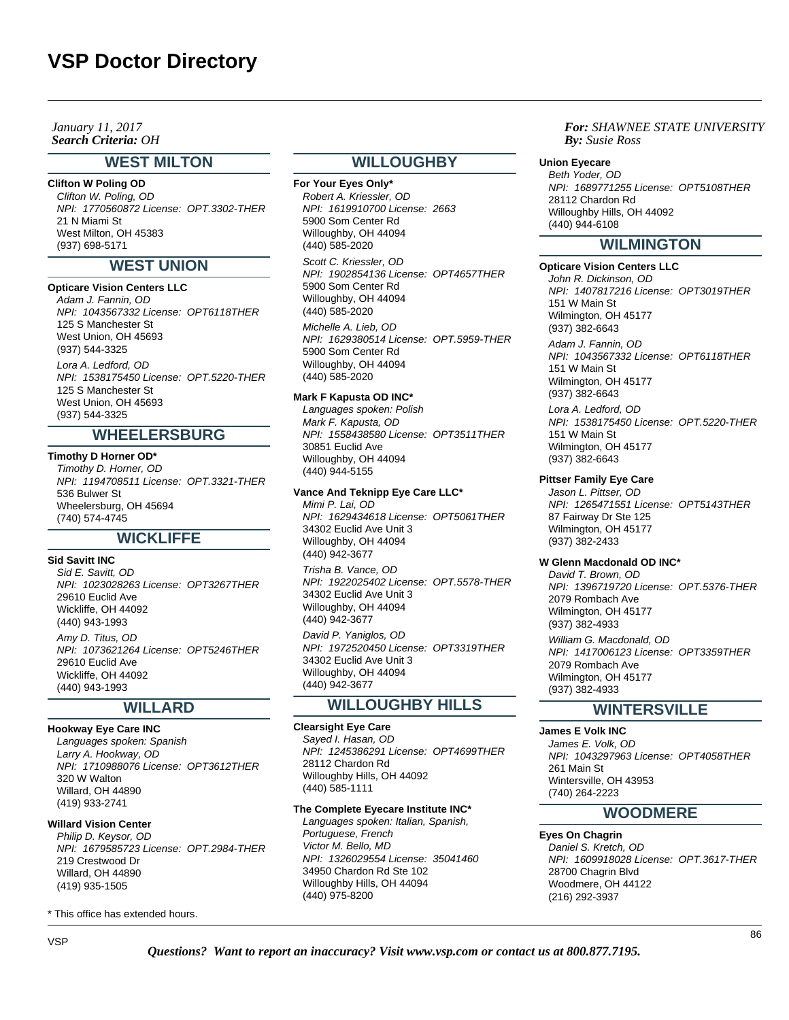*Search Criteria: By: OHJanuary 11, 2017*

### **WEST MILTON**

### **Clifton W Poling OD**

Clifton W. Poling, OD NPI: 1770560872 License: OPT.3302-THER 21 N Miami St West Milton, OH 45383 (937) 698-5171

# **WEST UNION**

### **Opticare Vision Centers LLC**

Adam J. Fannin, OD NPI: 1043567332 License: OPT6118THER 125 S Manchester St West Union, OH 45693 (937) 544-3325

Lora A. Ledford, OD NPI: 1538175450 License: OPT.5220-THER 125 S Manchester St West Union, OH 45693 (937) 544-3325

# **WHEELERSBURG**

**Timothy D Horner OD\*** Timothy D. Horner, OD NPI: 1194708511 License: OPT.3321-THER 536 Bulwer St Wheelersburg, OH 45694 (740) 574-4745

# **WICKLIFFE**

#### **Sid Savitt INC**

Sid E. Savitt, OD NPI: 1023028263 License: OPT3267THER 29610 Euclid Ave Wickliffe, OH 44092 (440) 943-1993 Amy D. Titus, OD NPI: 1073621264 License: OPT5246THER 29610 Euclid Ave Wickliffe, OH 44092 (440) 943-1993

# **WILLARD**

# **Hookway Eye Care INC**

Languages spoken: Spanish Larry A. Hookway, OD NPI: 1710988076 License: OPT3612THER 320 W Walton Willard, OH 44890 (419) 933-2741

#### **Willard Vision Center**

Philip D. Keysor, OD NPI: 1679585723 License: OPT.2984-THER 219 Crestwood Dr Willard, OH 44890 (419) 935-1505

\* This office has extended hours.

# **WILLOUGHBY**

**For Your Eyes Only\*** Robert A. Kriessler, OD NPI: 1619910700 License: 2663 5900 Som Center Rd Willoughby, OH 44094 (440) 585-2020

Scott C. Kriessler, OD NPI: 1902854136 License: OPT4657THER 5900 Som Center Rd Willoughby, OH 44094 (440) 585-2020

Michelle A. Lieb, OD NPI: 1629380514 License: OPT.5959-THER 5900 Som Center Rd Willoughby, OH 44094 (440) 585-2020

### **Mark F Kapusta OD INC\***

Languages spoken: Polish Mark F. Kapusta, OD NPI: 1558438580 License: OPT3511THER 30851 Euclid Ave Willoughby, OH 44094 (440) 944-5155

**Vance And Teknipp Eye Care LLC\*** Mimi P. Lai, OD

NPI: 1629434618 License: OPT5061THER 34302 Euclid Ave Unit 3 Willoughby, OH 44094 (440) 942-3677

Trisha B. Vance, OD NPI: 1922025402 License: OPT.5578-THER 34302 Euclid Ave Unit 3 Willoughby, OH 44094 (440) 942-3677

David P. Yaniglos, OD NPI: 1972520450 License: OPT3319THER 34302 Euclid Ave Unit 3 Willoughby, OH 44094 (440) 942-3677

# **WILLOUGHBY HILLS**

#### **Clearsight Eye Care**

Sayed I. Hasan, OD NPI: 1245386291 License: OPT4699THER 28112 Chardon Rd Willoughby Hills, OH 44092 (440) 585-1111

### **The Complete Eyecare Institute INC\***

Languages spoken: Italian, Spanish, Portuguese, French Victor M. Bello, MD NPI: 1326029554 License: 35041460 34950 Chardon Rd Ste 102 Willoughby Hills, OH 44094 (440) 975-8200

### *For: SHAWNEE STATE UNIVERSITY Susie Ross*

#### **Union Eyecare**

Beth Yoder, OD NPI: 1689771255 License: OPT5108THER 28112 Chardon Rd Willoughby Hills, OH 44092 (440) 944-6108

# **WILMINGTON**

**Opticare Vision Centers LLC**

John R. Dickinson, OD NPI: 1407817216 License: OPT3019THER 151 W Main St Wilmington, OH 45177 (937) 382-6643 Adam J. Fannin, OD NPI: 1043567332 License: OPT6118THER 151 W Main St Wilmington, OH 45177 (937) 382-6643 Lora A. Ledford, OD NPI: 1538175450 License: OPT.5220-THER 151 W Main St Wilmington, OH 45177

### **Pittser Family Eye Care**

(937) 382-6643

Jason L. Pittser, OD NPI: 1265471551 License: OPT5143THER 87 Fairway Dr Ste 125 Wilmington, OH 45177 (937) 382-2433

# **W Glenn Macdonald OD INC\***

David T. Brown, OD NPI: 1396719720 License: OPT.5376-THER 2079 Rombach Ave Wilmington, OH 45177 (937) 382-4933 William G. Macdonald, OD NPI: 1417006123 License: OPT3359THER 2079 Rombach Ave Wilmington, OH 45177 (937) 382-4933

# **WINTERSVILLE**

### **James E Volk INC**

James E. Volk, OD NPI: 1043297963 License: OPT4058THER 261 Main St Wintersville, OH 43953 (740) 264-2223

# **WOODMERE**

**Eyes On Chagrin** Daniel S. Kretch, OD NPI: 1609918028 License: OPT.3617-THER 28700 Chagrin Blvd Woodmere, OH 44122 (216) 292-3937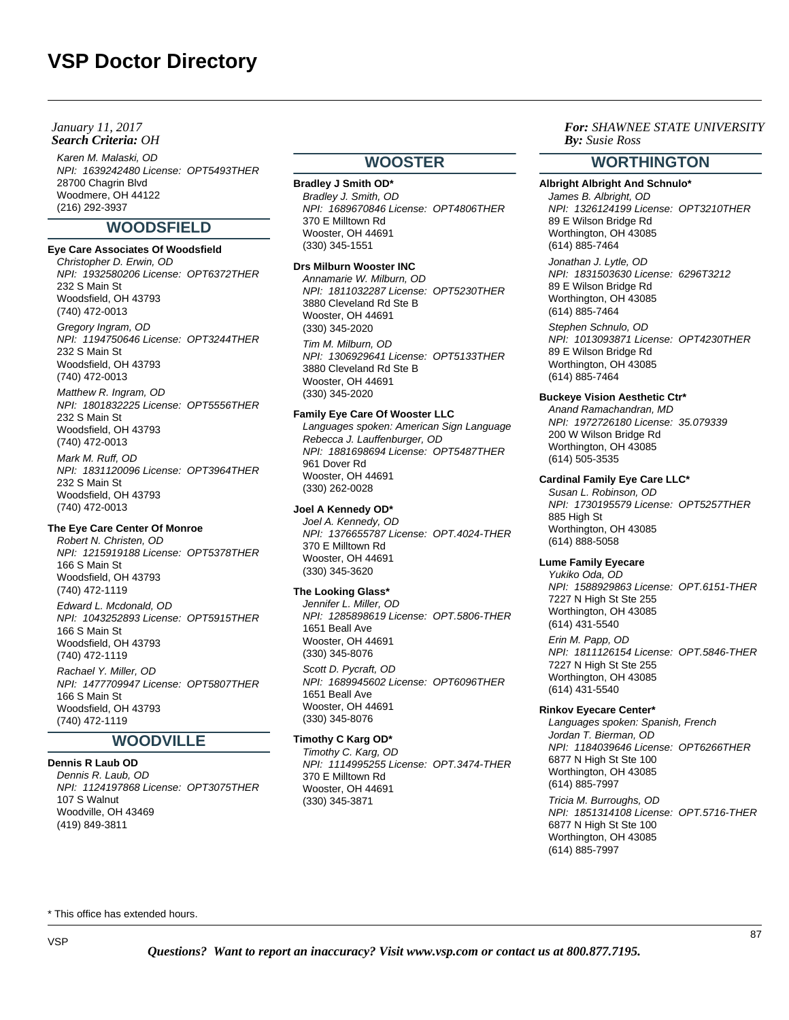### *Search Criteria: By: OHJanuary 11, 2017*

Karen M. Malaski, OD NPI: 1639242480 License: OPT5493THER 28700 Chagrin Blvd Woodmere, OH 44122 (216) 292-3937

# **WOODSFIELD**

# **Eye Care Associates Of Woodsfield**

Christopher D. Erwin, OD NPI: 1932580206 License: OPT6372THER 232 S Main St Woodsfield, OH 43793 (740) 472-0013 Gregory Ingram, OD NPI: 1194750646 License: OPT3244THER 232 S Main St Woodsfield, OH 43793 (740) 472-0013

Matthew R. Ingram, OD NPI: 1801832225 License: OPT5556THER 232 S Main St Woodsfield, OH 43793 (740) 472-0013 Mark M. Ruff, OD NPI: 1831120096 License: OPT3964THER

232 S Main St Woodsfield, OH 43793 (740) 472-0013

### **The Eye Care Center Of Monroe**

Robert N. Christen, OD NPI: 1215919188 License: OPT5378THER 166 S Main St Woodsfield, OH 43793 (740) 472-1119 Edward L. Mcdonald, OD NPI: 1043252893 License: OPT5915THER 166 S Main St Woodsfield, OH 43793 (740) 472-1119

Rachael Y. Miller, OD NPI: 1477709947 License: OPT5807THER 166 S Main St Woodsfield, OH 43793 (740) 472-1119

# **WOODVILLE**

# **Dennis R Laub OD**

Dennis R. Laub, OD NPI: 1124197868 License: OPT3075THER 107 S Walnut Woodville, OH 43469 (419) 849-3811

# **WOOSTER**

# **Bradley J Smith OD\***

Bradley J. Smith, OD NPI: 1689670846 License: OPT4806THER 370 E Milltown Rd Wooster, OH 44691 (330) 345-1551

### **Drs Milburn Wooster INC**

Annamarie W. Milburn, OD NPI: 1811032287 License: OPT5230THER 3880 Cleveland Rd Ste B Wooster, OH 44691 (330) 345-2020 Tim M. Milburn, OD NPI: 1306929641 License: OPT5133THER 3880 Cleveland Rd Ste B Wooster, OH 44691 (330) 345-2020

#### **Family Eye Care Of Wooster LLC**

Languages spoken: American Sign Language Rebecca J. Lauffenburger, OD NPI: 1881698694 License: OPT5487THER 961 Dover Rd Wooster, OH 44691 (330) 262-0028

# **Joel A Kennedy OD\***

Joel A. Kennedy, OD NPI: 1376655787 License: OPT.4024-THER 370 E Milltown Rd Wooster, OH 44691 (330) 345-3620

# **The Looking Glass\***

Jennifer L. Miller, OD NPI: 1285898619 License: OPT.5806-THER 1651 Beall Ave Wooster, OH 44691 (330) 345-8076

Scott D. Pycraft, OD NPI: 1689945602 License: OPT6096THER 1651 Beall Ave Wooster, OH 44691 (330) 345-8076

### **Timothy C Karg OD\***

Timothy C. Karg, OD NPI: 1114995255 License: OPT.3474-THER 370 E Milltown Rd Wooster, OH 44691 (330) 345-3871

### *For: SHAWNEE STATE UNIVERSITY Susie Ross*

# **WORTHINGTON**

### **Albright Albright And Schnulo\***

James B. Albright, OD NPI: 1326124199 License: OPT3210THER 89 E Wilson Bridge Rd Worthington, OH 43085 (614) 885-7464

Jonathan J. Lytle, OD NPI: 1831503630 License: 6296T3212 89 E Wilson Bridge Rd Worthington, OH 43085 (614) 885-7464

Stephen Schnulo, OD NPI: 1013093871 License: OPT4230THER 89 E Wilson Bridge Rd Worthington, OH 43085 (614) 885-7464

### **Buckeye Vision Aesthetic Ctr\***

Anand Ramachandran, MD NPI: 1972726180 License: 35.079339 200 W Wilson Bridge Rd Worthington, OH 43085 (614) 505-3535

### **Cardinal Family Eye Care LLC\***

Susan L. Robinson, OD NPI: 1730195579 License: OPT5257THER 885 High St Worthington, OH 43085 (614) 888-5058

### **Lume Family Eyecare**

Yukiko Oda, OD NPI: 1588929863 License: OPT.6151-THER 7227 N High St Ste 255 Worthington, OH 43085 (614) 431-5540 Erin M. Papp, OD NPI: 1811126154 License: OPT.5846-THER 7227 N High St Ste 255 Worthington, OH 43085 (614) 431-5540

#### **Rinkov Eyecare Center\***

Languages spoken: Spanish, French Jordan T. Bierman, OD NPI: 1184039646 License: OPT6266THER 6877 N High St Ste 100 Worthington, OH 43085 (614) 885-7997 Tricia M. Burroughs, OD

NPI: 1851314108 License: OPT.5716-THER 6877 N High St Ste 100 Worthington, OH 43085 (614) 885-7997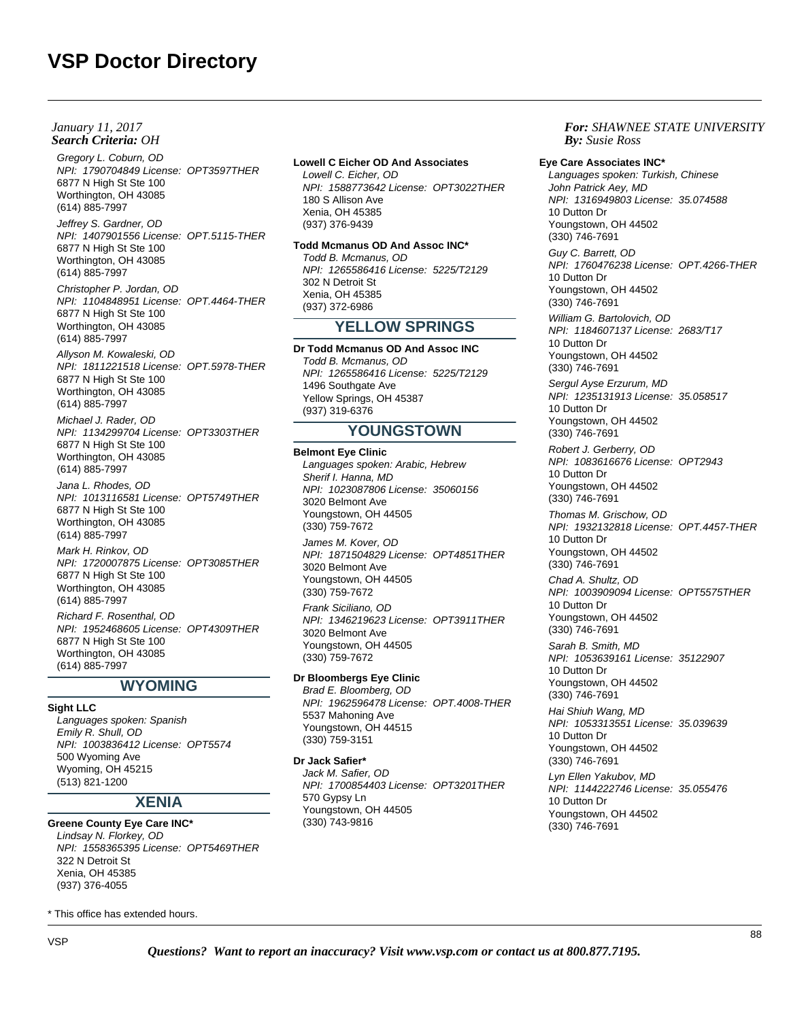Gregory L. Coburn, OD NPI: 1790704849 License: OPT3597THER 6877 N High St Ste 100 Worthington, OH 43085 (614) 885-7997

Jeffrey S. Gardner, OD NPI: 1407901556 License: OPT.5115-THER 6877 N High St Ste 100 Worthington, OH 43085 (614) 885-7997

Christopher P. Jordan, OD NPI: 1104848951 License: OPT.4464-THER 6877 N High St Ste 100 Worthington, OH 43085 (614) 885-7997

Allyson M. Kowaleski, OD NPI: 1811221518 License: OPT.5978-THER 6877 N High St Ste 100 Worthington, OH 43085 (614) 885-7997

Michael J. Rader, OD NPI: 1134299704 License: OPT3303THER 6877 N High St Ste 100 Worthington, OH 43085 (614) 885-7997

Jana L. Rhodes, OD NPI: 1013116581 License: OPT5749THER 6877 N High St Ste 100 Worthington, OH 43085 (614) 885-7997

Mark H. Rinkov, OD NPI: 1720007875 License: OPT3085THER 6877 N High St Ste 100 Worthington, OH 43085 (614) 885-7997

Richard F. Rosenthal, OD NPI: 1952468605 License: OPT4309THER 6877 N High St Ste 100 Worthington, OH 43085 (614) 885-7997

# **WYOMING**

# **Sight LLC**

Languages spoken: Spanish Emily R. Shull, OD NPI: 1003836412 License: OPT5574 500 Wyoming Ave Wyoming, OH 45215 (513) 821-1200

# **XENIA**

### **Greene County Eye Care INC\***

Lindsay N. Florkey, OD NPI: 1558365395 License: OPT5469THER 322 N Detroit St Xenia, OH 45385 (937) 376-4055

\* This office has extended hours.

# **Lowell C Eicher OD And Associates**

Lowell C. Eicher, OD NPI: 1588773642 License: OPT3022THER 180 S Allison Ave Xenia, OH 45385 (937) 376-9439

### **Todd Mcmanus OD And Assoc INC\***

Todd B. Mcmanus, OD NPI: 1265586416 License: 5225/T2129 302 N Detroit St Xenia, OH 45385 (937) 372-6986

# **YELLOW SPRINGS**

**Dr Todd Mcmanus OD And Assoc INC** Todd B. Mcmanus, OD NPI: 1265586416 License: 5225/T2129 1496 Southgate Ave Yellow Springs, OH 45387 (937) 319-6376

# **YOUNGSTOWN**

### **Belmont Eye Clinic**

Languages spoken: Arabic, Hebrew Sherif I. Hanna, MD NPI: 1023087806 License: 35060156 3020 Belmont Ave Youngstown, OH 44505 (330) 759-7672

James M. Kover, OD NPI: 1871504829 License: OPT4851THER 3020 Belmont Ave Youngstown, OH 44505 (330) 759-7672 Frank Siciliano, OD NPI: 1346219623 License: OPT3911THER 3020 Belmont Ave Youngstown, OH 44505 (330) 759-7672

# **Dr Bloombergs Eye Clinic**

Brad E. Bloomberg, OD NPI: 1962596478 License: OPT.4008-THER 5537 Mahoning Ave Youngstown, OH 44515 (330) 759-3151

### **Dr Jack Safier\***

Jack M. Safier, OD NPI: 1700854403 License: OPT3201THER 570 Gypsy Ln Youngstown, OH 44505 (330) 743-9816

### *For: SHAWNEE STATE UNIVERSITY Susie Ross*

#### **Eye Care Associates INC\***

Languages spoken: Turkish, Chinese John Patrick Aey, MD NPI: 1316949803 License: 35.074588 10 Dutton Dr Youngstown, OH 44502 (330) 746-7691 Guy C. Barrett, OD NPI: 1760476238 License: OPT.4266-THER 10 Dutton Dr Youngstown, OH 44502 (330) 746-7691 William G. Bartolovich, OD NPI: 1184607137 License: 2683/T17 10 Dutton Dr Youngstown, OH 44502 (330) 746-7691 Sergul Ayse Erzurum, MD NPI: 1235131913 License: 35.058517 10 Dutton Dr Youngstown, OH 44502 (330) 746-7691 Robert J. Gerberry, OD NPI: 1083616676 License: OPT2943 10 Dutton Dr Youngstown, OH 44502 (330) 746-7691 Thomas M. Grischow, OD NPI: 1932132818 License: OPT.4457-THER 10 Dutton Dr Youngstown, OH 44502 (330) 746-7691 Chad A. Shultz, OD NPI: 1003909094 License: OPT5575THER 10 Dutton Dr Youngstown, OH 44502 (330) 746-7691 Sarah B. Smith, MD NPI: 1053639161 License: 35122907 10 Dutton Dr Youngstown, OH 44502 (330) 746-7691 Hai Shiuh Wang, MD NPI: 1053313551 License: 35.039639 10 Dutton Dr Youngstown, OH 44502 (330) 746-7691 Lyn Ellen Yakubov, MD NPI: 1144222746 License: 35.055476 10 Dutton Dr Youngstown, OH 44502 (330) 746-7691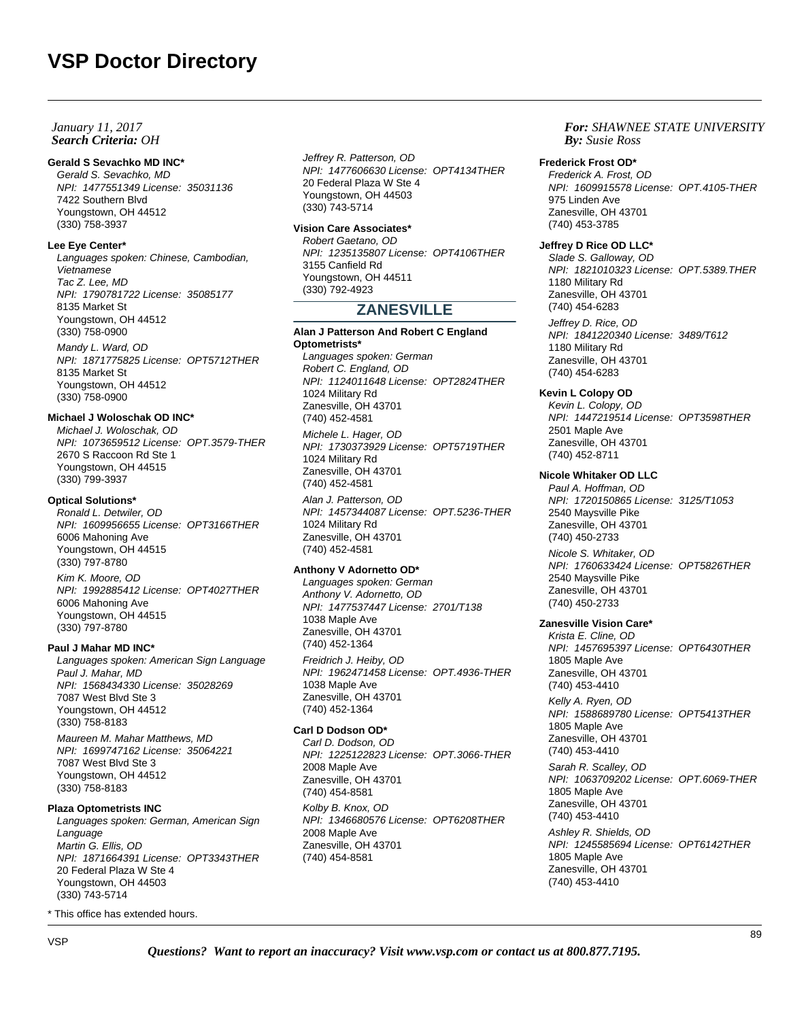### **Gerald S Sevachko MD INC\***

Gerald S. Sevachko, MD NPI: 1477551349 License: 35031136 7422 Southern Blvd Youngstown, OH 44512 (330) 758-3937

### **Lee Eye Center\***

Languages spoken: Chinese, Cambodian, Vietnamese Tac Z. Lee, MD NPI: 1790781722 License: 35085177 8135 Market St Youngstown, OH 44512 (330) 758-0900 Mandy L. Ward, OD

NPI: 1871775825 License: OPT5712THER 8135 Market St Youngstown, OH 44512 (330) 758-0900

### **Michael J Woloschak OD INC\***

Michael J. Woloschak, OD NPI: 1073659512 License: OPT.3579-THER 2670 S Raccoon Rd Ste 1 Youngstown, OH 44515 (330) 799-3937

### **Optical Solutions\***

Ronald L. Detwiler, OD NPI: 1609956655 License: OPT3166THER 6006 Mahoning Ave Youngstown, OH 44515 (330) 797-8780 Kim K. Moore, OD NPI: 1992885412 License: OPT4027THER 6006 Mahoning Ave Youngstown, OH 44515 (330) 797-8780

### **Paul J Mahar MD INC\***

Languages spoken: American Sign Language Paul J. Mahar, MD NPI: 1568434330 License: 35028269 7087 West Blvd Ste 3 Youngstown, OH 44512 (330) 758-8183 Maureen M. Mahar Matthews, MD NPI: 1699747162 License: 35064221 7087 West Blvd Ste 3 Youngstown, OH 44512

(330) 758-8183

### **Plaza Optometrists INC**

Languages spoken: German, American Sign Language Martin G. Ellis, OD NPI: 1871664391 License: OPT3343THER 20 Federal Plaza W Ste 4 Youngstown, OH 44503 (330) 743-5714

\* This office has extended hours.

Jeffrey R. Patterson, OD NPI: 1477606630 License: OPT4134THER 20 Federal Plaza W Ste 4 Youngstown, OH 44503 (330) 743-5714

### **Vision Care Associates\***

Robert Gaetano, OD NPI: 1235135807 License: OPT4106THER 3155 Canfield Rd Youngstown, OH 44511 (330) 792-4923

# **ZANESVILLE**

### **Alan J Patterson And Robert C England Optometrists\***

Languages spoken: German Robert C. England, OD NPI: 1124011648 License: OPT2824THER 1024 Military Rd Zanesville, OH 43701 (740) 452-4581

Michele L. Hager, OD NPI: 1730373929 License: OPT5719THER 1024 Military Rd Zanesville, OH 43701 (740) 452-4581

Alan J. Patterson, OD NPI: 1457344087 License: OPT.5236-THER 1024 Military Rd Zanesville, OH 43701 (740) 452-4581

### **Anthony V Adornetto OD\***

Languages spoken: German Anthony V. Adornetto, OD NPI: 1477537447 License: 2701/T138 1038 Maple Ave Zanesville, OH 43701 (740) 452-1364 Freidrich J. Heiby, OD NPI: 1962471458 License: OPT.4936-THER 1038 Maple Ave Zanesville, OH 43701 (740) 452-1364

# **Carl D Dodson OD\***

Carl D. Dodson, OD NPI: 1225122823 License: OPT.3066-THER 2008 Maple Ave Zanesville, OH 43701 (740) 454-8581 Kolby B. Knox, OD NPI: 1346680576 License: OPT6208THER 2008 Maple Ave Zanesville, OH 43701 (740) 454-8581

### *For: SHAWNEE STATE UNIVERSITY Susie Ross*

#### **Frederick Frost OD\***

Frederick A. Frost, OD NPI: 1609915578 License: OPT.4105-THER 975 Linden Ave Zanesville, OH 43701 (740) 453-3785

### **Jeffrey D Rice OD LLC\***

Slade S. Galloway, OD NPI: 1821010323 License: OPT.5389.THER 1180 Military Rd Zanesville, OH 43701 (740) 454-6283

Jeffrey D. Rice, OD NPI: 1841220340 License: 3489/T612 1180 Military Rd Zanesville, OH 43701 (740) 454-6283

### **Kevin L Colopy OD**

Kevin L. Colopy, OD NPI: 1447219514 License: OPT3598THER 2501 Maple Ave Zanesville, OH 43701 (740) 452-8711

### **Nicole Whitaker OD LLC**

Paul A. Hoffman, OD NPI: 1720150865 License: 3125/T1053 2540 Maysville Pike Zanesville, OH 43701 (740) 450-2733

Nicole S. Whitaker, OD NPI: 1760633424 License: OPT5826THER 2540 Maysville Pike Zanesville, OH 43701 (740) 450-2733

### **Zanesville Vision Care\***

Krista E. Cline, OD NPI: 1457695397 License: OPT6430THER 1805 Maple Ave Zanesville, OH 43701 (740) 453-4410

Kelly A. Ryen, OD NPI: 1588689780 License: OPT5413THER 1805 Maple Ave Zanesville, OH 43701 (740) 453-4410

Sarah R. Scalley, OD NPI: 1063709202 License: OPT.6069-THER 1805 Maple Ave Zanesville, OH 43701 (740) 453-4410

Ashley R. Shields, OD NPI: 1245585694 License: OPT6142THER 1805 Maple Ave Zanesville, OH 43701 (740) 453-4410